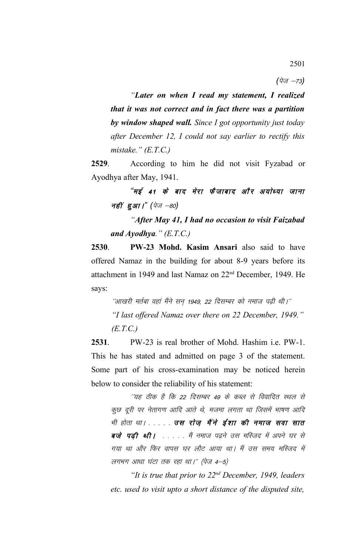$(\vec{q}_{\sqrt{q}} -73)$ 

*"Later on when I read my statement, I realized that it was not correct and in fact there was a partition by window shaped wall. Since I got opportunity just today after December 12, I could not say earlier to rectify this mistake." (E.T.C.)*

**2529**. According to him he did not visit Fyzabad or Ayodhya after May, 1941.

"मई 41 के बाद मेरा फैजाबाद और अयोध्या जाना *नहीं हुआ।" (पेज -80)* 

*"After May 41, I had no occasion to visit Faizabad and Ayodhya." (E.T.C.)*

**2530**. **PW-23 Mohd. Kasim Ansari** also said to have offered Namaz in the building for about 8-9 years before its attachment in 1949 and last Namaz on 22nd December, 1949. He says:

''आखरी मर्तबा वहां मैंने सन् 1949, 22 दिसम्बर को नमाज पढ़ी थी।'' *"I last offered Namaz over there on 22 December, 1949." (E.T.C.)*

**2531**. PW-23 is real brother of Mohd. Hashim i.e. PW-1. This he has stated and admitted on page 3 of the statement. Some part of his cross-examination may be noticed herein below to consider the reliability of his statement:

''यह ठीक है कि 22 दिसम्बर 49 के कब्ल से विवादित स्थल से कूछ दूरी पर नेतागण आदि आते थे, मजमा लगता था जिसमें भाषण आदि भी होता था। . . . . . उस रोज़ मैंने ईशा की नमाज सवा सात बजे पढी थी। . . . . मैं नमाज पढने उस मस्जिद में अपने घर से गया था और फिर वापस घर लौट आया था। मैं उस समय मस्जिद में लगभग आधा घंटा तक रहा था।" (पेज  $4-5$ )

*"It is true that prior to 22nd December, 1949, leaders etc. used to visit upto a short distance of the disputed site,*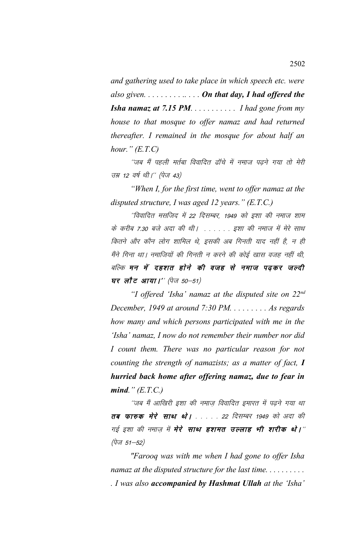*and gathering used to take place in which speech etc. were also given. . . . . . . . . .. . . . On that day, I had offered the Isha namaz at 7.15 PM. . . . . . . . . . . I had gone from my house to that mosque to offer namaz and had returned thereafter. I remained in the mosque for about half an hour." (E.T.C)*

''जब मैं पहली मर्तबा विवादित ढॉचे में नमाज पढ़ने गया तो मेरी उम्र 12 वर्ष थी।" (पेज 43)

*"When I, for the first time, went to offer namaz at the disputed structure, I was aged 12 years." (E.T.C.)*

''विवादित मसजिद में 22 दिसम्बर, 1949 को इशा की नमाज शाम के करीब 7.30 बजे अदा की थी। . . . . . . इशा की नमाज में मेरे साथ कितने और कौन लोग शामिल थे, इसकी अब गिनती याद नहीं है, न ही मैंने गिना था। नमाजियों की गिनती न करने की कोई खास वजह नहीं थी, बल्कि मन में दहशत होने की वजह से नमाज पढ़कर जल्दी **घर लौट आया।'' (पेज 50-51)** 

*"I offered 'Isha' namaz at the disputed site on 22nd December, 1949 at around 7:30 PM. . . . . . . . . As regards how many and which persons participated with me in the 'Isha' namaz, I now do not remember their number nor did I count them. There was no particular reason for not counting the strength of namazists; as a matter of fact, I hurried back home after offering namaz, due to fear in mind." (E.T.C.)*

''जब मैं आखिरी इशा की नमाज विवादित इमारत में पढने गया था तब फारुक मेरे साथ थे। . . . . 22 दिसम्बर 1949 को अदा की गई इशा की नमाज़ में **मेरे साथ हशमत उल्लाह भी शरीक थे।**'' *(पेज 51–52)* 

*"Farooq was with me when I had gone to offer Isha namaz at the disputed structure for the last time. . . . . . . . . . . I was also accompanied by Hashmat Ullah at the 'Isha'*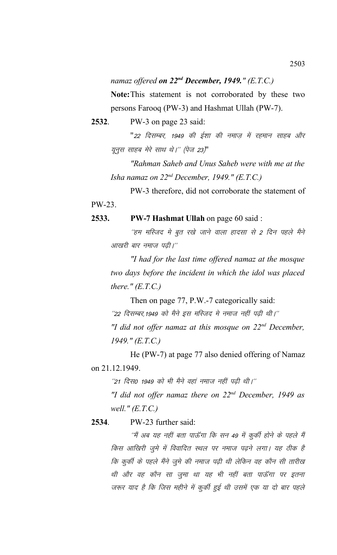# *namaz offered on 22nd December, 1949." (E.T.C.)*

**Note:**This statement is not corroborated by these two persons Farooq (PW-3) and Hashmat Ullah (PW-7).

**2532**. PW-3 on page 23 said:

"22 दिसम्बर, 1949 की ईशा की नमाज़ में रहमान साहब और यूनुस साहब मेरे साथ थे।" (पेज 23)"

*"Rahman Saheb and Unus Saheb were with me at the Isha namaz on 22nd December, 1949." (E.T.C.)* 

PW-3 therefore, did not corroborate the statement of PW-23.

# **2533. PW-7 Hashmat Ullah** on page 60 said :

''हम मस्जिद मे बूत रखे जाने वाला हादसा से 2 दिन पहले मैने आखरी बार नमाज पढी।"

*"I had for the last time offered namaz at the mosque two days before the incident in which the idol was placed there." (E.T.C.)*

Then on page 77, P.W.-7 categorically said:  $^{\prime\prime}$ 22 दिसम्बर,1949 को मैने इस मस्जिद मे नमाज नहीं पढ़ी थी।'' *"I did not offer namaz at this mosque on 22nd December, 1949." (E.T.C.)*

He (PW-7) at page 77 also denied offering of Namaz on 21.12.1949.

 $^{\prime\prime}$ 21 दिस0 1949 को भी मैने वहां नमाज नहीं पढ़ी थी।''

*"I did not offer namaz there on 22nd December, 1949 as well." (E.T.C.)*

# **2534**. PW-23 further said:

''मैं अब यह नहीं बता पाऊँगा कि सन 49 में कुर्की होने के पहले मैं किस आखिरी जुमे में विवादित स्थल पर नमाज पढ़ने लगा। यह ठीक है कि कुर्की के पहले मैंने जुमे की नमाज पढ़ी थी लेकिन वह कौन सी तारीख थी और वह कौन सा जुमा था यह भी नहीं बता पाऊँगा पर इतना जरूर याद है कि जिस महीने में कुर्की हुई थी उसमें एक या दो बार पहले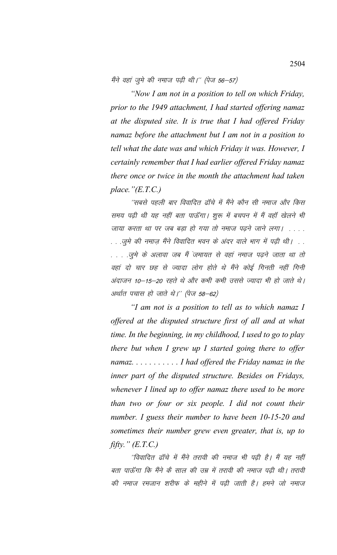मैंने वहां जुमे की नमाज पढ़ी थी।'' (पेज 56–57)

*"Now I am not in a position to tell on which Friday, prior to the 1949 attachment, I had started offering namaz at the disputed site. It is true that I had offered Friday namaz before the attachment but I am not in a position to tell what the date was and which Friday it was. However, I certainly remember that I had earlier offered Friday namaz there once or twice in the month the attachment had taken place."(E.T.C.)*

''सबसे पहली बार विवादित ढॉचे में मैंने कौन सी नमाज और किस समय पढी थी यह नहीं बता पाऊँगा। शुरू में बचपन में मैं वहाँ खेलने भी जाया करता था पर जब बड़ा हो गया तो नमाज पढ़ने जाने लगा। . . . . . . .जुमे की नमाज़ मैंने विवादित भवन के अंदर वाले भाग में पढ़ी थी। . . . . . .जुमे के अलावा जब मैं जमायत से वहां नमाज पढने जाता था तो वहां दो चार छह से ज्यादा लोग होते थे मैंने कोई गिनती नहीं गिनी अंदाजन 10—15—20 रहते थे और कभी कभी उससे ज्यादा भी हो जाते थे। अर्थात पचास हो जाते थे।'' (पेज 58–62)

*"I am not is a position to tell as to which namaz I offered at the disputed structure first of all and at what time. In the beginning, in my childhood, I used to go to play there but when I grew up I started going there to offer namaz. . . . . . . . . . . I had offered the Friday namaz in the inner part of the disputed structure. Besides on Fridays, whenever I lined up to offer namaz there used to be more than two or four or six people. I did not count their number. I guess their number to have been 10-15-20 and sometimes their number grew even greater, that is, up to fifty." (E.T.C.)*

''विवादित ढॉचे में मैंने तरावी की नमाज भी पढी है। मैं यह नहीं बता पाऊँगा कि मैंने कै साल की उम्र में तरावी की नमाज पढी थी। तरावी की नमाज रमजान शरीफ के महीने में पढी जाती है। हमने जो नमाज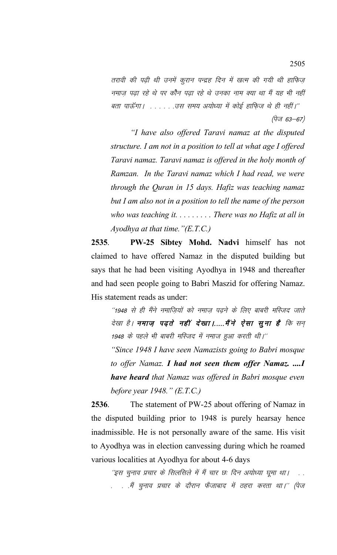तरावी की पढी थी उनमें कूरान पन्द्रह दिन में खत्म की गयी थी हाफिज नमाज पढा रहे थे पर कौन पढा रहे थे उनका नाम क्या था मैं यह भी नहीं बता पाऊँगा। . . . . . . उस समय अयोध्या में कोई हाफ़िज थे ही नहीं।" (पेज 63–67)

*"I have also offered Taravi namaz at the disputed structure. I am not in a position to tell at what age I offered Taravi namaz. Taravi namaz is offered in the holy month of Ramzan. In the Taravi namaz which I had read, we were through the Quran in 15 days. Hafiz was teaching namaz but I am also not in a position to tell the name of the person who was teaching it. . . . . . . . . There was no Hafiz at all in Ayodhya at that time."(E.T.C.)*

**2535**. **PW-25 Sibtey Mohd. Nadvi** himself has not claimed to have offered Namaz in the disputed building but says that he had been visiting Ayodhya in 1948 and thereafter and had seen people going to Babri Maszid for offering Namaz. His statement reads as under:

''1948 से ही मैंने नमाजियों को नमाज पढने के लिए बाबरी मस्जिद जाते देखा है। **नमाज़ पढ़ते नहीं देखा।.....मैंने ऐसा सूना है** कि सन 1948 के पहले भी बाबरी मस्जिद में नमाज हुआ करती थी।''

*"Since 1948 I have seen Namazists going to Babri mosque to offer Namaz. I had not seen them offer Namaz. ....I have heard that Namaz was offered in Babri mosque even before year 1948." (E.T.C.)*

**2536**. The statement of PW-25 about offering of Namaz in the disputed building prior to 1948 is purely hearsay hence inadmissible. He is not personally aware of the same. His visit to Ayodhya was in election canvessing during which he roamed various localities at Ayodhya for about 4-6 days

''इस चुनाव प्रचार के सिलसिले में मैं चार छः दिन अयोध्या घूमा था। . . . .मैं चुनाव प्रचार के दौरान फैजाबाद में ठहरा करता था।'' (पेज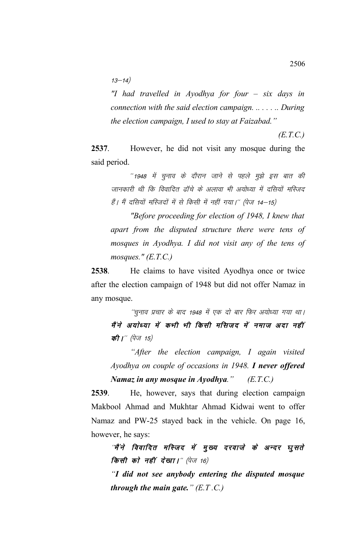$13 - 14)$ 

*"I had travelled in Ayodhya for four – six days in connection with the said election campaign. .. . . . .. During the election campaign, I used to stay at Faizabad."*

 *(E.T.C.)*

**2537**. However, he did not visit any mosque during the said period.

''1948 में चुनाव के दौरान जाने से पहले मुझे इस बात की जानकारी थी कि विवादित ढाँचे के अलावा भी अयोध्या में दसियों मस्जिद हैं। मैं दसियों मस्जिदों में से किसी में नहीं गया।'' (पेज 14–15)

*"Before proceeding for election of 1948, I knew that apart from the disputed structure there were tens of mosques in Ayodhya. I did not visit any of the tens of mosques." (E.T.C.)*

**2538**. He claims to have visited Ayodhya once or twice after the election campaign of 1948 but did not offer Namaz in any mosque.

''चुनाव प्रचार के बाद 1948 में एक दो बार फिर अयोध्या गया था। मैं ने अयोध्या में कभी भी किसी मसिजद में नमाज अदा नहीं की |'' (पेज 15)

*"After the election campaign, I again visited Ayodhya on couple of occasions in 1948. I never offered Namaz in any mosque in Ayodhya." (E.T.C.)*

**2539**. He, however, says that during election campaign Makbool Ahmad and Mukhtar Ahmad Kidwai went to offer Namaz and PW-25 stayed back in the vehicle. On page 16, however, he says:

*'*मैं ने विवादित मस्जिद में मुख्य दरवाजे के अन्दर धुसते **किसी को नहीं देखा।** "(पेज 16)

*"I did not see anybody entering the disputed mosque through the main gate." (E.T .C.)*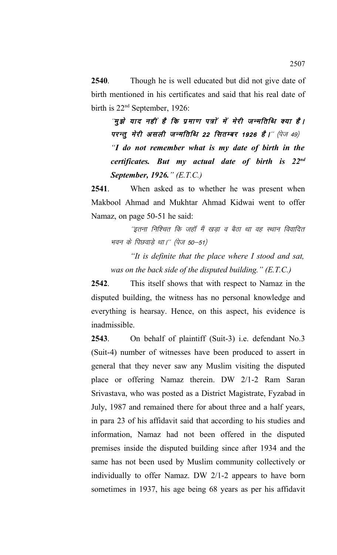**2540**. Though he is well educated but did not give date of birth mentioned in his certificates and said that his real date of birth is 22<sup>nd</sup> September, 1926:

"मूझे याद नहीं है कि प्रमाण पत्रों में मेरी जन्मतिथि क्या है। परन्तू मेरी असली जन्मतिथि 22 सितम्बर 1926 हैं।'' (पेज 49) *"I do not remember what is my date of birth in the certificates. But my actual date of birth is 22nd September, 1926." (E.T.C.)*

**2541**. When asked as to whether he was present when Makbool Ahmad and Mukhtar Ahmad Kidwai went to offer Namaz, on page 50-51 he said:

''इतना निश्चित कि जहाँ मैं खड़ा व बैठा था वह स्थान विवादित मवन के पिछवाड़े था।'' (पेज 50–51)

*"It is definite that the place where I stood and sat, was on the back side of the disputed building." (E.T.C.)*

**2542**. This itself shows that with respect to Namaz in the disputed building, the witness has no personal knowledge and everything is hearsay. Hence, on this aspect, his evidence is inadmissible.

**2543**. On behalf of plaintiff (Suit-3) i.e. defendant No.3 (Suit-4) number of witnesses have been produced to assert in general that they never saw any Muslim visiting the disputed place or offering Namaz therein. DW 2/1-2 Ram Saran Srivastava, who was posted as a District Magistrate, Fyzabad in July, 1987 and remained there for about three and a half years, in para 23 of his affidavit said that according to his studies and information, Namaz had not been offered in the disputed premises inside the disputed building since after 1934 and the same has not been used by Muslim community collectively or individually to offer Namaz. DW 2/1-2 appears to have born sometimes in 1937, his age being 68 years as per his affidavit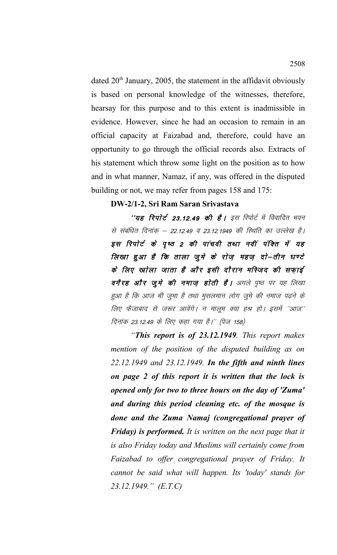dated 20<sup>th</sup> January, 2005, the statement in the affidavit obviously is based on personal knowledge of the witnesses, therefore, hearsay for this purpose and to this extent is inadmissible in evidence. However, since he had an occasion to remain in an official capacity at Faizabad and, therefore, could have an opportunity to go through the official records also. Extracts of his statement which throw some light on the position as to how and in what manner, Namaz, if any, was offered in the disputed building or not, we may refer from pages 158 and 175:

## **DW-2/1-2, Sri Ram Saran Srivastava**

''यह रिपोर्ट 23.12.49 की है। इस रिपोर्ट में विवादित भवन से संबंधित दिनांक – 22.12.49 व 23.12.1949 की स्थिति का उल्लेख है। इस रिपोर्ट के पृष्ठ 2 की पांचवी तथा नवीं पंक्ति में यह लिखा हुआ है कि ताला जूमे के रोज़ महज़ दो—तीन घण्टे के लिए खाेला जाता है और इसी दौरान मस्जिद की सफाई वगैरह और जूमे की नमाज़ होती है। अगले पृष्ठ पर यह लिखा हुआ है कि आज भी जुमा है तथा मुसलमान लोग जुमे की नमाज़ पढ़ने के लिए फैजाबाद से जरूर आवेंगे। न मालूम क्या हश्र हो। इसमें ''आज'' दिनांक 23.12.49 के लिए कहा गया है।'' (पेज 158)

*"This report is of 23.12.1949. This report makes mention of the position of the disputed building as on 22.12.1949 and 23.12.1949. In the fifth and ninth lines on page 2 of this report it is written that the lock is opened only for two to three hours on the day of 'Zuma' and during this period cleaning etc. of the mosque is done and the Zuma Namaj (congregational prayer of Friday) is performed. It is written on the next page that it is also Friday today and Muslims will certainly come from Faizabad to offer congregational prayer of Friday. It cannot be said what will happen. Its 'today' stands for 23.12.1949." (E.T.C)*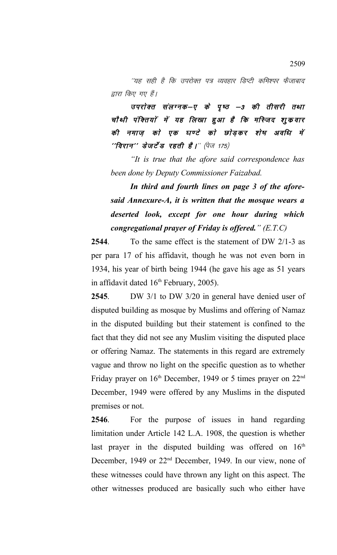''यह सही है कि उपरोक्त पत्र व्यवहार डिप्टी कमिश्पर फैजाबाद द्वारा किए गए हैं।

उपरोक्त संलग्नक-ए के पृष्ठ –3 की तीसरी तथा चौथी पंक्तियों में यह लिखा हुआ है कि मस्जिद शुक्रवार की नमाज़ को एक घण्टे को छोड़कर शेष अवधि में  $^{\prime\prime}$ विरान $^{\prime\prime}$  डेजर्टेड रहती है।" (पेज 175)

*"It is true that the afore said correspondence has been done by Deputy Commissioner Faizabad.* 

*In third and fourth lines on page 3 of the aforesaid Annexure-A, it is written that the mosque wears a deserted look, except for one hour during which congregational prayer of Friday is offered." (E.T.C)*

**2544**. To the same effect is the statement of DW 2/1-3 as per para 17 of his affidavit, though he was not even born in 1934, his year of birth being 1944 (he gave his age as 51 years in affidavit dated  $16<sup>th</sup>$  February, 2005).

**2545**. DW 3/1 to DW 3/20 in general have denied user of disputed building as mosque by Muslims and offering of Namaz in the disputed building but their statement is confined to the fact that they did not see any Muslim visiting the disputed place or offering Namaz. The statements in this regard are extremely vague and throw no light on the specific question as to whether Friday prayer on 16<sup>th</sup> December, 1949 or 5 times prayer on 22<sup>nd</sup> December, 1949 were offered by any Muslims in the disputed premises or not.

**2546**. For the purpose of issues in hand regarding limitation under Article 142 L.A. 1908, the question is whether last prayer in the disputed building was offered on  $16<sup>th</sup>$ December, 1949 or 22nd December, 1949. In our view, none of these witnesses could have thrown any light on this aspect. The other witnesses produced are basically such who either have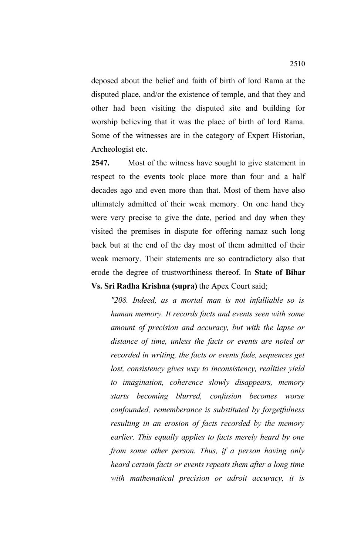deposed about the belief and faith of birth of lord Rama at the disputed place, and/or the existence of temple, and that they and other had been visiting the disputed site and building for worship believing that it was the place of birth of lord Rama. Some of the witnesses are in the category of Expert Historian, Archeologist etc.

**2547.** Most of the witness have sought to give statement in respect to the events took place more than four and a half decades ago and even more than that. Most of them have also ultimately admitted of their weak memory. On one hand they were very precise to give the date, period and day when they visited the premises in dispute for offering namaz such long back but at the end of the day most of them admitted of their weak memory. Their statements are so contradictory also that erode the degree of trustworthiness thereof. In **State of Bihar Vs. Sri Radha Krishna (supra)** the Apex Court said;

*"208. Indeed, as a mortal man is not infalliable so is human memory. It records facts and events seen with some amount of precision and accuracy, but with the lapse or distance of time, unless the facts or events are noted or recorded in writing, the facts or events fade, sequences get lost, consistency gives way to inconsistency, realities yield to imagination, coherence slowly disappears, memory starts becoming blurred, confusion becomes worse confounded, rememberance is substituted by forgetfulness resulting in an erosion of facts recorded by the memory earlier. This equally applies to facts merely heard by one from some other person. Thus, if a person having only heard certain facts or events repeats them after a long time with mathematical precision or adroit accuracy, it is*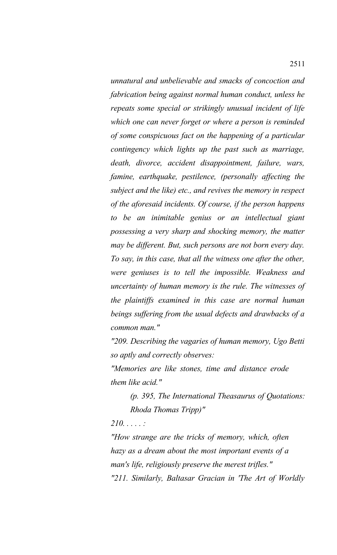*unnatural and unbelievable and smacks of concoction and fabrication being against normal human conduct, unless he repeats some special or strikingly unusual incident of life which one can never forget or where a person is reminded of some conspicuous fact on the happening of a particular contingency which lights up the past such as marriage, death, divorce, accident disappointment, failure, wars, famine, earthquake, pestilence, (personally affecting the subject and the like) etc., and revives the memory in respect of the aforesaid incidents. Of course, if the person happens to be an inimitable genius or an intellectual giant possessing a very sharp and shocking memory, the matter may be different. But, such persons are not born every day. To say, in this case, that all the witness one after the other, were geniuses is to tell the impossible. Weakness and uncertainty of human memory is the rule. The witnesses of the plaintiffs examined in this case are normal human beings suffering from the usual defects and drawbacks of a common man."*

*"209. Describing the vagaries of human memory, Ugo Betti so aptly and correctly observes:* 

*"Memories are like stones, time and distance erode them like acid."*

*(p. 395, The International Theasaurus of Quotations: Rhoda Thomas Tripp)"*

*210. . . . . :* 

*"How strange are the tricks of memory, which, often hazy as a dream about the most important events of a man's life, religiously preserve the merest trifles." "211. Similarly, Baltasar Gracian in 'The Art of Worldly*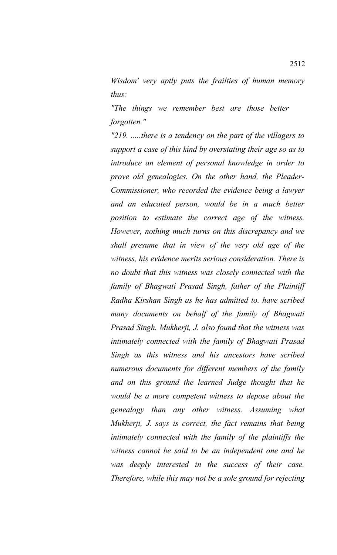*Wisdom' very aptly puts the frailties of human memory thus:*

*"The things we remember best are those better forgotten."*

*"219. .....there is a tendency on the part of the villagers to support a case of this kind by overstating their age so as to introduce an element of personal knowledge in order to prove old genealogies. On the other hand, the Pleader-Commissioner, who recorded the evidence being a lawyer and an educated person, would be in a much better position to estimate the correct age of the witness. However, nothing much turns on this discrepancy and we shall presume that in view of the very old age of the witness, his evidence merits serious consideration. There is no doubt that this witness was closely connected with the family of Bhagwati Prasad Singh, father of the Plaintiff Radha Kirshan Singh as he has admitted to. have scribed many documents on behalf of the family of Bhagwati Prasad Singh. Mukherji, J. also found that the witness was intimately connected with the family of Bhagwati Prasad Singh as this witness and his ancestors have scribed numerous documents for different members of the family and on this ground the learned Judge thought that he would be a more competent witness to depose about the genealogy than any other witness. Assuming what Mukherji, J. says is correct, the fact remains that being intimately connected with the family of the plaintiffs the witness cannot be said to be an independent one and he was deeply interested in the success of their case. Therefore, while this may not be a sole ground for rejecting*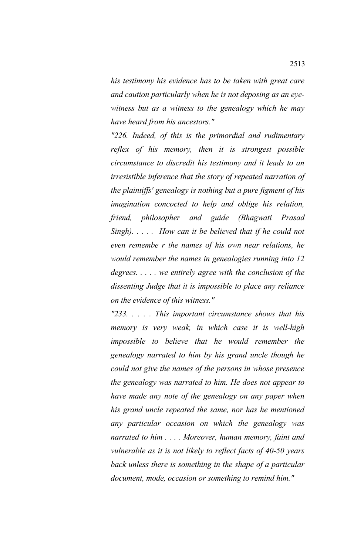*his testimony his evidence has to be taken with great care and caution particularly when he is not deposing as an eyewitness but as a witness to the genealogy which he may have heard from his ancestors."*

*"226. Indeed, of this is the primordial and rudimentary reflex of his memory, then it is strongest possible circumstance to discredit his testimony and it leads to an irresistible inference that the story of repeated narration of the plaintiffs' genealogy is nothing but a pure figment of his imagination concocted to help and oblige his relation, friend, philosopher and guide (Bhagwati Prasad Singh). . . . . How can it be believed that if he could not even remembe r the names of his own near relations, he would remember the names in genealogies running into 12 degrees. . . . . we entirely agree with the conclusion of the dissenting Judge that it is impossible to place any reliance on the evidence of this witness."*

*"233. . . . . This important circumstance shows that his memory is very weak, in which case it is well-high impossible to believe that he would remember the genealogy narrated to him by his grand uncle though he could not give the names of the persons in whose presence the genealogy was narrated to him. He does not appear to have made any note of the genealogy on any paper when his grand uncle repeated the same, nor has he mentioned any particular occasion on which the genealogy was narrated to him . . . . Moreover, human memory, faint and vulnerable as it is not likely to reflect facts of 40-50 years back unless there is something in the shape of a particular document, mode, occasion or something to remind him."*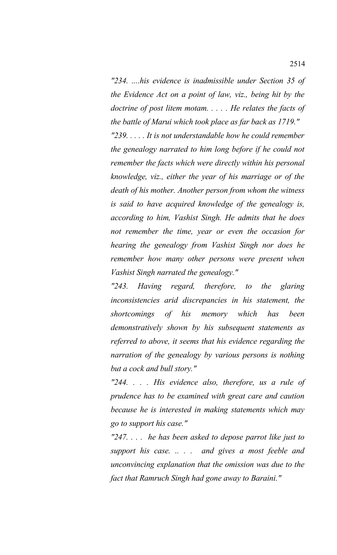*"234. ....his evidence is inadmissible under Section 35 of the Evidence Act on a point of law, viz., being hit by the doctrine of post litem motam. . . . . He relates the facts of the battle of Marui which took place as far back as 1719." "239. . . . . It is not understandable how he could remember the genealogy narrated to him long before if he could not remember the facts which were directly within his personal knowledge, viz., either the year of his marriage or of the death of his mother. Another person from whom the witness is said to have acquired knowledge of the genealogy is, according to him, Vashist Singh. He admits that he does not remember the time, year or even the occasion for hearing the genealogy from Vashist Singh nor does he remember how many other persons were present when Vashist Singh narrated the genealogy."*

*"243. Having regard, therefore, to the glaring inconsistencies arid discrepancies in his statement, the shortcomings of his memory which has been demonstratively shown by his subsequent statements as referred to above, it seems that his evidence regarding the narration of the genealogy by various persons is nothing but a cock and bull story."*

*"244. . . . His evidence also, therefore, us a rule of prudence has to be examined with great care and caution because he is interested in making statements which may go to support his case."*

*"247. . . . he has been asked to depose parrot like just to support his case. .. . . and gives a most feeble and unconvincing explanation that the omission was due to the fact that Ramruch Singh had gone away to Baraini."*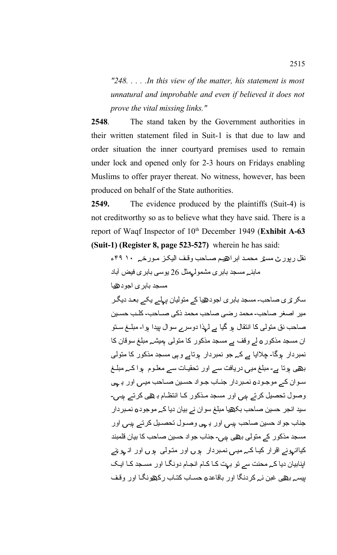*"248. . . . .In this view of the matter, his statement is most unnatural and improbable and even if believed it does not prove the vital missing links."*

**2548**. The stand taken by the Government authorities in their written statement filed in Suit-1 is that due to law and order situation the inner courtyard premises used to remain under lock and opened only for 2-3 hours on Fridays enabling Muslims to offer prayer thereat. No witness, however, has been produced on behalf of the State authorities.

**2549.** The evidence produced by the plaintiffs (Suit-4) is not creditworthy so as to believe what they have said. There is a report of Waqf Inspector of 10<sup>th</sup> December 1949 (Exhibit A-63 **(Suit-1) (Register 8, page 523-527)** wherein he has said:

نقل رپور ٹ مسٹر محمد ابراہیم صـاحب وقف الیکز مـورخـم ۱۰ ۴۹ء ہ ہ مابن مسجد بابری مشمول مثل 26 یوسی بابری فیض آباد ھ مسجد بابری اجود یا

سکر ٹری صاحب۔ مسجد بابری اجود ہیا کے متولیان پہلے یکے بعد دیگر ۔ ۔ میر اصغر صاحب محمد رضی صاحب محمد ذکی صماحب کلمب حسمین صاحب نق متولّی کا انتقال ہو گیا ہے لہذا دوسر ے سوال بیدا ہوا۔ مبلّــغ سـتو ان مسجد مذکور ہ لے وقف ہے مسجد مذکور کا متولی ہمیشہ مبلغ سوقان کا نمبردار ہوگا۔ چلاایا ہے کہ جو نمبردار ہوتاہے وہی مسجد مذکور کا متولی بھی ہوتا ہے۔ مبلغ میں دریافت سے اور تحقیـات سے معلـوم ہوا کـہ مبلــغ سوان کے موجودہ نمبردار جنـاب جـواد حسـین صــاحب میـی اور یـ ہی وصول تحصیل کرتے ہیں اور مسجد مذکور کا انتظام ب بھی کرتے ہیں۔ سید انجر حسین صاحب بکھیا مبلغ سوان نے بیان دیا کے موجودہ نمبردار جناب جو اد حسین صاحب ہبی اور یے ہی وصـول تحصـیل کرتے ہیں اور مسجد مذکور کے متولی بھی ہیں۔ جناب جواد حسین صاحب کا بیان قلمبند کیاانہونے اقرار کیـا کـہ میـی نمـبردار ہوں اور متولی ہوں اور انـ ہو نیے اپنابیان دیا کہ محنت سے تو بہت کا کام انجام دونگا اور مسجد کا ایک بیسہ بھی غبن نہ کردنگا اور باقاعدہ حساب کتاب رکھونگا اور وقف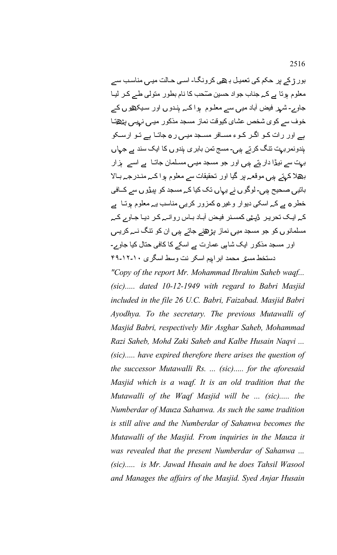بور ڑ کے پر حکم کی تعمیل با **ی** کرونگا۔ اسی حـالت میـں مناسـب سے معلوم ہوتا ہے کہ جناب جواد حسین صّحب کا نام بطور متولی طے کر لیـا جاوے۔ شہر فیض آباد میں سے معلوم ہوا کہ ہندوں اور سیکھوں کے خوف سے کوی شخص عشای کیوقت نماز مسجد مذکور میں نہیں پٹھتا ہے اور رات کـو اگـر کـوء مسـافر مسـجد میـی ر ٥ جاتـا ہے تـو ارسـكو ہندونمر بہت نتگ کرتے ہیں۔ مسج تمن بابر ی ہندو ں کا ایک سند ہے جہاں بہت سے نیڈا دار ہتے ہیں اور جو مسجد میـں مسـلما*ن ج*اتـا ہے اسے ہزار بھلا کہتے ہیں موقعہ پر گیا اور تحقیقات سے معلوم ہوا کہ مندرجہ بالا باتیں صحیح ہیں۔ لوگو ں نے یہاں تک کیا کہ مسجد کو پیڈو ں سے کےافی خطر **ہ ہے** کہ اسکی دیوار وغیر **ہ** کمزور کریں مناسب یہ معلوم ہوتـا ہے کے ایک تحریر ٹپٹی کمسنر فیض آباد باس روانے کر دیا جاوے کے مسلمانو ں کو جو مسجد میں نماز پڑھنے جاتے ہیں ا*ن* کو نتگ نــہ کریــی اور مسجد مذکور ایک شاہی عمارت ہے اسکے کا کافی حتال کیا جاوے۔ ٹ ہ دستخط مس ر محمد ابرا یم اسکر نت وسط اسگری ۱۰۔۱۲۔۴۹

*"Copy of the report Mr. Mohammad Ibrahim Saheb waqf... (sic)..... dated 10-12-1949 with regard to Babri Masjid included in the file 26 U.C. Babri, Faizabad. Masjid Babri Ayodhya. To the secretary. The previous Mutawalli of Masjid Babri, respectively Mir Asghar Saheb, Mohammad Razi Saheb, Mohd Zaki Saheb and Kalbe Husain Naqvi ... (sic)..... have expired therefore there arises the question of the successor Mutawalli Rs. ... (sic)..... for the aforesaid Masjid which is a waqf. It is an old tradition that the Mutawalli of the Waqf Masjid will be ... (sic)..... the Numberdar of Mauza Sahanwa. As such the same tradition is still alive and the Numberdar of Sahanwa becomes the Mutawalli of the Masjid. From inquiries in the Mauza it was revealed that the present Numberdar of Sahanwa ... (sic)..... is Mr. Jawad Husain and he does Tahsil Wasool and Manages the affairs of the Masjid. Syed Anjar Husain*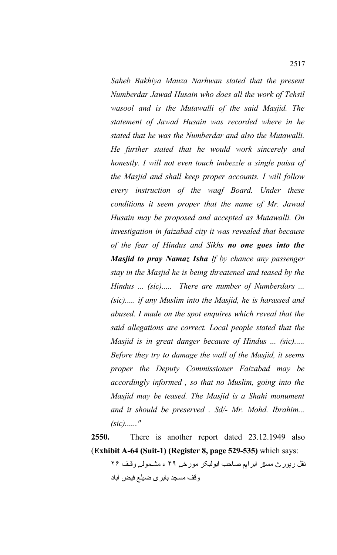*Saheb Bakhiya Mauza Narhwan stated that the present Numberdar Jawad Husain who does all the work of Tehsil wasool and is the Mutawalli of the said Masjid. The statement of Jawad Husain was recorded where in he stated that he was the Numberdar and also the Mutawalli. He further stated that he would work sincerely and honestly. I will not even touch imbezzle a single paisa of the Masjid and shall keep proper accounts. I will follow every instruction of the waqf Board. Under these conditions it seem proper that the name of Mr. Jawad Husain may be proposed and accepted as Mutawalli. On investigation in faizabad city it was revealed that because of the fear of Hindus and Sikhs no one goes into the Masjid to pray Namaz Isha If by chance any passenger stay in the Masjid he is being threatened and teased by the Hindus ... (sic)..... There are number of Numberdars ... (sic)..... if any Muslim into the Masjid, he is harassed and abused. I made on the spot enquires which reveal that the said allegations are correct. Local people stated that the Masjid is in great danger because of Hindus ... (sic)..... Before they try to damage the wall of the Masjid, it seems proper the Deputy Commissioner Faizabad may be accordingly informed , so that no Muslim, going into the Masjid may be teased. The Masjid is a Shahi monument and it should be preserved . Sd/- Mr. Mohd. Ibrahim... (sic)......"*

**2550.** There is another report dated 23.12.1949 also (**Exhibit A-64 (Suit-1) (Register 8, page 529-535)** which says:

نقل رپور ٹ مسٹر ابراہم صاحب ابولبکر مورخہ ۴۹ ء مشمولہ وقف ۲۶ وقف مسجد بابری ضیلع فیض آباد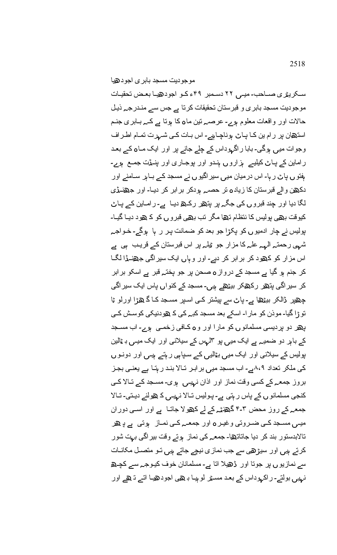سکریٹری صــاحب۔ میـی ۲۲ دسـمبر ۴۹ء کـو اجودھیـا بعـض تحقیـات موجودیت مسجد بابر ی و قبرستان تحقیقات کرتا ہے جس سے منـدرجـہ ذیـل حالات اور واقعات معلوم ہوے۔ عرصہ تین ماہ کا ہوتا ہے کہ بـابری جنـم استھان پر رام ین کا پاٹ ہوناچاہیے۔ اس بات ک*ی* شہرت تمام اطراف وجوات میں ہوگی۔ بابا راگہوداس کے چلے جانے پر اور ایک مـاہ کے بعـد ر اماین کے پاٹ کیلیے ہزاروں ہندو اور پوجاری اور پنمڈت جمع ہوے۔ ہفتو ں پاٹ ر ہا۔ اس درمیان میں سیر اگیو ں نے مسجد کے بـاہر سـامنے اور دکھن والے قبرستان کا زیادہ تر حصے ہودکر برابر کر دیا۔ اور جھنےڈی لگا دیا اور چند قبرو ں ک*ی* جگہ پر پتھر رکھ دیـا ہے۔ رامـاین کے پـاٹ کیوقت بھی پولیس کا نتظام تھا مگر تب بھی قبروں کو کے ھود دیـا گیـا۔ پولیس نے چار ادمیوں کو پکڑا جو بعد کو ضمانت پر ر ہا ہوگے۔ خـواجـہ شہی رحمتہ الٰہہ علٰہ کا مزار جو ٹِلِمہ پر اس قبرستان کے قریب ہی ہے اس مزار کو کھود کر برابر کر دیے۔ اور و ہاں ایک سیراگی جھنےڈا لگا کر جنم ہو گیا ہے مسجد کے درواز **ہ** صحن پر جو پختہ قبر ہے اسکو برابر کر سیر اگ*ی* پتھر رکھکر بیٹھے ہیں۔ مسجد کے کنواں پاس ایک سیر اگ*ی* چھپر ڈالکر بیٹھا ہے۔ پاٹ سے پیشتر کی اسپر مسجد کا گ ھڑا اورلو ٹا نو ڑا گیا۔ موذن کو مار ا۔ اسکے بعد مسجد کبے کے کے ہودنیکی کوسش کے ھ ں ہ ہ ے۔ پ ر دو پردیسی مسلمانو کو مارا اور و کمافی زخممی و اب مسمجد کے باہر دو ضمیہ ہے ایک میں پو ۳لہس کے سیلانی اور ایک میـں بـ ٹالین پولیس کے سیلانی اور ایک میں بٹالیں کے سپاہی ر ہتے ہیں اور دونـو ں کی ملکر تعداد ۸،۹ہے۔ اب مسجد میں بر ابر تالا بند ر ہتا ہے یعنے بجز بروز جمعہ کے کسی وقت نماز اور اذان نہیں ہوی۔ مسجد کے تالا ک*ی* کنجی مسلمانو ں کے پاس ر ہتی ہے۔ پولیس تـالا نہیـں ک ھولنے دیـتی۔ تـالا جمعہ کے روز محض ۳۔۴ گھنٹہ کے لے کھولا جاتـا ہے اور اسـی دوران میـی مســجد کــی ضــروتی وغیـر o اور جمعــہ کــی نمــاز ہوتی ہے دِ هر تالابدستور بند کر دیا جاتاتھا۔ جمعہ کی نماز ہوتے وقت بیر اگی بہت شور کرتے ہیں اور سیڑھی سے جب نمازی نیچے جاتے ہیں تو متصـل مکانـات سے نمازیو ں پر جوتا اور ٹھیلا اتا ہے۔ مسلمانان خوف کیوجے سے کچے <mark>نہیں بولتے۔ ر اکہو</mark>داس کے بعد مسـمْر لو ہیـا بـ هے اجودهیـا اتـے تـ هے اور

ھ موجودیت مسجد بابری اجود یا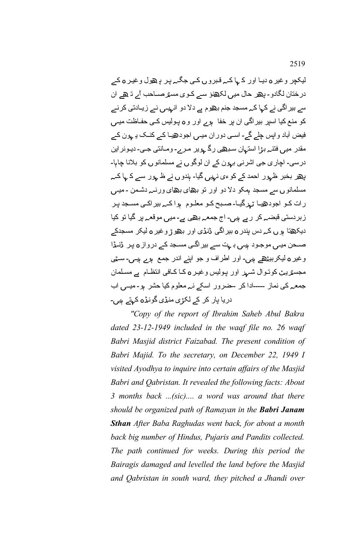لیکچر وغیر ہ دیـا اور کے ہا کـہ قـبرو ں کـی جگـہ پـر پـ هول وغیـر ہ کـے درختان لگادو ۔ پھر حال میں لکھنؤ سے کـوی مسٹرصــاحب آے تـ ھے ان سے بیر اگی نے کہا کہ مسجد جنم بھوم ہے دلا دو انہیں نے زیـادتی کرنے کو منع کیا اسپر بیر اگی ان پر خفا ہوے اور و ہ پولیس کے حفـاظت میــں فیض آباد واپس چلے گے۔ اسمی دوران میـی اجودھیـا کـے کنـک یـ ہون کـے مقدر میں فتنہ بڑا استہان سبھی رگ <sub>ہ</sub>ویر مرے۔ ومـانتی جـی۔ دیـونراین درسی۔ اچاری جی اشرنی بہون کے ان لوگوں نے مسلمانوں کو بلانا چاہا۔ پھر بخبر ظہور احمد کے کو *ءی نہیں* گیا۔ ہندو ں نے ظ ہور سے ک ہا کہ مسلمانو ں سے مسجد ہمکو دلا دو اور تو بھای بھای ورنے دشمن ۔میـں رات کـو اجودھیـا ٹہرگیـا۔صـبح کـو معلـوم ہوا کـہ بیراکـی مسـجد پـر زبردستی قبضہ کر ر ہے ہیں۔ اج جمعہ بھ*ی* ہے۔ میں موقعہ پر گیا تو کیا دیکھتا ہوں کے دس پندر **ہ** بیر اگی ڈنڈ*ی* اور بھوڑ وغیر ہ لیکر مسجدکے صـحن میـی موجـود ہیـی بـ ہت سے بیر اگـی مسـجد کـے درواز **ہ** پـر ڈنـڈا وغیر **ہ** لیکربیٹھے ہیں۔ اور اطراف و جو اپنے اندر جمع ہوے ہیں۔ سـ<sub>مّٰ</sub>ی مجسٹریٹ کوتوال شہر اور پولیس وغیر ہ کا کافی انتظام ہے مسلمان جمعہ کی نماز ۔۔۔۔ادا کر ۔خىرور اسکے نہ معلوم کیا حشر ہو۔میــی اب دریا پار کر کے لکڑی منڈی گونڈہ کہتے ہیں۔

*"Copy of the report of Ibrahim Saheb Abul Bakra dated 23-12-1949 included in the waqf file no. 26 waqf Babri Masjid district Faizabad. The present condition of Babri Majid. To the secretary, on December 22, 1949 I visited Ayodhya to inquire into certain affairs of the Masjid Babri and Qabristan. It revealed the following facts: About 3 months back ...(sic).... a word was around that there should be organized path of Ramayan in the Babri Janam Sthan After Baba Raghudas went back, for about a month back big number of Hindus, Pujaris and Pandits collected. The path continued for weeks. During this period the Bairagis damaged and levelled the land before the Masjid and Qabristan in south ward, they pitched a Jhandi over*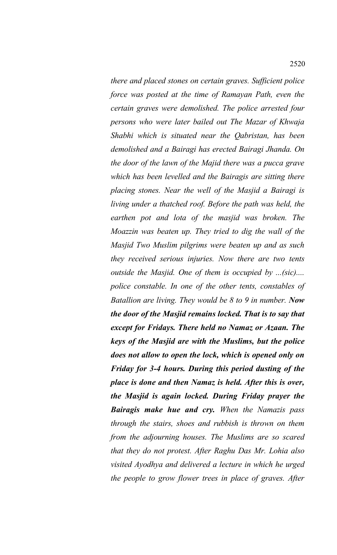*there and placed stones on certain graves. Sufficient police force was posted at the time of Ramayan Path, even the certain graves were demolished. The police arrested four persons who were later bailed out The Mazar of Khwaja Shabhi which is situated near the Qabristan, has been demolished and a Bairagi has erected Bairagi Jhanda. On the door of the lawn of the Majid there was a pucca grave which has been levelled and the Bairagis are sitting there placing stones. Near the well of the Masjid a Bairagi is living under a thatched roof. Before the path was held, the earthen pot and lota of the masjid was broken. The Moazzin was beaten up. They tried to dig the wall of the Masjid Two Muslim pilgrims were beaten up and as such they received serious injuries. Now there are two tents outside the Masjid. One of them is occupied by ...(sic).... police constable. In one of the other tents, constables of Batallion are living. They would be 8 to 9 in number. Now the door of the Masjid remains locked. That is to say that except for Fridays. There held no Namaz or Azaan. The keys of the Masjid are with the Muslims, but the police does not allow to open the lock, which is opened only on Friday for 3-4 hours. During this period dusting of the place is done and then Namaz is held. After this is over, the Masjid is again locked. During Friday prayer the Bairagis make hue and cry. When the Namazis pass through the stairs, shoes and rubbish is thrown on them from the adjourning houses. The Muslims are so scared that they do not protest. After Raghu Das Mr. Lohia also visited Ayodhya and delivered a lecture in which he urged the people to grow flower trees in place of graves. After*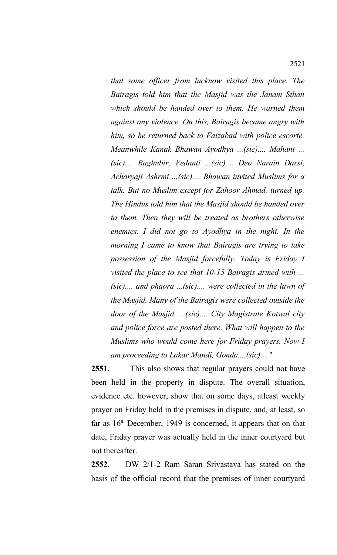*that some officer from lucknow visited this place. The Bairagis told him that the Masjid was the Janam Sthan which should be handed over to them. He warned them against any violence. On this, Bairagis became angry with him, so he returned back to Faizabad with police escorte. Meanwhile Kanak Bhawan Ayodhya ...(sic).... Mahant ... (sic).... Raghubir, Vedanti ...(sic).... Deo Narain Darsi, Acharyaji Ashrmi ...(sic).... Bhawan invited Muslims for a talk. But no Muslim except for Zahoor Ahmad, turned up. The Hindus told him that the Masjid should be handed over to them. Then they will be treated as brothers otherwise enemies. I did not go to Ayodhya in the night. In the morning I came to know that Bairagis are trying to take possession of the Masjid forcefully. Today is Friday I visited the place to see that 10-15 Bairagis armed with ... (sic).... and phaora ...(sic).... were collected in the lawn of the Masjid. Many of the Bairagis were collected outside the door of the Masjid. ...(sic).... City Magistrate Kotwal city and police force are posted there. What will happen to the Muslims who would come here for Friday prayers. Now I am proceeding to Lakar Mandi, Gonda....(sic)...."*

**2551.** This also shows that regular prayers could not have been held in the property in dispute. The overall situation, evidence etc. however, show that on some days, atleast weekly prayer on Friday held in the premises in dispute, and, at least, so far as  $16<sup>th</sup>$  December, 1949 is concerned, it appears that on that date, Friday prayer was actually held in the inner courtyard but not thereafter.

**2552.** DW 2/1-2 Ram Saran Srivastava has stated on the basis of the official record that the premises of inner courtyard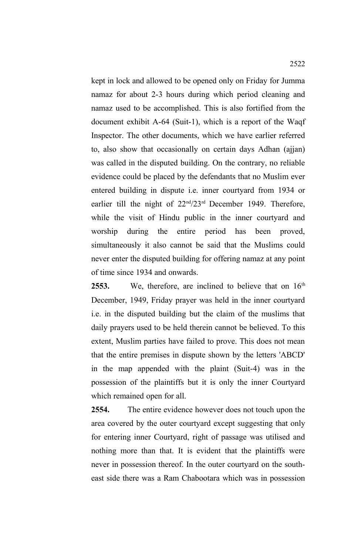kept in lock and allowed to be opened only on Friday for Jumma namaz for about 2-3 hours during which period cleaning and namaz used to be accomplished. This is also fortified from the document exhibit A-64 (Suit-1), which is a report of the Waqf Inspector. The other documents, which we have earlier referred to, also show that occasionally on certain days Adhan (ajjan) was called in the disputed building. On the contrary, no reliable evidence could be placed by the defendants that no Muslim ever entered building in dispute i.e. inner courtyard from 1934 or earlier till the night of  $22<sup>nd</sup>/23<sup>rd</sup>$  December 1949. Therefore, while the visit of Hindu public in the inner courtyard and worship during the entire period has been proved, simultaneously it also cannot be said that the Muslims could never enter the disputed building for offering namaz at any point of time since 1934 and onwards.

2553. We, therefore, are inclined to believe that on 16<sup>th</sup> December, 1949, Friday prayer was held in the inner courtyard i.e. in the disputed building but the claim of the muslims that daily prayers used to be held therein cannot be believed. To this extent, Muslim parties have failed to prove. This does not mean that the entire premises in dispute shown by the letters 'ABCD' in the map appended with the plaint (Suit-4) was in the possession of the plaintiffs but it is only the inner Courtyard which remained open for all.

**2554.** The entire evidence however does not touch upon the area covered by the outer courtyard except suggesting that only for entering inner Courtyard, right of passage was utilised and nothing more than that. It is evident that the plaintiffs were never in possession thereof. In the outer courtyard on the southeast side there was a Ram Chabootara which was in possession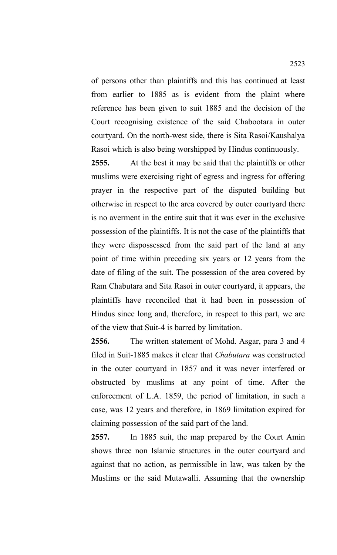of persons other than plaintiffs and this has continued at least from earlier to 1885 as is evident from the plaint where reference has been given to suit 1885 and the decision of the Court recognising existence of the said Chabootara in outer courtyard. On the north-west side, there is Sita Rasoi/Kaushalya Rasoi which is also being worshipped by Hindus continuously.

**2555.** At the best it may be said that the plaintiffs or other muslims were exercising right of egress and ingress for offering prayer in the respective part of the disputed building but otherwise in respect to the area covered by outer courtyard there is no averment in the entire suit that it was ever in the exclusive possession of the plaintiffs. It is not the case of the plaintiffs that they were dispossessed from the said part of the land at any point of time within preceding six years or 12 years from the date of filing of the suit. The possession of the area covered by Ram Chabutara and Sita Rasoi in outer courtyard, it appears, the plaintiffs have reconciled that it had been in possession of Hindus since long and, therefore, in respect to this part, we are of the view that Suit-4 is barred by limitation.

**2556.** The written statement of Mohd. Asgar, para 3 and 4 filed in Suit-1885 makes it clear that *Chabutara* was constructed in the outer courtyard in 1857 and it was never interfered or obstructed by muslims at any point of time. After the enforcement of L.A. 1859, the period of limitation, in such a case, was 12 years and therefore, in 1869 limitation expired for claiming possession of the said part of the land.

**2557.** In 1885 suit, the map prepared by the Court Amin shows three non Islamic structures in the outer courtyard and against that no action, as permissible in law, was taken by the Muslims or the said Mutawalli. Assuming that the ownership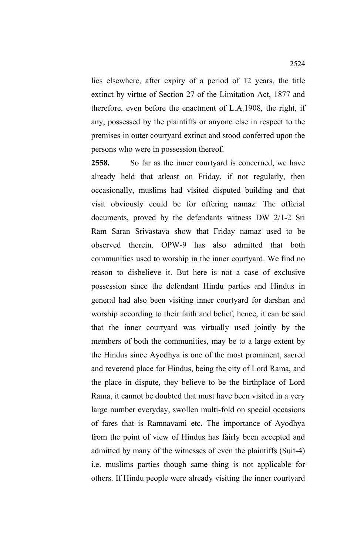lies elsewhere, after expiry of a period of 12 years, the title extinct by virtue of Section 27 of the Limitation Act, 1877 and therefore, even before the enactment of L.A.1908, the right, if any, possessed by the plaintiffs or anyone else in respect to the premises in outer courtyard extinct and stood conferred upon the persons who were in possession thereof.

2558. So far as the inner courtyard is concerned, we have already held that atleast on Friday, if not regularly, then occasionally, muslims had visited disputed building and that visit obviously could be for offering namaz. The official documents, proved by the defendants witness DW 2/1-2 Sri Ram Saran Srivastava show that Friday namaz used to be observed therein. OPW-9 has also admitted that both communities used to worship in the inner courtyard. We find no reason to disbelieve it. But here is not a case of exclusive possession since the defendant Hindu parties and Hindus in general had also been visiting inner courtyard for darshan and worship according to their faith and belief, hence, it can be said that the inner courtyard was virtually used jointly by the members of both the communities, may be to a large extent by the Hindus since Ayodhya is one of the most prominent, sacred and reverend place for Hindus, being the city of Lord Rama, and the place in dispute, they believe to be the birthplace of Lord Rama, it cannot be doubted that must have been visited in a very large number everyday, swollen multi-fold on special occasions of fares that is Ramnavami etc. The importance of Ayodhya from the point of view of Hindus has fairly been accepted and admitted by many of the witnesses of even the plaintiffs (Suit-4) i.e. muslims parties though same thing is not applicable for others. If Hindu people were already visiting the inner courtyard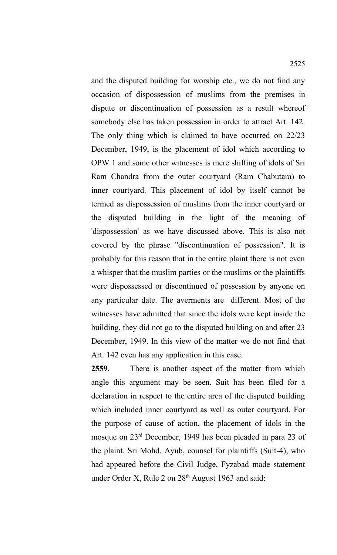and the disputed building for worship etc., we do not find any occasion of dispossession of muslims from the premises in dispute or discontinuation of possession as a result whereof somebody else has taken possession in order to attract Art. 142. The only thing which is claimed to have occurred on 22/23 December, 1949, is the placement of idol which according to OPW 1 and some other witnesses is mere shifting of idols of Sri Ram Chandra from the outer courtyard (Ram Chabutara) to inner courtyard. This placement of idol by itself cannot be termed as dispossession of muslims from the inner courtyard or the disputed building in the light of the meaning of 'dispossession' as we have discussed above. This is also not covered by the phrase "discontinuation of possession". It is probably for this reason that in the entire plaint there is not even a whisper that the muslim parties or the muslims or the plaintiffs were dispossessed or discontinued of possession by anyone on any particular date. The averments are different. Most of the witnesses have admitted that since the idols were kept inside the building, they did not go to the disputed building on and after 23 December, 1949. In this view of the matter we do not find that Art. 142 even has any application in this case.

**2559**. There is another aspect of the matter from which angle this argument may be seen. Suit has been filed for a declaration in respect to the entire area of the disputed building which included inner courtyard as well as outer courtyard. For the purpose of cause of action, the placement of idols in the mosque on 23rd December, 1949 has been pleaded in para 23 of the plaint. Sri Mohd. Ayub, counsel for plaintiffs (Suit-4), who had appeared before the Civil Judge, Fyzabad made statement under Order X, Rule 2 on 28<sup>th</sup> August 1963 and said: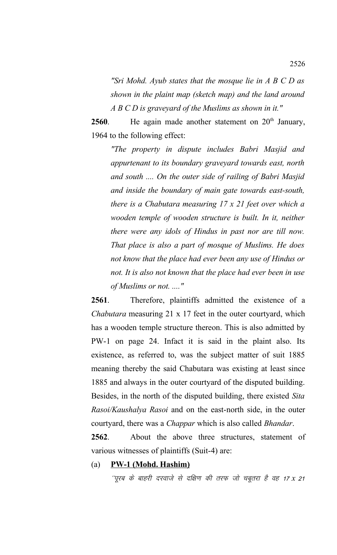*"Sri Mohd. Ayub states that the mosque lie in A B C D as shown in the plaint map (sketch map) and the land around A B C D is graveyard of the Muslims as shown in it."*

**2560**. He again made another statement on  $20<sup>th</sup>$  January, 1964 to the following effect:

*"The property in dispute includes Babri Masjid and appurtenant to its boundary graveyard towards east, north and south .... On the outer side of railing of Babri Masjid and inside the boundary of main gate towards east-south, there is a Chabutara measuring 17 x 21 feet over which a wooden temple of wooden structure is built. In it, neither there were any idols of Hindus in past nor are till now. That place is also a part of mosque of Muslims. He does not know that the place had ever been any use of Hindus or not. It is also not known that the place had ever been in use of Muslims or not. ...."*

**2561**. Therefore, plaintiffs admitted the existence of a *Chabutara* measuring 21 x 17 feet in the outer courtyard, which has a wooden temple structure thereon. This is also admitted by PW-1 on page 24. Infact it is said in the plaint also. Its existence, as referred to, was the subject matter of suit 1885 meaning thereby the said Chabutara was existing at least since 1885 and always in the outer courtyard of the disputed building. Besides, in the north of the disputed building, there existed *Sita Rasoi/Kaushalya Rasoi* and on the east-north side, in the outer courtyard, there was a *Chappar* which is also called *Bhandar*.

**2562**. About the above three structures, statement of various witnesses of plaintiffs (Suit-4) are:

#### (a) **PW-1 (Mohd. Hashim)**

''पूरब के बाहरी दरवाजे से दक्षिण की तरफ जो चबूतरा है वह 17*x 21*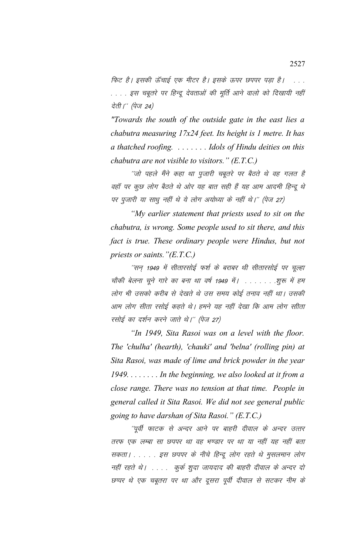फिट है। इसकी ऊँचाई एक मीटर है। इसके ऊपर छपपर पड़ा है। कि . . . . इस चबूतरे पर हिन्दू देवताओं की मूर्ति आने वालो को दिखायी नहीं देती।'' (पेज 24)

*"Towards the south of the outside gate in the east lies a chabutra measuring 17x24 feet. Its height is 1 metre. It has a thatched roofing. . . . . . . . Idols of Hindu deities on this chabutra are not visible to visitors." (E.T.C.)*

´´जो पहले मैंने कहा था पूजारी चबूतरे पर बैठते थे वह गलत है वहॉ पर कुछ लोग बैठते थे ओर यह बात सही हैं यह आम आदमी हिन्दू थे पर पुजारी या साधू नहीं थे ये लोग अयोध्या के नहीं थे।" (पेज 27)

*"My earlier statement that priests used to sit on the chabutra, is wrong. Some people used to sit there, and this fact is true. These ordinary people were Hindus, but not priests or saints."(E.T.C.)*

 $^\prime$ सन 1949 में सीतारसोई फर्श के बराबर थी सीतारसोई पर चुल्हा चौकी बेलना चूने गारे का बना था वर्ष 1949 में। . . . . . . . शुरू में हम लोग भी उसको करीब से देखते थे उस समय कोई तनाव नहीं था। उसकी आम लोग सीता रसोई कहते थे। हमने यह नहीं देखा कि आम लोग सीता रसोई का दर्शन करने जाते थे।'' (पेज 27)

*"In 1949, Sita Rasoi was on a level with the floor. The 'chulha' (hearth), 'chauki' and 'belna' (rolling pin) at Sita Rasoi, was made of lime and brick powder in the year 1949. . . . . . . . In the beginning, we also looked at it from a close range. There was no tension at that time. People in general called it Sita Rasoi. We did not see general public going to have darshan of Sita Rasoi." (E.T.C.)*

''पूर्वी फाटक से अन्दर आने पर बाहरी दीवाल के अन्दर उत्तर तरफ एक लम्बा सा छपपर था वह भण्डार पर था या नहीं यह नहीं बता सकता। . . . . इस छपपर के नीचे हिन्दू लोग रहते थे मुसलमान लोग नहीं रहते थे। .... कुर्क शुदा जायदाद की बाहरी दीवाल के अन्दर दो छप्पर थे एक चबूतरा पर था और दूसरा पूर्वी दीवाल से सटकर नीम के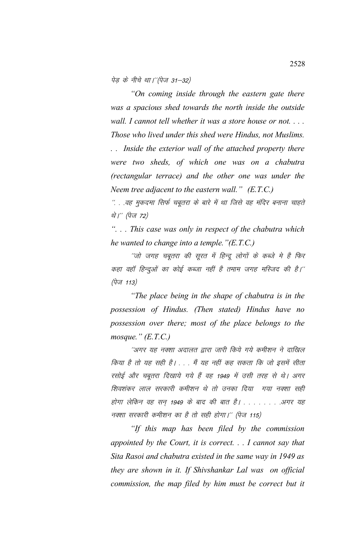पेड के नीचे था।''(पेज 31–32)

*"On coming inside through the eastern gate there was a spacious shed towards the north inside the outside wall. I cannot tell whether it was a store house or not. . . . Those who lived under this shed were Hindus, not Muslims. . . Inside the exterior wall of the attached property there*

*were two sheds, of which one was on a chabutra (rectangular terrace) and the other one was under the Neem tree adjacent to the eastern wall." (E.T.C.)*

 $\%$  . .वह मुकदमा सिर्फ चबूतरा के बारे में था जिसे वह मंदिर बनाना चाहते थे।'' (पेज 72)

*". . . This case was only in respect of the chabutra which he wanted to change into a temple."(E.T.C.)*

''जो जगह चबूतरा की सूरत में हिन्दू लोगों के कब्जे मे है फिर कहा वहाँ हिन्दुओं का कोई कब्जा नहीं है तमाम जगह मस्जिद की है।''  $(\dot{\vec{q}}\vec{v}$  113)

*"The place being in the shape of chabutra is in the possession of Hindus. (Then stated) Hindus have no possession over there; most of the place belongs to the mosque." (E.T.C.)*

''अगर यह नक्शा अदालत द्वारा जारी किये गये कमीशन ने दाखिल किया है तो यह सही है। . . . मैं यह नहीं कह सकता कि जो इसमें सीता रसोई और चबूतरा दिखाये गये हैं वह 1949 में उसी तरह से थे। अगर शिवशंकर लाल सरकारी कमीशन थे तो उनका दिया गया नक्शा सही होगा लेकिन वह सन 1949 के बाद की बात है। . . . . . . . .अगर यह नक्शा सरकारी कमीशन का है तो सही होगा।'' (पेज 115)

*"If this map has been filed by the commission appointed by the Court, it is correct. . . I cannot say that Sita Rasoi and chabutra existed in the same way in 1949 as they are shown in it. If Shivshankar Lal was on official commission, the map filed by him must be correct but it*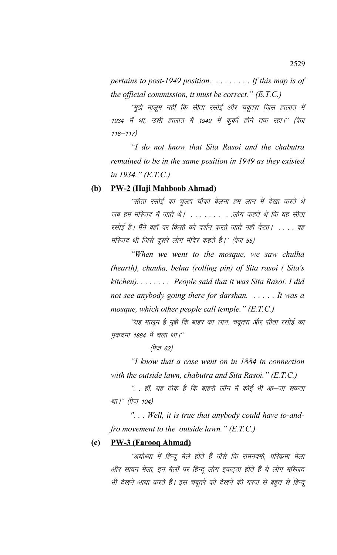*pertains to post-1949 position. . . . . . . . . If this map is of the official commission, it must be correct." (E.T.C.)*

´´मुझे मालूम नहीं कि सीता रसोई और चबूतरा जिस हालात में 1934 में था, उसी हालात में 1949 में कुर्की होने तक रहा।'' (पेज  $116 - 117)$ 

*"I do not know that Sita Rasoi and the chabutra remained to be in the same position in 1949 as they existed in 1934." (E.T.C.)*

## **(b) PW-2 (Haji Mahboob Ahmad)**

 $^\prime$ सीता रसोई का चुल्हा चौका बेलना हम लान में देखा करते थे जब हम मस्जिद में जाते थे। . . . . . . . . . लोग कहते थे कि यह सीता रसोई है। मैंने वहाँ पर किसी को दर्शन करते जाते नहीं देखा। . . . . वह मस्जिद थी जिसे दूसरे लोग मंदिर कहते हैं।'' (पेज 55)

*"When we went to the mosque, we saw chulha (hearth), chauka, belna (rolling pin) of Sita rasoi ( Sita's kitchen). . . . . . . . People said that it was Sita Rasoi. I did not see anybody going there for darshan. . . . . . It was a mosque, which other people call temple." (E.T.C.)*

''यह मालूम है मुझे कि बाहर का लान, चबूतरा और सीता रसोई का मुकदमा 1884 में चला था।''

 $(\vec{q}\bar{\mathsf{u}}\mathsf{f}\ \mathsf{62})$ 

*"I know that a case went on in 1884 in connection with the outside lawn, chabutra and Sita Rasoi." (E.T.C.)*

 $\H{.}$  . हॉ, यह ठीक है कि बाहरी लॉन में कोई भी आ–जा सकता था।'' (पेज 104)

*". . . Well, it is true that anybody could have to-andfro movement to the outside lawn." (E.T.C.)*

# **(c) PW-3 (Farooq Ahmad)**

''अयोध्या में हिन्दू मेले होते हैं जैसे कि रामनवमी, परिक्रमा मेला और सावन मेला, इन मेलों पर हिन्दू लोग इकट्ठा होते हैं ये लोग मस्जिद भी देखने आया करते हैं। इस चबूतरे को देखने की गरज से बहुत से हिन्दू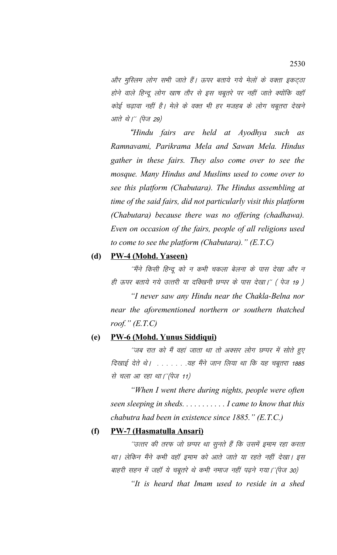और मुस्लिम लोग सभी जाते हैं। ऊपर बताये गये मेलों के वक्ता इकट्ठा होने वाले हिन्दू लोग खाष तौर से इस चबूतरे पर नहीं जाते क्योंकि वहाँ कोई चढ़ावा नहीं है। मेले के वक्त भी हर मजहब के लोग चबूतरा देखने आते थे*।'' (पेज 29)* 

*"Hindu fairs are held at Ayodhya such as Ramnavami, Parikrama Mela and Sawan Mela. Hindus gather in these fairs. They also come over to see the mosque. Many Hindus and Muslims used to come over to see this platform (Chabutara). The Hindus assembling at time of the said fairs, did not particularly visit this platform (Chabutara) because there was no offering (chadhawa). Even on occasion of the fairs, people of all religions used to come to see the platform (Chabutara)." (E.T.C)* 

# **(d) PW-4 (Mohd. Yaseen)**

''मैंने किसी हिन्दू को न कभी चकला बेलना के पास देखा और न ही ऊपर बताये गये उत्तरी या दक्खिनी छप्पर के पास देखा।'' (पेज 19 )

*"I never saw any Hindu near the Chakla-Belna nor near the aforementioned northern or southern thatched roof." (E.T.C)* 

#### **(e) PW-6 (Mohd. Yunus Siddiqui)**

''जब रात को मैं वहां जाता था तो अक्सर लोग छप्पर में सोते हुए दिखाई देते थे। . . . . . . . यह मैंने जान लिया था कि यह चबूतरा 1885 से चला आ रहा था।"(पेज 11)

*"When I went there during nights, people were often seen sleeping in sheds. . . . . . . . . . . I came to know that this chabutra had been in existence since 1885." (E.T.C.)*

### **(f) PW-7 (Hasmatulla Ansari)**

''उत्तर की तरफ जो छप्पर था सुनते हैं कि उसमें इमाम रहा करता था। लेकिन मैंने कभी वहाँ इमाम को आते जाते या रहते नहीं देखा। इस बाहरी सहन में जहाँ ये चबूतरे थे कभी नमाज नहीं पढ़ने गया।''(पेज 30)

*"It is heard that Imam used to reside in a shed*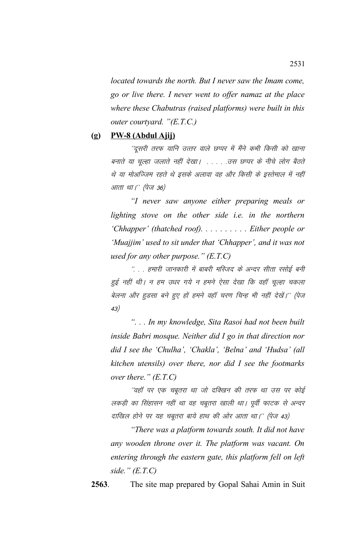*located towards the north. But I never saw the Imam come, go or live there. I never went to offer namaz at the place where these Chabutras (raised platforms) were built in this outer courtyard. "(E.T.C.)*

#### **(g) PW-8 (Abdul Ajij)**

''दूसरी तरफ यानि उत्तर वाले छप्पर में मैंने कभी किसी को खाना बनाते या चुल्हा जलाते नहीं देखा। . . . . उस छप्पर के नीचे लोग बैठते थे या मोअज्जिम रहते थे इसके अलावा वह और किसी के इस्तेमाल में नहीं आता था।'' (पेज 36)

*"I never saw anyone either preparing meals or lighting stove on the other side i.e. in the northern 'Chhapper' (thatched roof). . . . . . . . . . Either people or 'Muajjim' used to sit under that 'Chhapper', and it was not used for any other purpose." (E.T.C)*

 $\degree$  . . हमारी जानकारी में बाबरी मस्जिद के अन्दर सीता रसोई बनी हुई नहीं थी। न हम उधर गये न हमने ऐसा देखा कि वहाँ चूल्हा चकला बेलना और हुडसा बने हुए हों हमने वहाँ चरण चिन्ह भी नहीं देखें।'' (पेज 43½

*". . . In my knowledge, Sita Rasoi had not been built inside Babri mosque. Neither did I go in that direction nor did I see the 'Chulha', 'Chakla', 'Belna' and 'Hudsa' (all kitchen utensils) over there, nor did I see the footmarks over there." (E.T.C)*

''वहॉ पर एक चबूतरा था जो दक्खिन की तरफ था उस पर कोई लकड़ी का सिंहासन नहीं था वह चबूतरा खाली था। पूर्वी फाटक से अन्दर दाखिल होने पर यह चबूतरा बाये हाथ की ओर आता था।'' (पेज 43)

*"There was a platform towards south. It did not have any wooden throne over it. The platform was vacant. On entering through the eastern gate, this platform fell on left side." (E.T.C)*

**2563**. The site map prepared by Gopal Sahai Amin in Suit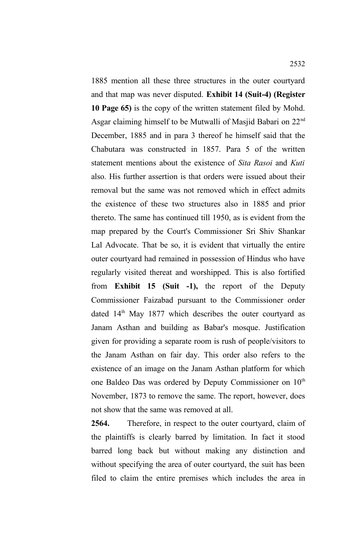1885 mention all these three structures in the outer courtyard and that map was never disputed. **Exhibit 14 (Suit-4) (Register 10 Page 65)** is the copy of the written statement filed by Mohd. Asgar claiming himself to be Mutwalli of Masjid Babari on 22nd December, 1885 and in para 3 thereof he himself said that the Chabutara was constructed in 1857. Para 5 of the written statement mentions about the existence of *Sita Rasoi* and *Kuti* also*.* His further assertion is that orders were issued about their removal but the same was not removed which in effect admits the existence of these two structures also in 1885 and prior thereto. The same has continued till 1950, as is evident from the map prepared by the Court's Commissioner Sri Shiv Shankar Lal Advocate. That be so, it is evident that virtually the entire outer courtyard had remained in possession of Hindus who have regularly visited thereat and worshipped. This is also fortified from **Exhibit 15 (Suit -1),** the report of the Deputy Commissioner Faizabad pursuant to the Commissioner order dated  $14<sup>th</sup>$  May 1877 which describes the outer courtyard as Janam Asthan and building as Babar's mosque. Justification given for providing a separate room is rush of people/visitors to the Janam Asthan on fair day. This order also refers to the existence of an image on the Janam Asthan platform for which one Baldeo Das was ordered by Deputy Commissioner on 10<sup>th</sup> November, 1873 to remove the same. The report, however, does not show that the same was removed at all.

**2564.** Therefore, in respect to the outer courtyard, claim of the plaintiffs is clearly barred by limitation. In fact it stood barred long back but without making any distinction and without specifying the area of outer courtyard, the suit has been filed to claim the entire premises which includes the area in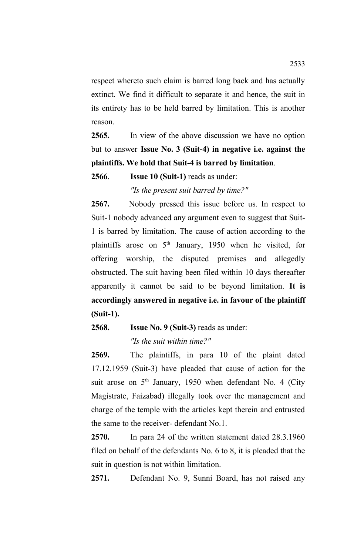respect whereto such claim is barred long back and has actually extinct. We find it difficult to separate it and hence, the suit in its entirety has to be held barred by limitation. This is another reason.

**2565.** In view of the above discussion we have no option but to answer **Issue No. 3 (Suit-4) in negative i.e. against the plaintiffs. We hold that Suit-4 is barred by limitation**.

**2566**. **Issue 10 (Suit-1)** reads as under:

*"Is the present suit barred by time?"*

**2567.** Nobody pressed this issue before us. In respect to Suit-1 nobody advanced any argument even to suggest that Suit-1 is barred by limitation. The cause of action according to the plaintiffs arose on  $5<sup>th</sup>$  January, 1950 when he visited, for offering worship, the disputed premises and allegedly obstructed. The suit having been filed within 10 days thereafter apparently it cannot be said to be beyond limitation. **It is accordingly answered in negative i.e. in favour of the plaintiff (Suit-1).**

**2568. Issue No. 9 (Suit-3)** reads as under:

*"Is the suit within time?"*

**2569.** The plaintiffs, in para 10 of the plaint dated 17.12.1959 (Suit-3) have pleaded that cause of action for the suit arose on 5<sup>th</sup> January, 1950 when defendant No. 4 (City Magistrate, Faizabad) illegally took over the management and charge of the temple with the articles kept therein and entrusted the same to the receiver- defendant No.1.

**2570.** In para 24 of the written statement dated 28.3.1960 filed on behalf of the defendants No. 6 to 8, it is pleaded that the suit in question is not within limitation.

**2571.** Defendant No. 9, Sunni Board, has not raised any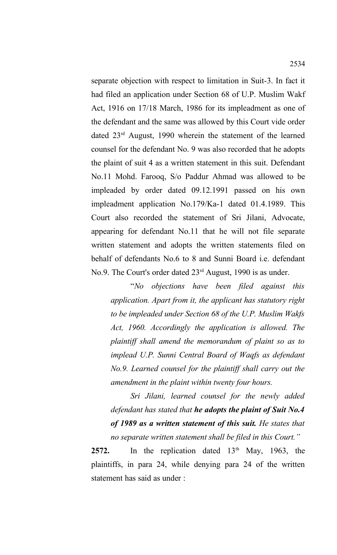separate objection with respect to limitation in Suit-3. In fact it had filed an application under Section 68 of U.P. Muslim Wakf Act, 1916 on 17/18 March, 1986 for its impleadment as one of the defendant and the same was allowed by this Court vide order dated 23rd August, 1990 wherein the statement of the learned counsel for the defendant No. 9 was also recorded that he adopts the plaint of suit 4 as a written statement in this suit. Defendant No.11 Mohd. Farooq, S/o Paddur Ahmad was allowed to be impleaded by order dated 09.12.1991 passed on his own impleadment application No.179/Ka-1 dated 01.4.1989. This Court also recorded the statement of Sri Jilani, Advocate, appearing for defendant No.11 that he will not file separate written statement and adopts the written statements filed on behalf of defendants No.6 to 8 and Sunni Board i.e. defendant No.9. The Court's order dated 23<sup>rd</sup> August, 1990 is as under.

"*No objections have been filed against this application. Apart from it, the applicant has statutory right to be impleaded under Section 68 of the U.P. Muslim Wakfs Act, 1960. Accordingly the application is allowed. The plaintiff shall amend the memorandum of plaint so as to implead U.P. Sunni Central Board of Waqfs as defendant No.9. Learned counsel for the plaintiff shall carry out the amendment in the plaint within twenty four hours.*

*Sri Jilani, learned counsel for the newly added defendant has stated that he adopts the plaint of Suit No.4 of 1989 as a written statement of this suit. He states that no separate written statement shall be filed in this Court."*

2572. In the replication dated 13<sup>th</sup> May, 1963, the plaintiffs, in para 24, while denying para 24 of the written statement has said as under :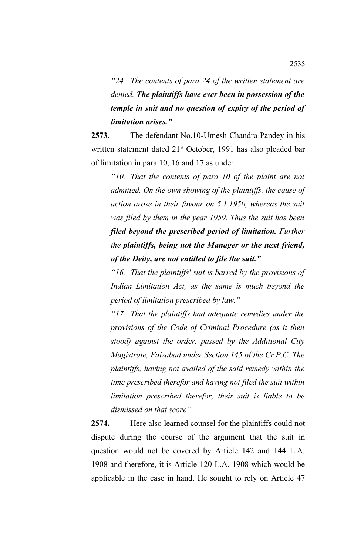*"24. The contents of para 24 of the written statement are denied. The plaintiffs have ever been in possession of the temple in suit and no question of expiry of the period of limitation arises."*

**2573.** The defendant No.10-Umesh Chandra Pandey in his written statement dated 21<sup>st</sup> October, 1991 has also pleaded bar of limitation in para 10, 16 and 17 as under:

*"10. That the contents of para 10 of the plaint are not admitted. On the own showing of the plaintiffs, the cause of action arose in their favour on 5.1.1950, whereas the suit was filed by them in the year 1959. Thus the suit has been filed beyond the prescribed period of limitation. Further the plaintiffs, being not the Manager or the next friend, of the Deity, are not entitled to file the suit."*

*"16. That the plaintiffs' suit is barred by the provisions of Indian Limitation Act, as the same is much beyond the period of limitation prescribed by law."*

*"17. That the plaintiffs had adequate remedies under the provisions of the Code of Criminal Procedure (as it then stood) against the order, passed by the Additional City Magistrate, Faizabad under Section 145 of the Cr.P.C. The plaintiffs, having not availed of the said remedy within the time prescribed therefor and having not filed the suit within limitation prescribed therefor, their suit is liable to be dismissed on that score"*

**2574.** Here also learned counsel for the plaintiffs could not dispute during the course of the argument that the suit in question would not be covered by Article 142 and 144 L.A. 1908 and therefore, it is Article 120 L.A. 1908 which would be applicable in the case in hand. He sought to rely on Article 47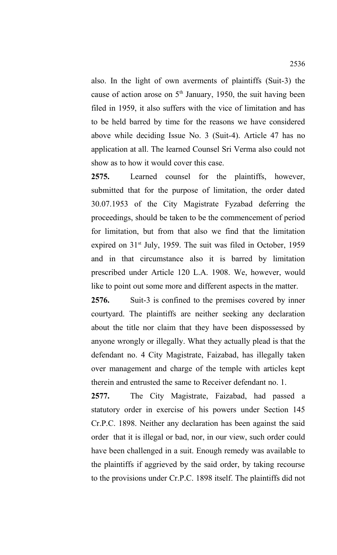also. In the light of own averments of plaintiffs (Suit-3) the cause of action arose on  $5<sup>th</sup>$  January, 1950, the suit having been filed in 1959, it also suffers with the vice of limitation and has to be held barred by time for the reasons we have considered above while deciding Issue No. 3 (Suit-4). Article 47 has no application at all. The learned Counsel Sri Verma also could not show as to how it would cover this case.

**2575.** Learned counsel for the plaintiffs, however, submitted that for the purpose of limitation, the order dated 30.07.1953 of the City Magistrate Fyzabad deferring the proceedings, should be taken to be the commencement of period for limitation, but from that also we find that the limitation expired on  $31<sup>st</sup>$  July, 1959. The suit was filed in October, 1959 and in that circumstance also it is barred by limitation prescribed under Article 120 L.A. 1908. We, however, would like to point out some more and different aspects in the matter.

**2576.** Suit-3 is confined to the premises covered by inner courtyard. The plaintiffs are neither seeking any declaration about the title nor claim that they have been dispossessed by anyone wrongly or illegally. What they actually plead is that the defendant no. 4 City Magistrate, Faizabad, has illegally taken over management and charge of the temple with articles kept therein and entrusted the same to Receiver defendant no. 1.

**2577.** The City Magistrate, Faizabad, had passed a statutory order in exercise of his powers under Section 145 Cr.P.C. 1898. Neither any declaration has been against the said order that it is illegal or bad, nor, in our view, such order could have been challenged in a suit. Enough remedy was available to the plaintiffs if aggrieved by the said order, by taking recourse to the provisions under Cr.P.C. 1898 itself. The plaintiffs did not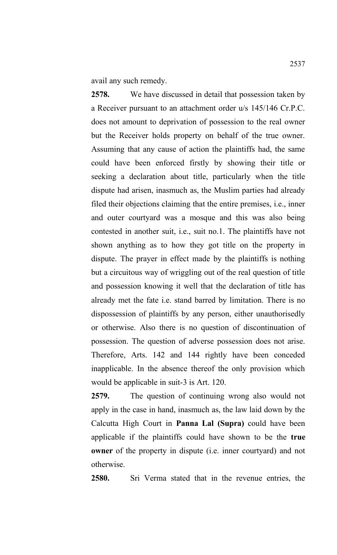avail any such remedy.

**2578.** We have discussed in detail that possession taken by a Receiver pursuant to an attachment order u/s 145/146 Cr.P.C. does not amount to deprivation of possession to the real owner but the Receiver holds property on behalf of the true owner. Assuming that any cause of action the plaintiffs had, the same could have been enforced firstly by showing their title or seeking a declaration about title, particularly when the title dispute had arisen, inasmuch as, the Muslim parties had already filed their objections claiming that the entire premises, i.e., inner and outer courtyard was a mosque and this was also being contested in another suit, i.e., suit no.1. The plaintiffs have not shown anything as to how they got title on the property in dispute. The prayer in effect made by the plaintiffs is nothing but a circuitous way of wriggling out of the real question of title and possession knowing it well that the declaration of title has already met the fate i.e. stand barred by limitation. There is no dispossession of plaintiffs by any person, either unauthorisedly or otherwise. Also there is no question of discontinuation of possession. The question of adverse possession does not arise. Therefore, Arts. 142 and 144 rightly have been conceded inapplicable. In the absence thereof the only provision which would be applicable in suit-3 is Art. 120.

**2579.** The question of continuing wrong also would not apply in the case in hand, inasmuch as, the law laid down by the Calcutta High Court in **Panna Lal (Supra)** could have been applicable if the plaintiffs could have shown to be the **true owner** of the property in dispute (i.e. inner courtyard) and not otherwise.

**2580.** Sri Verma stated that in the revenue entries, the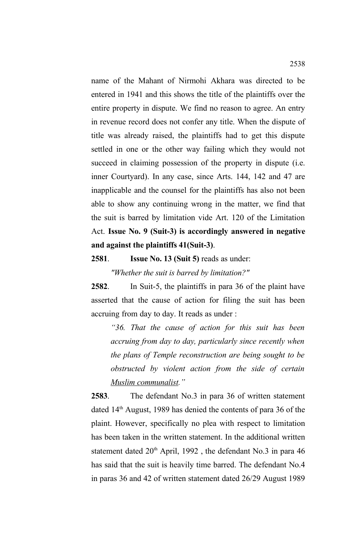name of the Mahant of Nirmohi Akhara was directed to be entered in 1941 and this shows the title of the plaintiffs over the entire property in dispute. We find no reason to agree. An entry in revenue record does not confer any title. When the dispute of title was already raised, the plaintiffs had to get this dispute settled in one or the other way failing which they would not succeed in claiming possession of the property in dispute (i.e. inner Courtyard). In any case, since Arts. 144, 142 and 47 are inapplicable and the counsel for the plaintiffs has also not been able to show any continuing wrong in the matter, we find that the suit is barred by limitation vide Art. 120 of the Limitation Act. **Issue No. 9 (Suit-3) is accordingly answered in negative and against the plaintiffs 41(Suit-3)**.

#### **2581**. **Issue No. 13 (Suit 5)** reads as under:

*"Whether the suit is barred by limitation?"*

**2582**. In Suit-5, the plaintiffs in para 36 of the plaint have asserted that the cause of action for filing the suit has been accruing from day to day. It reads as under :

*"36. That the cause of action for this suit has been accruing from day to day, particularly since recently when the plans of Temple reconstruction are being sought to be obstructed by violent action from the side of certain Muslim communalist."*

**2583**. The defendant No.3 in para 36 of written statement dated 14th August, 1989 has denied the contents of para 36 of the plaint. However, specifically no plea with respect to limitation has been taken in the written statement. In the additional written statement dated  $20<sup>th</sup>$  April, 1992, the defendant No.3 in para 46 has said that the suit is heavily time barred. The defendant No.4 in paras 36 and 42 of written statement dated 26/29 August 1989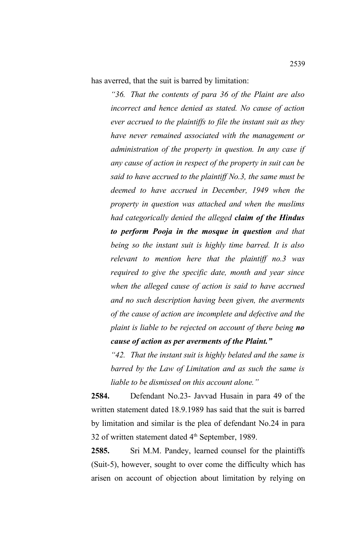has averred, that the suit is barred by limitation:

*"36. That the contents of para 36 of the Plaint are also incorrect and hence denied as stated. No cause of action ever accrued to the plaintiffs to file the instant suit as they have never remained associated with the management or administration of the property in question. In any case if any cause of action in respect of the property in suit can be said to have accrued to the plaintiff No.3, the same must be deemed to have accrued in December, 1949 when the property in question was attached and when the muslims had categorically denied the alleged claim of the Hindus to perform Pooja in the mosque in question and that being so the instant suit is highly time barred. It is also relevant to mention here that the plaintiff no.3 was required to give the specific date, month and year since when the alleged cause of action is said to have accrued and no such description having been given, the averments of the cause of action are incomplete and defective and the plaint is liable to be rejected on account of there being no cause of action as per averments of the Plaint."*

*"42. That the instant suit is highly belated and the same is barred by the Law of Limitation and as such the same is liable to be dismissed on this account alone."*

**2584.** Defendant No.23- Javvad Husain in para 49 of the written statement dated 18.9.1989 has said that the suit is barred by limitation and similar is the plea of defendant No.24 in para 32 of written statement dated  $4<sup>th</sup>$  September, 1989.

**2585.** Sri M.M. Pandey, learned counsel for the plaintiffs (Suit-5), however, sought to over come the difficulty which has arisen on account of objection about limitation by relying on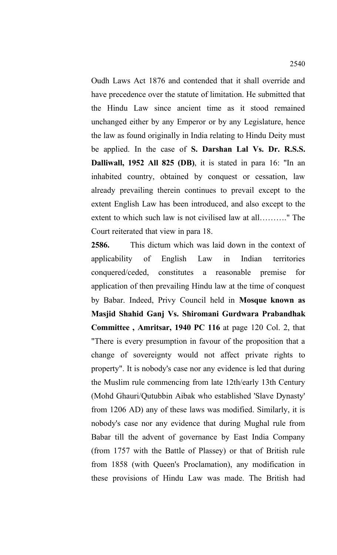Oudh Laws Act 1876 and contended that it shall override and have precedence over the statute of limitation. He submitted that the Hindu Law since ancient time as it stood remained unchanged either by any Emperor or by any Legislature, hence the law as found originally in India relating to Hindu Deity must be applied. In the case of **S. Darshan Lal Vs. Dr. R.S.S. Dalliwall, 1952 All 825 (DB)**, it is stated in para 16: "In an inhabited country, obtained by conquest or cessation, law already prevailing therein continues to prevail except to the extent English Law has been introduced, and also except to the extent to which such law is not civilised law at all………." The Court reiterated that view in para 18.

**2586.** This dictum which was laid down in the context of applicability of English Law in Indian territories conquered/ceded, constitutes a reasonable premise for application of then prevailing Hindu law at the time of conquest by Babar. Indeed, Privy Council held in **Mosque known as Masjid Shahid Ganj Vs. Shiromani Gurdwara Prabandhak Committee , Amritsar, 1940 PC 116** at page 120 Col. 2, that "There is every presumption in favour of the proposition that a change of sovereignty would not affect private rights to property". It is nobody's case nor any evidence is led that during the Muslim rule commencing from late 12th/early 13th Century (Mohd Ghauri/Qutubbin Aibak who established 'Slave Dynasty' from 1206 AD) any of these laws was modified. Similarly, it is nobody's case nor any evidence that during Mughal rule from Babar till the advent of governance by East India Company (from 1757 with the Battle of Plassey) or that of British rule from 1858 (with Queen's Proclamation), any modification in these provisions of Hindu Law was made. The British had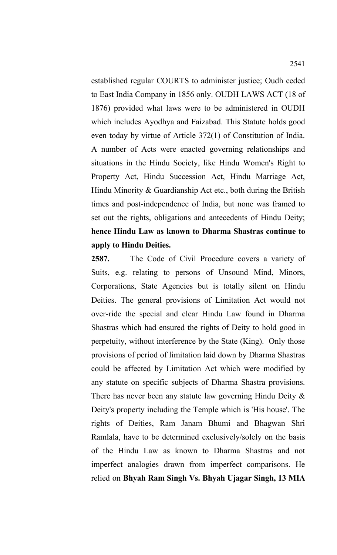established regular COURTS to administer justice; Oudh ceded to East India Company in 1856 only. OUDH LAWS ACT (18 of 1876) provided what laws were to be administered in OUDH which includes Ayodhya and Faizabad. This Statute holds good even today by virtue of Article 372(1) of Constitution of India. A number of Acts were enacted governing relationships and situations in the Hindu Society, like Hindu Women's Right to Property Act, Hindu Succession Act, Hindu Marriage Act, Hindu Minority & Guardianship Act etc., both during the British times and post-independence of India, but none was framed to set out the rights, obligations and antecedents of Hindu Deity; **hence Hindu Law as known to Dharma Shastras continue to apply to Hindu Deities.**

**2587.** The Code of Civil Procedure covers a variety of Suits, e.g. relating to persons of Unsound Mind, Minors, Corporations, State Agencies but is totally silent on Hindu Deities. The general provisions of Limitation Act would not over-ride the special and clear Hindu Law found in Dharma Shastras which had ensured the rights of Deity to hold good in perpetuity, without interference by the State (King). Only those provisions of period of limitation laid down by Dharma Shastras could be affected by Limitation Act which were modified by any statute on specific subjects of Dharma Shastra provisions. There has never been any statute law governing Hindu Deity  $\&$ Deity's property including the Temple which is 'His house'. The rights of Deities, Ram Janam Bhumi and Bhagwan Shri Ramlala, have to be determined exclusively/solely on the basis of the Hindu Law as known to Dharma Shastras and not imperfect analogies drawn from imperfect comparisons. He relied on **Bhyah Ram Singh Vs. Bhyah Ujagar Singh, 13 MIA**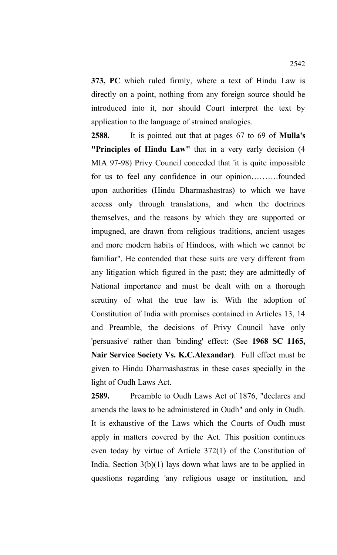**373, PC** which ruled firmly, where a text of Hindu Law is directly on a point, nothing from any foreign source should be introduced into it, nor should Court interpret the text by application to the language of strained analogies.

**2588.** It is pointed out that at pages 67 to 69 of **Mulla's "Principles of Hindu Law"** that in a very early decision (4 MIA 97-98) Privy Council conceded that 'it is quite impossible for us to feel any confidence in our opinion……….founded upon authorities (Hindu Dharmashastras) to which we have access only through translations, and when the doctrines themselves, and the reasons by which they are supported or impugned, are drawn from religious traditions, ancient usages and more modern habits of Hindoos, with which we cannot be familiar". He contended that these suits are very different from any litigation which figured in the past; they are admittedly of National importance and must be dealt with on a thorough scrutiny of what the true law is. With the adoption of Constitution of India with promises contained in Articles 13, 14 and Preamble, the decisions of Privy Council have only 'persuasive' rather than 'binding' effect: (See **1968 SC 1165, Nair Service Society Vs. K.C.Alexandar)**. Full effect must be given to Hindu Dharmashastras in these cases specially in the light of Oudh Laws Act.

**2589.** Preamble to Oudh Laws Act of 1876, "declares and amends the laws to be administered in Oudh" and only in Oudh. It is exhaustive of the Laws which the Courts of Oudh must apply in matters covered by the Act. This position continues even today by virtue of Article 372(1) of the Constitution of India. Section 3(b)(1) lays down what laws are to be applied in questions regarding 'any religious usage or institution, and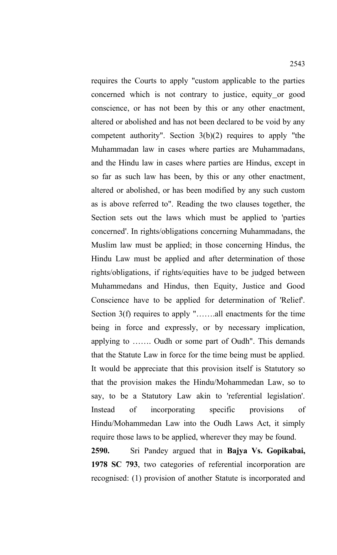requires the Courts to apply "custom applicable to the parties concerned which is not contrary to justice, equity or good conscience, or has not been by this or any other enactment, altered or abolished and has not been declared to be void by any competent authority". Section  $3(b)(2)$  requires to apply "the Muhammadan law in cases where parties are Muhammadans, and the Hindu law in cases where parties are Hindus, except in so far as such law has been, by this or any other enactment, altered or abolished, or has been modified by any such custom as is above referred to". Reading the two clauses together, the Section sets out the laws which must be applied to 'parties concerned'. In rights/obligations concerning Muhammadans, the Muslim law must be applied; in those concerning Hindus, the Hindu Law must be applied and after determination of those rights/obligations, if rights/equities have to be judged between Muhammedans and Hindus, then Equity, Justice and Good Conscience have to be applied for determination of 'Relief'. Section 3(f) requires to apply ".......all enactments for the time being in force and expressly, or by necessary implication, applying to ……. Oudh or some part of Oudh". This demands that the Statute Law in force for the time being must be applied. It would be appreciate that this provision itself is Statutory so that the provision makes the Hindu/Mohammedan Law, so to say, to be a Statutory Law akin to 'referential legislation'. Instead of incorporating specific provisions of Hindu/Mohammedan Law into the Oudh Laws Act, it simply require those laws to be applied, wherever they may be found. **2590.** Sri Pandey argued that in **Bajya Vs. Gopikabai,**

**1978 SC 793**, two categories of referential incorporation are recognised: (1) provision of another Statute is incorporated and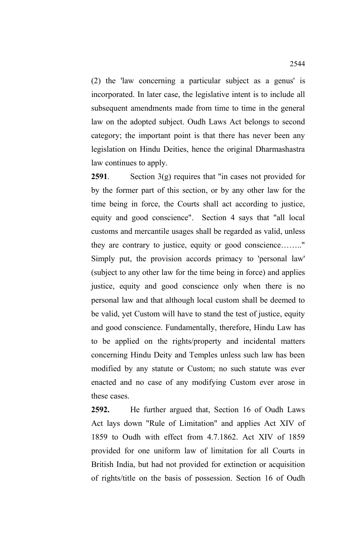(2) the 'law concerning a particular subject as a genus' is incorporated. In later case, the legislative intent is to include all subsequent amendments made from time to time in the general law on the adopted subject. Oudh Laws Act belongs to second category; the important point is that there has never been any legislation on Hindu Deities, hence the original Dharmashastra law continues to apply.

**2591**. Section 3(g) requires that "in cases not provided for by the former part of this section, or by any other law for the time being in force, the Courts shall act according to justice, equity and good conscience". Section 4 says that "all local customs and mercantile usages shall be regarded as valid, unless they are contrary to justice, equity or good conscience…….." Simply put, the provision accords primacy to 'personal law' (subject to any other law for the time being in force) and applies justice, equity and good conscience only when there is no personal law and that although local custom shall be deemed to be valid, yet Custom will have to stand the test of justice, equity and good conscience. Fundamentally, therefore, Hindu Law has to be applied on the rights/property and incidental matters concerning Hindu Deity and Temples unless such law has been modified by any statute or Custom; no such statute was ever enacted and no case of any modifying Custom ever arose in these cases.

**2592.** He further argued that, Section 16 of Oudh Laws Act lays down "Rule of Limitation" and applies Act XIV of 1859 to Oudh with effect from 4.7.1862. Act XIV of 1859 provided for one uniform law of limitation for all Courts in British India, but had not provided for extinction or acquisition of rights/title on the basis of possession. Section 16 of Oudh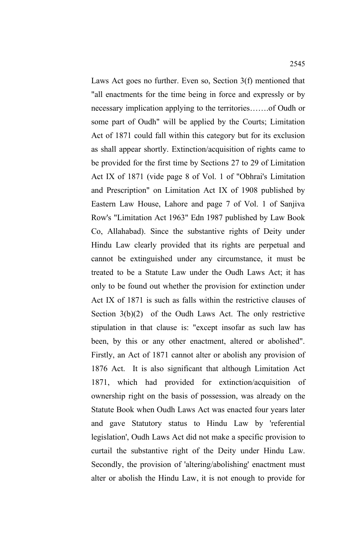Laws Act goes no further. Even so, Section 3(f) mentioned that "all enactments for the time being in force and expressly or by necessary implication applying to the territories…….of Oudh or some part of Oudh" will be applied by the Courts; Limitation Act of 1871 could fall within this category but for its exclusion as shall appear shortly. Extinction/acquisition of rights came to be provided for the first time by Sections 27 to 29 of Limitation Act IX of 1871 (vide page 8 of Vol. 1 of "Obhrai's Limitation and Prescription" on Limitation Act IX of 1908 published by Eastern Law House, Lahore and page 7 of Vol. 1 of Sanjiva Row's "Limitation Act 1963" Edn 1987 published by Law Book Co, Allahabad). Since the substantive rights of Deity under Hindu Law clearly provided that its rights are perpetual and cannot be extinguished under any circumstance, it must be treated to be a Statute Law under the Oudh Laws Act; it has only to be found out whether the provision for extinction under Act IX of 1871 is such as falls within the restrictive clauses of Section 3(b)(2) of the Oudh Laws Act. The only restrictive stipulation in that clause is: "except insofar as such law has been, by this or any other enactment, altered or abolished". Firstly, an Act of 1871 cannot alter or abolish any provision of 1876 Act. It is also significant that although Limitation Act 1871, which had provided for extinction/acquisition of ownership right on the basis of possession, was already on the Statute Book when Oudh Laws Act was enacted four years later and gave Statutory status to Hindu Law by 'referential legislation', Oudh Laws Act did not make a specific provision to curtail the substantive right of the Deity under Hindu Law. Secondly, the provision of 'altering/abolishing' enactment must alter or abolish the Hindu Law, it is not enough to provide for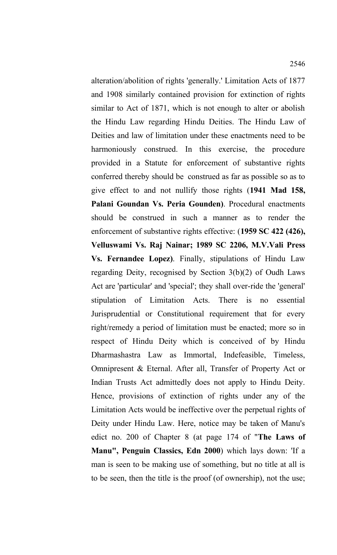alteration/abolition of rights 'generally.' Limitation Acts of 1877 and 1908 similarly contained provision for extinction of rights similar to Act of 1871, which is not enough to alter or abolish the Hindu Law regarding Hindu Deities. The Hindu Law of Deities and law of limitation under these enactments need to be harmoniously construed. In this exercise, the procedure provided in a Statute for enforcement of substantive rights conferred thereby should be construed as far as possible so as to give effect to and not nullify those rights (**1941 Mad 158, Palani Goundan Vs. Peria Gounden)**. Procedural enactments should be construed in such a manner as to render the enforcement of substantive rights effective: (**1959 SC 422 (426), Velluswami Vs. Raj Nainar; 1989 SC 2206, M.V.Vali Press Vs. Fernandee Lopez)**. Finally, stipulations of Hindu Law regarding Deity, recognised by Section 3(b)(2) of Oudh Laws Act are 'particular' and 'special'; they shall over-ride the 'general' stipulation of Limitation Acts. There is no essential Jurisprudential or Constitutional requirement that for every right/remedy a period of limitation must be enacted; more so in respect of Hindu Deity which is conceived of by Hindu Dharmashastra Law as Immortal, Indefeasible, Timeless, Omnipresent & Eternal. After all, Transfer of Property Act or Indian Trusts Act admittedly does not apply to Hindu Deity. Hence, provisions of extinction of rights under any of the Limitation Acts would be ineffective over the perpetual rights of Deity under Hindu Law. Here, notice may be taken of Manu's edict no. 200 of Chapter 8 (at page 174 of "**The Laws of Manu", Penguin Classics, Edn 2000**) which lays down: 'If a man is seen to be making use of something, but no title at all is to be seen, then the title is the proof (of ownership), not the use;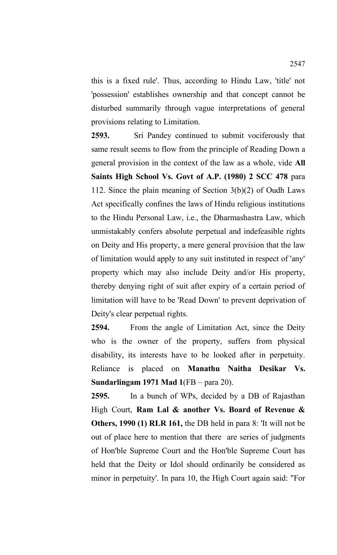this is a fixed rule'. Thus, according to Hindu Law, 'title' not 'possession' establishes ownership and that concept cannot be disturbed summarily through vague interpretations of general provisions relating to Limitation.

**2593.** Sri Pandey continued to submit vociferously that same result seems to flow from the principle of Reading Down a general provision in the context of the law as a whole, vide **All Saints High School Vs. Govt of A.P. (1980) 2 SCC 478** para 112. Since the plain meaning of Section 3(b)(2) of Oudh Laws Act specifically confines the laws of Hindu religious institutions to the Hindu Personal Law, i.e., the Dharmashastra Law, which unmistakably confers absolute perpetual and indefeasible rights on Deity and His property, a mere general provision that the law of limitation would apply to any suit instituted in respect of 'any' property which may also include Deity and/or His property, thereby denying right of suit after expiry of a certain period of limitation will have to be 'Read Down' to prevent deprivation of Deity's clear perpetual rights.

**2594.** From the angle of Limitation Act, since the Deity who is the owner of the property, suffers from physical disability, its interests have to be looked after in perpetuity. Reliance is placed on **Manathu Naitha Desikar Vs. Sundarlingam 1971 Mad 1**(FB – para 20).

**2595.** In a bunch of WPs, decided by a DB of Rajasthan High Court, **Ram Lal & another Vs. Board of Revenue & Others, 1990 (1) RLR 161,** the DB held in para 8: 'It will not be out of place here to mention that there are series of judgments of Hon'ble Supreme Court and the Hon'ble Supreme Court has held that the Deity or Idol should ordinarily be considered as minor in perpetuity'. In para 10, the High Court again said: "For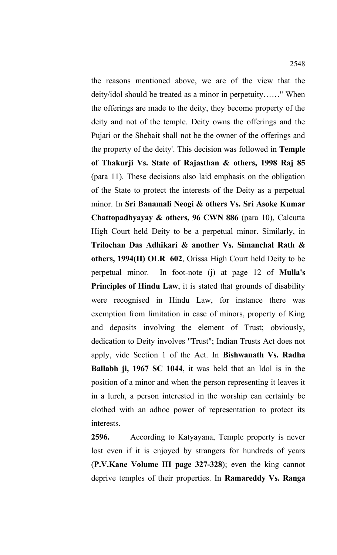the reasons mentioned above, we are of the view that the deity/idol should be treated as a minor in perpetuity……" When the offerings are made to the deity, they become property of the deity and not of the temple. Deity owns the offerings and the Pujari or the Shebait shall not be the owner of the offerings and the property of the deity'. This decision was followed in **Temple of Thakurji Vs. State of Rajasthan & others, 1998 Raj 85** (para 11). These decisions also laid emphasis on the obligation of the State to protect the interests of the Deity as a perpetual minor. In **Sri Banamali Neogi & others Vs. Sri Asoke Kumar Chattopadhyayay & others, 96 CWN 886** (para 10), Calcutta High Court held Deity to be a perpetual minor. Similarly, in **Trilochan Das Adhikari & another Vs. Simanchal Rath & others, 1994(II) OLR 602**, Orissa High Court held Deity to be perpetual minor. In foot-note (j) at page 12 of **Mulla's Principles of Hindu Law**, it is stated that grounds of disability were recognised in Hindu Law, for instance there was exemption from limitation in case of minors, property of King and deposits involving the element of Trust; obviously, dedication to Deity involves "Trust"; Indian Trusts Act does not apply, vide Section 1 of the Act. In **Bishwanath Vs. Radha Ballabh ji, 1967 SC 1044**, it was held that an Idol is in the position of a minor and when the person representing it leaves it in a lurch, a person interested in the worship can certainly be clothed with an adhoc power of representation to protect its interests.

**2596.** According to Katyayana, Temple property is never lost even if it is enjoyed by strangers for hundreds of years (**P.V.Kane Volume III page 327-328**); even the king cannot deprive temples of their properties. In **Ramareddy Vs. Ranga**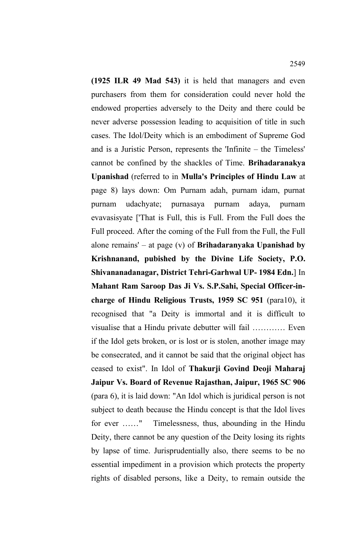**(1925 ILR 49 Mad 543)** it is held that managers and even purchasers from them for consideration could never hold the endowed properties adversely to the Deity and there could be never adverse possession leading to acquisition of title in such cases. The Idol/Deity which is an embodiment of Supreme God and is a Juristic Person, represents the 'Infinite – the Timeless' cannot be confined by the shackles of Time. **Brihadaranakya Upanishad** (referred to in **Mulla's Principles of Hindu Law** at page 8) lays down: Om Purnam adah, purnam idam, purnat purnam udachyate; purnasaya purnam adaya, purnam evavasisyate ['That is Full, this is Full. From the Full does the Full proceed. After the coming of the Full from the Full, the Full alone remains' – at page (v) of **Brihadaranyaka Upanishad by Krishnanand, pubished by the Divine Life Society, P.O. Shivananadanagar, District Tehri-Garhwal UP- 1984 Edn.**] In **Mahant Ram Saroop Das Ji Vs. S.P.Sahi, Special Officer-incharge of Hindu Religious Trusts, 1959 SC 951** (para10), it recognised that "a Deity is immortal and it is difficult to visualise that a Hindu private debutter will fail ………… Even if the Idol gets broken, or is lost or is stolen, another image may be consecrated, and it cannot be said that the original object has ceased to exist". In Idol of **Thakurji Govind Deoji Maharaj Jaipur Vs. Board of Revenue Rajasthan, Jaipur, 1965 SC 906** (para 6), it is laid down: "An Idol which is juridical person is not subject to death because the Hindu concept is that the Idol lives for ever ……" Timelessness, thus, abounding in the Hindu Deity, there cannot be any question of the Deity losing its rights by lapse of time. Jurisprudentially also, there seems to be no essential impediment in a provision which protects the property rights of disabled persons, like a Deity, to remain outside the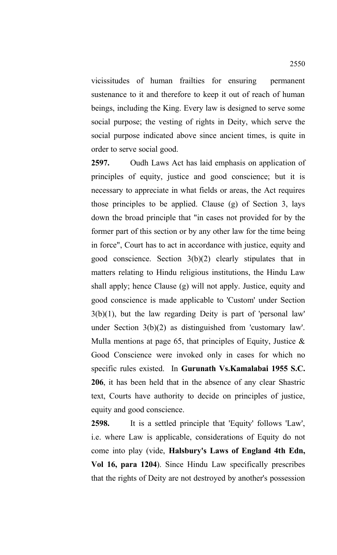vicissitudes of human frailties for ensuring permanent sustenance to it and therefore to keep it out of reach of human beings, including the King. Every law is designed to serve some social purpose; the vesting of rights in Deity, which serve the social purpose indicated above since ancient times, is quite in order to serve social good.

**2597.** Oudh Laws Act has laid emphasis on application of principles of equity, justice and good conscience; but it is necessary to appreciate in what fields or areas, the Act requires those principles to be applied. Clause (g) of Section 3, lays down the broad principle that "in cases not provided for by the former part of this section or by any other law for the time being in force", Court has to act in accordance with justice, equity and good conscience. Section 3(b)(2) clearly stipulates that in matters relating to Hindu religious institutions, the Hindu Law shall apply; hence Clause (g) will not apply. Justice, equity and good conscience is made applicable to 'Custom' under Section 3(b)(1), but the law regarding Deity is part of 'personal law' under Section 3(b)(2) as distinguished from 'customary law'. Mulla mentions at page 65, that principles of Equity, Justice  $\&$ Good Conscience were invoked only in cases for which no specific rules existed. In **Gurunath Vs.Kamalabai 1955 S.C. 206**, it has been held that in the absence of any clear Shastric text, Courts have authority to decide on principles of justice, equity and good conscience.

**2598.** It is a settled principle that 'Equity' follows 'Law', i.e. where Law is applicable, considerations of Equity do not come into play (vide, **Halsbury's Laws of England 4th Edn, Vol 16, para 1204**). Since Hindu Law specifically prescribes that the rights of Deity are not destroyed by another's possession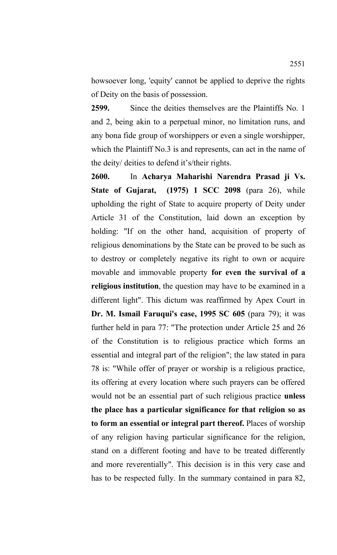howsoever long, 'equity' cannot be applied to deprive the rights of Deity on the basis of possession.

**2599.** Since the deities themselves are the Plaintiffs No. 1 and 2, being akin to a perpetual minor, no limitation runs, and any bona fide group of worshippers or even a single worshipper, which the Plaintiff No.3 is and represents, can act in the name of the deity/ deities to defend it's/their rights.

**2600.** In **Acharya Maharishi Narendra Prasad ji Vs. State of Gujarat, (1975) 1 SCC 2098** (para 26), while upholding the right of State to acquire property of Deity under Article 31 of the Constitution, laid down an exception by holding: "If on the other hand, acquisition of property of religious denominations by the State can be proved to be such as to destroy or completely negative its right to own or acquire movable and immovable property **for even the survival of a religious institution**, the question may have to be examined in a different light". This dictum was reaffirmed by Apex Court in **Dr. M. Ismail Faruqui's case, 1995 SC 605** (para 79); it was further held in para 77: "The protection under Article 25 and 26 of the Constitution is to religious practice which forms an essential and integral part of the religion"; the law stated in para 78 is: "While offer of prayer or worship is a religious practice, its offering at every location where such prayers can be offered would not be an essential part of such religious practice **unless the place has a particular significance for that religion so as to form an essential or integral part thereof.** Places of worship of any religion having particular significance for the religion, stand on a different footing and have to be treated differently and more reverentially". This decision is in this very case and has to be respected fully. In the summary contained in para 82,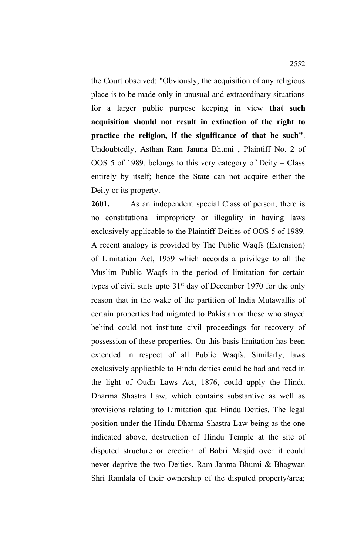the Court observed: "Obviously, the acquisition of any religious place is to be made only in unusual and extraordinary situations for a larger public purpose keeping in view **that such acquisition should not result in extinction of the right to practice the religion, if the significance of that be such"**. Undoubtedly, Asthan Ram Janma Bhumi , Plaintiff No. 2 of OOS 5 of 1989, belongs to this very category of Deity – Class entirely by itself; hence the State can not acquire either the Deity or its property.

**2601.** As an independent special Class of person, there is no constitutional impropriety or illegality in having laws exclusively applicable to the Plaintiff-Deities of OOS 5 of 1989. A recent analogy is provided by The Public Waqfs (Extension) of Limitation Act, 1959 which accords a privilege to all the Muslim Public Waqfs in the period of limitation for certain types of civil suits upto  $31<sup>st</sup>$  day of December 1970 for the only reason that in the wake of the partition of India Mutawallis of certain properties had migrated to Pakistan or those who stayed behind could not institute civil proceedings for recovery of possession of these properties. On this basis limitation has been extended in respect of all Public Waqfs. Similarly, laws exclusively applicable to Hindu deities could be had and read in the light of Oudh Laws Act, 1876, could apply the Hindu Dharma Shastra Law, which contains substantive as well as provisions relating to Limitation qua Hindu Deities. The legal position under the Hindu Dharma Shastra Law being as the one indicated above, destruction of Hindu Temple at the site of disputed structure or erection of Babri Masjid over it could never deprive the two Deities, Ram Janma Bhumi & Bhagwan Shri Ramlala of their ownership of the disputed property/area;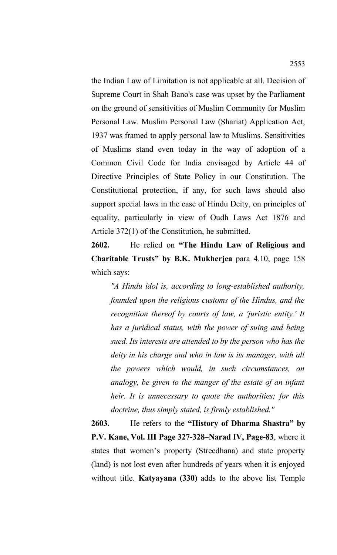the Indian Law of Limitation is not applicable at all. Decision of Supreme Court in Shah Bano's case was upset by the Parliament on the ground of sensitivities of Muslim Community for Muslim Personal Law. Muslim Personal Law (Shariat) Application Act, 1937 was framed to apply personal law to Muslims. Sensitivities of Muslims stand even today in the way of adoption of a Common Civil Code for India envisaged by Article 44 of Directive Principles of State Policy in our Constitution. The Constitutional protection, if any, for such laws should also support special laws in the case of Hindu Deity, on principles of equality, particularly in view of Oudh Laws Act 1876 and Article 372(1) of the Constitution, he submitted.

**2602.** He relied on **"The Hindu Law of Religious and Charitable Trusts" by B.K. Mukherjea** para 4.10, page 158 which says:

*"A Hindu idol is, according to long-established authority, founded upon the religious customs of the Hindus, and the recognition thereof by courts of law, a 'juristic entity.' It has a juridical status, with the power of suing and being sued. Its interests are attended to by the person who has the deity in his charge and who in law is its manager, with all the powers which would, in such circumstances, on analogy, be given to the manger of the estate of an infant heir. It is unnecessary to quote the authorities; for this doctrine, thus simply stated, is firmly established."*

**2603.** He refers to the **"History of Dharma Shastra" by P.V. Kane, Vol. III Page 327-328–Narad IV, Page-83**, where it states that women's property (Streedhana) and state property (land) is not lost even after hundreds of years when it is enjoyed without title. **Katyayana (330)** adds to the above list Temple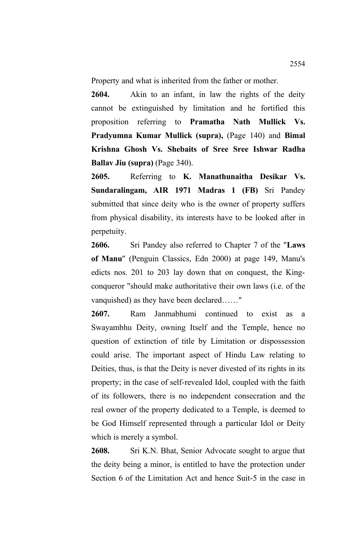Property and what is inherited from the father or mother.

**2604.** Akin to an infant, in law the rights of the deity cannot be extinguished by limitation and he fortified this proposition referring to **Pramatha Nath Mullick Vs. Pradyumna Kumar Mullick (supra),** (Page 140) and **Bimal Krishna Ghosh Vs. Shebaits of Sree Sree Ishwar Radha Ballav Jiu (supra)** (Page 340).

**2605.** Referring to **K. Manathunaitha Desikar Vs. Sundaralingam, AIR 1971 Madras 1 (FB)** Sri Pandey submitted that since deity who is the owner of property suffers from physical disability, its interests have to be looked after in perpetuity.

**2606.** Sri Pandey also referred to Chapter 7 of the "**Laws of Manu**" (Penguin Classics, Edn 2000) at page 149, Manu's edicts nos. 201 to 203 lay down that on conquest, the Kingconqueror "should make authoritative their own laws (i.e. of the vanquished) as they have been declared……"

**2607.** Ram Janmabhumi continued to exist as a Swayambhu Deity, owning Itself and the Temple, hence no question of extinction of title by Limitation or dispossession could arise. The important aspect of Hindu Law relating to Deities, thus, is that the Deity is never divested of its rights in its property; in the case of self-revealed Idol, coupled with the faith of its followers, there is no independent consecration and the real owner of the property dedicated to a Temple, is deemed to be God Himself represented through a particular Idol or Deity which is merely a symbol.

**2608.** Sri K.N. Bhat, Senior Advocate sought to argue that the deity being a minor, is entitled to have the protection under Section 6 of the Limitation Act and hence Suit-5 in the case in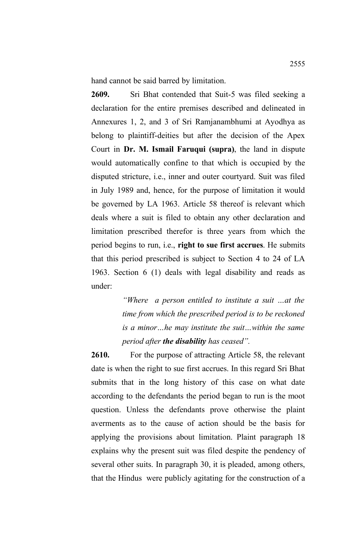hand cannot be said barred by limitation.

**2609.** Sri Bhat contended that Suit-5 was filed seeking a declaration for the entire premises described and delineated in Annexures 1, 2, and 3 of Sri Ramjanambhumi at Ayodhya as belong to plaintiff-deities but after the decision of the Apex Court in **Dr. M. Ismail Faruqui (supra)**, the land in dispute would automatically confine to that which is occupied by the disputed stricture, i.e., inner and outer courtyard. Suit was filed in July 1989 and, hence, for the purpose of limitation it would be governed by LA 1963. Article 58 thereof is relevant which deals where a suit is filed to obtain any other declaration and limitation prescribed therefor is three years from which the period begins to run, i.e., **right to sue first accrues**. He submits that this period prescribed is subject to Section 4 to 24 of LA 1963. Section 6 (1) deals with legal disability and reads as under:

> *"Where a person entitled to institute a suit …at the time from which the prescribed period is to be reckoned is a minor…he may institute the suit…within the same period after the disability has ceased".*

**2610.** For the purpose of attracting Article 58, the relevant date is when the right to sue first accrues. In this regard Sri Bhat submits that in the long history of this case on what date according to the defendants the period began to run is the moot question. Unless the defendants prove otherwise the plaint averments as to the cause of action should be the basis for applying the provisions about limitation. Plaint paragraph 18 explains why the present suit was filed despite the pendency of several other suits. In paragraph 30, it is pleaded, among others, that the Hindus were publicly agitating for the construction of a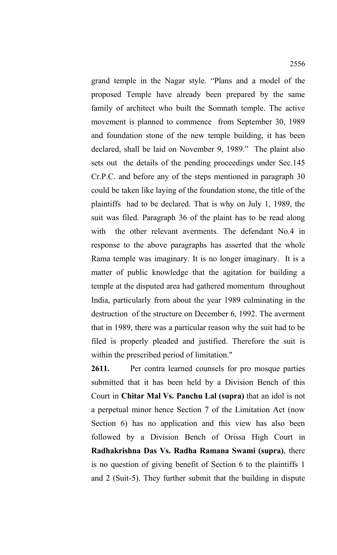grand temple in the Nagar style. "Plans and a model of the proposed Temple have already been prepared by the same family of architect who built the Somnath temple. The active movement is planned to commence from September 30, 1989 and foundation stone of the new temple building, it has been declared, shall be laid on November 9, 1989." The plaint also sets out the details of the pending proceedings under Sec.145 Cr.P.C. and before any of the steps mentioned in paragraph 30 could be taken like laying of the foundation stone, the title of the plaintiffs had to be declared. That is why on July 1, 1989, the suit was filed. Paragraph 36 of the plaint has to be read along with the other relevant averments. The defendant No.4 in response to the above paragraphs has asserted that the whole Rama temple was imaginary. It is no longer imaginary. It is a matter of public knowledge that the agitation for building a temple at the disputed area had gathered momentum throughout India, particularly from about the year 1989 culminating in the destruction of the structure on December 6, 1992. The averment that in 1989, there was a particular reason why the suit had to be filed is properly pleaded and justified. Therefore the suit is within the prescribed period of limitation."

**2611.** Per contra learned counsels for pro mosque parties submitted that it has been held by a Division Bench of this Court in **Chitar Mal Vs. Panchu Lal (supra)** that an idol is not a perpetual minor hence Section 7 of the Limitation Act (now Section 6) has no application and this view has also been followed by a Division Bench of Orissa High Court in **Radhakrishna Das Vs. Radha Ramana Swami (supra)**, there is no question of giving benefit of Section 6 to the plaintiffs 1 and 2 (Suit-5). They further submit that the building in dispute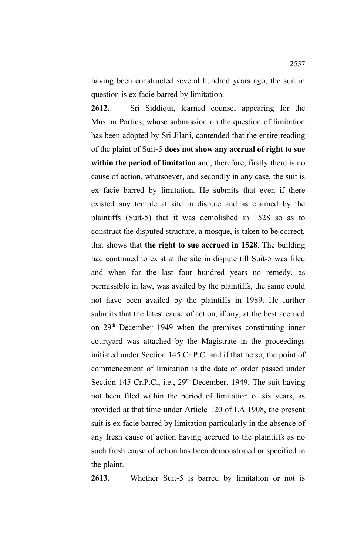having been constructed several hundred years ago, the suit in question is ex facie barred by limitation.

**2612.** Sri Siddiqui, learned counsel appearing for the Muslim Parties, whose submission on the question of limitation has been adopted by Sri Jilani, contended that the entire reading of the plaint of Suit-5 **does not show any accrual of right to sue within the period of limitation** and, therefore, firstly there is no cause of action, whatsoever, and secondly in any case, the suit is ex facie barred by limitation. He submits that even if there existed any temple at site in dispute and as claimed by the plaintiffs (Suit-5) that it was demolished in 1528 so as to construct the disputed structure, a mosque, is taken to be correct, that shows that **the right to sue accrued in 1528**. The building had continued to exist at the site in dispute till Suit-5 was filed and when for the last four hundred years no remedy, as permissible in law, was availed by the plaintiffs, the same could not have been availed by the plaintiffs in 1989. He further submits that the latest cause of action, if any, at the best accrued on  $29<sup>th</sup>$  December 1949 when the premises constituting inner courtyard was attached by the Magistrate in the proceedings initiated under Section 145 Cr.P.C. and if that be so, the point of commencement of limitation is the date of order passed under Section 145 Cr.P.C., i.e., 29<sup>th</sup> December, 1949. The suit having not been filed within the period of limitation of six years, as provided at that time under Article 120 of LA 1908, the present suit is ex facie barred by limitation particularly in the absence of any fresh cause of action having accrued to the plaintiffs as no such fresh cause of action has been demonstrated or specified in the plaint.

**2613.** Whether Suit-5 is barred by limitation or not is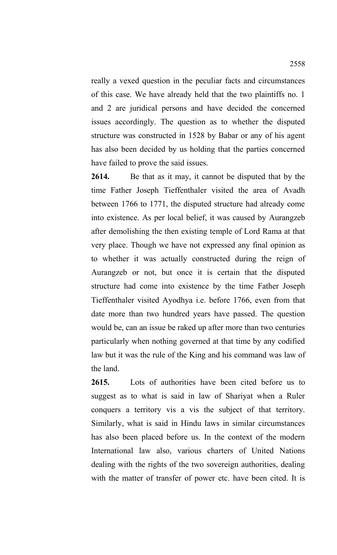really a vexed question in the peculiar facts and circumstances of this case. We have already held that the two plaintiffs no. 1 and 2 are juridical persons and have decided the concerned issues accordingly. The question as to whether the disputed structure was constructed in 1528 by Babar or any of his agent has also been decided by us holding that the parties concerned have failed to prove the said issues.

**2614.** Be that as it may, it cannot be disputed that by the time Father Joseph Tieffenthaler visited the area of Avadh between 1766 to 1771, the disputed structure had already come into existence. As per local belief, it was caused by Aurangzeb after demolishing the then existing temple of Lord Rama at that very place. Though we have not expressed any final opinion as to whether it was actually constructed during the reign of Aurangzeb or not, but once it is certain that the disputed structure had come into existence by the time Father Joseph Tieffenthaler visited Ayodhya i.e. before 1766, even from that date more than two hundred years have passed. The question would be, can an issue be raked up after more than two centuries particularly when nothing governed at that time by any codified law but it was the rule of the King and his command was law of the land.

**2615.** Lots of authorities have been cited before us to suggest as to what is said in law of Shariyat when a Ruler conquers a territory vis a vis the subject of that territory. Similarly, what is said in Hindu laws in similar circumstances has also been placed before us. In the context of the modern International law also, various charters of United Nations dealing with the rights of the two sovereign authorities, dealing with the matter of transfer of power etc. have been cited. It is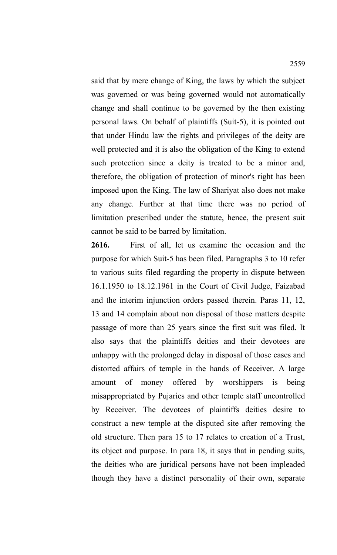said that by mere change of King, the laws by which the subject was governed or was being governed would not automatically change and shall continue to be governed by the then existing personal laws. On behalf of plaintiffs (Suit-5), it is pointed out that under Hindu law the rights and privileges of the deity are well protected and it is also the obligation of the King to extend such protection since a deity is treated to be a minor and, therefore, the obligation of protection of minor's right has been imposed upon the King. The law of Shariyat also does not make any change. Further at that time there was no period of limitation prescribed under the statute, hence, the present suit cannot be said to be barred by limitation.

**2616.** First of all, let us examine the occasion and the purpose for which Suit-5 has been filed. Paragraphs 3 to 10 refer to various suits filed regarding the property in dispute between 16.1.1950 to 18.12.1961 in the Court of Civil Judge, Faizabad and the interim injunction orders passed therein. Paras 11, 12, 13 and 14 complain about non disposal of those matters despite passage of more than 25 years since the first suit was filed. It also says that the plaintiffs deities and their devotees are unhappy with the prolonged delay in disposal of those cases and distorted affairs of temple in the hands of Receiver. A large amount of money offered by worshippers is being misappropriated by Pujaries and other temple staff uncontrolled by Receiver. The devotees of plaintiffs deities desire to construct a new temple at the disputed site after removing the old structure. Then para 15 to 17 relates to creation of a Trust, its object and purpose. In para 18, it says that in pending suits, the deities who are juridical persons have not been impleaded though they have a distinct personality of their own, separate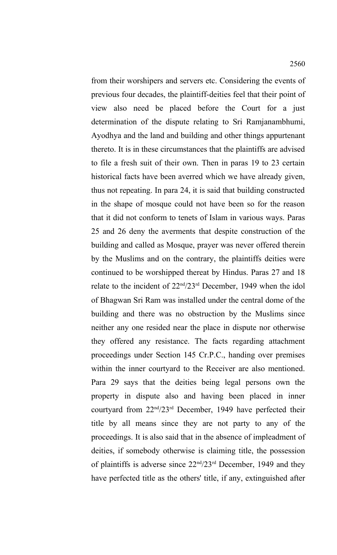from their worshipers and servers etc. Considering the events of previous four decades, the plaintiff-deities feel that their point of view also need be placed before the Court for a just determination of the dispute relating to Sri Ramjanambhumi, Ayodhya and the land and building and other things appurtenant thereto. It is in these circumstances that the plaintiffs are advised to file a fresh suit of their own. Then in paras 19 to 23 certain historical facts have been averred which we have already given, thus not repeating. In para 24, it is said that building constructed in the shape of mosque could not have been so for the reason that it did not conform to tenets of Islam in various ways. Paras 25 and 26 deny the averments that despite construction of the building and called as Mosque, prayer was never offered therein by the Muslims and on the contrary, the plaintiffs deities were continued to be worshipped thereat by Hindus. Paras 27 and 18 relate to the incident of 22nd/23rd December, 1949 when the idol of Bhagwan Sri Ram was installed under the central dome of the building and there was no obstruction by the Muslims since neither any one resided near the place in dispute nor otherwise they offered any resistance. The facts regarding attachment proceedings under Section 145 Cr.P.C., handing over premises within the inner courtyard to the Receiver are also mentioned. Para 29 says that the deities being legal persons own the property in dispute also and having been placed in inner courtyard from 22nd/23rd December, 1949 have perfected their title by all means since they are not party to any of the proceedings. It is also said that in the absence of impleadment of deities, if somebody otherwise is claiming title, the possession of plaintiffs is adverse since  $22<sup>nd</sup>/23<sup>rd</sup>$  December, 1949 and they have perfected title as the others' title, if any, extinguished after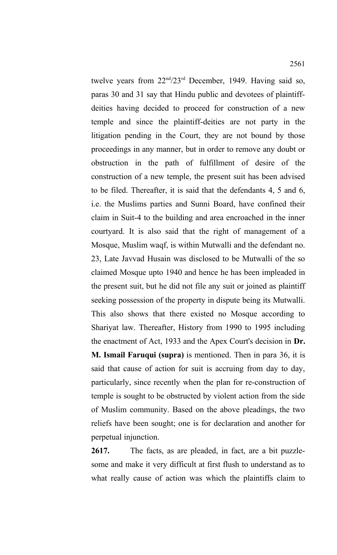twelve years from 22nd/23rd December, 1949. Having said so, paras 30 and 31 say that Hindu public and devotees of plaintiffdeities having decided to proceed for construction of a new temple and since the plaintiff-deities are not party in the litigation pending in the Court, they are not bound by those proceedings in any manner, but in order to remove any doubt or obstruction in the path of fulfillment of desire of the construction of a new temple, the present suit has been advised to be filed. Thereafter, it is said that the defendants 4, 5 and 6, i.e. the Muslims parties and Sunni Board, have confined their claim in Suit-4 to the building and area encroached in the inner courtyard. It is also said that the right of management of a Mosque, Muslim waqf, is within Mutwalli and the defendant no. 23, Late Javvad Husain was disclosed to be Mutwalli of the so claimed Mosque upto 1940 and hence he has been impleaded in the present suit, but he did not file any suit or joined as plaintiff seeking possession of the property in dispute being its Mutwalli. This also shows that there existed no Mosque according to Shariyat law. Thereafter, History from 1990 to 1995 including the enactment of Act, 1933 and the Apex Court's decision in **Dr. M. Ismail Faruqui (supra)** is mentioned. Then in para 36, it is said that cause of action for suit is accruing from day to day,

particularly, since recently when the plan for re-construction of temple is sought to be obstructed by violent action from the side of Muslim community. Based on the above pleadings, the two reliefs have been sought; one is for declaration and another for perpetual injunction.

**2617.** The facts, as are pleaded, in fact, are a bit puzzlesome and make it very difficult at first flush to understand as to what really cause of action was which the plaintiffs claim to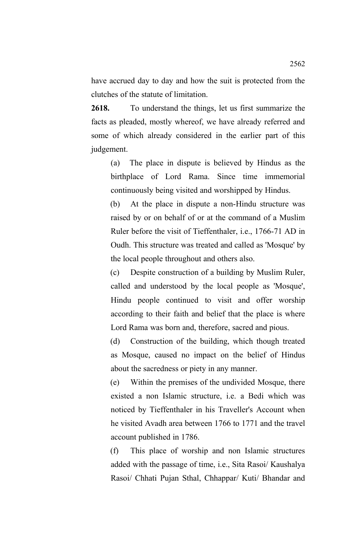have accrued day to day and how the suit is protected from the clutches of the statute of limitation.

**2618.** To understand the things, let us first summarize the facts as pleaded, mostly whereof, we have already referred and some of which already considered in the earlier part of this judgement.

(a) The place in dispute is believed by Hindus as the birthplace of Lord Rama. Since time immemorial continuously being visited and worshipped by Hindus.

(b) At the place in dispute a non-Hindu structure was raised by or on behalf of or at the command of a Muslim Ruler before the visit of Tieffenthaler, i.e., 1766-71 AD in Oudh. This structure was treated and called as 'Mosque' by the local people throughout and others also.

(c) Despite construction of a building by Muslim Ruler, called and understood by the local people as 'Mosque', Hindu people continued to visit and offer worship according to their faith and belief that the place is where Lord Rama was born and, therefore, sacred and pious.

(d) Construction of the building, which though treated as Mosque, caused no impact on the belief of Hindus about the sacredness or piety in any manner.

(e) Within the premises of the undivided Mosque, there existed a non Islamic structure, i.e. a Bedi which was noticed by Tieffenthaler in his Traveller's Account when he visited Avadh area between 1766 to 1771 and the travel account published in 1786.

(f) This place of worship and non Islamic structures added with the passage of time, i.e., Sita Rasoi/ Kaushalya Rasoi/ Chhati Pujan Sthal, Chhappar/ Kuti/ Bhandar and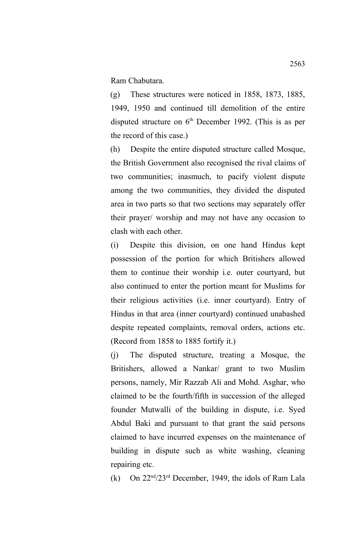Ram Chabutara.

(g) These structures were noticed in 1858, 1873, 1885, 1949, 1950 and continued till demolition of the entire disputed structure on  $6<sup>th</sup>$  December 1992. (This is as per the record of this case.)

(h) Despite the entire disputed structure called Mosque, the British Government also recognised the rival claims of two communities; inasmuch, to pacify violent dispute among the two communities, they divided the disputed area in two parts so that two sections may separately offer their prayer/ worship and may not have any occasion to clash with each other.

(i) Despite this division, on one hand Hindus kept possession of the portion for which Britishers allowed them to continue their worship i.e. outer courtyard, but also continued to enter the portion meant for Muslims for their religious activities (i.e. inner courtyard). Entry of Hindus in that area (inner courtyard) continued unabashed despite repeated complaints, removal orders, actions etc. (Record from 1858 to 1885 fortify it.)

(j) The disputed structure, treating a Mosque, the Britishers, allowed a Nankar/ grant to two Muslim persons, namely, Mir Razzab Ali and Mohd. Asghar, who claimed to be the fourth/fifth in succession of the alleged founder Mutwalli of the building in dispute, i.e. Syed Abdul Baki and pursuant to that grant the said persons claimed to have incurred expenses on the maintenance of building in dispute such as white washing, cleaning repairing etc.

(k) On  $22<sup>nd</sup>/23<sup>rd</sup>$  December, 1949, the idols of Ram Lala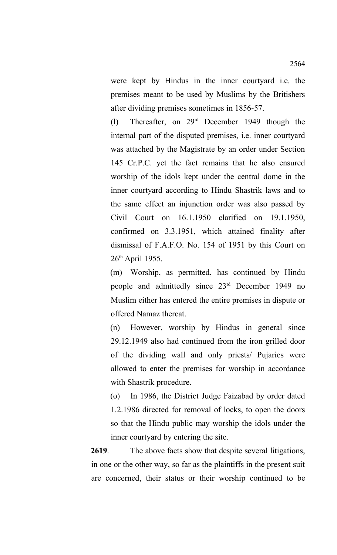were kept by Hindus in the inner courtyard i.e. the premises meant to be used by Muslims by the Britishers after dividing premises sometimes in 1856-57.

(l) Thereafter, on 29rd December 1949 though the internal part of the disputed premises, i.e. inner courtyard was attached by the Magistrate by an order under Section 145 Cr.P.C. yet the fact remains that he also ensured worship of the idols kept under the central dome in the inner courtyard according to Hindu Shastrik laws and to the same effect an injunction order was also passed by Civil Court on 16.1.1950 clarified on 19.1.1950, confirmed on 3.3.1951, which attained finality after dismissal of F.A.F.O. No. 154 of 1951 by this Court on 26th April 1955.

(m) Worship, as permitted, has continued by Hindu people and admittedly since 23rd December 1949 no Muslim either has entered the entire premises in dispute or offered Namaz thereat.

(n) However, worship by Hindus in general since 29.12.1949 also had continued from the iron grilled door of the dividing wall and only priests/ Pujaries were allowed to enter the premises for worship in accordance with Shastrik procedure.

(o) In 1986, the District Judge Faizabad by order dated 1.2.1986 directed for removal of locks, to open the doors so that the Hindu public may worship the idols under the inner courtyard by entering the site.

**2619**. The above facts show that despite several litigations, in one or the other way, so far as the plaintiffs in the present suit are concerned, their status or their worship continued to be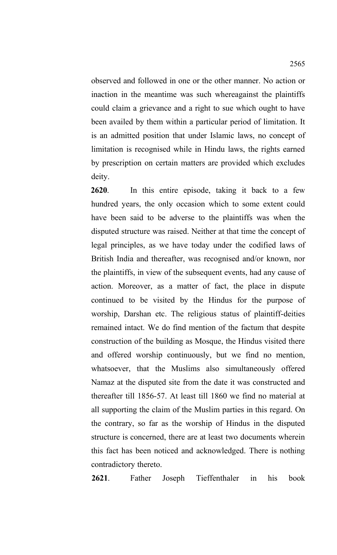observed and followed in one or the other manner. No action or inaction in the meantime was such whereagainst the plaintiffs could claim a grievance and a right to sue which ought to have been availed by them within a particular period of limitation. It is an admitted position that under Islamic laws, no concept of limitation is recognised while in Hindu laws, the rights earned by prescription on certain matters are provided which excludes deity.

**2620**. In this entire episode, taking it back to a few hundred years, the only occasion which to some extent could have been said to be adverse to the plaintiffs was when the disputed structure was raised. Neither at that time the concept of legal principles, as we have today under the codified laws of British India and thereafter, was recognised and/or known, nor the plaintiffs, in view of the subsequent events, had any cause of action. Moreover, as a matter of fact, the place in dispute continued to be visited by the Hindus for the purpose of worship, Darshan etc. The religious status of plaintiff-deities remained intact. We do find mention of the factum that despite construction of the building as Mosque, the Hindus visited there and offered worship continuously, but we find no mention, whatsoever, that the Muslims also simultaneously offered Namaz at the disputed site from the date it was constructed and thereafter till 1856-57. At least till 1860 we find no material at all supporting the claim of the Muslim parties in this regard. On the contrary, so far as the worship of Hindus in the disputed structure is concerned, there are at least two documents wherein this fact has been noticed and acknowledged. There is nothing contradictory thereto.

**2621**. Father Joseph Tieffenthaler in his book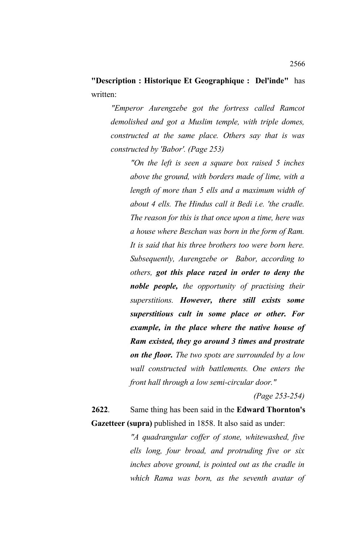**"Description : Historique Et Geographique : Del'inde"** has written:

*"Emperor Aurengzebe got the fortress called Ramcot demolished and got a Muslim temple, with triple domes, constructed at the same place. Others say that is was constructed by 'Babor'. (Page 253)*

*"On the left is seen a square box raised 5 inches above the ground, with borders made of lime, with a length of more than 5 ells and a maximum width of about 4 ells. The Hindus call it Bedi i.e. 'the cradle. The reason for this is that once upon a time, here was a house where Beschan was born in the form of Ram. It is said that his three brothers too were born here. Subsequently, Aurengzebe or Babor, according to others, got this place razed in order to deny the noble people, the opportunity of practising their superstitions. However, there still exists some superstitious cult in some place or other. For example, in the place where the native house of Ram existed, they go around 3 times and prostrate on the floor. The two spots are surrounded by a low wall constructed with battlements. One enters the front hall through a low semi-circular door."*

*(Page 253-254)*

**2622**. Same thing has been said in the **Edward Thornton's Gazetteer (supra)** published in 1858. It also said as under:

> *"A quadrangular coffer of stone, whitewashed, five ells long, four broad, and protruding five or six inches above ground, is pointed out as the cradle in which Rama was born, as the seventh avatar of*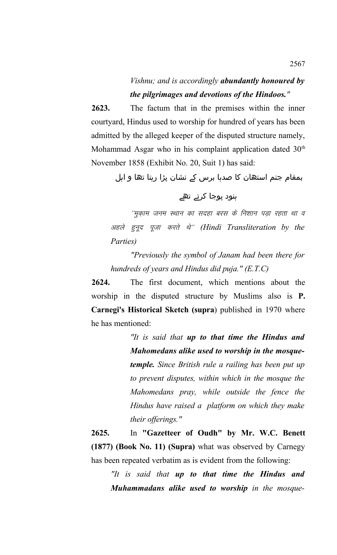# *Vishnu; and is accordingly abundantly honoured by the pilgrimages and devotions of the Hindoos."*

**2623.** The factum that in the premises within the inner courtyard, Hindus used to worship for hundred of years has been admitted by the alleged keeper of the disputed structure namely, Mohammad Asgar who in his complaint application dated  $30<sup>th</sup>$ November 1858 (Exhibit No. 20, Suit 1) has said:

بمقام جنم استھان کا صدہا برس کے ںشان پڑا رہتا تھا و اہل

## ہنود پوجا کرتے تھے

''मुक़ाम जनम स्थान का सदहा बरस के निशान पड़ा रहता था व अहले हुनूद पूजा करते थे" (Hindi Transliteration by the *Parties)*

*"Previously the symbol of Janam had been there for hundreds of years and Hindus did puja." (E.T.C)*

**2624.** The first document, which mentions about the worship in the disputed structure by Muslims also is **P. Carnegi's Historical Sketch (supra**) published in 1970 where he has mentioned:

> *"It is said that up to that time the Hindus and Mahomedans alike used to worship in the mosquetemple. Since British rule a railing has been put up to prevent disputes, within which in the mosque the Mahomedans pray, while outside the fence the Hindus have raised a platform on which they make their offerings."*

**2625.** In **"Gazetteer of Oudh" by Mr. W.C. Benett (1877) (Book No. 11) (Supra)** what was observed by Carnegy has been repeated verbatim as is evident from the following:

*"It is said that up to that time the Hindus and Muhammadans alike used to worship in the mosque-*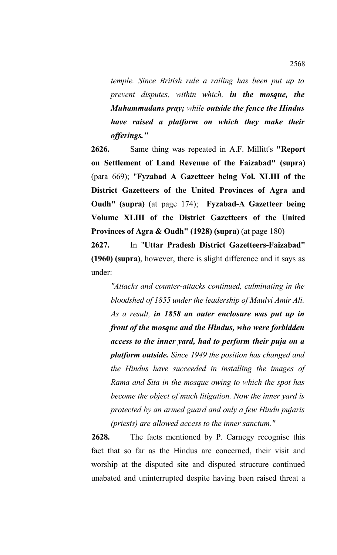*temple. Since British rule a railing has been put up to prevent disputes, within which, in the mosque, the Muhammadans pray; while outside the fence the Hindus have raised a platform on which they make their offerings."*

**2626.** Same thing was repeated in A.F. Millitt's **"Report on Settlement of Land Revenue of the Faizabad" (supra)** (para 669); "**Fyzabad A Gazetteer being Vol. XLIII of the District Gazetteers of the United Provinces of Agra and Oudh" (supra)** (at page 174); **Fyzabad-A Gazetteer being Volume XLIII of the District Gazetteers of the United Provinces of Agra & Oudh" (1928) (supra)** (at page 180)

**2627.** In "**Uttar Pradesh District Gazetteers-Faizabad" (1960) (supra)**, however, there is slight difference and it says as under:

*"Attacks and counter-attacks continued, culminating in the bloodshed of 1855 under the leadership of Maulvi Amir Ali. As a result, in 1858 an outer enclosure was put up in front of the mosque and the Hindus, who were forbidden access to the inner yard, had to perform their puja on a platform outside. Since 1949 the position has changed and the Hindus have succeeded in installing the images of Rama and Sita in the mosque owing to which the spot has become the object of much litigation. Now the inner yard is protected by an armed guard and only a few Hindu pujaris (priests) are allowed access to the inner sanctum."*

**2628.** The facts mentioned by P. Carnegy recognise this fact that so far as the Hindus are concerned, their visit and worship at the disputed site and disputed structure continued unabated and uninterrupted despite having been raised threat a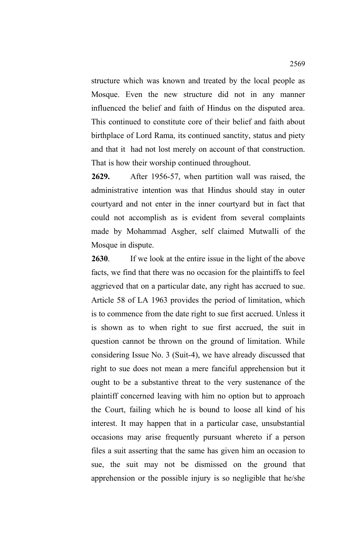structure which was known and treated by the local people as Mosque. Even the new structure did not in any manner influenced the belief and faith of Hindus on the disputed area. This continued to constitute core of their belief and faith about birthplace of Lord Rama, its continued sanctity, status and piety and that it had not lost merely on account of that construction. That is how their worship continued throughout.

**2629.** After 1956-57, when partition wall was raised, the administrative intention was that Hindus should stay in outer courtyard and not enter in the inner courtyard but in fact that could not accomplish as is evident from several complaints made by Mohammad Asgher, self claimed Mutwalli of the Mosque in dispute.

**2630**. If we look at the entire issue in the light of the above facts, we find that there was no occasion for the plaintiffs to feel aggrieved that on a particular date, any right has accrued to sue. Article 58 of LA 1963 provides the period of limitation, which is to commence from the date right to sue first accrued. Unless it is shown as to when right to sue first accrued, the suit in question cannot be thrown on the ground of limitation. While considering Issue No. 3 (Suit-4), we have already discussed that right to sue does not mean a mere fanciful apprehension but it ought to be a substantive threat to the very sustenance of the plaintiff concerned leaving with him no option but to approach the Court, failing which he is bound to loose all kind of his interest. It may happen that in a particular case, unsubstantial occasions may arise frequently pursuant whereto if a person files a suit asserting that the same has given him an occasion to sue, the suit may not be dismissed on the ground that apprehension or the possible injury is so negligible that he/she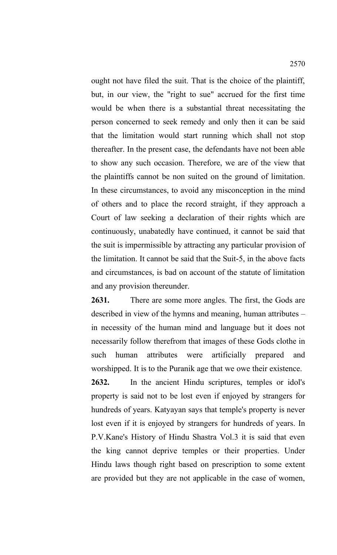ought not have filed the suit. That is the choice of the plaintiff, but, in our view, the "right to sue" accrued for the first time would be when there is a substantial threat necessitating the person concerned to seek remedy and only then it can be said that the limitation would start running which shall not stop thereafter. In the present case, the defendants have not been able to show any such occasion. Therefore, we are of the view that the plaintiffs cannot be non suited on the ground of limitation. In these circumstances, to avoid any misconception in the mind of others and to place the record straight, if they approach a Court of law seeking a declaration of their rights which are continuously, unabatedly have continued, it cannot be said that the suit is impermissible by attracting any particular provision of the limitation. It cannot be said that the Suit-5, in the above facts and circumstances, is bad on account of the statute of limitation and any provision thereunder.

**2631.** There are some more angles. The first, the Gods are described in view of the hymns and meaning, human attributes – in necessity of the human mind and language but it does not necessarily follow therefrom that images of these Gods clothe in such human attributes were artificially prepared and worshipped. It is to the Puranik age that we owe their existence.

**2632.** In the ancient Hindu scriptures, temples or idol's property is said not to be lost even if enjoyed by strangers for hundreds of years. Katyayan says that temple's property is never lost even if it is enjoyed by strangers for hundreds of years. In P.V.Kane's History of Hindu Shastra Vol.3 it is said that even the king cannot deprive temples or their properties. Under Hindu laws though right based on prescription to some extent are provided but they are not applicable in the case of women,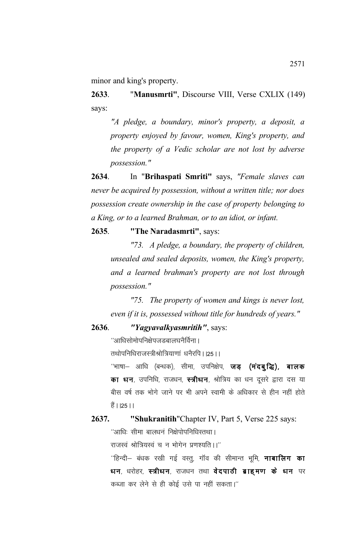minor and king's property.

**2633**. "**Manusmrti"**, Discourse VIII, Verse CXLIX (149) says:

*"A pledge, a boundary, minor's property, a deposit, a property enjoyed by favour, women, King's property, and the property of a Vedic scholar are not lost by adverse possession."*

**2634**. In "**Brihaspati Smriti"** says, *"Female slaves can never be acquired by possession, without a written title; nor does possession create ownership in the case of property belonging to a King, or to a learned Brahman, or to an idiot, or infant.* 

#### **2635**. **"The Naradasmrti"**, says:

*"73. A pledge, a boundary, the property of children, unsealed and sealed deposits, women, the King's property, and a learned brahman's property are not lost through possession."*

*"75. The property of women and kings is never lost, even if it is, possessed without title for hundreds of years."* 

### **2636**. *"Yagyavalkyasmritih"*, says:

 $^{\prime\prime}$ आधिसोमोपनिक्षेपजडबालघनैर्विना।

तथोपनिधिराजस्त्रीश्रोत्रियाणां धनैरपि । ।25 । ।

 $^{\prime\prime}$ भाषा— आधि (बन्धक), सीमा, उपनिक्षेप, **जड़ (मंदबुद्धि), बालक** का धन, उपनिधि, राजधन, स्त्रीधन, श्रोत्रिय का धन दूसरे द्वारा दस या बीस वर्ष तक भोगे जाने पर भी अपने स्वामी के अधिकार से हीन नहीं होते  $\frac{25}{5}$  | | | 25 | |

#### **2637. "Shukranitih**"Chapter IV, Part 5, Verse 225 says:

 $^{\prime\prime}$ आधिः सीमा बालधनं निक्षेपोपनिधिस्तथा।

राजस्वं श्रोत्रियस्वं च न भोगेन प्रणश्यति ।।"

 $^{\prime\prime}$ हिन्दी– बंधक रखी गई वस्तू, गॉव की सीमान्त भूमि, **नाबालिग का** धन, धरोहर, स्त्रीधन, राजधन तथा वेदपाठी ब्राह्**मण के धन** पर कब्जा कर लेने से ही कोई उसे पा नहीं सकता।"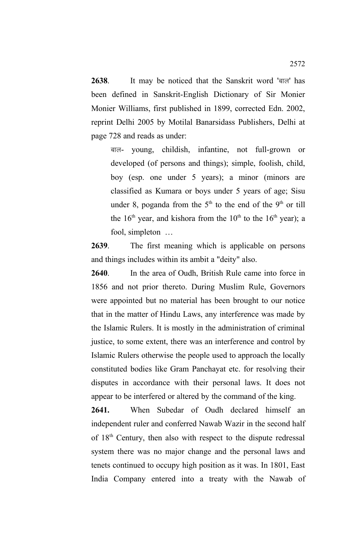2638. It may be noticed that the Sanskrit word 'बाल' has been defined in Sanskrit-English Dictionary of Sir Monier Monier Williams, first published in 1899, corrected Edn. 2002, reprint Delhi 2005 by Motilal Banarsidass Publishers, Delhi at page 728 and reads as under:

cky- young, childish, infantine, not full-grown or developed (of persons and things); simple, foolish, child, boy (esp. one under 5 years); a minor (minors are classified as Kumara or boys under 5 years of age; Sisu under 8, poganda from the  $5<sup>th</sup>$  to the end of the  $9<sup>th</sup>$  or till the  $16<sup>th</sup>$  year, and kishora from the  $10<sup>th</sup>$  to the  $16<sup>th</sup>$  year); a fool, simpleton …

**2639**. The first meaning which is applicable on persons and things includes within its ambit a "deity" also.

**2640**. In the area of Oudh, British Rule came into force in 1856 and not prior thereto. During Muslim Rule, Governors were appointed but no material has been brought to our notice that in the matter of Hindu Laws, any interference was made by the Islamic Rulers. It is mostly in the administration of criminal justice, to some extent, there was an interference and control by Islamic Rulers otherwise the people used to approach the locally constituted bodies like Gram Panchayat etc. for resolving their disputes in accordance with their personal laws. It does not appear to be interfered or altered by the command of the king.

**2641.** When Subedar of Oudh declared himself an independent ruler and conferred Nawab Wazir in the second half of 18th Century, then also with respect to the dispute redressal system there was no major change and the personal laws and tenets continued to occupy high position as it was. In 1801, East India Company entered into a treaty with the Nawab of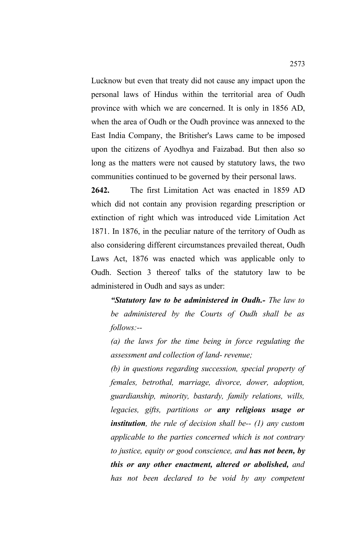Lucknow but even that treaty did not cause any impact upon the personal laws of Hindus within the territorial area of Oudh province with which we are concerned. It is only in 1856 AD, when the area of Oudh or the Oudh province was annexed to the East India Company, the Britisher's Laws came to be imposed upon the citizens of Ayodhya and Faizabad. But then also so long as the matters were not caused by statutory laws, the two communities continued to be governed by their personal laws.

**2642.** The first Limitation Act was enacted in 1859 AD which did not contain any provision regarding prescription or extinction of right which was introduced vide Limitation Act 1871. In 1876, in the peculiar nature of the territory of Oudh as also considering different circumstances prevailed thereat, Oudh Laws Act, 1876 was enacted which was applicable only to Oudh. Section 3 thereof talks of the statutory law to be administered in Oudh and says as under:

*"Statutory law to be administered in Oudh.- The law to be administered by the Courts of Oudh shall be as follows:--* 

*(a) the laws for the time being in force regulating the assessment and collection of land- revenue;* 

*(b) in questions regarding succession, special property of females, betrothal, marriage, divorce, dower, adoption, guardianship, minority, bastardy, family relations, wills, legacies, gifts, partitions or any religious usage or institution, the rule of decision shall be-- (1) any custom applicable to the parties concerned which is not contrary to justice, equity or good conscience, and has not been, by this or any other enactment, altered or abolished, and has not been declared to be void by any competent*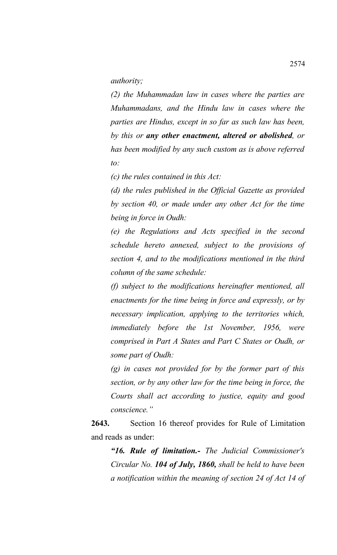*authority;* 

*(2) the Muhammadan law in cases where the parties are Muhammadans, and the Hindu law in cases where the parties are Hindus, except in so far as such law has been, by this or any other enactment, altered or abolished, or has been modified by any such custom as is above referred to:* 

*(c) the rules contained in this Act:* 

*(d) the rules published in the Official Gazette as provided by section 40, or made under any other Act for the time being in force in Oudh:* 

*(e) the Regulations and Acts specified in the second schedule hereto annexed, subject to the provisions of section 4, and to the modifications mentioned in the third column of the same schedule:* 

*(f) subject to the modifications hereinafter mentioned, all enactments for the time being in force and expressly, or by necessary implication, applying to the territories which, immediately before the 1st November, 1956, were comprised in Part A States and Part C States or Oudh, or some part of Oudh:* 

*(g) in cases not provided for by the former part of this section, or by any other law for the time being in force, the Courts shall act according to justice, equity and good conscience."*

**2643.** Section 16 thereof provides for Rule of Limitation and reads as under:

*"16. Rule of limitation.- The Judicial Commissioner's Circular No. 104 of July, 1860, shall be held to have been a notification within the meaning of section 24 of Act 14 of*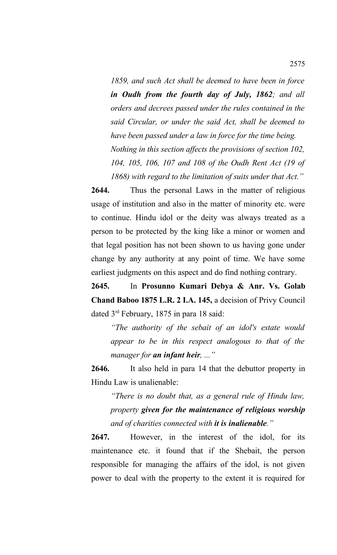*1859, and such Act shall be deemed to have been in force in Oudh from the fourth day of July, 1862; and all orders and decrees passed under the rules contained in the said Circular, or under the said Act, shall be deemed to have been passed under a law in force for the time being. Nothing in this section affects the provisions of section 102, 104, 105, 106, 107 and 108 of the Oudh Rent Act (19 of 1868) with regard to the limitation of suits under that Act."*

**2644.** Thus the personal Laws in the matter of religious usage of institution and also in the matter of minority etc. were to continue. Hindu idol or the deity was always treated as a person to be protected by the king like a minor or women and that legal position has not been shown to us having gone under change by any authority at any point of time. We have some earliest judgments on this aspect and do find nothing contrary.

**2645.** In **Prosunno Kumari Debya & Anr. Vs. Golab Chand Baboo 1875 L.R. 2 I.A. 145,** a decision of Privy Council dated 3rd February, 1875 in para 18 said:

*"The authority of the sebait of an idol's estate would appear to be in this respect analogous to that of the manager for an infant heir, ..."*

**2646.** It also held in para 14 that the debuttor property in Hindu Law is unalienable:

*"There is no doubt that, as a general rule of Hindu law, property given for the maintenance of religious worship and of charities connected with it is inalienable."*

**2647.** However, in the interest of the idol, for its maintenance etc. it found that if the Shebait, the person responsible for managing the affairs of the idol, is not given power to deal with the property to the extent it is required for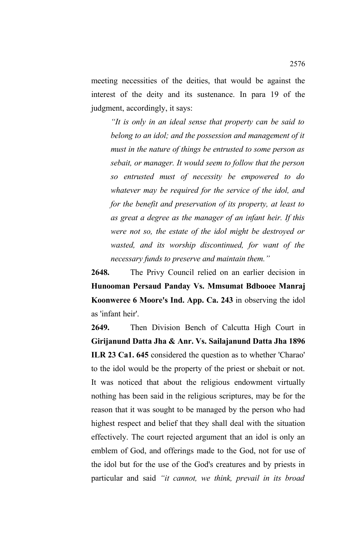meeting necessities of the deities, that would be against the interest of the deity and its sustenance. In para 19 of the judgment, accordingly, it says:

*"It is only in an ideal sense that property can be said to belong to an idol; and the possession and management of it must in the nature of things be entrusted to some person as sebait, or manager. It would seem to follow that the person so entrusted must of necessity be empowered to do whatever may be required for the service of the idol, and for the benefit and preservation of its property, at least to as great a degree as the manager of an infant heir. If this were not so, the estate of the idol might be destroyed or wasted, and its worship discontinued, for want of the necessary funds to preserve and maintain them."*

**2648.** The Privy Council relied on an earlier decision in **Hunooman Persaud Panday Vs. Mmsumat Bdbooee Manraj Koonweree 6 Moore's Ind. App. Ca. 243** in observing the idol as 'infant heir'.

**2649.** Then Division Bench of Calcutta High Court in **Girijanund Datta Jha & Anr. Vs. Sailajanund Datta Jha 1896 ILR 23 Ca1. 645** considered the question as to whether 'Charao' to the idol would be the property of the priest or shebait or not. It was noticed that about the religious endowment virtually nothing has been said in the religious scriptures, may be for the reason that it was sought to be managed by the person who had highest respect and belief that they shall deal with the situation effectively. The court rejected argument that an idol is only an emblem of God, and offerings made to the God, not for use of the idol but for the use of the God's creatures and by priests in particular and said *"it cannot, we think, prevail in its broad*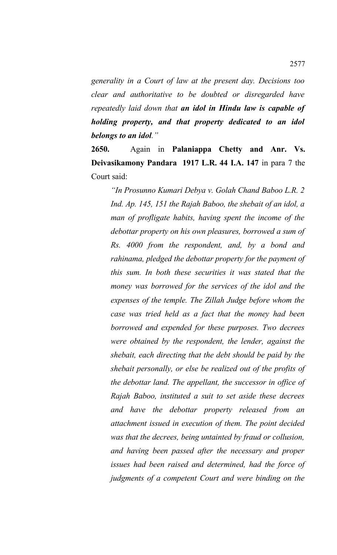*generality in a Court of law at the present day. Decisions too clear and authoritative to be doubted or disregarded have repeatedly laid down that an idol in Hindu law is capable of holding property, and that property dedicated to an idol belongs to an idol."*

**2650.** Again in **Palaniappa Chetty and Anr. Vs. Deivasikamony Pandara 1917 L.R. 44 I.A. 147** in para 7 the Court said:

*"In Prosunno Kumari Debya v. Golah Chand Baboo L.R. 2 Ind. Ap. 145, 151 the Rajah Baboo, the shebait of an idol, a man of profligate habits, having spent the income of the debottar property on his own pleasures, borrowed a sum of Rs. 4000 from the respondent, and, by a bond and rahinama, pledged the debottar property for the payment of this sum. In both these securities it was stated that the money was borrowed for the services of the idol and the expenses of the temple. The Zillah Judge before whom the case was tried held as a fact that the money had been borrowed and expended for these purposes. Two decrees were obtained by the respondent, the lender, against the shebait, each directing that the debt should be paid by the shebait personally, or else be realized out of the profits of the debottar land. The appellant, the successor in office of Rajah Baboo, instituted a suit to set aside these decrees and have the debottar property released from an attachment issued in execution of them. The point decided was that the decrees, being untainted by fraud or collusion, and having been passed after the necessary and proper issues had been raised and determined, had the force of judgments of a competent Court and were binding on the*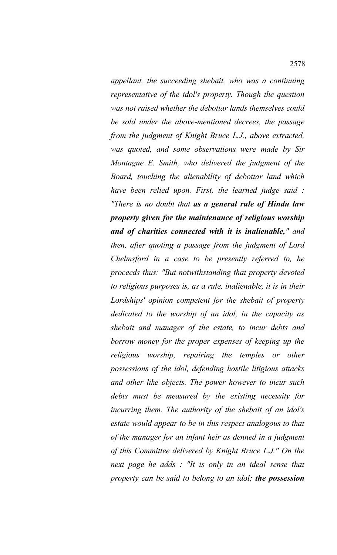*appellant, the succeeding shebait, who was a continuing representative of the idol's property. Though the question was not raised whether the debottar lands themselves could be sold under the above-mentioned decrees, the passage from the judgment of Knight Bruce L.J., above extracted, was quoted, and some observations were made by Sir Montague E. Smith, who delivered the judgment of the Board, touching the alienability of debottar land which have been relied upon. First, the learned judge said : "There is no doubt that as a general rule of Hindu law property given for the maintenance of religious worship and of charities connected with it is inalienable," and then, after quoting a passage from the judgment of Lord Chelmsford in a case to be presently referred to, he proceeds thus: "But notwithstanding that property devoted to religious purposes is, as a rule, inalienable, it is in their Lordships' opinion competent for the shebait of property dedicated to the worship of an idol, in the capacity as shebait and manager of the estate, to incur debts and borrow money for the proper expenses of keeping up the religious worship, repairing the temples or other possessions of the idol, defending hostile litigious attacks and other like objects. The power however to incur such debts must be measured by the existing necessity for incurring them. The authority of the shebait of an idol's estate would appear to be in this respect analogous to that of the manager for an infant heir as denned in a judgment of this Committee delivered by Knight Bruce L.J." On the next page he adds : "It is only in an ideal sense that property can be said to belong to an idol; the possession*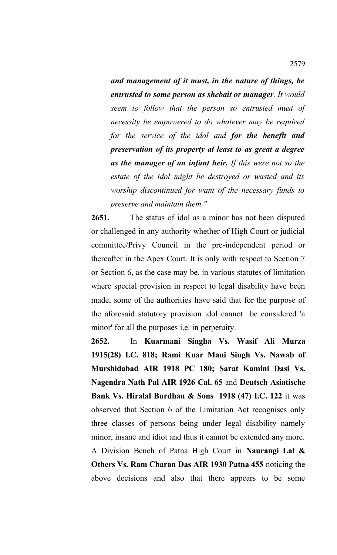*and management of it must, in the nature of things, be entrusted to some person as shebait or manager. It would seem to follow that the person so entrusted must of necessity be empowered to do whatever may be required for the service of the idol and for the benefit and preservation of its property at least to as great a degree as the manager of an infant heir. If this were not so the estate of the idol might be destroyed or wasted and its worship discontinued for want of the necessary funds to preserve and maintain them."*

**2651.** The status of idol as a minor has not been disputed or challenged in any authority whether of High Court or judicial committee/Privy Council in the pre-independent period or thereafter in the Apex Court. It is only with respect to Section 7 or Section 6, as the case may be, in various statutes of limitation where special provision in respect to legal disability have been made, some of the authorities have said that for the purpose of the aforesaid statutory provision idol cannot be considered 'a minor' for all the purposes i.e. in perpetuity.

**2652.** In **Kuarmani Singha Vs. Wasif Ali Murza 1915(28) I.C. 818; Rami Kuar Mani Singh Vs. Nawab of Murshidabad AIR 1918 PC 180; Sarat Kamini Dasi Vs. Nagendra Nath Pal AIR 1926 Cal. 65** and **Deutsch Asiatische Bank Vs. Hiralal Burdhan & Sons 1918 (47) I.C. 122** it was observed that Section 6 of the Limitation Act recognises only three classes of persons being under legal disability namely minor, insane and idiot and thus it cannot be extended any more. A Division Bench of Patna High Court in **Naurangi Lal & Others Vs. Ram Charan Das AIR 1930 Patna 455** noticing the above decisions and also that there appears to be some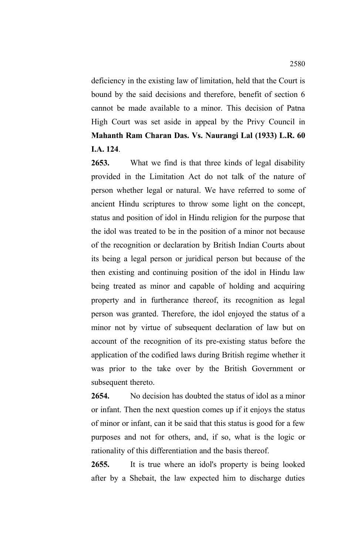deficiency in the existing law of limitation, held that the Court is bound by the said decisions and therefore, benefit of section 6 cannot be made available to a minor. This decision of Patna High Court was set aside in appeal by the Privy Council in **Mahanth Ram Charan Das. Vs. Naurangi Lal (1933) L.R. 60 I.A. 124**.

**2653.** What we find is that three kinds of legal disability provided in the Limitation Act do not talk of the nature of person whether legal or natural. We have referred to some of ancient Hindu scriptures to throw some light on the concept, status and position of idol in Hindu religion for the purpose that the idol was treated to be in the position of a minor not because of the recognition or declaration by British Indian Courts about its being a legal person or juridical person but because of the then existing and continuing position of the idol in Hindu law being treated as minor and capable of holding and acquiring property and in furtherance thereof, its recognition as legal person was granted. Therefore, the idol enjoyed the status of a minor not by virtue of subsequent declaration of law but on account of the recognition of its pre-existing status before the application of the codified laws during British regime whether it was prior to the take over by the British Government or subsequent thereto.

**2654.** No decision has doubted the status of idol as a minor or infant. Then the next question comes up if it enjoys the status of minor or infant, can it be said that this status is good for a few purposes and not for others, and, if so, what is the logic or rationality of this differentiation and the basis thereof.

**2655.** It is true where an idol's property is being looked after by a Shebait, the law expected him to discharge duties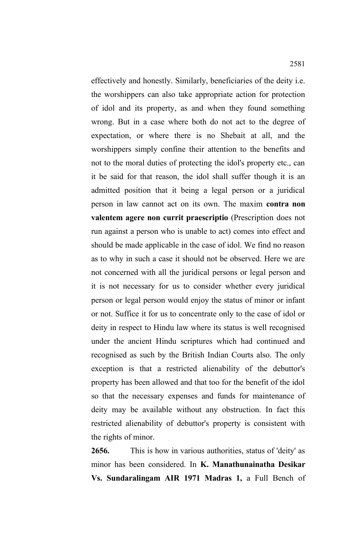effectively and honestly. Similarly, beneficiaries of the deity i.e. the worshippers can also take appropriate action for protection of idol and its property, as and when they found something wrong. But in a case where both do not act to the degree of expectation, or where there is no Shebait at all, and the worshippers simply confine their attention to the benefits and not to the moral duties of protecting the idol's property etc., can it be said for that reason, the idol shall suffer though it is an admitted position that it being a legal person or a juridical person in law cannot act on its own. The maxim **contra non valentem agere non currit praescriptio** (Prescription does not run against a person who is unable to act) comes into effect and should be made applicable in the case of idol. We find no reason as to why in such a case it should not be observed. Here we are not concerned with all the juridical persons or legal person and it is not necessary for us to consider whether every juridical person or legal person would enjoy the status of minor or infant or not. Suffice it for us to concentrate only to the case of idol or deity in respect to Hindu law where its status is well recognised under the ancient Hindu scriptures which had continued and recognised as such by the British Indian Courts also. The only exception is that a restricted alienability of the debuttor's property has been allowed and that too for the benefit of the idol so that the necessary expenses and funds for maintenance of deity may be available without any obstruction. In fact this restricted alienability of debuttor's property is consistent with the rights of minor.

**2656.** This is how in various authorities, status of 'deity' as minor has been considered. In **K. Manathunainatha Desikar Vs. Sundaralingam AIR 1971 Madras 1,** a Full Bench of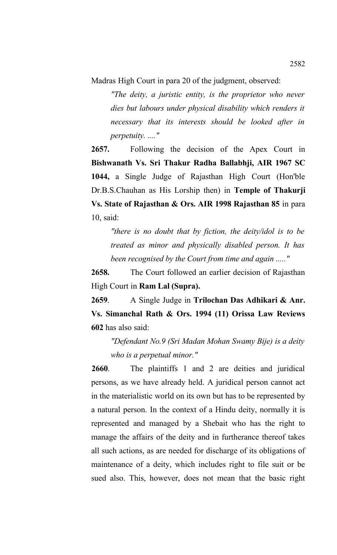Madras High Court in para 20 of the judgment, observed:

*"The deity, a juristic entity, is the proprietor who never dies but labours under physical disability which renders it necessary that its interests should be looked after in perpetuity. ...."*

**2657.** Following the decision of the Apex Court in **Bishwanath Vs. Sri Thakur Radha Ballabhji, AIR 1967 SC 1044,** a Single Judge of Rajasthan High Court (Hon'ble Dr.B.S.Chauhan as His Lorship then) in **Temple of Thakurji Vs. State of Rajasthan & Ors. AIR 1998 Rajasthan 85** in para 10, said:

*"there is no doubt that by fiction, the deity/idol is to be treated as minor and physically disabled person. It has been recognised by the Court from time and again ....."*

**2658.** The Court followed an earlier decision of Rajasthan High Court in **Ram Lal (Supra).** 

**2659**. A Single Judge in **Trilochan Das Adhikari & Anr. Vs. Simanchal Rath & Ors. 1994 (11) Orissa Law Reviews 602** has also said:

*"Defendant No.9 (Sri Madan Mohan Swamy Bije) is a deity who is a perpetual minor."*

**2660**. The plaintiffs 1 and 2 are deities and juridical persons, as we have already held. A juridical person cannot act in the materialistic world on its own but has to be represented by a natural person. In the context of a Hindu deity, normally it is represented and managed by a Shebait who has the right to manage the affairs of the deity and in furtherance thereof takes all such actions, as are needed for discharge of its obligations of maintenance of a deity, which includes right to file suit or be sued also. This, however, does not mean that the basic right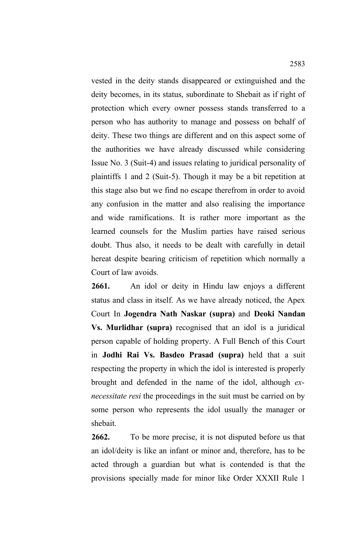vested in the deity stands disappeared or extinguished and the deity becomes, in its status, subordinate to Shebait as if right of protection which every owner possess stands transferred to a person who has authority to manage and possess on behalf of deity. These two things are different and on this aspect some of the authorities we have already discussed while considering Issue No. 3 (Suit-4) and issues relating to juridical personality of plaintiffs 1 and 2 (Suit-5). Though it may be a bit repetition at this stage also but we find no escape therefrom in order to avoid any confusion in the matter and also realising the importance and wide ramifications. It is rather more important as the learned counsels for the Muslim parties have raised serious doubt. Thus also, it needs to be dealt with carefully in detail hereat despite bearing criticism of repetition which normally a Court of law avoids.

**2661.** An idol or deity in Hindu law enjoys a different status and class in itself. As we have already noticed, the Apex Court In **Jogendra Nath Naskar (supra)** and **Deoki Nandan Vs. Murlidhar (supra)** recognised that an idol is a juridical person capable of holding property. A Full Bench of this Court in **Jodhi Rai Vs. Basdeo Prasad (supra)** held that a suit respecting the property in which the idol is interested is properly brought and defended in the name of the idol, although *exnecessitate resi* the proceedings in the suit must be carried on by some person who represents the idol usually the manager or shebait.

**2662.** To be more precise, it is not disputed before us that an idol/deity is like an infant or minor and, therefore, has to be acted through a guardian but what is contended is that the provisions specially made for minor like Order XXXII Rule 1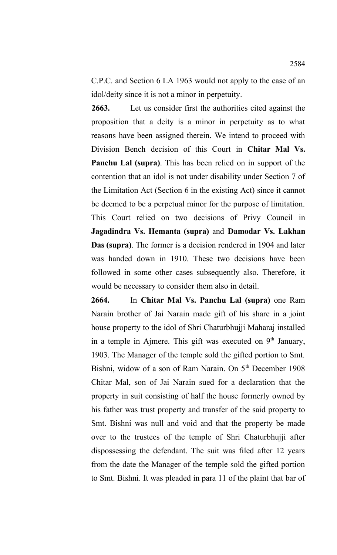C.P.C. and Section 6 LA 1963 would not apply to the case of an idol/deity since it is not a minor in perpetuity.

**2663.** Let us consider first the authorities cited against the proposition that a deity is a minor in perpetuity as to what reasons have been assigned therein. We intend to proceed with Division Bench decision of this Court in **Chitar Mal Vs. Panchu Lal (supra)**. This has been relied on in support of the contention that an idol is not under disability under Section 7 of the Limitation Act (Section 6 in the existing Act) since it cannot be deemed to be a perpetual minor for the purpose of limitation. This Court relied on two decisions of Privy Council in **Jagadindra Vs. Hemanta (supra)** and **Damodar Vs. Lakhan Das (supra)**. The former is a decision rendered in 1904 and later was handed down in 1910. These two decisions have been followed in some other cases subsequently also. Therefore, it would be necessary to consider them also in detail.

**2664.** In **Chitar Mal Vs. Panchu Lal (supra)** one Ram Narain brother of Jai Narain made gift of his share in a joint house property to the idol of Shri Chaturbhujji Maharaj installed in a temple in Ajmere. This gift was executed on  $9<sup>th</sup>$  January, 1903. The Manager of the temple sold the gifted portion to Smt. Bishni, widow of a son of Ram Narain. On 5<sup>th</sup> December 1908 Chitar Mal, son of Jai Narain sued for a declaration that the property in suit consisting of half the house formerly owned by his father was trust property and transfer of the said property to Smt. Bishni was null and void and that the property be made over to the trustees of the temple of Shri Chaturbhujji after dispossessing the defendant. The suit was filed after 12 years from the date the Manager of the temple sold the gifted portion to Smt. Bishni. It was pleaded in para 11 of the plaint that bar of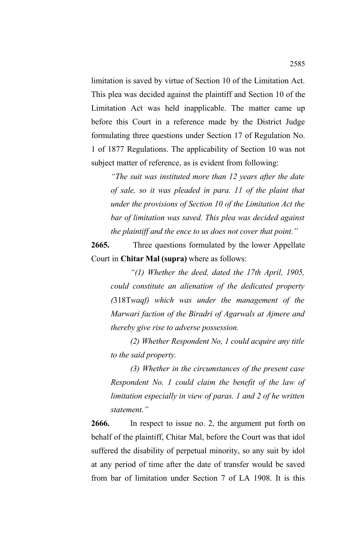limitation is saved by virtue of Section 10 of the Limitation Act. This plea was decided against the plaintiff and Section 10 of the Limitation Act was held inapplicable. The matter came up before this Court in a reference made by the District Judge formulating three questions under Section 17 of Regulation No. 1 of 1877 Regulations. The applicability of Section 10 was not subject matter of reference, as is evident from following:

*"The suit was instituted more than 12 years after the date of sale, so it was pleaded in para. 11 of the plaint that under the provisions of Section 10 of the Limitation Act the bar of limitation was saved. This plea was decided against the plaintiff and the ence to us does not cover that point."*

**2665.** Three questions formulated by the lower Appellate Court in **Chitar Mal (supra)** where as follows:

*"(1) Whether the deed, dated the 17th April, 1905, could constitute an alienation of the dedicated property (*318T*waqf) which was under the management of the Marwari faction of the Biradri of Agarwals at Ajmere and thereby give rise to adverse possession.*

*(2) Whether Respondent No, 1 could acquire any title to the said property.*

*(3) Whether in the circumstances of the present case Respondent No. 1 could claim the benefit of the law of limitation especially in view of paras. 1 and 2 of he written statement."*

**2666.** In respect to issue no. 2, the argument put forth on behalf of the plaintiff, Chitar Mal, before the Court was that idol suffered the disability of perpetual minority, so any suit by idol at any period of time after the date of transfer would be saved from bar of limitation under Section 7 of LA 1908. It is this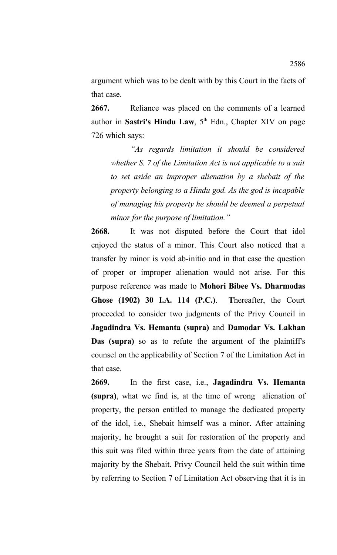argument which was to be dealt with by this Court in the facts of that case.

**2667.** Reliance was placed on the comments of a learned author in **Sastri's Hindu Law**, 5<sup>th</sup> Edn., Chapter XIV on page 726 which says:

*"As regards limitation it should be considered whether S. 7 of the Limitation Act is not applicable to a suit to set aside an improper alienation by a shebait of the property belonging to a Hindu god. As the god is incapable of managing his property he should be deemed a perpetual minor for the purpose of limitation."*

**2668.** It was not disputed before the Court that idol enjoyed the status of a minor. This Court also noticed that a transfer by minor is void ab-initio and in that case the question of proper or improper alienation would not arise. For this purpose reference was made to **Mohori Bibee Vs. Dharmodas Ghose (1902) 30 I.A. 114 (P.C.)**. **T**hereafter, the Court proceeded to consider two judgments of the Privy Council in **Jagadindra Vs. Hemanta (supra)** and **Damodar Vs. Lakhan Das (supra)** so as to refute the argument of the plaintiff's counsel on the applicability of Section 7 of the Limitation Act in that case.

**2669.** In the first case, i.e., **Jagadindra Vs. Hemanta (supra)**, what we find is, at the time of wrong alienation of property, the person entitled to manage the dedicated property of the idol, i.e., Shebait himself was a minor. After attaining majority, he brought a suit for restoration of the property and this suit was filed within three years from the date of attaining majority by the Shebait. Privy Council held the suit within time by referring to Section 7 of Limitation Act observing that it is in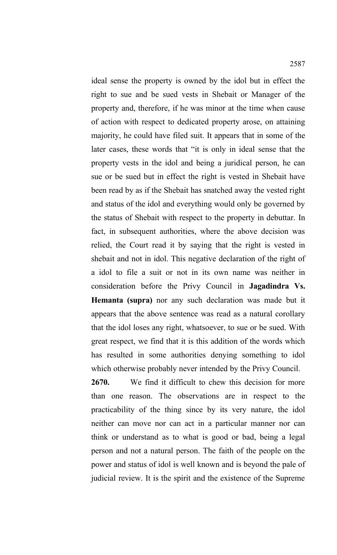ideal sense the property is owned by the idol but in effect the right to sue and be sued vests in Shebait or Manager of the property and, therefore, if he was minor at the time when cause of action with respect to dedicated property arose, on attaining majority, he could have filed suit. It appears that in some of the later cases, these words that "it is only in ideal sense that the property vests in the idol and being a juridical person, he can sue or be sued but in effect the right is vested in Shebait have been read by as if the Shebait has snatched away the vested right and status of the idol and everything would only be governed by

the status of Shebait with respect to the property in debuttar. In fact, in subsequent authorities, where the above decision was relied, the Court read it by saying that the right is vested in shebait and not in idol. This negative declaration of the right of a idol to file a suit or not in its own name was neither in consideration before the Privy Council in **Jagadindra Vs. Hemanta (supra)** nor any such declaration was made but it appears that the above sentence was read as a natural corollary that the idol loses any right, whatsoever, to sue or be sued. With great respect, we find that it is this addition of the words which has resulted in some authorities denying something to idol which otherwise probably never intended by the Privy Council.

**2670.** We find it difficult to chew this decision for more than one reason. The observations are in respect to the practicability of the thing since by its very nature, the idol neither can move nor can act in a particular manner nor can think or understand as to what is good or bad, being a legal person and not a natural person. The faith of the people on the power and status of idol is well known and is beyond the pale of judicial review. It is the spirit and the existence of the Supreme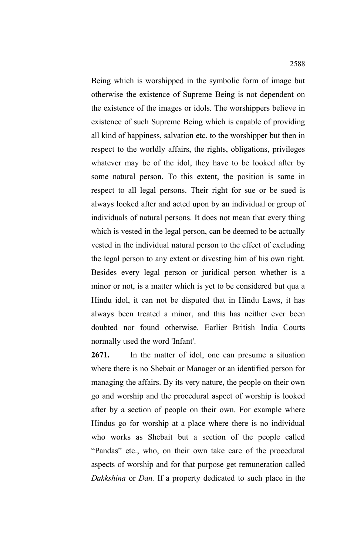Being which is worshipped in the symbolic form of image but otherwise the existence of Supreme Being is not dependent on the existence of the images or idols. The worshippers believe in existence of such Supreme Being which is capable of providing all kind of happiness, salvation etc. to the worshipper but then in respect to the worldly affairs, the rights, obligations, privileges whatever may be of the idol, they have to be looked after by some natural person. To this extent, the position is same in respect to all legal persons. Their right for sue or be sued is always looked after and acted upon by an individual or group of individuals of natural persons. It does not mean that every thing which is vested in the legal person, can be deemed to be actually vested in the individual natural person to the effect of excluding the legal person to any extent or divesting him of his own right. Besides every legal person or juridical person whether is a minor or not, is a matter which is yet to be considered but qua a Hindu idol, it can not be disputed that in Hindu Laws, it has always been treated a minor, and this has neither ever been doubted nor found otherwise. Earlier British India Courts normally used the word 'Infant'.

**2671.** In the matter of idol, one can presume a situation where there is no Shebait or Manager or an identified person for managing the affairs. By its very nature, the people on their own go and worship and the procedural aspect of worship is looked after by a section of people on their own. For example where Hindus go for worship at a place where there is no individual who works as Shebait but a section of the people called "Pandas" etc., who, on their own take care of the procedural aspects of worship and for that purpose get remuneration called *Dakkshina* or *Dan.* If a property dedicated to such place in the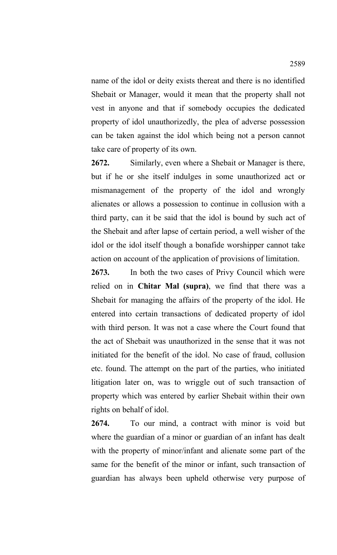name of the idol or deity exists thereat and there is no identified Shebait or Manager, would it mean that the property shall not vest in anyone and that if somebody occupies the dedicated property of idol unauthorizedly, the plea of adverse possession can be taken against the idol which being not a person cannot take care of property of its own.

**2672.** Similarly, even where a Shebait or Manager is there, but if he or she itself indulges in some unauthorized act or mismanagement of the property of the idol and wrongly alienates or allows a possession to continue in collusion with a third party, can it be said that the idol is bound by such act of the Shebait and after lapse of certain period, a well wisher of the idol or the idol itself though a bonafide worshipper cannot take action on account of the application of provisions of limitation.

**2673.** In both the two cases of Privy Council which were relied on in **Chitar Mal (supra)**, we find that there was a Shebait for managing the affairs of the property of the idol. He entered into certain transactions of dedicated property of idol with third person. It was not a case where the Court found that the act of Shebait was unauthorized in the sense that it was not initiated for the benefit of the idol. No case of fraud, collusion etc. found. The attempt on the part of the parties, who initiated litigation later on, was to wriggle out of such transaction of property which was entered by earlier Shebait within their own rights on behalf of idol.

**2674.** To our mind, a contract with minor is void but where the guardian of a minor or guardian of an infant has dealt with the property of minor/infant and alienate some part of the same for the benefit of the minor or infant, such transaction of guardian has always been upheld otherwise very purpose of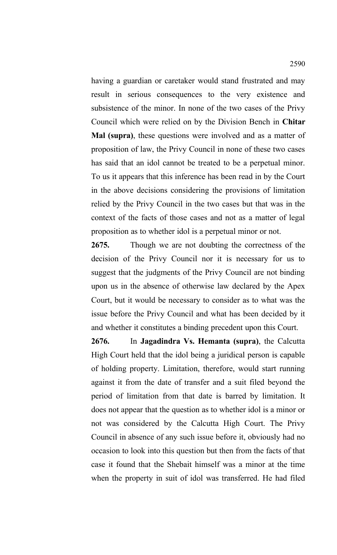having a guardian or caretaker would stand frustrated and may result in serious consequences to the very existence and subsistence of the minor. In none of the two cases of the Privy Council which were relied on by the Division Bench in **Chitar Mal (supra)**, these questions were involved and as a matter of proposition of law, the Privy Council in none of these two cases has said that an idol cannot be treated to be a perpetual minor. To us it appears that this inference has been read in by the Court in the above decisions considering the provisions of limitation relied by the Privy Council in the two cases but that was in the context of the facts of those cases and not as a matter of legal proposition as to whether idol is a perpetual minor or not.

**2675.** Though we are not doubting the correctness of the decision of the Privy Council nor it is necessary for us to suggest that the judgments of the Privy Council are not binding upon us in the absence of otherwise law declared by the Apex Court, but it would be necessary to consider as to what was the issue before the Privy Council and what has been decided by it and whether it constitutes a binding precedent upon this Court.

**2676.** In **Jagadindra Vs. Hemanta (supra)**, the Calcutta High Court held that the idol being a juridical person is capable of holding property. Limitation, therefore, would start running against it from the date of transfer and a suit filed beyond the period of limitation from that date is barred by limitation. It does not appear that the question as to whether idol is a minor or not was considered by the Calcutta High Court. The Privy Council in absence of any such issue before it, obviously had no occasion to look into this question but then from the facts of that case it found that the Shebait himself was a minor at the time when the property in suit of idol was transferred. He had filed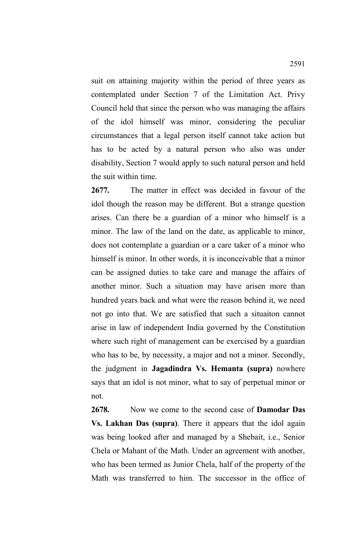suit on attaining majority within the period of three years as contemplated under Section 7 of the Limitation Act. Privy Council held that since the person who was managing the affairs of the idol himself was minor, considering the peculiar circumstances that a legal person itself cannot take action but has to be acted by a natural person who also was under disability, Section 7 would apply to such natural person and held the suit within time.

**2677.** The matter in effect was decided in favour of the idol though the reason may be different. But a strange question arises. Can there be a guardian of a minor who himself is a minor. The law of the land on the date, as applicable to minor, does not contemplate a guardian or a care taker of a minor who himself is minor. In other words, it is inconceivable that a minor can be assigned duties to take care and manage the affairs of another minor. Such a situation may have arisen more than hundred years back and what were the reason behind it, we need not go into that. We are satisfied that such a situaiton cannot arise in law of independent India governed by the Constitution where such right of management can be exercised by a guardian who has to be, by necessity, a major and not a minor. Secondly, the judgment in **Jagadindra Vs. Hemanta (supra)** nowhere says that an idol is not minor, what to say of perpetual minor or not.

**2678.** Now we come to the second case of **Damodar Das Vs. Lakhan Das (supra)**. There it appears that the idol again was being looked after and managed by a Shebait, i.e., Senior Chela or Mahant of the Math. Under an agreement with another, who has been termed as Junior Chela, half of the property of the Math was transferred to him. The successor in the office of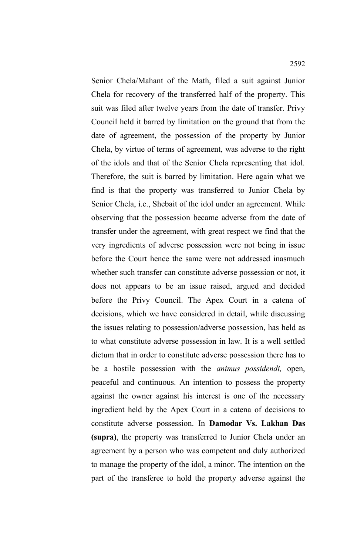Senior Chela/Mahant of the Math, filed a suit against Junior Chela for recovery of the transferred half of the property. This suit was filed after twelve years from the date of transfer. Privy Council held it barred by limitation on the ground that from the date of agreement, the possession of the property by Junior Chela, by virtue of terms of agreement, was adverse to the right of the idols and that of the Senior Chela representing that idol. Therefore, the suit is barred by limitation. Here again what we find is that the property was transferred to Junior Chela by Senior Chela, i.e., Shebait of the idol under an agreement. While observing that the possession became adverse from the date of transfer under the agreement, with great respect we find that the very ingredients of adverse possession were not being in issue before the Court hence the same were not addressed inasmuch whether such transfer can constitute adverse possession or not, it does not appears to be an issue raised, argued and decided before the Privy Council. The Apex Court in a catena of decisions, which we have considered in detail, while discussing the issues relating to possession/adverse possession, has held as to what constitute adverse possession in law. It is a well settled dictum that in order to constitute adverse possession there has to be a hostile possession with the *animus possidendi,* open, peaceful and continuous. An intention to possess the property against the owner against his interest is one of the necessary ingredient held by the Apex Court in a catena of decisions to constitute adverse possession. In **Damodar Vs. Lakhan Das (supra)**, the property was transferred to Junior Chela under an agreement by a person who was competent and duly authorized to manage the property of the idol, a minor. The intention on the part of the transferee to hold the property adverse against the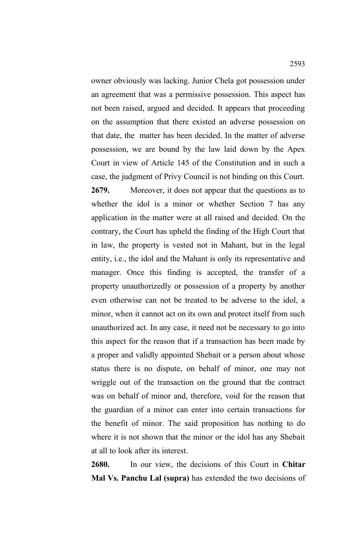owner obviously was lacking. Junior Chela got possession under an agreement that was a permissive possession. This aspect has not been raised, argued and decided. It appears that proceeding on the assumption that there existed an adverse possession on that date, the matter has been decided. In the matter of adverse possession, we are bound by the law laid down by the Apex Court in view of Article 145 of the Constitution and in such a case, the judgment of Privy Council is not binding on this Court.

**2679.** Moreover, it does not appear that the questions as to whether the idol is a minor or whether Section 7 has any application in the matter were at all raised and decided. On the contrary, the Court has upheld the finding of the High Court that in law, the property is vested not in Mahant, but in the legal entity, i.e., the idol and the Mahant is only its representative and manager. Once this finding is accepted, the transfer of a property unauthorizedly or possession of a property by another even otherwise can not be treated to be adverse to the idol, a minor, when it cannot act on its own and protect itself from such unauthorized act. In any case, it need not be necessary to go into this aspect for the reason that if a transaction has been made by a proper and validly appointed Shebait or a person about whose status there is no dispute, on behalf of minor, one may not wriggle out of the transaction on the ground that the contract was on behalf of minor and, therefore, void for the reason that the guardian of a minor can enter into certain transactions for the benefit of minor. The said proposition has nothing to do where it is not shown that the minor or the idol has any Shebait at all to look after its interest.

**2680.** In our view, the decisions of this Court in **Chitar Mal Vs. Panchu Lal (supra)** has extended the two decisions of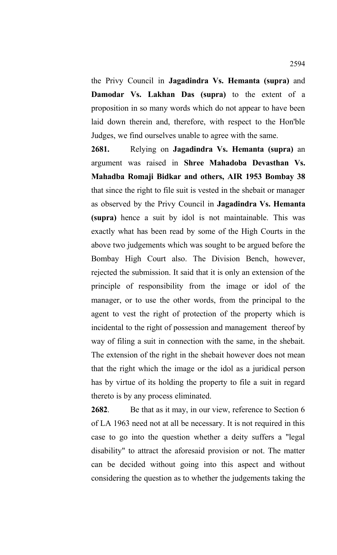the Privy Council in **Jagadindra Vs. Hemanta (supra)** and **Damodar Vs. Lakhan Das (supra)** to the extent of a proposition in so many words which do not appear to have been laid down therein and, therefore, with respect to the Hon'ble Judges, we find ourselves unable to agree with the same.

**2681.** Relying on **Jagadindra Vs. Hemanta (supra)** an argument was raised in **Shree Mahadoba Devasthan Vs. Mahadba Romaji Bidkar and others, AIR 1953 Bombay 38** that since the right to file suit is vested in the shebait or manager as observed by the Privy Council in **Jagadindra Vs. Hemanta (supra)** hence a suit by idol is not maintainable. This was exactly what has been read by some of the High Courts in the above two judgements which was sought to be argued before the Bombay High Court also. The Division Bench, however, rejected the submission. It said that it is only an extension of the principle of responsibility from the image or idol of the manager, or to use the other words, from the principal to the agent to vest the right of protection of the property which is incidental to the right of possession and management thereof by way of filing a suit in connection with the same, in the shebait. The extension of the right in the shebait however does not mean that the right which the image or the idol as a juridical person has by virtue of its holding the property to file a suit in regard thereto is by any process eliminated.

**2682**. Be that as it may, in our view, reference to Section 6 of LA 1963 need not at all be necessary. It is not required in this case to go into the question whether a deity suffers a "legal disability" to attract the aforesaid provision or not. The matter can be decided without going into this aspect and without considering the question as to whether the judgements taking the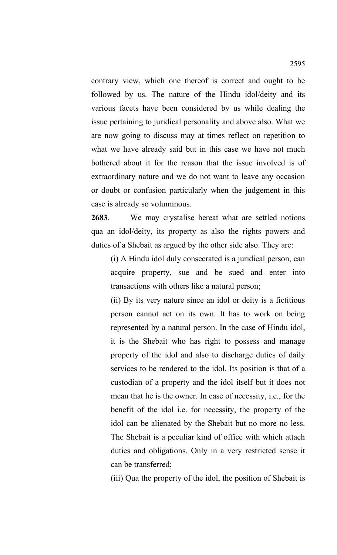contrary view, which one thereof is correct and ought to be followed by us. The nature of the Hindu idol/deity and its various facets have been considered by us while dealing the issue pertaining to juridical personality and above also. What we are now going to discuss may at times reflect on repetition to what we have already said but in this case we have not much bothered about it for the reason that the issue involved is of extraordinary nature and we do not want to leave any occasion or doubt or confusion particularly when the judgement in this case is already so voluminous.

**2683**. We may crystalise hereat what are settled notions qua an idol/deity, its property as also the rights powers and duties of a Shebait as argued by the other side also. They are:

(i) A Hindu idol duly consecrated is a juridical person, can acquire property, sue and be sued and enter into transactions with others like a natural person;

(ii) By its very nature since an idol or deity is a fictitious person cannot act on its own. It has to work on being represented by a natural person. In the case of Hindu idol, it is the Shebait who has right to possess and manage property of the idol and also to discharge duties of daily services to be rendered to the idol. Its position is that of a custodian of a property and the idol itself but it does not mean that he is the owner. In case of necessity, i.e., for the benefit of the idol i.e. for necessity, the property of the idol can be alienated by the Shebait but no more no less. The Shebait is a peculiar kind of office with which attach duties and obligations. Only in a very restricted sense it can be transferred;

(iii) Qua the property of the idol, the position of Shebait is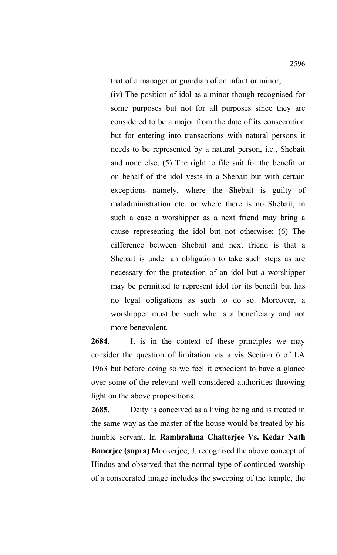that of a manager or guardian of an infant or minor;

(iv) The position of idol as a minor though recognised for some purposes but not for all purposes since they are considered to be a major from the date of its consecration but for entering into transactions with natural persons it needs to be represented by a natural person, i.e., Shebait and none else; (5) The right to file suit for the benefit or on behalf of the idol vests in a Shebait but with certain exceptions namely, where the Shebait is guilty of maladministration etc. or where there is no Shebait, in such a case a worshipper as a next friend may bring a cause representing the idol but not otherwise; (6) The difference between Shebait and next friend is that a Shebait is under an obligation to take such steps as are necessary for the protection of an idol but a worshipper may be permitted to represent idol for its benefit but has no legal obligations as such to do so. Moreover, a worshipper must be such who is a beneficiary and not more benevolent.

**2684**. It is in the context of these principles we may consider the question of limitation vis a vis Section 6 of LA 1963 but before doing so we feel it expedient to have a glance over some of the relevant well considered authorities throwing light on the above propositions.

**2685**. Deity is conceived as a living being and is treated in the same way as the master of the house would be treated by his humble servant. In **Rambrahma Chatterjee Vs. Kedar Nath Banerjee (supra)** Mookerjee, J. recognised the above concept of Hindus and observed that the normal type of continued worship of a consecrated image includes the sweeping of the temple, the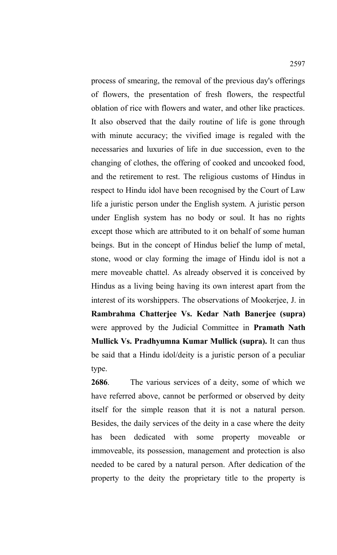process of smearing, the removal of the previous day's offerings of flowers, the presentation of fresh flowers, the respectful oblation of rice with flowers and water, and other like practices. It also observed that the daily routine of life is gone through with minute accuracy; the vivified image is regaled with the necessaries and luxuries of life in due succession, even to the changing of clothes, the offering of cooked and uncooked food, and the retirement to rest. The religious customs of Hindus in respect to Hindu idol have been recognised by the Court of Law life a juristic person under the English system. A juristic person under English system has no body or soul. It has no rights except those which are attributed to it on behalf of some human beings. But in the concept of Hindus belief the lump of metal, stone, wood or clay forming the image of Hindu idol is not a mere moveable chattel. As already observed it is conceived by Hindus as a living being having its own interest apart from the interest of its worshippers. The observations of Mookerjee, J. in **Rambrahma Chatterjee Vs. Kedar Nath Banerjee (supra)** were approved by the Judicial Committee in **Pramath Nath Mullick Vs. Pradhyumna Kumar Mullick (supra).** It can thus be said that a Hindu idol/deity is a juristic person of a peculiar type.

**2686**. The various services of a deity, some of which we have referred above, cannot be performed or observed by deity itself for the simple reason that it is not a natural person. Besides, the daily services of the deity in a case where the deity has been dedicated with some property moveable or immoveable, its possession, management and protection is also needed to be cared by a natural person. After dedication of the property to the deity the proprietary title to the property is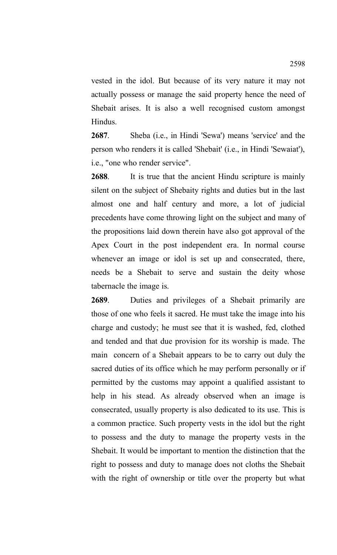vested in the idol. But because of its very nature it may not actually possess or manage the said property hence the need of Shebait arises. It is also a well recognised custom amongst Hindus.

**2687**. Sheba (i.e., in Hindi 'Sewa') means 'service' and the person who renders it is called 'Shebait' (i.e., in Hindi 'Sewaiat'), i.e., "one who render service".

**2688**. It is true that the ancient Hindu scripture is mainly silent on the subject of Shebaity rights and duties but in the last almost one and half century and more, a lot of judicial precedents have come throwing light on the subject and many of the propositions laid down therein have also got approval of the Apex Court in the post independent era. In normal course whenever an image or idol is set up and consecrated, there, needs be a Shebait to serve and sustain the deity whose tabernacle the image is.

**2689**. Duties and privileges of a Shebait primarily are those of one who feels it sacred. He must take the image into his charge and custody; he must see that it is washed, fed, clothed and tended and that due provision for its worship is made. The main concern of a Shebait appears to be to carry out duly the sacred duties of its office which he may perform personally or if permitted by the customs may appoint a qualified assistant to help in his stead. As already observed when an image is consecrated, usually property is also dedicated to its use. This is a common practice. Such property vests in the idol but the right to possess and the duty to manage the property vests in the Shebait. It would be important to mention the distinction that the right to possess and duty to manage does not cloths the Shebait with the right of ownership or title over the property but what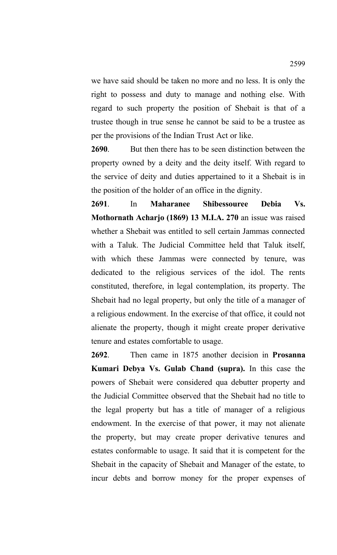we have said should be taken no more and no less. It is only the right to possess and duty to manage and nothing else. With regard to such property the position of Shebait is that of a trustee though in true sense he cannot be said to be a trustee as per the provisions of the Indian Trust Act or like.

**2690**. But then there has to be seen distinction between the property owned by a deity and the deity itself. With regard to the service of deity and duties appertained to it a Shebait is in the position of the holder of an office in the dignity.

**2691**. In **Maharanee Shibessouree Debia Vs. Mothornath Acharjo (1869) 13 M.I.A. 270** an issue was raised whether a Shebait was entitled to sell certain Jammas connected with a Taluk. The Judicial Committee held that Taluk itself, with which these Jammas were connected by tenure, was dedicated to the religious services of the idol. The rents constituted, therefore, in legal contemplation, its property. The Shebait had no legal property, but only the title of a manager of a religious endowment. In the exercise of that office, it could not alienate the property, though it might create proper derivative tenure and estates comfortable to usage.

**2692**. Then came in 1875 another decision in **Prosanna Kumari Debya Vs. Gulab Chand (supra).** In this case the powers of Shebait were considered qua debutter property and the Judicial Committee observed that the Shebait had no title to the legal property but has a title of manager of a religious endowment. In the exercise of that power, it may not alienate the property, but may create proper derivative tenures and estates conformable to usage. It said that it is competent for the Shebait in the capacity of Shebait and Manager of the estate, to incur debts and borrow money for the proper expenses of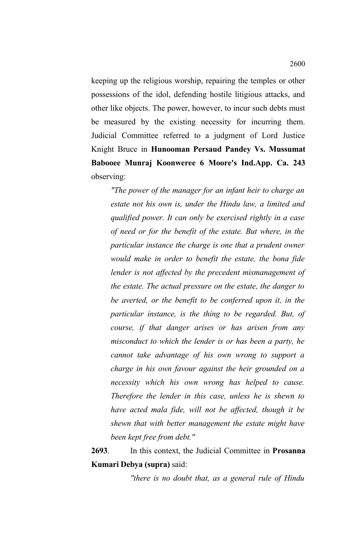keeping up the religious worship, repairing the temples or other possessions of the idol, defending hostile litigious attacks, and other like objects. The power, however, to incur such debts must be measured by the existing necessity for incurring them. Judicial Committee referred to a judgment of Lord Justice Knight Bruce in **Hunooman Persaud Pandey Vs. Mussumat Babooee Munraj Koonweree 6 Moore's Ind.App. Ca. 243** observing:

*"The power of the manager for an infant heir to charge an estate not his own is, under the Hindu law, a limited and qualified power. It can only be exercised rightly in a case of need or for the benefit of the estate. But where, in the particular instance the charge is one that a prudent owner would make in order to benefit the estate, the bona fide lender is not affected by the precedent mismanagement of the estate. The actual pressure on the estate, the danger to be averted, or the benefit to be conferred upon it, in the particular instance, is the thing to be regarded. But, of course, if that danger arises or has arisen from any misconduct to which the lender is or has been a party, he cannot take advantage of his own wrong to support a charge in his own favour against the heir grounded on a necessity which his own wrong has helped to cause. Therefore the lender in this case, unless he is shewn to have acted mala fide, will not be affected, though it be shewn that with better management the estate might have been kept free from debt."*

**2693**. In this context, the Judicial Committee in **Prosanna Kumari Debya (supra)** said:

*"there is no doubt that, as a general rule of Hindu*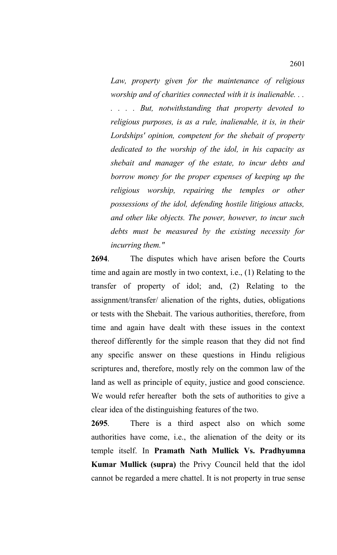*Law, property given for the maintenance of religious worship and of charities connected with it is inalienable. . . . . . . But, notwithstanding that property devoted to religious purposes, is as a rule, inalienable, it is, in their Lordships' opinion, competent for the shebait of property dedicated to the worship of the idol, in his capacity as shebait and manager of the estate, to incur debts and borrow money for the proper expenses of keeping up the religious worship, repairing the temples or other possessions of the idol, defending hostile litigious attacks, and other like objects. The power, however, to incur such debts must be measured by the existing necessity for incurring them."*

**2694**. The disputes which have arisen before the Courts time and again are mostly in two context, i.e., (1) Relating to the transfer of property of idol; and, (2) Relating to the assignment/transfer/ alienation of the rights, duties, obligations or tests with the Shebait. The various authorities, therefore, from time and again have dealt with these issues in the context thereof differently for the simple reason that they did not find any specific answer on these questions in Hindu religious scriptures and, therefore, mostly rely on the common law of the land as well as principle of equity, justice and good conscience. We would refer hereafter both the sets of authorities to give a clear idea of the distinguishing features of the two.

**2695**. There is a third aspect also on which some authorities have come, i.e., the alienation of the deity or its temple itself. In **Pramath Nath Mullick Vs. Pradhyumna Kumar Mullick (supra)** the Privy Council held that the idol cannot be regarded a mere chattel. It is not property in true sense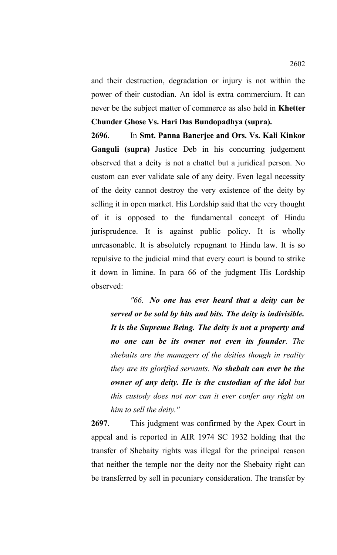and their destruction, degradation or injury is not within the power of their custodian. An idol is extra commercium. It can never be the subject matter of commerce as also held in **Khetter Chunder Ghose Vs. Hari Das Bundopadhya (supra).** 

**2696**. In **Smt. Panna Banerjee and Ors. Vs. Kali Kinkor Ganguli (supra)** Justice Deb in his concurring judgement observed that a deity is not a chattel but a juridical person. No custom can ever validate sale of any deity. Even legal necessity of the deity cannot destroy the very existence of the deity by selling it in open market. His Lordship said that the very thought of it is opposed to the fundamental concept of Hindu jurisprudence. It is against public policy. It is wholly unreasonable. It is absolutely repugnant to Hindu law. It is so repulsive to the judicial mind that every court is bound to strike it down in limine. In para 66 of the judgment His Lordship observed:

*"66. No one has ever heard that a deity can be served or be sold by hits and bits. The deity is indivisible. It is the Supreme Being. The deity is not a property and no one can be its owner not even its founder. The shebaits are the managers of the deities though in reality they are its glorified servants. No shebait can ever be the owner of any deity. He is the custodian of the idol but this custody does not nor can it ever confer any right on him to sell the deity."*

**2697**. This judgment was confirmed by the Apex Court in appeal and is reported in AIR 1974 SC 1932 holding that the transfer of Shebaity rights was illegal for the principal reason that neither the temple nor the deity nor the Shebaity right can be transferred by sell in pecuniary consideration. The transfer by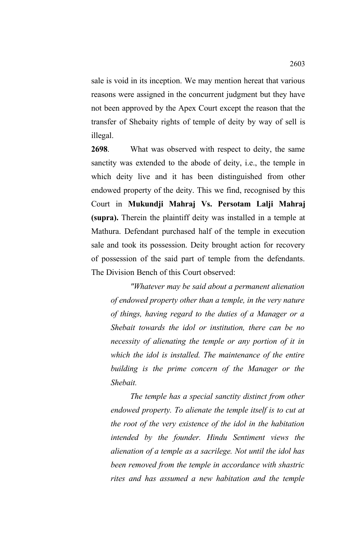sale is void in its inception. We may mention hereat that various reasons were assigned in the concurrent judgment but they have not been approved by the Apex Court except the reason that the transfer of Shebaity rights of temple of deity by way of sell is illegal.

**2698**. What was observed with respect to deity, the same sanctity was extended to the abode of deity, i.e., the temple in which deity live and it has been distinguished from other endowed property of the deity. This we find, recognised by this Court in **Mukundji Mahraj Vs. Persotam Lalji Mahraj (supra).** Therein the plaintiff deity was installed in a temple at Mathura. Defendant purchased half of the temple in execution sale and took its possession. Deity brought action for recovery of possession of the said part of temple from the defendants. The Division Bench of this Court observed:

*"Whatever may be said about a permanent alienation of endowed property other than a temple, in the very nature of things, having regard to the duties of a Manager or a Shebait towards the idol or institution, there can be no necessity of alienating the temple or any portion of it in which the idol is installed. The maintenance of the entire building is the prime concern of the Manager or the Shebait.*

*The temple has a special sanctity distinct from other endowed property. To alienate the temple itself is to cut at the root of the very existence of the idol in the habitation intended by the founder. Hindu Sentiment views the alienation of a temple as a sacrilege. Not until the idol has been removed from the temple in accordance with shastric rites and has assumed a new habitation and the temple*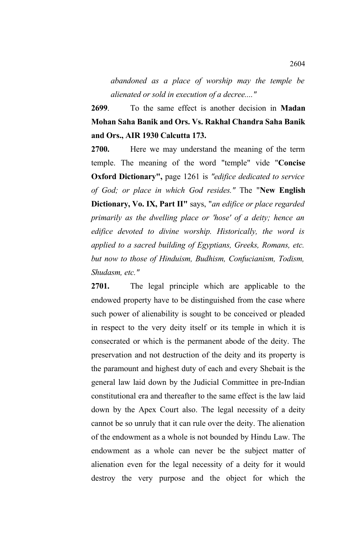*abandoned as a place of worship may the temple be alienated or sold in execution of a decree...."*

**2699**. To the same effect is another decision in **Madan Mohan Saha Banik and Ors. Vs. Rakhal Chandra Saha Banik and Ors., AIR 1930 Calcutta 173.** 

**2700.** Here we may understand the meaning of the term temple. The meaning of the word "temple" vide "**Concise Oxford Dictionary",** page 1261 is *"edifice dedicated to service of God; or place in which God resides."* The "**New English Dictionary, Vo. IX, Part II"** says, "*an edifice or place regarded primarily as the dwelling place or 'hose' of a deity; hence an edifice devoted to divine worship. Historically, the word is applied to a sacred building of Egyptians, Greeks, Romans, etc. but now to those of Hinduism, Budhism, Confucianism, Todism, Shudasm, etc."*

**2701.** The legal principle which are applicable to the endowed property have to be distinguished from the case where such power of alienability is sought to be conceived or pleaded in respect to the very deity itself or its temple in which it is consecrated or which is the permanent abode of the deity. The preservation and not destruction of the deity and its property is the paramount and highest duty of each and every Shebait is the general law laid down by the Judicial Committee in pre-Indian constitutional era and thereafter to the same effect is the law laid down by the Apex Court also. The legal necessity of a deity cannot be so unruly that it can rule over the deity. The alienation of the endowment as a whole is not bounded by Hindu Law. The endowment as a whole can never be the subject matter of alienation even for the legal necessity of a deity for it would destroy the very purpose and the object for which the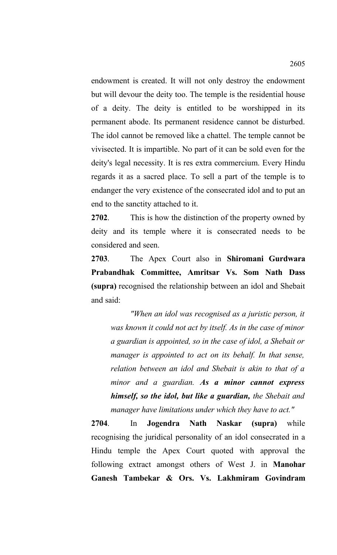endowment is created. It will not only destroy the endowment but will devour the deity too. The temple is the residential house of a deity. The deity is entitled to be worshipped in its permanent abode. Its permanent residence cannot be disturbed. The idol cannot be removed like a chattel. The temple cannot be vivisected. It is impartible. No part of it can be sold even for the deity's legal necessity. It is res extra commercium. Every Hindu regards it as a sacred place. To sell a part of the temple is to endanger the very existence of the consecrated idol and to put an end to the sanctity attached to it.

**2702**. This is how the distinction of the property owned by deity and its temple where it is consecrated needs to be considered and seen.

**2703**. The Apex Court also in **Shiromani Gurdwara Prabandhak Committee, Amritsar Vs. Som Nath Dass (supra)** recognised the relationship between an idol and Shebait and said:

*"When an idol was recognised as a juristic person, it was known it could not act by itself. As in the case of minor a guardian is appointed, so in the case of idol, a Shebait or manager is appointed to act on its behalf. In that sense, relation between an idol and Shebait is akin to that of a minor and a guardian. As a minor cannot express himself, so the idol, but like a guardian, the Shebait and manager have limitations under which they have to act."* 

**2704**. In **Jogendra Nath Naskar (supra)** while recognising the juridical personality of an idol consecrated in a Hindu temple the Apex Court quoted with approval the following extract amongst others of West J. in **Manohar Ganesh Tambekar & Ors. Vs. Lakhmiram Govindram**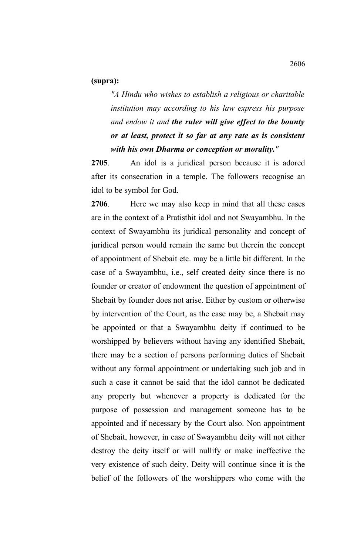## **(supra):**

*"A Hindu who wishes to establish a religious or charitable institution may according to his law express his purpose and endow it and the ruler will give effect to the bounty or at least, protect it so far at any rate as is consistent with his own Dharma or conception or morality."*

**2705**. An idol is a juridical person because it is adored after its consecration in a temple. The followers recognise an idol to be symbol for God.

**2706**. Here we may also keep in mind that all these cases are in the context of a Pratisthit idol and not Swayambhu. In the context of Swayambhu its juridical personality and concept of juridical person would remain the same but therein the concept of appointment of Shebait etc. may be a little bit different. In the case of a Swayambhu, i.e., self created deity since there is no founder or creator of endowment the question of appointment of Shebait by founder does not arise. Either by custom or otherwise by intervention of the Court, as the case may be, a Shebait may be appointed or that a Swayambhu deity if continued to be worshipped by believers without having any identified Shebait, there may be a section of persons performing duties of Shebait without any formal appointment or undertaking such job and in such a case it cannot be said that the idol cannot be dedicated any property but whenever a property is dedicated for the purpose of possession and management someone has to be appointed and if necessary by the Court also. Non appointment of Shebait, however, in case of Swayambhu deity will not either destroy the deity itself or will nullify or make ineffective the very existence of such deity. Deity will continue since it is the belief of the followers of the worshippers who come with the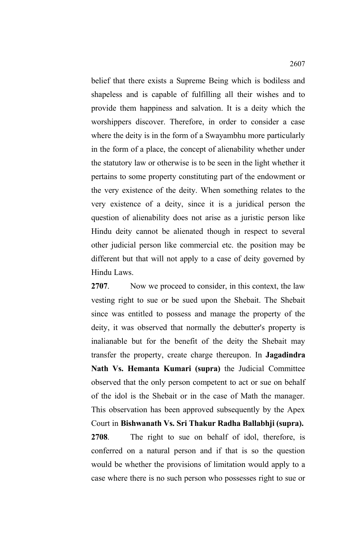belief that there exists a Supreme Being which is bodiless and shapeless and is capable of fulfilling all their wishes and to provide them happiness and salvation. It is a deity which the worshippers discover. Therefore, in order to consider a case where the deity is in the form of a Swayambhu more particularly in the form of a place, the concept of alienability whether under the statutory law or otherwise is to be seen in the light whether it pertains to some property constituting part of the endowment or the very existence of the deity. When something relates to the very existence of a deity, since it is a juridical person the question of alienability does not arise as a juristic person like Hindu deity cannot be alienated though in respect to several other judicial person like commercial etc. the position may be different but that will not apply to a case of deity governed by Hindu Laws.

**2707**. Now we proceed to consider, in this context, the law vesting right to sue or be sued upon the Shebait. The Shebait since was entitled to possess and manage the property of the deity, it was observed that normally the debutter's property is inalianable but for the benefit of the deity the Shebait may transfer the property, create charge thereupon. In **Jagadindra Nath Vs. Hemanta Kumari (supra)** the Judicial Committee observed that the only person competent to act or sue on behalf of the idol is the Shebait or in the case of Math the manager. This observation has been approved subsequently by the Apex Court in **Bishwanath Vs. Sri Thakur Radha Ballabhji (supra). 2708**. The right to sue on behalf of idol, therefore, is conferred on a natural person and if that is so the question would be whether the provisions of limitation would apply to a case where there is no such person who possesses right to sue or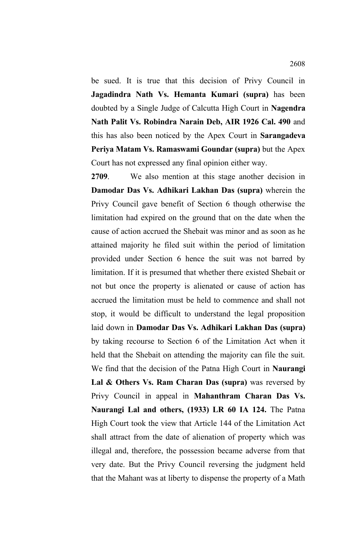be sued. It is true that this decision of Privy Council in **Jagadindra Nath Vs. Hemanta Kumari (supra)** has been doubted by a Single Judge of Calcutta High Court in **Nagendra Nath Palit Vs. Robindra Narain Deb, AIR 1926 Cal. 490** and this has also been noticed by the Apex Court in **Sarangadeva Periya Matam Vs. Ramaswami Goundar (supra)** but the Apex Court has not expressed any final opinion either way.

**2709**. We also mention at this stage another decision in **Damodar Das Vs. Adhikari Lakhan Das (supra)** wherein the Privy Council gave benefit of Section 6 though otherwise the limitation had expired on the ground that on the date when the cause of action accrued the Shebait was minor and as soon as he attained majority he filed suit within the period of limitation provided under Section 6 hence the suit was not barred by limitation. If it is presumed that whether there existed Shebait or not but once the property is alienated or cause of action has accrued the limitation must be held to commence and shall not stop, it would be difficult to understand the legal proposition laid down in **Damodar Das Vs. Adhikari Lakhan Das (supra)** by taking recourse to Section 6 of the Limitation Act when it held that the Shebait on attending the majority can file the suit. We find that the decision of the Patna High Court in **Naurangi** Lal & Others Vs. Ram Charan Das (supra) was reversed by Privy Council in appeal in **Mahanthram Charan Das Vs. Naurangi Lal and others, (1933) LR 60 IA 124.** The Patna High Court took the view that Article 144 of the Limitation Act shall attract from the date of alienation of property which was illegal and, therefore, the possession became adverse from that very date. But the Privy Council reversing the judgment held that the Mahant was at liberty to dispense the property of a Math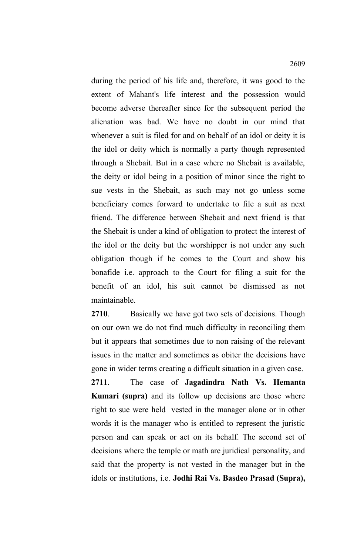during the period of his life and, therefore, it was good to the extent of Mahant's life interest and the possession would become adverse thereafter since for the subsequent period the alienation was bad. We have no doubt in our mind that whenever a suit is filed for and on behalf of an idol or deity it is the idol or deity which is normally a party though represented through a Shebait. But in a case where no Shebait is available, the deity or idol being in a position of minor since the right to sue vests in the Shebait, as such may not go unless some beneficiary comes forward to undertake to file a suit as next friend. The difference between Shebait and next friend is that the Shebait is under a kind of obligation to protect the interest of the idol or the deity but the worshipper is not under any such obligation though if he comes to the Court and show his bonafide i.e. approach to the Court for filing a suit for the benefit of an idol, his suit cannot be dismissed as not maintainable.

**2710**. Basically we have got two sets of decisions. Though on our own we do not find much difficulty in reconciling them but it appears that sometimes due to non raising of the relevant issues in the matter and sometimes as obiter the decisions have gone in wider terms creating a difficult situation in a given case. **2711**. The case of **Jagadindra Nath Vs. Hemanta Kumari (supra)** and its follow up decisions are those where right to sue were held vested in the manager alone or in other words it is the manager who is entitled to represent the juristic person and can speak or act on its behalf. The second set of decisions where the temple or math are juridical personality, and said that the property is not vested in the manager but in the idols or institutions, i.e. **Jodhi Rai Vs. Basdeo Prasad (Supra),**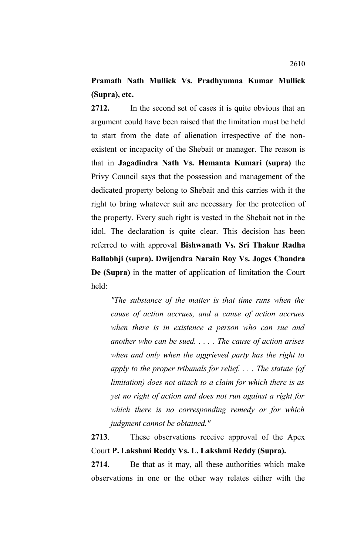# **Pramath Nath Mullick Vs. Pradhyumna Kumar Mullick (Supra), etc.**

**2712.** In the second set of cases it is quite obvious that an argument could have been raised that the limitation must be held to start from the date of alienation irrespective of the nonexistent or incapacity of the Shebait or manager. The reason is that in **Jagadindra Nath Vs. Hemanta Kumari (supra)** the Privy Council says that the possession and management of the dedicated property belong to Shebait and this carries with it the right to bring whatever suit are necessary for the protection of the property. Every such right is vested in the Shebait not in the idol. The declaration is quite clear. This decision has been referred to with approval **Bishwanath Vs. Sri Thakur Radha Ballabhji (supra). Dwijendra Narain Roy Vs. Joges Chandra De (Supra)** in the matter of application of limitation the Court held:

*"The substance of the matter is that time runs when the cause of action accrues, and a cause of action accrues when there is in existence a person who can sue and another who can be sued. . . . . The cause of action arises when and only when the aggrieved party has the right to apply to the proper tribunals for relief. . . . The statute (of limitation) does not attach to a claim for which there is as yet no right of action and does not run against a right for which there is no corresponding remedy or for which judgment cannot be obtained."*

**2713**. These observations receive approval of the Apex Court **P. Lakshmi Reddy Vs. L. Lakshmi Reddy (Supra).**

**2714**. Be that as it may, all these authorities which make observations in one or the other way relates either with the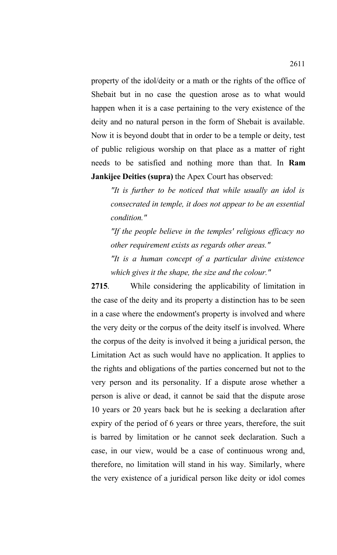property of the idol/deity or a math or the rights of the office of Shebait but in no case the question arose as to what would happen when it is a case pertaining to the very existence of the deity and no natural person in the form of Shebait is available. Now it is beyond doubt that in order to be a temple or deity, test of public religious worship on that place as a matter of right needs to be satisfied and nothing more than that. In **Ram Jankijee Deities (supra)** the Apex Court has observed:

*"It is further to be noticed that while usually an idol is consecrated in temple, it does not appear to be an essential condition."*

*"If the people believe in the temples' religious efficacy no other requirement exists as regards other areas."*

*"It is a human concept of a particular divine existence which gives it the shape, the size and the colour."*

**2715**. While considering the applicability of limitation in the case of the deity and its property a distinction has to be seen in a case where the endowment's property is involved and where the very deity or the corpus of the deity itself is involved. Where the corpus of the deity is involved it being a juridical person, the Limitation Act as such would have no application. It applies to the rights and obligations of the parties concerned but not to the very person and its personality. If a dispute arose whether a person is alive or dead, it cannot be said that the dispute arose 10 years or 20 years back but he is seeking a declaration after expiry of the period of 6 years or three years, therefore, the suit is barred by limitation or he cannot seek declaration. Such a case, in our view, would be a case of continuous wrong and, therefore, no limitation will stand in his way. Similarly, where the very existence of a juridical person like deity or idol comes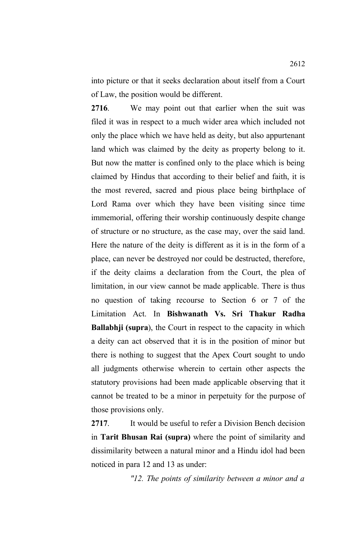into picture or that it seeks declaration about itself from a Court of Law, the position would be different.

**2716**. We may point out that earlier when the suit was filed it was in respect to a much wider area which included not only the place which we have held as deity, but also appurtenant land which was claimed by the deity as property belong to it. But now the matter is confined only to the place which is being claimed by Hindus that according to their belief and faith, it is the most revered, sacred and pious place being birthplace of Lord Rama over which they have been visiting since time immemorial, offering their worship continuously despite change of structure or no structure, as the case may, over the said land. Here the nature of the deity is different as it is in the form of a place, can never be destroyed nor could be destructed, therefore, if the deity claims a declaration from the Court, the plea of limitation, in our view cannot be made applicable. There is thus no question of taking recourse to Section 6 or 7 of the Limitation Act. In **Bishwanath Vs. Sri Thakur Radha Ballabhji (supra**), the Court in respect to the capacity in which a deity can act observed that it is in the position of minor but there is nothing to suggest that the Apex Court sought to undo all judgments otherwise wherein to certain other aspects the statutory provisions had been made applicable observing that it cannot be treated to be a minor in perpetuity for the purpose of those provisions only.

**2717**. It would be useful to refer a Division Bench decision in **Tarit Bhusan Rai (supra)** where the point of similarity and dissimilarity between a natural minor and a Hindu idol had been noticed in para 12 and 13 as under:

*"12. The points of similarity between a minor and a*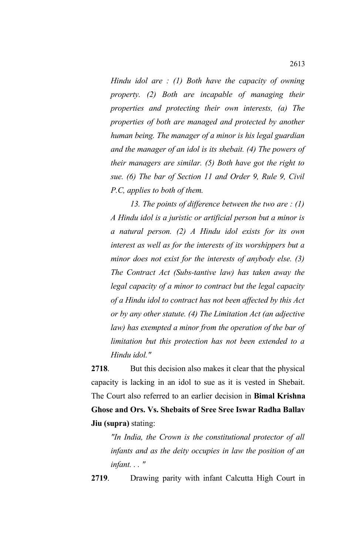*Hindu idol are : (1) Both have the capacity of owning property. (2) Both are incapable of managing their properties and protecting their own interests, (a) The properties of both are managed and protected by another human being. The manager of a minor is his legal guardian and the manager of an idol is its shebait. (4) The powers of their managers are similar. (5) Both have got the right to sue. (6) The bar of Section 11 and Order 9, Rule 9, Civil P.C, applies to both of them.*

*13. The points of difference between the two are : (1) A Hindu idol is a juristic or artificial person but a minor is a natural person. (2) A Hindu idol exists for its own interest as well as for the interests of its worshippers but a minor does not exist for the interests of anybody else. (3) The Contract Act (Subs-tantive law) has taken away the legal capacity of a minor to contract but the legal capacity of a Hindu idol to contract has not been affected by this Act or by any other statute. (4) The Limitation Act (an adjective law) has exempted a minor from the operation of the bar of limitation but this protection has not been extended to a Hindu idol."*

**2718**. But this decision also makes it clear that the physical capacity is lacking in an idol to sue as it is vested in Shebait. The Court also referred to an earlier decision in **Bimal Krishna Ghose and Ors. Vs. Shebaits of Sree Sree Iswar Radha Ballav Jiu (supra)** stating:

*"In India, the Crown is the constitutional protector of all infants and as the deity occupies in law the position of an infant. . . "*

**2719**. Drawing parity with infant Calcutta High Court in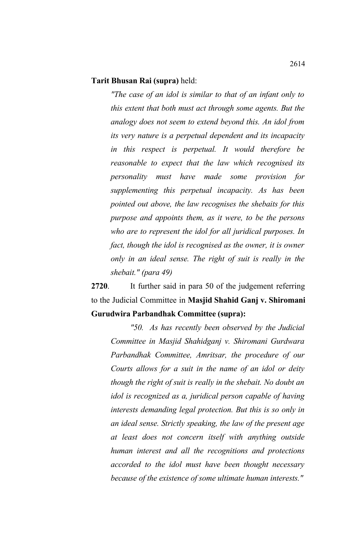#### **Tarit Bhusan Rai (supra)** held:

*"The case of an idol is similar to that of an infant only to this extent that both must act through some agents. But the analogy does not seem to extend beyond this. An idol from its very nature is a perpetual dependent and its incapacity in this respect is perpetual. It would therefore be reasonable to expect that the law which recognised its personality must have made some provision for supplementing this perpetual incapacity. As has been pointed out above, the law recognises the shebaits for this purpose and appoints them, as it were, to be the persons who are to represent the idol for all juridical purposes. In fact, though the idol is recognised as the owner, it is owner only in an ideal sense. The right of suit is really in the shebait." (para 49)*

**2720**. It further said in para 50 of the judgement referring to the Judicial Committee in **Masjid Shahid Ganj v. Shiromani Gurudwira Parbandhak Committee (supra):**

*"50. As has recently been observed by the Judicial Committee in Masjid Shahidganj v. Shiromani Gurdwara Parbandhak Committee, Amritsar, the procedure of our Courts allows for a suit in the name of an idol or deity though the right of suit is really in the shebait. No doubt an idol is recognized as a, juridical person capable of having interests demanding legal protection. But this is so only in an ideal sense. Strictly speaking, the law of the present age at least does not concern itself with anything outside human interest and all the recognitions and protections accorded to the idol must have been thought necessary because of the existence of some ultimate human interests."*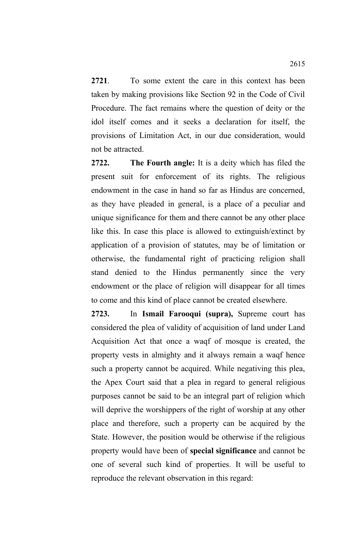**2721**. To some extent the care in this context has been taken by making provisions like Section 92 in the Code of Civil Procedure. The fact remains where the question of deity or the idol itself comes and it seeks a declaration for itself, the provisions of Limitation Act, in our due consideration, would not be attracted.

**2722. The Fourth angle:** It is a deity which has filed the present suit for enforcement of its rights. The religious endowment in the case in hand so far as Hindus are concerned, as they have pleaded in general, is a place of a peculiar and unique significance for them and there cannot be any other place like this. In case this place is allowed to extinguish/extinct by application of a provision of statutes, may be of limitation or otherwise, the fundamental right of practicing religion shall stand denied to the Hindus permanently since the very endowment or the place of religion will disappear for all times to come and this kind of place cannot be created elsewhere.

**2723.** In **Ismail Farooqui (supra),** Supreme court has considered the plea of validity of acquisition of land under Land Acquisition Act that once a waqf of mosque is created, the property vests in almighty and it always remain a waqf hence such a property cannot be acquired. While negativing this plea, the Apex Court said that a plea in regard to general religious purposes cannot be said to be an integral part of religion which will deprive the worshippers of the right of worship at any other place and therefore, such a property can be acquired by the State. However, the position would be otherwise if the religious property would have been of **special significance** and cannot be one of several such kind of properties. It will be useful to reproduce the relevant observation in this regard: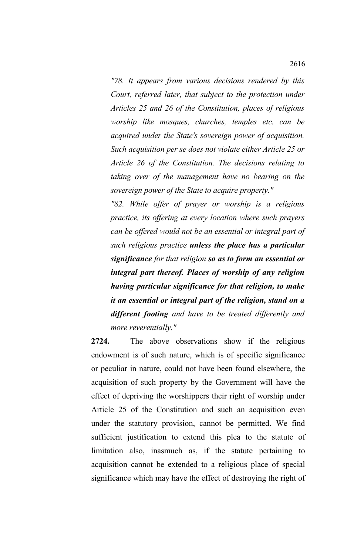*"78. It appears from various decisions rendered by this Court, referred later, that subject to the protection under Articles 25 and 26 of the Constitution, places of religious worship like mosques, churches, temples etc. can be acquired under the State's sovereign power of acquisition. Such acquisition per se does not violate either Article 25 or Article 26 of the Constitution. The decisions relating to taking over of the management have no bearing on the sovereign power of the State to acquire property."*

*"82. While offer of prayer or worship is a religious practice, its offering at every location where such prayers can be offered would not be an essential or integral part of such religious practice unless the place has a particular significance for that religion so as to form an essential or integral part thereof. Places of worship of any religion having particular significance for that religion, to make it an essential or integral part of the religion, stand on a different footing and have to be treated differently and more reverentially."*

**2724.** The above observations show if the religious endowment is of such nature, which is of specific significance or peculiar in nature, could not have been found elsewhere, the acquisition of such property by the Government will have the effect of depriving the worshippers their right of worship under Article 25 of the Constitution and such an acquisition even under the statutory provision, cannot be permitted. We find sufficient justification to extend this plea to the statute of limitation also, inasmuch as, if the statute pertaining to acquisition cannot be extended to a religious place of special significance which may have the effect of destroying the right of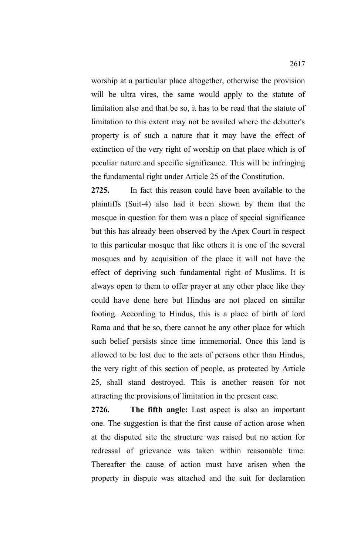worship at a particular place altogether, otherwise the provision will be ultra vires, the same would apply to the statute of limitation also and that be so, it has to be read that the statute of limitation to this extent may not be availed where the debutter's property is of such a nature that it may have the effect of extinction of the very right of worship on that place which is of peculiar nature and specific significance. This will be infringing the fundamental right under Article 25 of the Constitution.

**2725.** In fact this reason could have been available to the plaintiffs (Suit-4) also had it been shown by them that the mosque in question for them was a place of special significance but this has already been observed by the Apex Court in respect to this particular mosque that like others it is one of the several mosques and by acquisition of the place it will not have the effect of depriving such fundamental right of Muslims. It is always open to them to offer prayer at any other place like they could have done here but Hindus are not placed on similar footing. According to Hindus, this is a place of birth of lord Rama and that be so, there cannot be any other place for which such belief persists since time immemorial. Once this land is allowed to be lost due to the acts of persons other than Hindus, the very right of this section of people, as protected by Article 25, shall stand destroyed. This is another reason for not attracting the provisions of limitation in the present case.

**2726. The fifth angle:** Last aspect is also an important one. The suggestion is that the first cause of action arose when at the disputed site the structure was raised but no action for redressal of grievance was taken within reasonable time. Thereafter the cause of action must have arisen when the property in dispute was attached and the suit for declaration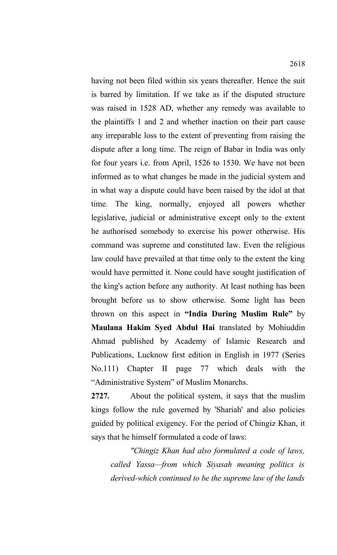having not been filed within six years thereafter. Hence the suit is barred by limitation. If we take as if the disputed structure was raised in 1528 AD, whether any remedy was available to the plaintiffs 1 and 2 and whether inaction on their part cause any irreparable loss to the extent of preventing from raising the dispute after a long time. The reign of Babar in India was only for four years i.e. from April, 1526 to 1530. We have not been informed as to what changes he made in the judicial system and in what way a dispute could have been raised by the idol at that time. The king, normally, enjoyed all powers whether legislative, judicial or administrative except only to the extent he authorised somebody to exercise his power otherwise. His command was supreme and constituted law. Even the religious law could have prevailed at that time only to the extent the king would have permitted it. None could have sought justification of the king's action before any authority. At least nothing has been brought before us to show otherwise. Some light has been thrown on this aspect in **"India During Muslim Rule"** by **Maulana Hakim Syed Abdul Hai** translated by Mohiuddin Ahmad published by Academy of Islamic Research and Publications, Lucknow first edition in English in 1977 (Series No.111) Chapter II page 77 which deals with the "Administrative System" of Muslim Monarchs.

**2727.** About the political system, it says that the muslim kings follow the rule governed by 'Shariah' and also policies guided by political exigency. For the period of Chingiz Khan, it says that he himself formulated a code of laws:

*"Chingiz Khan had also formulated a code of laws, called Yassa—from which Siyasah meaning politics is derived-which continued to be the supreme law of the lands*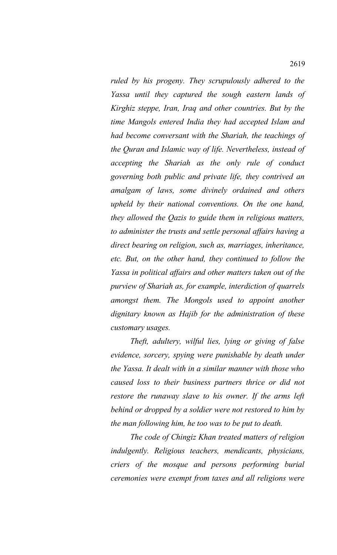*ruled by his progeny. They scrupulously adhered to the Yassa until they captured the sough eastern lands of Kirghiz steppe, Iran, Iraq and other countries. But by the time Mangols entered India they had accepted Islam and had become conversant with the Shariah, the teachings of the Quran and Islamic way of life. Nevertheless, instead of accepting the Shariah as the only rule of conduct governing both public and private life, they contrived an amalgam of laws, some divinely ordained and others upheld by their national conventions. On the one hand, they allowed the Qazis to guide them in religious matters, to administer the trusts and settle personal affairs having a direct bearing on religion, such as, marriages, inheritance, etc. But, on the other hand, they continued to follow the Yassa in political affairs and other matters taken out of the purview of Shariah as, for example, interdiction of quarrels amongst them. The Mongols used to appoint another dignitary known as Hajib for the administration of these customary usages.* 

*Theft, adultery, wilful lies, lying or giving of false evidence, sorcery, spying were punishable by death under the Yassa. It dealt with in a similar manner with those who caused loss to their business partners thrice or did not restore the runaway slave to his owner. If the arms left behind or dropped by a soldier were not restored to him by the man following him, he too was to be put to death.*

*The code of Chingiz Khan treated matters of religion indulgently. Religious teachers, mendicants, physicians, criers of the mosque and persons performing burial ceremonies were exempt from taxes and all religions were*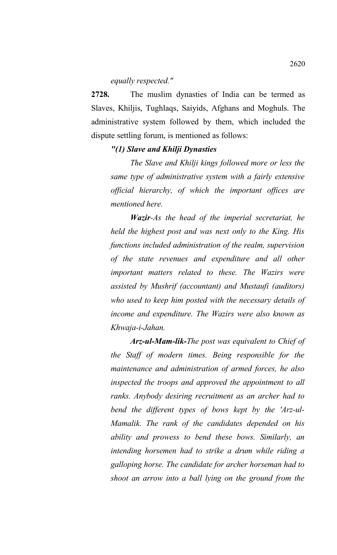#### *equally respected."*

**2728.** The muslim dynasties of India can be termed as Slaves, Khiljis, Tughlaqs, Saiyids, Afghans and Moghuls. The administrative system followed by them, which included the dispute settling forum, is mentioned as follows:

# *"(1) Slave and Khilji Dynasties*

*The Slave and Khilji kings followed more or less the same type of administrative system with a fairly extensive official hierarchy, of which the important offices are mentioned here.*

*Wazir-As the head of the imperial secretariat, he held the highest post and was next only to the King. His functions included administration of the realm, supervision of the state revenues and expenditure and all other important matters related to these. The Wazirs were assisted by Mushrif (accountant) and Mustaufi (auditors) who used to keep him posted with the necessary details of income and expenditure. The Wazirs were also known as Khwaja-i-Jahan.*

*Arz-ul-Mam-lik-The post was equivalent to Chief of the Staff of modern times. Being responsible for the maintenance and administration of armed forces, he also inspected the troops and approved the appointment to all ranks. Anybody desiring recruitment as an archer had to bend the different types of bows kept by the 'Arz-ul-Mamalik. The rank of the candidates depended on his ability and prowess to bend these bows. Similarly, an intending horsemen had to strike a drum while riding a galloping horse. The candidate for archer horseman had to shoot an arrow into a ball lying on the ground from the*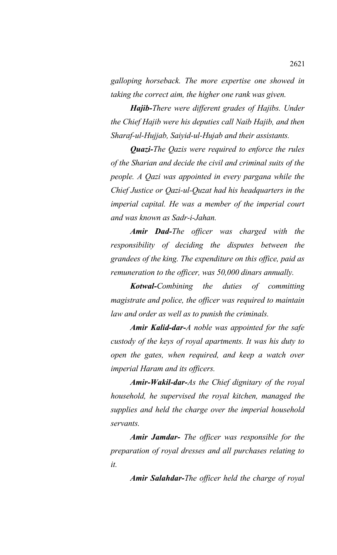*galloping horseback. The more expertise one showed in taking the correct aim, the higher one rank was given.*

*Hajib-There were different grades of Hajibs. Under the Chief Hajib were his deputies call Naib Hajib, and then Sharaf-ul-Hujjab, Saiyid-ul-Hujab and their assistants.*

*Quazi-The Qazis were required to enforce the rules of the Sharian and decide the civil and criminal suits of the people. A Qazi was appointed in every pargana while the Chief Justice or Qazi-ul-Quzat had his headquarters in the imperial capital. He was a member of the imperial court and was known as Sadr-i-Jahan.*

*Amir Dad-The officer was charged with the responsibility of deciding the disputes between the grandees of the king. The expenditure on this office, paid as remuneration to the officer, was 50,000 dinars annually.*

*Kotwal-Combining the duties of committing magistrate and police, the officer was required to maintain law and order as well as to punish the criminals.* 

*Amir Kalid-dar-A noble was appointed for the safe custody of the keys of royal apartments. It was his duty to open the gates, when required, and keep a watch over imperial Haram and its officers.*

*Amir-Wakil-dar-As the Chief dignitary of the royal household, he supervised the royal kitchen, managed the supplies and held the charge over the imperial household servants.*

*Amir Jamdar- The officer was responsible for the preparation of royal dresses and all purchases relating to it.*

*Amir Salahdar-The officer held the charge of royal*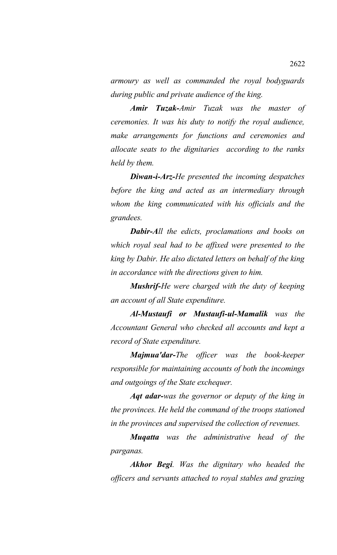*armoury as well as commanded the royal bodyguards during public and private audience of the king.*

*Amir Tuzak-Amir Tuzak was the master of ceremonies. It was his duty to notify the royal audience, make arrangements for functions and ceremonies and allocate seats to the dignitaries according to the ranks held by them.*

*Diwan-i-Arz-He presented the incoming despatches before the king and acted as an intermediary through whom the king communicated with his officials and the grandees.*

*Dabir-All the edicts, proclamations and books on which royal seal had to be affixed were presented to the king by Dabir. He also dictated letters on behalf of the king in accordance with the directions given to him.*

*Mushrif-He were charged with the duty of keeping an account of all State expenditure.*

*Al-Mustaufi or Mustaufi-ul-Mamalik was the Accountant General who checked all accounts and kept a record of State expenditure.*

*Majmua'dar-The officer was the book-keeper responsible for maintaining accounts of both the incomings and outgoings of the State exchequer.*

*Aqt adar-was the governor or deputy of the king in the provinces. He held the command of the troops stationed in the provinces and supervised the collection of revenues.*

*Muqatta was the administrative head of the parganas.*

*Akhor Begi. Was the dignitary who headed the officers and servants attached to royal stables and grazing*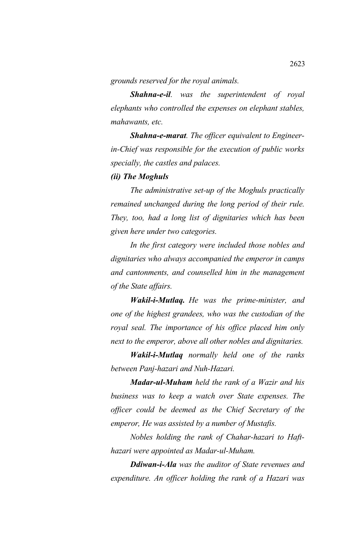*grounds reserved for the royal animals.*

*Shahna-e-il. was the superintendent of royal elephants who controlled the expenses on elephant stables, mahawants, etc.*

*Shahna-e-marat. The officer equivalent to Engineerin-Chief was responsible for the execution of public works specially, the castles and palaces.*

# *(ii) The Moghuls*

*The administrative set-up of the Moghuls practically remained unchanged during the long period of their rule. They, too, had a long list of dignitaries which has been given here under two categories.*

*In the first category were included those nobles and dignitaries who always accompanied the emperor in camps and cantonments, and counselled him in the management of the State affairs.*

*Wakil-i-Mutlaq. He was the prime-minister, and one of the highest grandees, who was the custodian of the royal seal. The importance of his office placed him only next to the emperor, above all other nobles and dignitaries.*

*Wakil-i-Mutlaq normally held one of the ranks between Panj-hazari and Nuh-Hazari.*

*Madar-ul-Muham held the rank of a Wazir and his business was to keep a watch over State expenses. The officer could be deemed as the Chief Secretary of the emperor, He was assisted by a number of Mustafis.*

*Nobles holding the rank of Chahar-hazari to Hafthazari were appointed as Madar-ul-Muham.*

*Ddiwan-i-Ala was the auditor of State revenues and expenditure. An officer holding the rank of a Hazari was*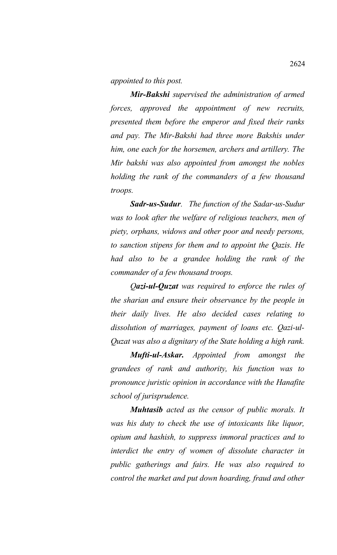*appointed to this post.*

*Mir-Bakshi supervised the administration of armed forces, approved the appointment of new recruits, presented them before the emperor and fixed their ranks and pay. The Mir-Bakshi had three more Bakshis under him, one each for the horsemen, archers and artillery. The Mir bakshi was also appointed from amongst the nobles holding the rank of the commanders of a few thousand troops.*

*Sadr-us-Sudur. The function of the Sadar-us-Sudur was to look after the welfare of religious teachers, men of piety, orphans, widows and other poor and needy persons, to sanction stipens for them and to appoint the Qazis. He had also to be a grandee holding the rank of the commander of a few thousand troops.* 

*Qazi-ul-Quzat was required to enforce the rules of the sharian and ensure their observance by the people in their daily lives. He also decided cases relating to dissolution of marriages, payment of loans etc. Qazi-ul-Quzat was also a dignitary of the State holding a high rank.*

*Mufti-ul-Askar. Appointed from amongst the grandees of rank and authority, his function was to pronounce juristic opinion in accordance with the Hanafite school of jurisprudence.* 

*Muhtasib acted as the censor of public morals. It was his duty to check the use of intoxicants like liquor, opium and hashish, to suppress immoral practices and to interdict the entry of women of dissolute character in public gatherings and fairs. He was also required to control the market and put down hoarding, fraud and other*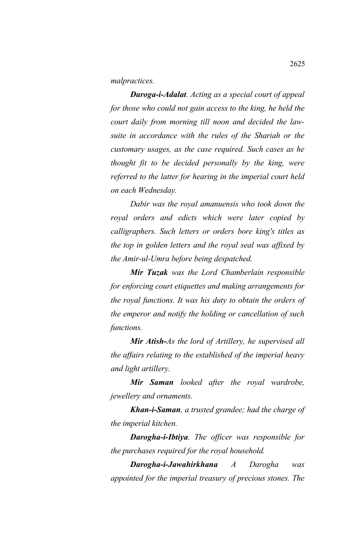*malpractices.* 

*Daroga-i-Adalat. Acting as a special court of appeal for those who could not gain access to the king, he held the court daily from morning till noon and decided the lawsuite in accordance with the rules of the Shariah or the customary usages, as the case required. Such cases as he thought fit to be decided personally by the king, were referred to the latter for hearing in the imperial court held on each Wednesday.* 

*Dabir was the royal amanuensis who took down the royal orders and edicts which were later copied by calligraphers. Such letters or orders bore king's titles as the top in golden letters and the royal seal was affixed by the Amir-ul-Umra before being despatched.* 

*Mir Tuzak was the Lord Chamberlain responsible for enforcing court etiquettes and making arrangements for the royal functions. It was his duty to obtain the orders of the emperor and notify the holding or cancellation of such functions.* 

*Mir Atish-As the lord of Artillery, he supervised all the affairs relating to the established of the imperial heavy and light artillery.* 

*Mir Saman looked after the royal wardrobe, jewellery and ornaments.* 

*Khan-i-Saman, a trusted grandee; had the charge of the imperial kitchen.* 

*Darogha-i-Ibtiya. The officer was responsible for the purchases required for the royal household.* 

*Darogha-i-Jawahirkhana A Darogha was appointed for the imperial treasury of precious stones. The*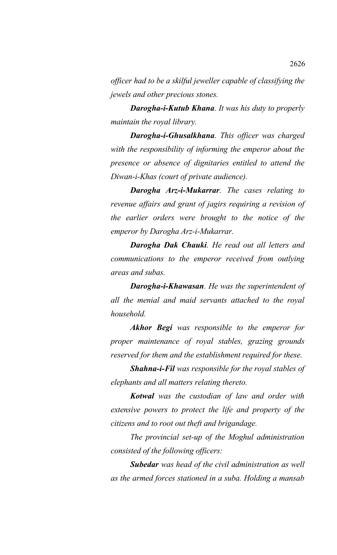*officer had to be a skilful jeweller capable of classifying the jewels and other precious stones.* 

*Darogha-i-Kutub Khana. It was his duty to properly maintain the royal library.* 

*Darogha-i-Ghusalkhana. This officer was charged with the responsibility of informing the emperor about the presence or absence of dignitaries entitled to attend the Diwan-i-Khas (court of private audience).* 

*Darogha Arz-i-Mukarrar. The cases relating to revenue affairs and grant of jagirs requiring a revision of the earlier orders were brought to the notice of the emperor by Darogha Arz-i-Mukarrar.* 

*Darogha Dak Chauki. He read out all letters and communications to the emperor received from outlying areas and subas.* 

*Darogha-i-Khawasan. He was the superintendent of all the menial and maid servants attached to the royal household.* 

*Akhor Begi was responsible to the emperor for proper maintenance of royal stables, grazing grounds reserved for them and the establishment required for these.* 

*Shahna-i-Fil was responsible for the royal stables of elephants and all matters relating thereto.* 

*Kotwal was the custodian of law and order with extensive powers to protect the life and property of the citizens and to root out theft and brigandage.* 

*The provincial set-up of the Moghul administration consisted of the following officers:* 

*Subedar was head of the civil administration as well as the armed forces stationed in a suba. Holding a mansab*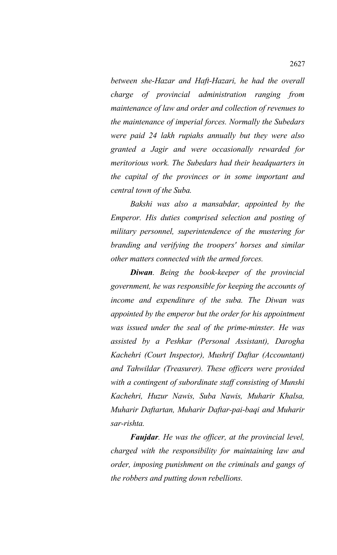*between she-Hazar and Haft-Hazari, he had the overall charge of provincial administration ranging from maintenance of law and order and collection of revenues to the maintenance of imperial forces. Normally the Subedars were paid 24 lakh rupiahs annually but they were also granted a Jagir and were occasionally rewarded for meritorious work. The Subedars had their headquarters in the capital of the provinces or in some important and central town of the Suba.* 

*Bakshi was also a mansabdar, appointed by the Emperor. His duties comprised selection and posting of military personnel, superintendence of the mustering for branding and verifying the troopers' horses and similar other matters connected with the armed forces.* 

*Diwan. Being the book-keeper of the provincial government, he was responsible for keeping the accounts of income and expenditure of the suba. The Diwan was appointed by the emperor but the order for his appointment was issued under the seal of the prime-minster. He was assisted by a Peshkar (Personal Assistant), Darogha Kachehri (Court Inspector), Mushrif Daftar (Accountant) and Tahwildar (Treasurer). These officers were provided with a contingent of subordinate staff consisting of Munshi Kachehri, Huzur Nawis, Suba Nawis, Muharir Khalsa, Muharir Daftartan, Muharir Daftar-pai-baqi and Muharir sar-rishta.* 

*Faujdar. He was the officer, at the provincial level, charged with the responsibility for maintaining law and order, imposing punishment on the criminals and gangs of the robbers and putting down rebellions.*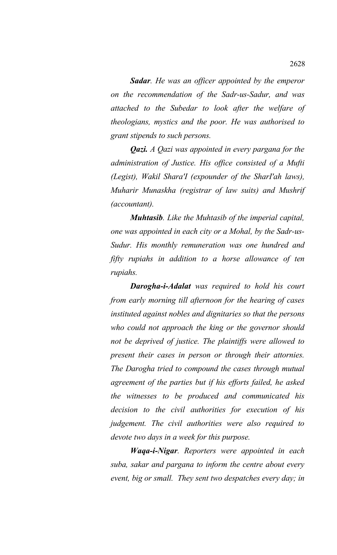*Sadar. He was an officer appointed by the emperor on the recommendation of the Sadr-us-Sadur, and was attached to the Subedar to look after the welfare of theologians, mystics and the poor. He was authorised to grant stipends to such persons.* 

*Qazi. A Qazi was appointed in every pargana for the administration of Justice. His office consisted of a Mufti (Legist), Wakil Shara'I (expounder of the SharI'ah laws), Muharir Munaskha (registrar of law suits) and Mushrif (accountant).*

*Muhtasib. Like the Muhtasib of the imperial capital, one was appointed in each city or a Mohal, by the Sadr-us-Sudur. His monthly remuneration was one hundred and fifty rupiahs in addition to a horse allowance of ten rupiahs.*

*Darogha-i-Adalat was required to hold his court from early morning till afternoon for the hearing of cases instituted against nobles and dignitaries so that the persons who could not approach the king or the governor should not be deprived of justice. The plaintiffs were allowed to present their cases in person or through their attornies. The Darogha tried to compound the cases through mutual agreement of the parties but if his efforts failed, he asked the witnesses to be produced and communicated his decision to the civil authorities for execution of his judgement. The civil authorities were also required to devote two days in a week for this purpose.*

*Waqa-i-Nigar. Reporters were appointed in each suba, sakar and pargana to inform the centre about every event, big or small. They sent two despatches every day; in*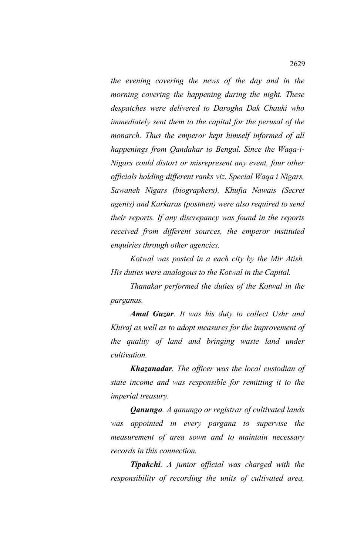*the evening covering the news of the day and in the morning covering the happening during the night. These despatches were delivered to Darogha Dak Chauki who immediately sent them to the capital for the perusal of the monarch. Thus the emperor kept himself informed of all happenings from Qandahar to Bengal. Since the Waqa-i-Nigars could distort or misrepresent any event, four other officials holding different ranks viz. Special Waqa i Nigars, Sawaneh Nigars (biographers), Khufia Nawais (Secret agents) and Karkaras (postmen) were also required to send their reports. If any discrepancy was found in the reports received from different sources, the emperor instituted enquiries through other agencies.*

*Kotwal was posted in a each city by the Mir Atish. His duties were analogous to the Kotwal in the Capital.*

*Thanakar performed the duties of the Kotwal in the parganas.*

*Amal Guzar. It was his duty to collect Ushr and Khiraj as well as to adopt measures for the improvement of the quality of land and bringing waste land under cultivation.*

*Khazanadar. The officer was the local custodian of state income and was responsible for remitting it to the imperial treasury.*

*Qanungo. A qanungo or registrar of cultivated lands was appointed in every pargana to supervise the measurement of area sown and to maintain necessary records in this connection.*

*Tipakchi. A junior official was charged with the responsibility of recording the units of cultivated area,*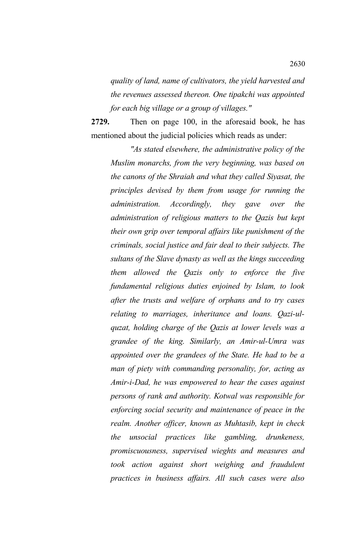*quality of land, name of cultivators, the yield harvested and the revenues assessed thereon. One tipakchi was appointed for each big village or a group of villages."*

**2729.** Then on page 100, in the aforesaid book, he has mentioned about the judicial policies which reads as under:

*"As stated elsewhere, the administrative policy of the Muslim monarchs, from the very beginning, was based on the canons of the Shraiah and what they called Siyasat, the principles devised by them from usage for running the administration. Accordingly, they gave over the administration of religious matters to the Qazis but kept their own grip over temporal affairs like punishment of the criminals, social justice and fair deal to their subjects. The sultans of the Slave dynasty as well as the kings succeeding them allowed the Qazis only to enforce the five fundamental religious duties enjoined by Islam, to look after the trusts and welfare of orphans and to try cases relating to marriages, inheritance and loans. Qazi-ulquzat, holding charge of the Qazis at lower levels was a grandee of the king. Similarly, an Amir-ul-Umra was appointed over the grandees of the State. He had to be a man of piety with commanding personality, for, acting as Amir-i-Dad, he was empowered to hear the cases against persons of rank and authority. Kotwal was responsible for enforcing social security and maintenance of peace in the realm. Another officer, known as Muhtasib, kept in check the unsocial practices like gambling, drunkeness, promiscuousness, supervised wieghts and measures and took action against short weighing and fraudulent practices in business affairs. All such cases were also*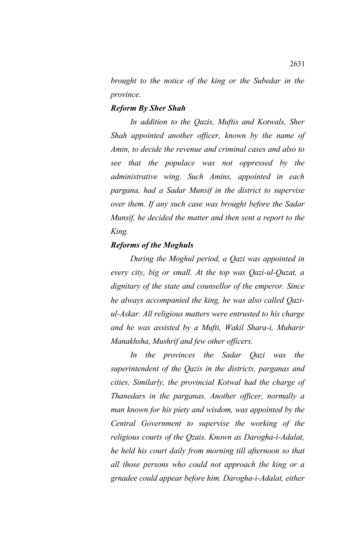*brought to the notice of the king or the Subedar in the province.*

### *Reform By Sher Shah*

*In addition to the Qazis, Muftis and Kotwals, Sher Shah appointed another officer, known by the name of Amin, to decide the revenue and criminal cases and also to see that the populace was not oppressed by the administrative wing. Such Amins, appointed in each pargana, had a Sadar Munsif in the district to supervise over them. If any such case was brought before the Sadar Munsif, he decided the matter and then sent a report to the King.*

# *Reforms of the Moghuls*

*During the Moghul period, a Qazi was appointed in every city, big or small. At the top was Qazi-ul-Quzat, a dignitary of the state and counsellor of the emperor. Since he always accompanied the king, he was also called Qaziul-Askar. All religious matters were entrusted to his charge and he was assisted by a Mufti, Wakil Shara-i, Muharir Manakhsha, Mushrif and few other officers.*

*In the provinces the Sadar Qazi was the superintendent of the Qazis in the districts, parganas and cities, Similarly, the provincial Kotwal had the charge of Thanedars in the parganas. Another officer, normally a man known for his piety and wisdom, was appointed by the Central Government to supervise the working of the religious courts of the Qzais. Known as Darogha-i-Adalat, he held his court daily from morning till afternoon so that all those persons who could not approach the king or a grnadee could appear before him. Darogha-i-Adalat, either*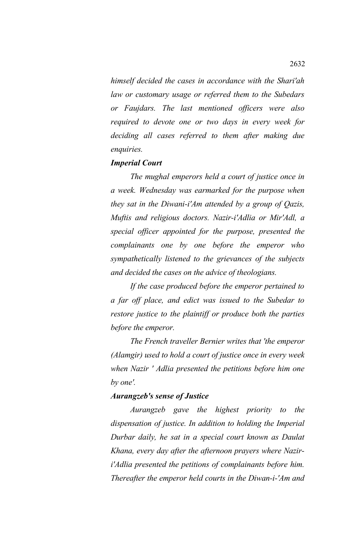*himself decided the cases in accordance with the Shari'ah law or customary usage or referred them to the Subedars or Faujdars. The last mentioned officers were also required to devote one or two days in every week for deciding all cases referred to them after making due enquiries.*

#### *Imperial Court*

*The mughal emperors held a court of justice once in a week. Wednesday was earmarked for the purpose when they sat in the Diwani-i'Am attended by a group of Qazis, Muftis and religious doctors. Nazir-i'Adlia or Mir'Adl, a special officer appointed for the purpose, presented the complainants one by one before the emperor who sympathetically listened to the grievances of the subjects and decided the cases on the advice of theologians.*

*If the case produced before the emperor pertained to a far off place, and edict was issued to the Subedar to restore justice to the plaintiff or produce both the parties before the emperor.*

*The French traveller Bernier writes that 'the emperor (Alamgir) used to hold a court of justice once in every week when Nazir ' Adlia presented the petitions before him one by one'.*

## *Aurangzeb's sense of Justice*

*Aurangzeb gave the highest priority to the dispensation of justice. In addition to holding the Imperial Durbar daily, he sat in a special court known as Daulat Khana, every day after the afternoon prayers where Naziri'Adlia presented the petitions of complainants before him. Thereafter the emperor held courts in the Diwan-i-'Am and*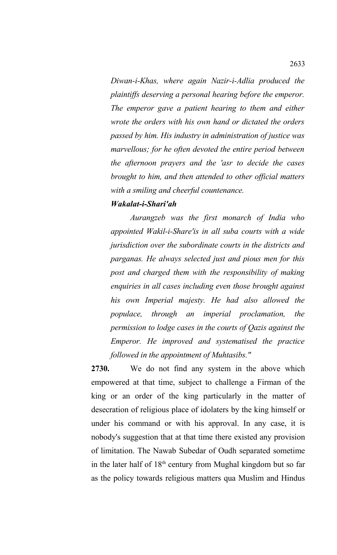*Diwan-i-Khas, where again Nazir-i-Adlia produced the plaintiffs deserving a personal hearing before the emperor. The emperor gave a patient hearing to them and either wrote the orders with his own hand or dictated the orders passed by him. His industry in administration of justice was marvellous; for he often devoted the entire period between the afternoon prayers and the 'asr to decide the cases brought to him, and then attended to other official matters with a smiling and cheerful countenance.*

#### *Wakalat-i-Shari'ah*

*Aurangzeb was the first monarch of India who appointed Wakil-i-Share'is in all suba courts with a wide jurisdiction over the subordinate courts in the districts and parganas. He always selected just and pious men for this post and charged them with the responsibility of making enquiries in all cases including even those brought against his own Imperial majesty. He had also allowed the populace, through an imperial proclamation, the permission to lodge cases in the courts of Qazis against the Emperor. He improved and systematised the practice followed in the appointment of Muhtasibs."*

**2730.** We do not find any system in the above which empowered at that time, subject to challenge a Firman of the king or an order of the king particularly in the matter of desecration of religious place of idolaters by the king himself or under his command or with his approval. In any case, it is nobody's suggestion that at that time there existed any provision of limitation. The Nawab Subedar of Oudh separated sometime in the later half of  $18<sup>th</sup>$  century from Mughal kingdom but so far as the policy towards religious matters qua Muslim and Hindus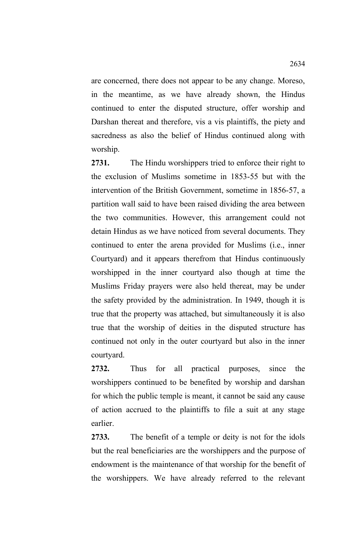are concerned, there does not appear to be any change. Moreso, in the meantime, as we have already shown, the Hindus continued to enter the disputed structure, offer worship and Darshan thereat and therefore, vis a vis plaintiffs, the piety and sacredness as also the belief of Hindus continued along with worship.

**2731.** The Hindu worshippers tried to enforce their right to the exclusion of Muslims sometime in 1853-55 but with the intervention of the British Government, sometime in 1856-57, a partition wall said to have been raised dividing the area between the two communities. However, this arrangement could not detain Hindus as we have noticed from several documents. They continued to enter the arena provided for Muslims (i.e., inner Courtyard) and it appears therefrom that Hindus continuously worshipped in the inner courtyard also though at time the Muslims Friday prayers were also held thereat, may be under the safety provided by the administration. In 1949, though it is true that the property was attached, but simultaneously it is also true that the worship of deities in the disputed structure has continued not only in the outer courtyard but also in the inner courtyard.

**2732.** Thus for all practical purposes, since the worshippers continued to be benefited by worship and darshan for which the public temple is meant, it cannot be said any cause of action accrued to the plaintiffs to file a suit at any stage earlier.

**2733.** The benefit of a temple or deity is not for the idols but the real beneficiaries are the worshippers and the purpose of endowment is the maintenance of that worship for the benefit of the worshippers. We have already referred to the relevant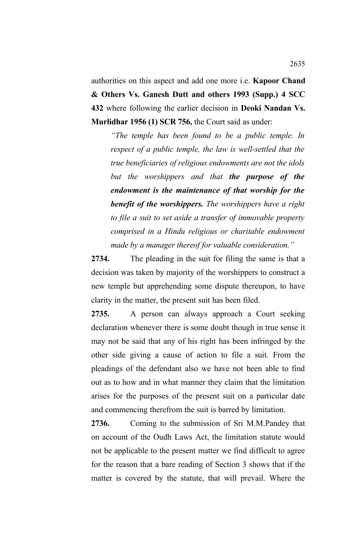authorities on this aspect and add one more i.e. **Kapoor Chand & Others Vs. Ganesh Dutt and others 1993 (Supp.) 4 SCC 432** where following the earlier decision in **Deoki Nandan Vs. Murlidhar 1956 (1) SCR 756,** the Court said as under:

*"The temple has been found to be a public temple. In respect of a public temple, the law is well-settled that the true beneficiaries of religious endowments are not the idols but the worshippers and that the purpose of the endowment is the maintenance of that worship for the benefit of the worshippers. The worshippers have a right to file a suit to set aside a transfer of immovable property comprised in a Hindu religious or charitable endowment made by a manager thereof for valuable consideration."*

**2734.** The pleading in the suit for filing the same is that a decision was taken by majority of the worshippers to construct a new temple but apprehending some dispute thereupon, to have clarity in the matter, the present suit has been filed.

**2735.** A person can always approach a Court seeking declaration whenever there is some doubt though in true sense it may not be said that any of his right has been infringed by the other side giving a cause of action to file a suit. From the pleadings of the defendant also we have not been able to find out as to how and in what manner they claim that the limitation arises for the purposes of the present suit on a particular date and commencing therefrom the suit is barred by limitation.

**2736.** Coming to the submission of Sri M.M.Pandey that on account of the Oudh Laws Act, the limitation statute would not be applicable to the present matter we find difficult to agree for the reason that a bare reading of Section 3 shows that if the matter is covered by the statute, that will prevail. Where the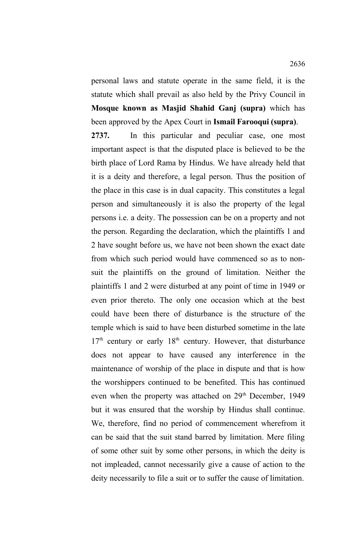personal laws and statute operate in the same field, it is the statute which shall prevail as also held by the Privy Council in **Mosque known as Masjid Shahid Ganj (supra)** which has been approved by the Apex Court in **Ismail Farooqui (supra)**.

**2737.** In this particular and peculiar case, one most important aspect is that the disputed place is believed to be the birth place of Lord Rama by Hindus. We have already held that it is a deity and therefore, a legal person. Thus the position of the place in this case is in dual capacity. This constitutes a legal person and simultaneously it is also the property of the legal persons i.e. a deity. The possession can be on a property and not the person. Regarding the declaration, which the plaintiffs 1 and 2 have sought before us, we have not been shown the exact date from which such period would have commenced so as to nonsuit the plaintiffs on the ground of limitation. Neither the plaintiffs 1 and 2 were disturbed at any point of time in 1949 or even prior thereto. The only one occasion which at the best could have been there of disturbance is the structure of the temple which is said to have been disturbed sometime in the late  $17<sup>th</sup>$  century or early  $18<sup>th</sup>$  century. However, that disturbance does not appear to have caused any interference in the maintenance of worship of the place in dispute and that is how the worshippers continued to be benefited. This has continued even when the property was attached on 29<sup>th</sup> December, 1949 but it was ensured that the worship by Hindus shall continue. We, therefore, find no period of commencement wherefrom it can be said that the suit stand barred by limitation. Mere filing of some other suit by some other persons, in which the deity is not impleaded, cannot necessarily give a cause of action to the deity necessarily to file a suit or to suffer the cause of limitation.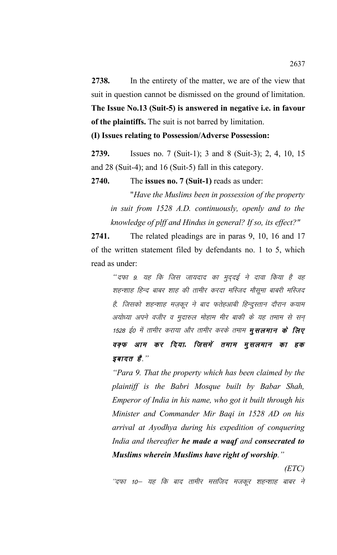**2738.** In the entirety of the matter, we are of the view that suit in question cannot be dismissed on the ground of limitation. **The Issue No.13 (Suit-5) is answered in negative i.e. in favour of the plaintiffs.** The suit is not barred by limitation.

**(I) Issues relating to Possession/Adverse Possession:** 

**2739.** Issues no. 7 (Suit-1); 3 and 8 (Suit-3); 2, 4, 10, 15 and 28 (Suit-4); and 16 (Suit-5) fall in this category.

**2740.** The **issues no. 7 (Suit-1)** reads as under:

"*Have the Muslims been in possession of the property in suit from 1528 A.D. continuously, openly and to the knowledge of plff and Hindus in general? If so, its effect?"*

**2741.** The related pleadings are in paras 9, 10, 16 and 17 of the written statement filed by defendants no. 1 to 5, which read as under:

> "दफा 9. यह कि जिस जायदाद का मुद्**दई ने दावा किया है वह** शहन्शाह हिन्द बाबर शाह की तामीर करदा मस्जिद मौसूमा बाबरी मस्जिद है. जिसको शहन्शाह मज़कूर ने बाद फतेहआबी हिन्दुस्तान दौरान कयाम अयोध्या अपने वजीर व मुदारुल मोहाम मीर बाकी के यह तमाम से सन् 1528 ई0 में तामीर कराया और तामीर करके तमाम **मुसलमान के लिए** वक्**फ आम कर दिया. जिसमें तमाम मुसलमान का** हक *इबादत है.*"

> *"Para 9. That the property which has been claimed by the plaintiff is the Babri Mosque built by Babar Shah, Emperor of India in his name, who got it built through his Minister and Commander Mir Baqi in 1528 AD on his arrival at Ayodhya during his expedition of conquering India and thereafter he made a waqf and consecrated to Muslims wherein Muslims have right of worship."*

> > *(ETC)*

''दफा 10— यह कि बाद तामीर मसजिद मजकूर शहन्शाह बाबर ने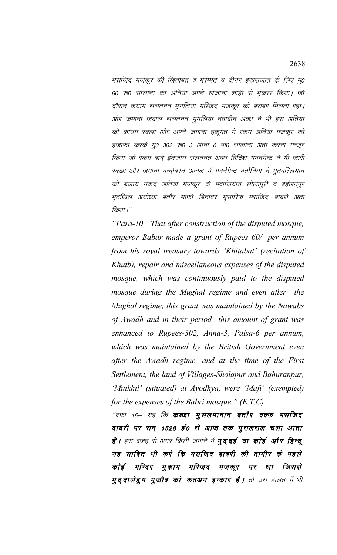मसजिद मजकूर की खिताबत व मरम्मत व दीगर इखराजात के लिए मू0 60 रू0 सालाना का अतिया अपने खजाना शाही से मुकरर किया। जो दौरान कयाम सलतनत मुगलिया मस्जिद मजकूर को बराबर मिलता रहा। ओर जमाना जवाल सलतनत मुगलिया नवाबीन अवध ने भी इस अतिया को कायम रक्खा और अपने जमाना हकूमत में रकम अतिया मजकूर को इजाफा करके मू0 302 रू0 3 आना 6 पा0 सालाना अता करना मन्जूर किया जो रकम बाद इंतजाय सलतनत अवध ब्रिटिश गवर्नमेन्ट ने भी जारी रक्खा और जमाना बन्दोबस्त अव्वल में गवर्नमेन्ट बर्तानिया ने मुतवल्लियान को बजाय नकद अतिया मजकूर के मवाजियात सोलापुरी व बहोरनपुर मुतखिल अयोध्या बतौर माफी बिनावर मुसारिफ मसजिद बाबरी अता किया।''

*"Para-10 That after construction of the disputed mosque, emperor Babar made a grant of Rupees 60/- per annum from his royal treasury towards 'Khitabat' (recitation of Khutb), repair and miscellaneous expenses of the disputed mosque, which was continuously paid to the disputed mosque during the Mughal regime and even after the Mughal regime, this grant was maintained by the Nawabs of Awadh and in their period this amount of grant was enhanced to Rupees-302, Anna-3, Paisa-6 per annum, which was maintained by the British Government even after the Awadh regime, and at the time of the First Settlement, the land of Villages-Sholapur and Bahuranpur, 'Mutkhil' (situated) at Ayodhya, were 'Mafi' (exempted) for the expenses of the Babri mosque." (E.T.C)*

''दफा 16— यह कि **कब्जा मुसलमानान बतौर वक्फ मसजिद** बाबरी पर सन् 1528 ई0 से आज तक मुसलसल चला आता है । इस वजह से अगर किसी जमाने में **मुद्दई या कोई और हिन्दू** यह साबित भी करे कि मसजिद बाबरी की तामीर के पहले कोई मन्दिर मुकाम मस्जिद मजकूर पर था जिससे **मुद्दालेहुम मुजीब को कतअन इन्कार है।** तो उस हालत में भी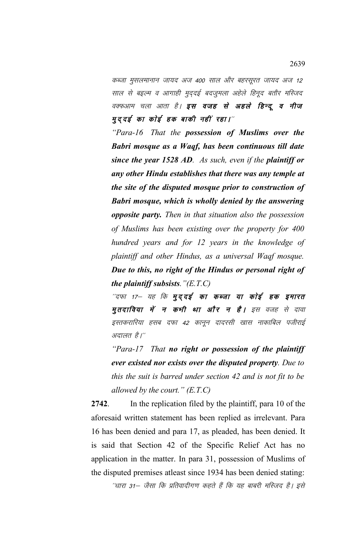कब्जा मुसलमानान जायद अज 400 साल और बहरसूरत जायद अज 12 साल से बइल्म व आगाही मुद्दई बदजुमला अहेले हिनूद बतौर मस्जिद वक्फआम चला आता है। **इस वजह से अहले हिन्दू व नीज** मुददई का कोई हक बाकी नहीं रहा।''

*"Para-16 That the possession of Muslims over the Babri mosque as a Waqf, has been continuous till date since the year 1528 AD. As such, even if the plaintiff or any other Hindu establishes that there was any temple at the site of the disputed mosque prior to construction of Babri mosque, which is wholly denied by the answering opposite party. Then in that situation also the possession of Muslims has been existing over the property for 400 hundred years and for 12 years in the knowledge of plaintiff and other Hindus, as a universal Waqf mosque. Due to this, no right of the Hindus or personal right of the plaintiff subsists."(E.T.C)*

"दफा 17— यह कि **मुद्दई का कब्जा या कोई हक इमारत** मुतदाविया में न कभी था और न है। इस वजह से दावा इस्तकरारिया हसब दफा 42 कानून दादरसी खास नाकाबिल पजीराई अदालत है।''

*"Para-17 That no right or possession of the plaintiff ever existed nor exists over the disputed property. Due to this the suit is barred under section 42 and is not fit to be allowed by the court." (E.T.C)*

**2742**. In the replication filed by the plaintiff, para 10 of the aforesaid written statement has been replied as irrelevant. Para 16 has been denied and para 17, as pleaded, has been denied. It is said that Section 42 of the Specific Relief Act has no application in the matter. In para 31, possession of Muslims of the disputed premises atleast since 1934 has been denied stating:

''धारा 31— जैसा कि प्रतिवादीगण कहते हैं कि यह बाबरी मस्जिद है। इसे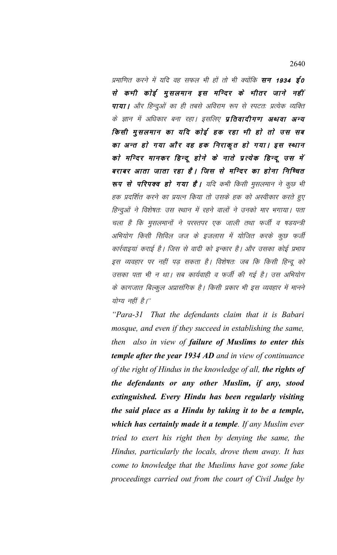प्रमाणित करने में यदि वह सफल भी हों तो भी क्योंकि **सन 1934 ई0** से कभी कोई मुसलमान इस मन्दिर के भीतर जाने नहीं पाया | और हिन्दुओं का ही तबसे अविराम रूप से स्पटतः प्रत्येक व्यक्ति के ज्ञान में अधिकार बना रहा। इसलिए **प्रतिवादीगण अथवा अन्य** किसी मुसलमान का यदि कोई हक रहा भी हो तो उस सब का अन्त हो गया और वह हक निराकृत हो गया। इस स्थान को मन्दिर मानकर हिन्दू होने के नाते प्रत्येक हिन्दू उस में बराबर आता जाता रहा है। जिस से मन्दिर का होना निष्चित रूप से परिपक्व हो गया है। यदि कभी किसी मुसलमान ने कुछ भी हक प्रदर्शित करने का प्रयत्न किया तो उसके हक को अस्वीकार करते हुए हिन्दुओं ने विशेषतः उस स्थान में रहने वालों ने उनको मार भगाया। पता चला है कि मुसलमानों ने परस्तपर एक जाली तथा फर्जी व षडयन्त्री अभियोग किसी सिविल जज के इजलास में योजित करके कुछ फर्जी कार्रवाइयां कराई है। जिस से वादी को इन्कार है। और उसका कोई प्रभाव इस व्यवहार पर नहीं पड़ सकता है। विशेषतः जब कि किसी हिन्दू को उसका पता भी न था। सब कार्यवाही व फर्जी की गई है। उस अभियोग के कागजात बिल्कूल अप्रासंगिक है। किसी प्रकार भी इस व्यवहार में मानने योग्य नहीं है।"

*"Para-31 That the defendants claim that it is Babari mosque, and even if they succeed in establishing the same, then also in view of failure of Muslims to enter this temple after the year 1934 AD and in view of continuance of the right of Hindus in the knowledge of all, the rights of the defendants or any other Muslim, if any, stood extinguished. Every Hindu has been regularly visiting the said place as a Hindu by taking it to be a temple, which has certainly made it a temple. If any Muslim ever tried to exert his right then by denying the same, the Hindus, particularly the locals, drove them away. It has come to knowledge that the Muslims have got some fake proceedings carried out from the court of Civil Judge by*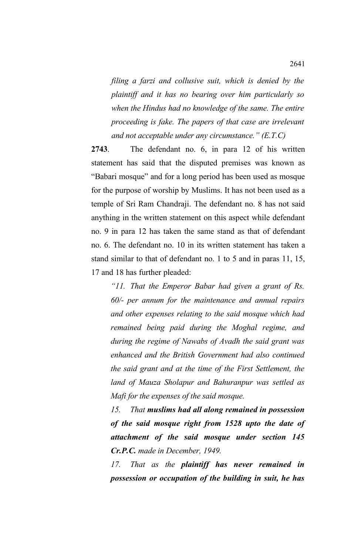*filing a farzi and collusive suit, which is denied by the plaintiff and it has no bearing over him particularly so when the Hindus had no knowledge of the same. The entire proceeding is fake. The papers of that case are irrelevant and not acceptable under any circumstance." (E.T.C)*

**2743**. The defendant no. 6, in para 12 of his written statement has said that the disputed premises was known as "Babari mosque" and for a long period has been used as mosque for the purpose of worship by Muslims. It has not been used as a temple of Sri Ram Chandraji. The defendant no. 8 has not said anything in the written statement on this aspect while defendant no. 9 in para 12 has taken the same stand as that of defendant no. 6. The defendant no. 10 in its written statement has taken a stand similar to that of defendant no. 1 to 5 and in paras 11, 15, 17 and 18 has further pleaded:

*"11. That the Emperor Babar had given a grant of Rs. 60/- per annum for the maintenance and annual repairs and other expenses relating to the said mosque which had remained being paid during the Moghal regime, and during the regime of Nawabs of Avadh the said grant was enhanced and the British Government had also continued the said grant and at the time of the First Settlement, the land of Mauza Sholapur and Bahuranpur was settled as Mafi for the expenses of the said mosque.* 

*15. That muslims had all along remained in possession of the said mosque right from 1528 upto the date of attachment of the said mosque under section 145 Cr.P.C. made in December, 1949.* 

*17. That as the plaintiff has never remained in possession or occupation of the building in suit, he has*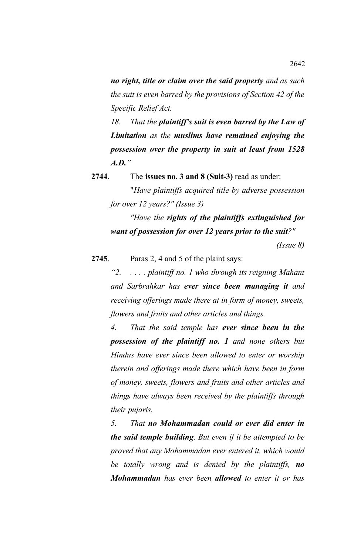*no right, title or claim over the said property and as such the suit is even barred by the provisions of Section 42 of the Specific Relief Act.*

*18. That the plaintiff's suit is even barred by the Law of Limitation as the muslims have remained enjoying the possession over the property in suit at least from 1528 A.D."*

**2744**. The **issues no. 3 and 8 (Suit-3)** read as under: "*Have plaintiffs acquired title by adverse possession for over 12 years?" (Issue 3)*

*"Have the rights of the plaintiffs extinguished for want of possession for over 12 years prior to the suit?"*

 *(Issue 8)*

**2745**. Paras 2, 4 and 5 of the plaint says:

*"2. . . . . plaintiff no. 1 who through its reigning Mahant and Sarbrahkar has ever since been managing it and receiving offerings made there at in form of money, sweets, flowers and fruits and other articles and things.*

*4. That the said temple has ever since been in the possession of the plaintiff no. 1 and none others but Hindus have ever since been allowed to enter or worship therein and offerings made there which have been in form of money, sweets, flowers and fruits and other articles and things have always been received by the plaintiffs through their pujaris.* 

*5. That no Mohammadan could or ever did enter in the said temple building. But even if it be attempted to be proved that any Mohammadan ever entered it, which would be totally wrong and is denied by the plaintiffs, no Mohammadan has ever been allowed to enter it or has*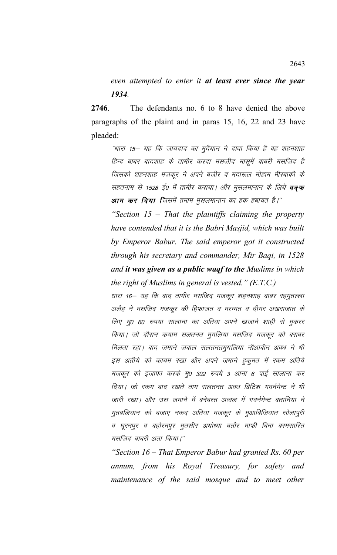*even attempted to enter it at least ever since the year 1934.* 

**2746**. The defendants no. 6 to 8 have denied the above paragraphs of the plaint and in paras 15, 16, 22 and 23 have pleaded:

^'धारा 15— यह कि जायदाद का मुदैयान ने दावा किया है वह शहनशाह हिन्द बाबर बादशाह के तामीर करदा मसजीद मासूमें बाबरी मसजिद है जिसको शहनशाह मजकूर ने अपने बजीर व मदारूल मोहाम मीरबाकी के सहतनाम से 1528 ई0 में तामीर कराया। और मुसलमानान के लिये **वक्फ आम कर दिया जि**समें तमाम मुसलमानान का हक हबायत है।''

*"Section 15 – That the plaintiffs claiming the property have contended that it is the Babri Masjid, which was built by Emperor Babur. The said emperor got it constructed through his secretary and commander, Mir Baqi, in 1528 and it was given as a public waqf to the Muslims in which the right of Muslims in general is vested." (E.T.C.)*

धारा 16— यह कि बाद तामीर मसजिद मजकूर शहनशाह बाबर रहमुतल्ला अलैह ने मसजिद मजकूर की हिफाजत व मरम्मत व दीगर अखराजात के लिए मृ0 60 रुपया सालाना का अतिया अपने खजाने शाही से मुकरर किया। जो दौरान कयाम सलतनत मुगलिया मसजिद मजकूर को बराबर मिलता रहा। बाद जमाने जबाल सलतनतमुगलिया नौआबीन अवध ने भी इस अतीये को कायम रखा और अपने जमाने हुकुमत में रकम अतिये मजकूर को इजाफा करके मु0 302 रुपये 3 आना 6 पाई सालाना कर दिया। जो रकम बाद रखते ताम सलतनत अवध ब्रिटिश गवर्नमेन्ट ने भी जारी रखा। और उस जमाने में बनेबस्त अव्वल में गवर्नमेन्ट बतानिया ने मुतबलियान को बजाए नकद अतिया मजकूर के मुआबिजियात सोलापुरी व घूरनपुर व बहोरनपुर मुतसीर अयोध्या बतौर माफी बिना बरमसारित मसजिद बाबरी अता किया।''

*"Section 16 – That Emperor Babur had granted Rs. 60 per annum, from his Royal Treasury, for safety and maintenance of the said mosque and to meet other*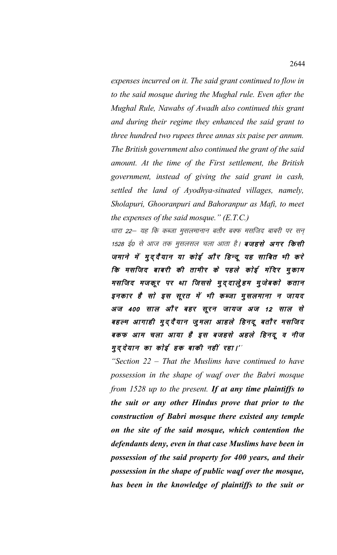*expenses incurred on it. The said grant continued to flow in to the said mosque during the Mughal rule. Even after the Mughal Rule, Nawabs of Awadh also continued this grant and during their regime they enhanced the said grant to three hundred two rupees three annas six paise per annum. The British government also continued the grant of the said amount. At the time of the First settlement, the British government, instead of giving the said grant in cash, settled the land of Ayodhya-situated villages, namely, Sholapuri, Ghooranpuri and Bahoranpur as Mafi, to meet the expenses of the said mosque." (E.T.C.)*

धारा 22— यह कि कब्जा मुसलमानान बतौर बक्फ मसजिद बाबरी पर सन् 1528 ई0 से आज तक मुसलसल चला आता है। **बजहसे अगर किसी** जमाने में मुद्दैयान या कोई और हिन्दू यह साबित भी करे कि मसजिद बाबरी की तामीर के पहले कोई मंदिर मुकाम मसजिद मजकूर पर था जिससे मुद्दालुेहम मुजेबको कतान इनकार है सो इस सूरत में भी कब्जा मुसलमाना न जायद अज 400 साल और बहर सूरन जायज अज 12 साल से बहल्म आगाही मुद्दैयान जुमला आहले हिनदू बतौर मसजिद बकफ आम चला आया है इस बजहसे अहले हिनदू व नीज मुद्देयान का कोई हक बाकी नहीं रहा।''

*"Section 22 – That the Muslims have continued to have possession in the shape of waqf over the Babri mosque from 1528 up to the present. If at any time plaintiffs to the suit or any other Hindus prove that prior to the construction of Babri mosque there existed any temple on the site of the said mosque, which contention the defendants deny, even in that case Muslims have been in possession of the said property for 400 years, and their possession in the shape of public waqf over the mosque, has been in the knowledge of plaintiffs to the suit or*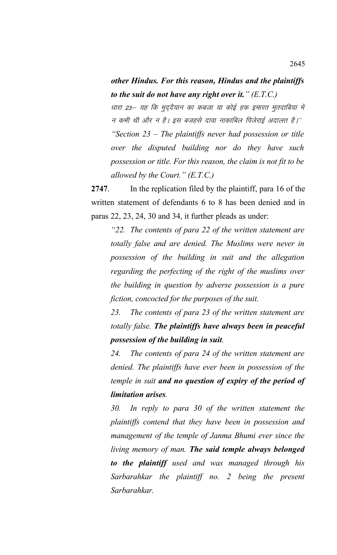## *other Hindus. For this reason, Hindus and the plaintiffs to the suit do not have any right over it." (E.T.C.)*

धारा 23— यह कि मुदुदैयान का कबजा या कोई हक इमारत मुतदाबिया में न कभी थी और न है। इस बजहसे दावा नाकाबिल पिजेराई अदालत है।''

*"Section 23 – The plaintiffs never had possession or title over the disputed building nor do they have such possession or title. For this reason, the claim is not fit to be allowed by the Court." (E.T.C.)*

**2747**. In the replication filed by the plaintiff, para 16 of the written statement of defendants 6 to 8 has been denied and in paras 22, 23, 24, 30 and 34, it further pleads as under:

*"22. The contents of para 22 of the written statement are totally false and are denied. The Muslims were never in possession of the building in suit and the allegation regarding the perfecting of the right of the muslims over the building in question by adverse possession is a pure fiction, concocted for the purposes of the suit.* 

*23. The contents of para 23 of the written statement are totally false. The plaintiffs have always been in peaceful possession of the building in suit.* 

*24. The contents of para 24 of the written statement are denied. The plaintiffs have ever been in possession of the temple in suit and no question of expiry of the period of limitation arises.* 

*30. In reply to para 30 of the written statement the plaintiffs contend that they have been in possession and management of the temple of Janma Bhumi ever since the living memory of man. The said temple always belonged to the plaintiff used and was managed through his Sarbarahkar the plaintiff no. 2 being the present Sarbarahkar.*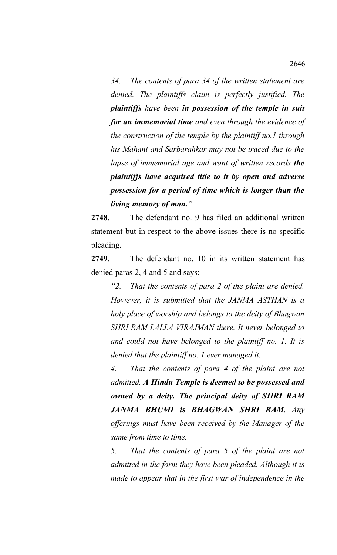*34. The contents of para 34 of the written statement are denied. The plaintiffs claim is perfectly justified. The plaintiffs have been in possession of the temple in suit for an immemorial time and even through the evidence of the construction of the temple by the plaintiff no.1 through his Mahant and Sarbarahkar may not be traced due to the lapse of immemorial age and want of written records the plaintiffs have acquired title to it by open and adverse possession for a period of time which is longer than the living memory of man."*

**2748**. The defendant no. 9 has filed an additional written statement but in respect to the above issues there is no specific pleading.

**2749**. The defendant no. 10 in its written statement has denied paras 2, 4 and 5 and says:

*"2. That the contents of para 2 of the plaint are denied. However, it is submitted that the JANMA ASTHAN is a holy place of worship and belongs to the deity of Bhagwan SHRI RAM LALLA VIRAJMAN there. It never belonged to and could not have belonged to the plaintiff no. 1. It is denied that the plaintiff no. 1 ever managed it.* 

*4. That the contents of para 4 of the plaint are not admitted. A Hindu Temple is deemed to be possessed and owned by a deity. The principal deity of SHRI RAM JANMA BHUMI is BHAGWAN SHRI RAM. Any offerings must have been received by the Manager of the same from time to time.* 

*5. That the contents of para 5 of the plaint are not admitted in the form they have been pleaded. Although it is made to appear that in the first war of independence in the*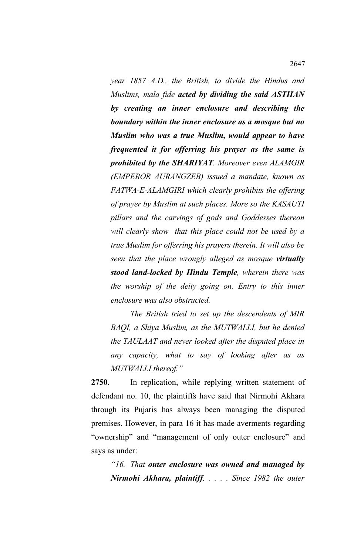*year 1857 A.D., the British, to divide the Hindus and Muslims, mala fide acted by dividing the said ASTHAN by creating an inner enclosure and describing the boundary within the inner enclosure as a mosque but no Muslim who was a true Muslim, would appear to have frequented it for offerring his prayer as the same is prohibited by the SHARIYAT. Moreover even ALAMGIR (EMPEROR AURANGZEB) issued a mandate, known as FATWA-E-ALAMGIRI which clearly prohibits the offering of prayer by Muslim at such places. More so the KASAUTI pillars and the carvings of gods and Goddesses thereon will clearly show that this place could not be used by a true Muslim for offerring his prayers therein. It will also be seen that the place wrongly alleged as mosque virtually stood land-locked by Hindu Temple, wherein there was the worship of the deity going on. Entry to this inner enclosure was also obstructed.* 

*The British tried to set up the descendents of MIR BAQI, a Shiya Muslim, as the MUTWALLI, but he denied the TAULAAT and never looked after the disputed place in any capacity, what to say of looking after as as MUTWALLI thereof."*

**2750**. In replication, while replying written statement of defendant no. 10, the plaintiffs have said that Nirmohi Akhara through its Pujaris has always been managing the disputed premises. However, in para 16 it has made averments regarding "ownership" and "management of only outer enclosure" and says as under:

*"16. That outer enclosure was owned and managed by Nirmohi Akhara, plaintiff. . . . . Since 1982 the outer*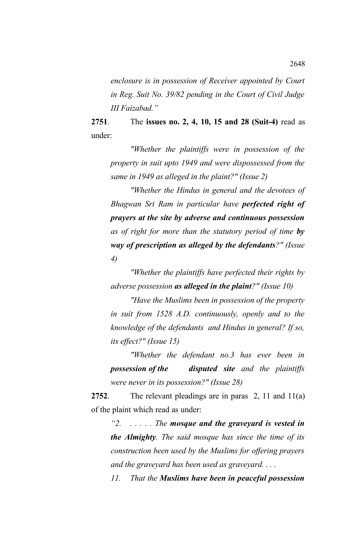*enclosure is in possession of Receiver appointed by Court in Reg. Suit No. 39/82 pending in the Court of Civil Judge III Faizabad."*

**2751**. The **issues no. 2, 4, 10, 15 and 28 (Suit-4)** read as under:

*"Whether the plaintiffs were in possession of the property in suit upto 1949 and were dispossessed from the same in 1949 as alleged in the plaint?" (Issue 2)*

*"Whether the Hindus in general and the devotees of Bhagwan Sri Ram in particular have perfected right of prayers at the site by adverse and continuous possession as of right for more than the statutory period of time by way of prescription as alleged by the defendants?" (Issue 4)*

*"Whether the plaintiffs have perfected their rights by adverse possession as alleged in the plaint?" (Issue 10)*

*"Have the Muslims been in possession of the property in suit from 1528 A.D. continuously, openly and to the knowledge of the defendants and Hindus in general? If so, its effect?" (Issue 15)*

*"Whether the defendant no.3 has ever been in possession of the disputed site and the plaintiffs were never in its possession?" (Issue 28)*

**2752**. The relevant pleadings are in paras 2, 11 and 11(a) of the plaint which read as under:

*"2. . . . . . The mosque and the graveyard is vested in the Almighty. The said mosque has since the time of its construction been used by the Muslims for offering prayers and the graveyard has been used as graveyard. . . .* 

*11. That the Muslims have been in peaceful possession*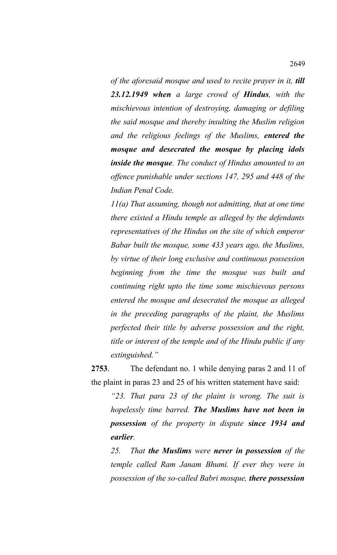*of the aforesaid mosque and used to recite prayer in it, till 23.12.1949 when a large crowd of Hindus, with the mischievous intention of destroying, damaging or defiling the said mosque and thereby insulting the Muslim religion and the religious feelings of the Muslims, entered the mosque and desecrated the mosque by placing idols inside the mosque. The conduct of Hindus amounted to an offence punishable under sections 147, 295 and 448 of the Indian Penal Code.* 

*11(a) That assuming, though not admitting, that at one time there existed a Hindu temple as alleged by the defendants representatives of the Hindus on the site of which emperor Babar built the mosque, some 433 years ago, the Muslims, by virtue of their long exclusive and continuous possession beginning from the time the mosque was built and continuing right upto the time some mischievous persons entered the mosque and desecrated the mosque as alleged in the preceding paragraphs of the plaint, the Muslims perfected their title by adverse possession and the right, title or interest of the temple and of the Hindu public if any extinguished."*

**2753**. The defendant no. 1 while denying paras 2 and 11 of the plaint in paras 23 and 25 of his written statement have said:

*"23. That para 23 of the plaint is wrong. The suit is hopelessly time barred. The Muslims have not been in possession of the property in dispute since 1934 and earlier.* 

*25. That the Muslims were never in possession of the temple called Ram Janam Bhumi. If ever they were in possession of the so-called Babri mosque, there possession*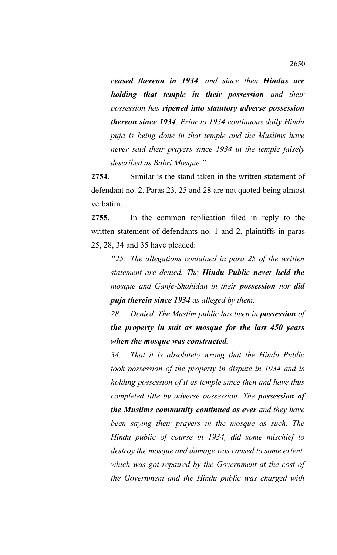*ceased thereon in 1934, and since then Hindus are holding that temple in their possession and their possession has ripened into statutory adverse possession thereon since 1934. Prior to 1934 continuous daily Hindu puja is being done in that temple and the Muslims have never said their prayers since 1934 in the temple falsely described as Babri Mosque."*

**2754**. Similar is the stand taken in the written statement of defendant no. 2. Paras 23, 25 and 28 are not quoted being almost verbatim.

**2755**. In the common replication filed in reply to the written statement of defendants no. 1 and 2, plaintiffs in paras 25, 28, 34 and 35 have pleaded:

*"25. The allegations contained in para 25 of the written statement are denied. The Hindu Public never held the mosque and Ganje-Shahidan in their possession nor did puja therein since 1934 as alleged by them.* 

*28. Denied. The Muslim public has been in possession of the property in suit as mosque for the last 450 years when the mosque was constructed.* 

*34. That it is absolutely wrong that the Hindu Public took possession of the property in dispute in 1934 and is holding possession of it as temple since then and have thus completed title by adverse possession. The possession of the Muslims community continued as ever and they have been saying their prayers in the mosque as such. The Hindu public of course in 1934, did some mischief to destroy the mosque and damage was caused to some extent, which was got repaired by the Government at the cost of the Government and the Hindu public was charged with*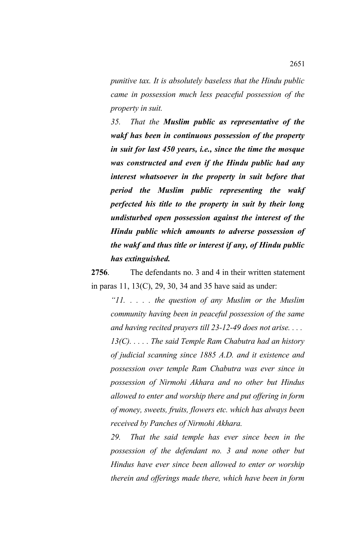*punitive tax. It is absolutely baseless that the Hindu public came in possession much less peaceful possession of the property in suit.* 

*35. That the Muslim public as representative of the wakf has been in continuous possession of the property in suit for last 450 years, i.e., since the time the mosque was constructed and even if the Hindu public had any interest whatsoever in the property in suit before that period the Muslim public representing the wakf perfected his title to the property in suit by their long undisturbed open possession against the interest of the Hindu public which amounts to adverse possession of the wakf and thus title or interest if any, of Hindu public has extinguished.*

**2756**. The defendants no. 3 and 4 in their written statement in paras 11, 13(C), 29, 30, 34 and 35 have said as under:

*"11. . . . . the question of any Muslim or the Muslim community having been in peaceful possession of the same and having recited prayers till 23-12-49 does not arise. . . . 13(C). . . . . The said Temple Ram Chabutra had an history of judicial scanning since 1885 A.D. and it existence and possession over temple Ram Chabutra was ever since in possession of Nirmohi Akhara and no other but Hindus allowed to enter and worship there and put offering in form of money, sweets, fruits, flowers etc. which has always been received by Panches of Nirmohi Akhara.*

*29. That the said temple has ever since been in the possession of the defendant no. 3 and none other but Hindus have ever since been allowed to enter or worship therein and offerings made there, which have been in form*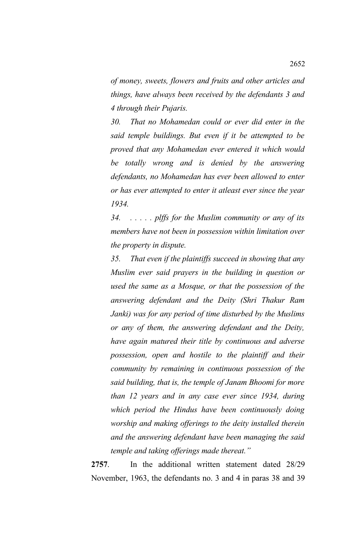*of money, sweets, flowers and fruits and other articles and things, have always been received by the defendants 3 and 4 through their Pujaris.*

*30. That no Mohamedan could or ever did enter in the said temple buildings. But even if it be attempted to be proved that any Mohamedan ever entered it which would be totally wrong and is denied by the answering defendants, no Mohamedan has ever been allowed to enter or has ever attempted to enter it atleast ever since the year 1934.*

*34. . . . . . plffs for the Muslim community or any of its members have not been in possession within limitation over the property in dispute.*

*35. That even if the plaintiffs succeed in showing that any Muslim ever said prayers in the building in question or used the same as a Mosque, or that the possession of the answering defendant and the Deity (Shri Thakur Ram Janki) was for any period of time disturbed by the Muslims or any of them, the answering defendant and the Deity, have again matured their title by continuous and adverse possession, open and hostile to the plaintiff and their community by remaining in continuous possession of the said building, that is, the temple of Janam Bhoomi for more than 12 years and in any case ever since 1934, during which period the Hindus have been continuously doing worship and making offerings to the deity installed therein and the answering defendant have been managing the said temple and taking offerings made thereat."*

**2757**. In the additional written statement dated 28/29 November, 1963, the defendants no. 3 and 4 in paras 38 and 39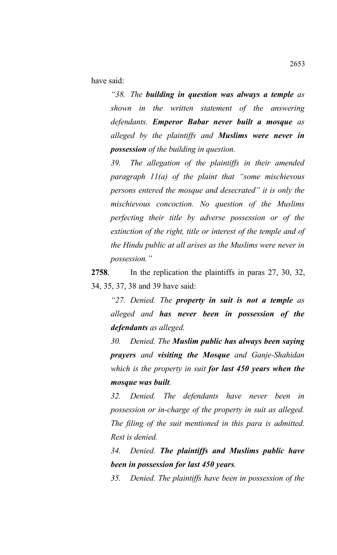have said:

*"38. The building in question was always a temple as shown in the written statement of the answering defendants. Emperor Babar never built a mosque as alleged by the plaintiffs and Muslims were never in possession of the building in question.* 

*39. The allegation of the plaintiffs in their amended paragraph 11(a) of the plaint that "some mischievous persons entered the mosque and desecrated" it is only the mischievous concoction. No question of the Muslims perfecting their title by adverse possession or of the extinction of the right, title or interest of the temple and of the Hindu public at all arises as the Muslims were never in possession."*

**2758**. In the replication the plaintiffs in paras 27, 30, 32, 34, 35, 37, 38 and 39 have said:

*"27. Denied. The property in suit is not a temple as alleged and has never been in possession of the defendants as alleged.* 

*30. Denied. The Muslim public has always been saying prayers and visiting the Mosque and Ganje-Shahidan which is the property in suit for last 450 years when the mosque was built.*

*32. Denied. The defendants have never been in possession or in-charge of the property in suit as alleged. The filing of the suit mentioned in this para is admitted. Rest is denied.* 

*34. Denied. The plaintiffs and Muslims public have been in possession for last 450 years.* 

*35. Denied. The plaintiffs have been in possession of the*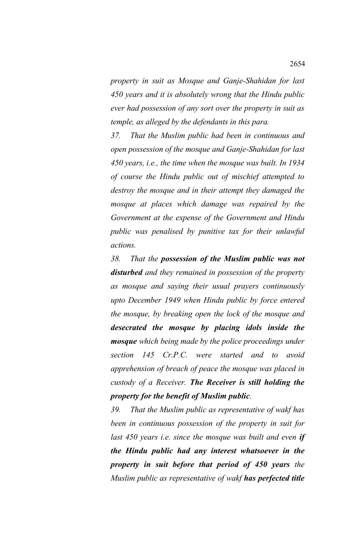*property in suit as Mosque and Ganje-Shahidan for last 450 years and it is absolutely wrong that the Hindu public ever had possession of any sort over the property in suit as temple, as alleged by the defendants in this para.* 

*37. That the Muslim public had been in continuous and open possession of the mosque and Ganje-Shahidan for last 450 years, i.e., the time when the mosque was built. In 1934 of course the Hindu public out of mischief attempted to destroy the mosque and in their attempt they damaged the mosque at places which damage was repaired by the Government at the expense of the Government and Hindu public was penalised by punitive tax for their unlawful actions.* 

*38. That the possession of the Muslim public was not disturbed and they remained in possession of the property as mosque and saying their usual prayers continuously upto December 1949 when Hindu public by force entered the mosque, by breaking open the lock of the mosque and desecrated the mosque by placing idols inside the mosque which being made by the police proceedings under section 145 Cr.P.C. were started and to avoid apprehension of breach of peace the mosque was placed in custody of a Receiver. The Receiver is still holding the property for the benefit of Muslim public.*

*39. That the Muslim public as representative of wakf has been in continuous possession of the property in suit for last 450 years i.e. since the mosque was built and even if the Hindu public had any interest whatsoever in the property in suit before that period of 450 years the Muslim public as representative of wakf has perfected title*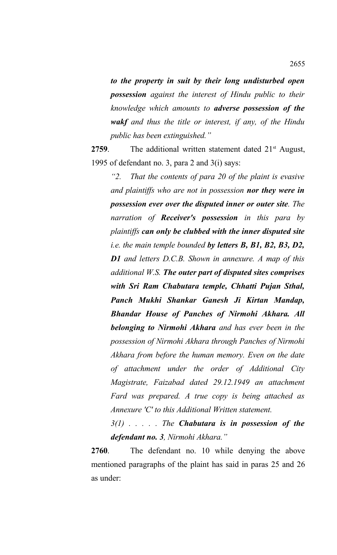*to the property in suit by their long undisturbed open possession against the interest of Hindu public to their knowledge which amounts to adverse possession of the wakf and thus the title or interest, if any, of the Hindu public has been extinguished."*

**2759.** The additional written statement dated 21<sup>st</sup> August, 1995 of defendant no. 3, para 2 and 3(i) says:

*"2. That the contents of para 20 of the plaint is evasive and plaintiffs who are not in possession nor they were in possession ever over the disputed inner or outer site. The narration of Receiver's possession in this para by plaintiffs can only be clubbed with the inner disputed site i.e. the main temple bounded by letters B, B1, B2, B3, D2, D1 and letters D.C.B. Shown in annexure. A map of this additional W.S. The outer part of disputed sites comprises with Sri Ram Chabutara temple, Chhatti Pujan Sthal, Panch Mukhi Shankar Ganesh Ji Kirtan Mandap, Bhandar House of Panches of Nirmohi Akhara. All belonging to Nirmohi Akhara and has ever been in the possession of Nirmohi Akhara through Panches of Nirmohi Akhara from before the human memory. Even on the date of attachment under the order of Additional City Magistrate, Faizabad dated 29.12.1949 an attachment Fard was prepared. A true copy is being attached as Annexure 'C' to this Additional Written statement.* 

*3(1) . . . . . The Chabutara is in possession of the defendant no. 3, Nirmohi Akhara."*

**2760**. The defendant no. 10 while denying the above mentioned paragraphs of the plaint has said in paras 25 and 26 as under: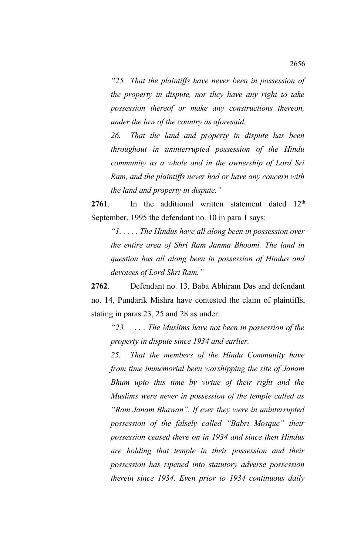*"25. That the plaintiffs have never been in possession of the property in dispute, nor they have any right to take possession thereof or make any constructions thereon, under the law of the country as aforesaid.* 

*26. That the land and property in dispute has been throughout in uninterrupted possession of the Hindu community as a whole and in the ownership of Lord Sri Ram, and the plaintiffs never had or have any concern with the land and property in dispute."*

**2761**. In the additional written statement dated 12<sup>th</sup> September, 1995 the defendant no. 10 in para 1 says:

*"1. . . . . The Hindus have all along been in possession over the entire area of Shri Ram Janma Bhoomi. The land in question has all along been in possession of Hindus and devotees of Lord Shri Ram."*

**2762**. Defendant no. 13, Baba Abhiram Das and defendant no. 14, Pundarik Mishra have contested the claim of plaintiffs, stating in paras 23, 25 and 28 as under:

*"23. . . . . The Muslims have not been in possession of the property in dispute since 1934 and earlier.* 

*25. That the members of the Hindu Community have from time immemorial been worshipping the site of Janam Bhum upto this time by virtue of their right and the Muslims were never in possession of the temple called as "Ram Janam Bhawan". If ever they were in uninterrupted possession of the falsely called "Babri Mosque" their possession ceased there on in 1934 and since then Hindus are holding that temple in their possession and their possession has ripened into statutory adverse possession therein since 1934. Even prior to 1934 continuous daily*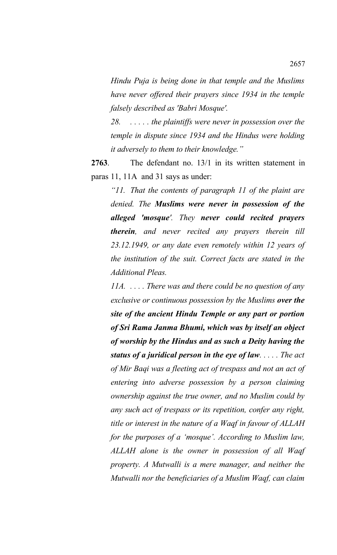*Hindu Puja is being done in that temple and the Muslims have never offered their prayers since 1934 in the temple falsely described as 'Babri Mosque'.*

*28. . . . . . the plaintiffs were never in possession over the temple in dispute since 1934 and the Hindus were holding it adversely to them to their knowledge."*

**2763**. The defendant no. 13/1 in its written statement in paras 11, 11A and 31 says as under:

*"11. That the contents of paragraph 11 of the plaint are denied. The Muslims were never in possession of the alleged 'mosque'. They never could recited prayers therein, and never recited any prayers therein till 23.12.1949, or any date even remotely within 12 years of the institution of the suit. Correct facts are stated in the Additional Pleas.* 

*11A. . . . . There was and there could be no question of any exclusive or continuous possession by the Muslims over the site of the ancient Hindu Temple or any part or portion of Sri Rama Janma Bhumi, which was by itself an object of worship by the Hindus and as such a Deity having the status of a juridical person in the eye of law. . . . . The act of Mir Baqi was a fleeting act of trespass and not an act of entering into adverse possession by a person claiming ownership against the true owner, and no Muslim could by any such act of trespass or its repetition, confer any right, title or interest in the nature of a Waqf in favour of ALLAH for the purposes of a 'mosque'. According to Muslim law, ALLAH alone is the owner in possession of all Waqf property. A Mutwalli is a mere manager, and neither the Mutwalli nor the beneficiaries of a Muslim Waqf, can claim*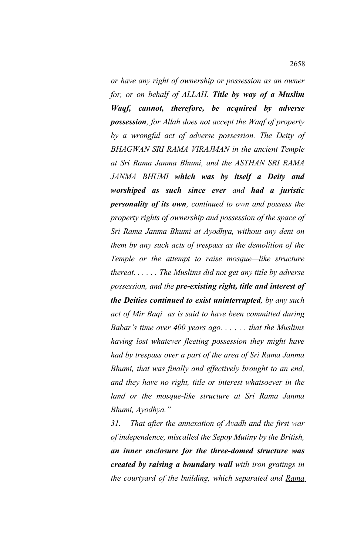*or have any right of ownership or possession as an owner for, or on behalf of ALLAH. Title by way of a Muslim Waqf, cannot, therefore, be acquired by adverse possession, for Allah does not accept the Waqf of property by a wrongful act of adverse possession. The Deity of BHAGWAN SRI RAMA VIRAJMAN in the ancient Temple at Sri Rama Janma Bhumi, and the ASTHAN SRI RAMA JANMA BHUMI which was by itself a Deity and worshiped as such since ever and had a juristic personality of its own, continued to own and possess the property rights of ownership and possession of the space of Sri Rama Janma Bhumi at Ayodhya, without any dent on them by any such acts of trespass as the demolition of the Temple or the attempt to raise mosque—like structure thereat. . . . . . The Muslims did not get any title by adverse possession, and the pre-existing right, title and interest of the Deities continued to exist uninterrupted, by any such act of Mir Baqi as is said to have been committed during Babar's time over 400 years ago. . . . . . that the Muslims having lost whatever fleeting possession they might have had by trespass over a part of the area of Sri Rama Janma Bhumi, that was finally and effectively brought to an end, and they have no right, title or interest whatsoever in the land or the mosque-like structure at Sri Rama Janma Bhumi, Ayodhya."*

*31. That after the annexation of Avadh and the first war of independence, miscalled the Sepoy Mutiny by the British, an inner enclosure for the three-domed structure was created by raising a boundary wall with iron gratings in the courtyard of the building, which separated and Rama*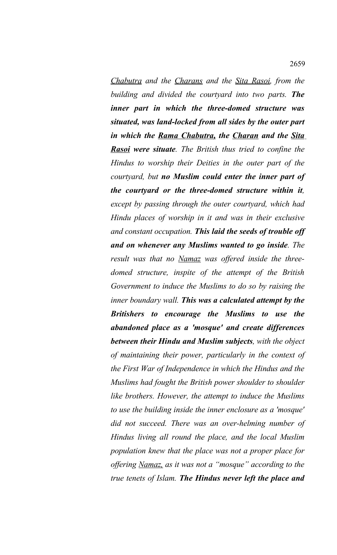*Chabutra and the Charans and the Sita Rasoi, from the building and divided the courtyard into two parts. The inner part in which the three-domed structure was situated, was land-locked from all sides by the outer part in which the Rama Chabutra, the Charan and the Sita Rasoi were situate. The British thus tried to confine the Hindus to worship their Deities in the outer part of the courtyard, but no Muslim could enter the inner part of the courtyard or the three-domed structure within it, except by passing through the outer courtyard, which had Hindu places of worship in it and was in their exclusive and constant occupation. This laid the seeds of trouble off and on whenever any Muslims wanted to go inside. The result was that no Namaz was offered inside the threedomed structure, inspite of the attempt of the British Government to induce the Muslims to do so by raising the inner boundary wall. This was a calculated attempt by the Britishers to encourage the Muslims to use the abandoned place as a 'mosque' and create differences between their Hindu and Muslim subjects, with the object of maintaining their power, particularly in the context of the First War of Independence in which the Hindus and the Muslims had fought the British power shoulder to shoulder like brothers. However, the attempt to induce the Muslims to use the building inside the inner enclosure as a 'mosque' did not succeed. There was an over-helming number of Hindus living all round the place, and the local Muslim population knew that the place was not a proper place for offering Namaz, as it was not a "mosque" according to the true tenets of Islam. The Hindus never left the place and*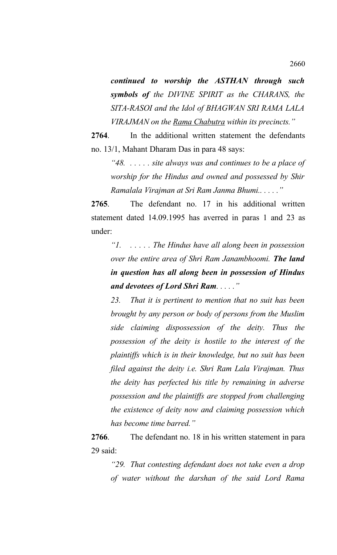*continued to worship the ASTHAN through such symbols of the DIVINE SPIRIT as the CHARANS, the SITA-RASOI and the Idol of BHAGWAN SRI RAMA LALA VIRAJMAN on the Rama Chabutra within its precincts."*

**2764**. In the additional written statement the defendants no. 13/1, Mahant Dharam Das in para 48 says:

*"48. . . . . . site always was and continues to be a place of worship for the Hindus and owned and possessed by Shir Ramalala Virajman at Sri Ram Janma Bhumi.. . . . ."*

**2765**. The defendant no. 17 in his additional written statement dated 14.09.1995 has averred in paras 1 and 23 as under:

*"1. . . . . . The Hindus have all along been in possession over the entire area of Shri Ram Janambhoomi. The land in question has all along been in possession of Hindus and devotees of Lord Shri Ram. . . . ."*

*23. That it is pertinent to mention that no suit has been brought by any person or body of persons from the Muslim side claiming dispossession of the deity. Thus the possession of the deity is hostile to the interest of the plaintiffs which is in their knowledge, but no suit has been filed against the deity i.e. Shri Ram Lala Virajman. Thus the deity has perfected his title by remaining in adverse possession and the plaintiffs are stopped from challenging the existence of deity now and claiming possession which has become time barred."*

**2766**. The defendant no. 18 in his written statement in para 29 said:

*"29. That contesting defendant does not take even a drop of water without the darshan of the said Lord Rama*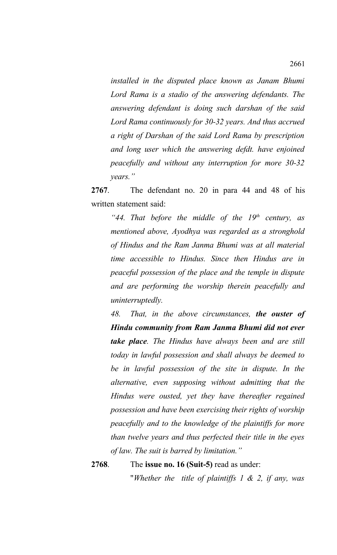*installed in the disputed place known as Janam Bhumi Lord Rama is a stadio of the answering defendants. The answering defendant is doing such darshan of the said Lord Rama continuously for 30-32 years. And thus accrued a right of Darshan of the said Lord Rama by prescription and long user which the answering defdt. have enjoined peacefully and without any interruption for more 30-32 years."*

**2767**. The defendant no. 20 in para 44 and 48 of his written statement said:

*"44. That before the middle of the 19th century, as mentioned above, Ayodhya was regarded as a stronghold of Hindus and the Ram Janma Bhumi was at all material time accessible to Hindus. Since then Hindus are in peaceful possession of the place and the temple in dispute and are performing the worship therein peacefully and uninterruptedly.* 

*48. That, in the above circumstances, the ouster of Hindu community from Ram Janma Bhumi did not ever take place. The Hindus have always been and are still today in lawful possession and shall always be deemed to be in lawful possession of the site in dispute. In the alternative, even supposing without admitting that the Hindus were ousted, yet they have thereafter regained possession and have been exercising their rights of worship peacefully and to the knowledge of the plaintiffs for more than twelve years and thus perfected their title in the eyes of law. The suit is barred by limitation."*

**2768**. The **issue no. 16 (Suit-5)** read as under:

"*Whether the title of plaintiffs 1 & 2, if any, was*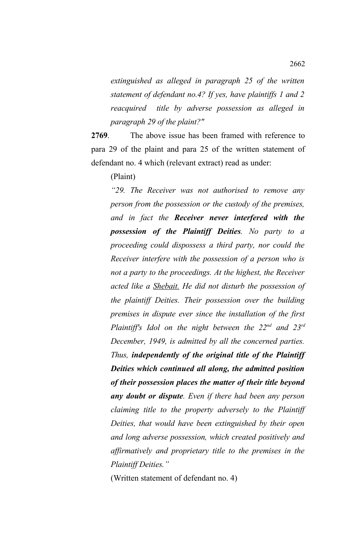*extinguished as alleged in paragraph 25 of the written statement of defendant no.4? If yes, have plaintiffs 1 and 2 reacquired title by adverse possession as alleged in paragraph 29 of the plaint?"*

**2769**. The above issue has been framed with reference to para 29 of the plaint and para 25 of the written statement of defendant no. 4 which (relevant extract) read as under:

(Plaint)

*"29. The Receiver was not authorised to remove any person from the possession or the custody of the premises, and in fact the Receiver never interfered with the possession of the Plaintiff Deities. No party to a proceeding could dispossess a third party, nor could the Receiver interfere with the possession of a person who is not a party to the proceedings. At the highest, the Receiver acted like a Shebait. He did not disturb the possession of the plaintiff Deities. Their possession over the building premises in dispute ever since the installation of the first Plaintiff's Idol on the night between the 22nd and 23rd December, 1949, is admitted by all the concerned parties. Thus, independently of the original title of the Plaintiff Deities which continued all along, the admitted position of their possession places the matter of their title beyond any doubt or dispute. Even if there had been any person claiming title to the property adversely to the Plaintiff Deities, that would have been extinguished by their open and long adverse possession, which created positively and affirmatively and proprietary title to the premises in the Plaintiff Deities."*

(Written statement of defendant no. 4)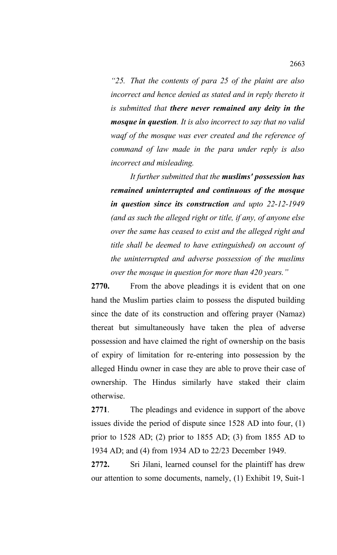*"25. That the contents of para 25 of the plaint are also incorrect and hence denied as stated and in reply thereto it is submitted that there never remained any deity in the mosque in question. It is also incorrect to say that no valid waqf of the mosque was ever created and the reference of command of law made in the para under reply is also incorrect and misleading.*

*It further submitted that the muslims' possession has remained uninterrupted and continuous of the mosque in question since its construction and upto 22-12-1949 (and as such the alleged right or title, if any, of anyone else over the same has ceased to exist and the alleged right and title shall be deemed to have extinguished) on account of the uninterrupted and adverse possession of the muslims over the mosque in question for more than 420 years."*

**2770.** From the above pleadings it is evident that on one hand the Muslim parties claim to possess the disputed building since the date of its construction and offering prayer (Namaz) thereat but simultaneously have taken the plea of adverse possession and have claimed the right of ownership on the basis of expiry of limitation for re-entering into possession by the alleged Hindu owner in case they are able to prove their case of ownership. The Hindus similarly have staked their claim otherwise.

**2771**. The pleadings and evidence in support of the above issues divide the period of dispute since 1528 AD into four, (1) prior to 1528 AD; (2) prior to 1855 AD; (3) from 1855 AD to 1934 AD; and (4) from 1934 AD to 22/23 December 1949.

**2772.** Sri Jilani, learned counsel for the plaintiff has drew our attention to some documents, namely, (1) Exhibit 19, Suit-1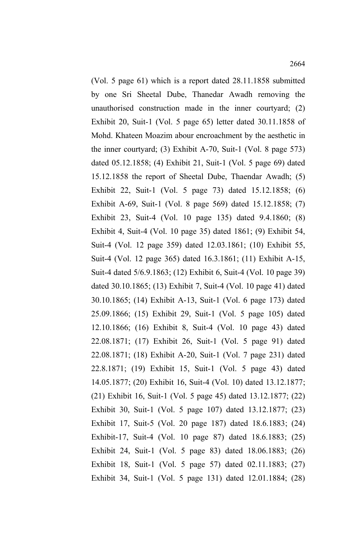(Vol. 5 page 61) which is a report dated 28.11.1858 submitted by one Sri Sheetal Dube, Thanedar Awadh removing the unauthorised construction made in the inner courtyard; (2) Exhibit 20, Suit-1 (Vol. 5 page 65) letter dated 30.11.1858 of Mohd. Khateen Moazim abour encroachment by the aesthetic in the inner courtyard; (3) Exhibit A-70, Suit-1 (Vol. 8 page 573) dated 05.12.1858; (4) Exhibit 21, Suit-1 (Vol. 5 page 69) dated 15.12.1858 the report of Sheetal Dube, Thaendar Awadh; (5) Exhibit 22, Suit-1 (Vol. 5 page 73) dated 15.12.1858; (6) Exhibit A-69, Suit-1 (Vol. 8 page 569) dated 15.12.1858; (7) Exhibit 23, Suit-4 (Vol. 10 page 135) dated 9.4.1860; (8) Exhibit 4, Suit-4 (Vol. 10 page 35) dated 1861; (9) Exhibit 54, Suit-4 (Vol. 12 page 359) dated 12.03.1861; (10) Exhibit 55, Suit-4 (Vol. 12 page 365) dated 16.3.1861; (11) Exhibit A-15, Suit-4 dated 5/6.9.1863; (12) Exhibit 6, Suit-4 (Vol. 10 page 39) dated 30.10.1865; (13) Exhibit 7, Suit-4 (Vol. 10 page 41) dated 30.10.1865; (14) Exhibit A-13, Suit-1 (Vol. 6 page 173) dated 25.09.1866; (15) Exhibit 29, Suit-1 (Vol. 5 page 105) dated 12.10.1866; (16) Exhibit 8, Suit-4 (Vol. 10 page 43) dated 22.08.1871; (17) Exhibit 26, Suit-1 (Vol. 5 page 91) dated 22.08.1871; (18) Exhibit A-20, Suit-1 (Vol. 7 page 231) dated 22.8.1871; (19) Exhibit 15, Suit-1 (Vol. 5 page 43) dated 14.05.1877; (20) Exhibit 16, Suit-4 (Vol. 10) dated 13.12.1877; (21) Exhibit 16, Suit-1 (Vol. 5 page 45) dated 13.12.1877; (22) Exhibit 30, Suit-1 (Vol. 5 page 107) dated 13.12.1877; (23) Exhibit 17, Suit-5 (Vol. 20 page 187) dated 18.6.1883; (24) Exhibit-17, Suit-4 (Vol. 10 page 87) dated 18.6.1883; (25) Exhibit 24, Suit-1 (Vol. 5 page 83) dated 18.06.1883; (26) Exhibit 18, Suit-1 (Vol. 5 page 57) dated 02.11.1883; (27) Exhibit 34, Suit-1 (Vol. 5 page 131) dated 12.01.1884; (28)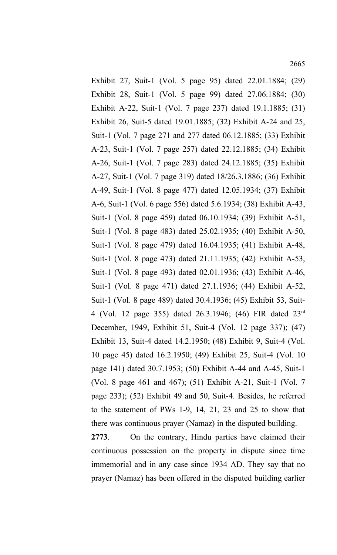2665

Exhibit 27, Suit-1 (Vol. 5 page 95) dated 22.01.1884; (29) Exhibit 28, Suit-1 (Vol. 5 page 99) dated 27.06.1884; (30) Exhibit A-22, Suit-1 (Vol. 7 page 237) dated 19.1.1885; (31) Exhibit 26, Suit-5 dated 19.01.1885; (32) Exhibit A-24 and 25, Suit-1 (Vol. 7 page 271 and 277 dated 06.12.1885; (33) Exhibit A-23, Suit-1 (Vol. 7 page 257) dated 22.12.1885; (34) Exhibit A-26, Suit-1 (Vol. 7 page 283) dated 24.12.1885; (35) Exhibit A-27, Suit-1 (Vol. 7 page 319) dated 18/26.3.1886; (36) Exhibit A-49, Suit-1 (Vol. 8 page 477) dated 12.05.1934; (37) Exhibit A-6, Suit-1 (Vol. 6 page 556) dated 5.6.1934; (38) Exhibit A-43, Suit-1 (Vol. 8 page 459) dated 06.10.1934; (39) Exhibit A-51, Suit-1 (Vol. 8 page 483) dated 25.02.1935; (40) Exhibit A-50, Suit-1 (Vol. 8 page 479) dated 16.04.1935; (41) Exhibit A-48, Suit-1 (Vol. 8 page 473) dated 21.11.1935; (42) Exhibit A-53, Suit-1 (Vol. 8 page 493) dated 02.01.1936; (43) Exhibit A-46, Suit-1 (Vol. 8 page 471) dated 27.1.1936; (44) Exhibit A-52, Suit-1 (Vol. 8 page 489) dated 30.4.1936; (45) Exhibit 53, Suit-4 (Vol. 12 page 355) dated 26.3.1946; (46) FIR dated 23rd December, 1949, Exhibit 51, Suit-4 (Vol. 12 page 337); (47) Exhibit 13, Suit-4 dated 14.2.1950; (48) Exhibit 9, Suit-4 (Vol. 10 page 45) dated 16.2.1950; (49) Exhibit 25, Suit-4 (Vol. 10 page 141) dated 30.7.1953; (50) Exhibit A-44 and A-45, Suit-1 (Vol. 8 page 461 and 467); (51) Exhibit A-21, Suit-1 (Vol. 7 page 233); (52) Exhibit 49 and 50, Suit-4. Besides, he referred to the statement of PWs 1-9, 14, 21, 23 and 25 to show that there was continuous prayer (Namaz) in the disputed building.

**2773**. On the contrary, Hindu parties have claimed their continuous possession on the property in dispute since time immemorial and in any case since 1934 AD. They say that no prayer (Namaz) has been offered in the disputed building earlier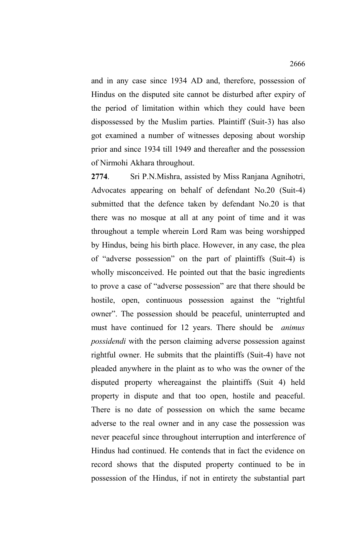and in any case since 1934 AD and, therefore, possession of Hindus on the disputed site cannot be disturbed after expiry of the period of limitation within which they could have been dispossessed by the Muslim parties. Plaintiff (Suit-3) has also got examined a number of witnesses deposing about worship prior and since 1934 till 1949 and thereafter and the possession of Nirmohi Akhara throughout.

**2774**. Sri P.N.Mishra, assisted by Miss Ranjana Agnihotri, Advocates appearing on behalf of defendant No.20 (Suit-4) submitted that the defence taken by defendant No.20 is that there was no mosque at all at any point of time and it was throughout a temple wherein Lord Ram was being worshipped by Hindus, being his birth place. However, in any case, the plea of "adverse possession" on the part of plaintiffs (Suit-4) is wholly misconceived. He pointed out that the basic ingredients to prove a case of "adverse possession" are that there should be hostile, open, continuous possession against the "rightful owner". The possession should be peaceful, uninterrupted and must have continued for 12 years. There should be *animus possidendi* with the person claiming adverse possession against rightful owner. He submits that the plaintiffs (Suit-4) have not pleaded anywhere in the plaint as to who was the owner of the disputed property whereagainst the plaintiffs (Suit 4) held property in dispute and that too open, hostile and peaceful. There is no date of possession on which the same became adverse to the real owner and in any case the possession was never peaceful since throughout interruption and interference of Hindus had continued. He contends that in fact the evidence on record shows that the disputed property continued to be in possession of the Hindus, if not in entirety the substantial part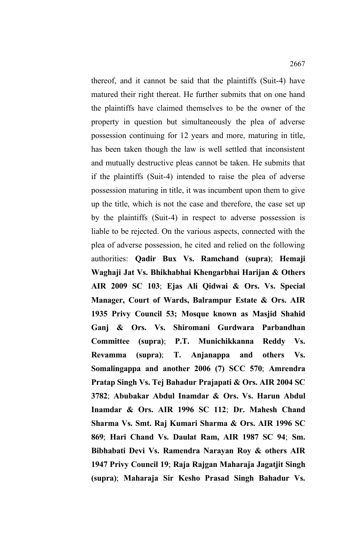thereof, and it cannot be said that the plaintiffs (Suit-4) have matured their right thereat. He further submits that on one hand the plaintiffs have claimed themselves to be the owner of the property in question but simultaneously the plea of adverse possession continuing for 12 years and more, maturing in title, has been taken though the law is well settled that inconsistent and mutually destructive pleas cannot be taken. He submits that if the plaintiffs (Suit-4) intended to raise the plea of adverse possession maturing in title, it was incumbent upon them to give up the title, which is not the case and therefore, the case set up by the plaintiffs (Suit-4) in respect to adverse possession is liable to be rejected. On the various aspects, connected with the plea of adverse possession, he cited and relied on the following authorities: **Qadir Bux Vs. Ramchand (supra)**; **Hemaji Waghaji Jat Vs. Bhikhabhai Khengarbhai Harijan & Others AIR 2009 SC 103**; **Ejas Ali Qidwai & Ors. Vs. Special Manager, Court of Wards, Balrampur Estate & Ors. AIR 1935 Privy Council 53; Mosque known as Masjid Shahid Ganj & Ors. Vs. Shiromani Gurdwara Parbandhan Committee (supra)**; **P.T. Munichikkanna Reddy Vs. Revamma (supra)**; **T. Anjanappa and others Vs. Somalingappa and another 2006 (7) SCC 570**; **Amrendra Pratap Singh Vs. Tej Bahadur Prajapati & Ors. AIR 2004 SC 3782**; **Abubakar Abdul Inamdar & Ors. Vs. Harun Abdul Inamdar & Ors. AIR 1996 SC 112**; **Dr. Mahesh Chand Sharma Vs. Smt. Raj Kumari Sharma & Ors. AIR 1996 SC 869**; **Hari Chand Vs. Daulat Ram, AIR 1987 SC 94**; **Sm. Bibhabati Devi Vs. Ramendra Narayan Roy & others AIR 1947 Privy Council 19**; **Raja Rajgan Maharaja Jagatjit Singh (supra)**; **Maharaja Sir Kesho Prasad Singh Bahadur Vs.**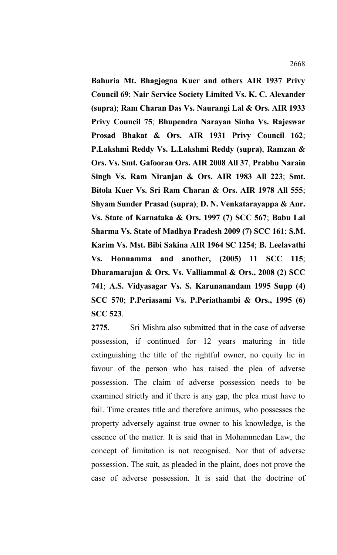**Bahuria Mt. Bhagjogna Kuer and others AIR 1937 Privy Council 69**; **Nair Service Society Limited Vs. K. C. Alexander (supra)**; **Ram Charan Das Vs. Naurangi Lal & Ors. AIR 1933 Privy Council 75**; **Bhupendra Narayan Sinha Vs. Rajeswar Prosad Bhakat & Ors. AIR 1931 Privy Council 162**; **P.Lakshmi Reddy Vs. L.Lakshmi Reddy (supra)**, **Ramzan & Ors. Vs. Smt. Gafooran Ors. AIR 2008 All 37**, **Prabhu Narain Singh Vs. Ram Niranjan & Ors. AIR 1983 All 223**; **Smt. Bitola Kuer Vs. Sri Ram Charan & Ors. AIR 1978 All 555**; **Shyam Sunder Prasad (supra)**; **D. N. Venkatarayappa & Anr. Vs. State of Karnataka & Ors. 1997 (7) SCC 567**; **Babu Lal Sharma Vs. State of Madhya Pradesh 2009 (7) SCC 161**; **S.M. Karim Vs. Mst. Bibi Sakina AIR 1964 SC 1254**; **B. Leelavathi Vs. Honnamma and another, (2005) 11 SCC 115**; **Dharamarajan & Ors. Vs. Valliammal & Ors., 2008 (2) SCC 741**; **A.S. Vidyasagar Vs. S. Karunanandam 1995 Supp (4) SCC 570**; **P.Periasami Vs. P.Periathambi & Ors., 1995 (6) SCC 523**.

**2775**. Sri Mishra also submitted that in the case of adverse possession, if continued for 12 years maturing in title extinguishing the title of the rightful owner, no equity lie in favour of the person who has raised the plea of adverse possession. The claim of adverse possession needs to be examined strictly and if there is any gap, the plea must have to fail. Time creates title and therefore animus, who possesses the property adversely against true owner to his knowledge, is the essence of the matter. It is said that in Mohammedan Law, the concept of limitation is not recognised. Nor that of adverse possession. The suit, as pleaded in the plaint, does not prove the case of adverse possession. It is said that the doctrine of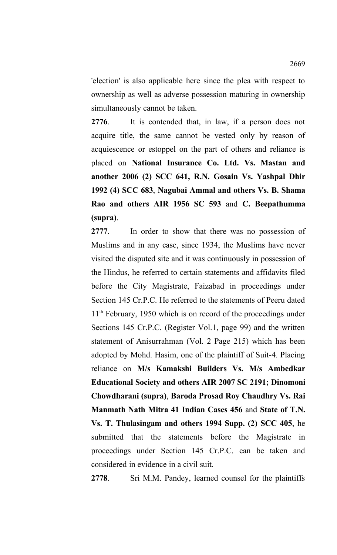'election' is also applicable here since the plea with respect to ownership as well as adverse possession maturing in ownership simultaneously cannot be taken.

**2776**. It is contended that, in law, if a person does not acquire title, the same cannot be vested only by reason of acquiescence or estoppel on the part of others and reliance is placed on **National Insurance Co. Ltd. Vs. Mastan and another 2006 (2) SCC 641, R.N. Gosain Vs. Yashpal Dhir 1992 (4) SCC 683**, **Nagubai Ammal and others Vs. B. Shama Rao and others AIR 1956 SC 593** and **C. Beepathumma (supra)**.

**2777**. In order to show that there was no possession of Muslims and in any case, since 1934, the Muslims have never visited the disputed site and it was continuously in possession of the Hindus, he referred to certain statements and affidavits filed before the City Magistrate, Faizabad in proceedings under Section 145 Cr.P.C. He referred to the statements of Peeru dated 11<sup>th</sup> February, 1950 which is on record of the proceedings under Sections 145 Cr.P.C. (Register Vol.1, page 99) and the written statement of Anisurrahman (Vol. 2 Page 215) which has been adopted by Mohd. Hasim, one of the plaintiff of Suit-4. Placing reliance on **M/s Kamakshi Builders Vs. M/s Ambedkar Educational Society and others AIR 2007 SC 2191; Dinomoni Chowdharani (supra)**, **Baroda Prosad Roy Chaudhry Vs. Rai Manmath Nath Mitra 41 Indian Cases 456** and **State of T.N. Vs. T. Thulasingam and others 1994 Supp. (2) SCC 405**, he submitted that the statements before the Magistrate in proceedings under Section 145 Cr.P.C. can be taken and considered in evidence in a civil suit.

**2778**. Sri M.M. Pandey, learned counsel for the plaintiffs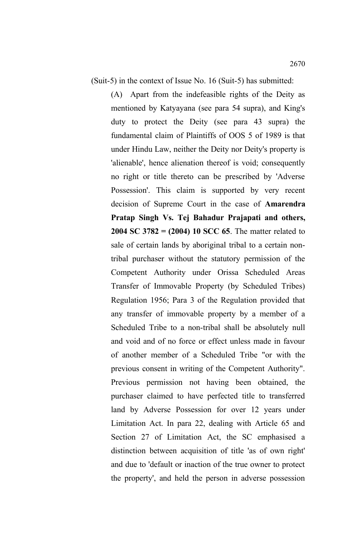(A) Apart from the indefeasible rights of the Deity as mentioned by Katyayana (see para 54 supra), and King's duty to protect the Deity (see para 43 supra) the fundamental claim of Plaintiffs of OOS 5 of 1989 is that under Hindu Law, neither the Deity nor Deity's property is 'alienable', hence alienation thereof is void; consequently no right or title thereto can be prescribed by 'Adverse Possession'. This claim is supported by very recent decision of Supreme Court in the case of **Amarendra Pratap Singh Vs. Tej Bahadur Prajapati and others, 2004 SC 3782 = (2004) 10 SCC 65**. The matter related to sale of certain lands by aboriginal tribal to a certain nontribal purchaser without the statutory permission of the Competent Authority under Orissa Scheduled Areas Transfer of Immovable Property (by Scheduled Tribes) Regulation 1956; Para 3 of the Regulation provided that any transfer of immovable property by a member of a Scheduled Tribe to a non-tribal shall be absolutely null and void and of no force or effect unless made in favour of another member of a Scheduled Tribe "or with the previous consent in writing of the Competent Authority". Previous permission not having been obtained, the purchaser claimed to have perfected title to transferred land by Adverse Possession for over 12 years under Limitation Act. In para 22, dealing with Article 65 and Section 27 of Limitation Act, the SC emphasised a distinction between acquisition of title 'as of own right' and due to 'default or inaction of the true owner to protect the property', and held the person in adverse possession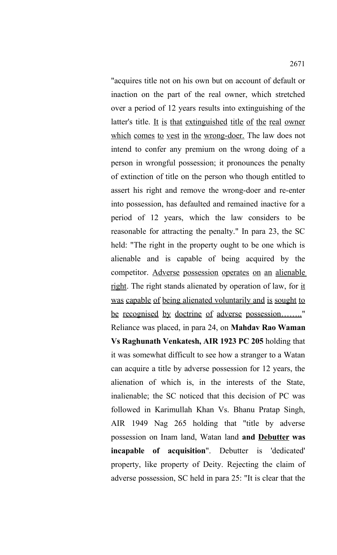"acquires title not on his own but on account of default or inaction on the part of the real owner, which stretched over a period of 12 years results into extinguishing of the latter's title. It is that extinguished title of the real owner which comes to vest in the wrong-doer. The law does not intend to confer any premium on the wrong doing of a person in wrongful possession; it pronounces the penalty of extinction of title on the person who though entitled to assert his right and remove the wrong-doer and re-enter into possession, has defaulted and remained inactive for a period of 12 years, which the law considers to be reasonable for attracting the penalty." In para 23, the SC held: "The right in the property ought to be one which is alienable and is capable of being acquired by the competitor. Adverse possession operates on an alienable right. The right stands alienated by operation of law, for it was capable of being alienated voluntarily and is sought to be recognised by doctrine of adverse possession........" Reliance was placed, in para 24, on **Mahdav Rao Waman Vs Raghunath Venkatesh, AIR 1923 PC 205** holding that it was somewhat difficult to see how a stranger to a Watan can acquire a title by adverse possession for 12 years, the alienation of which is, in the interests of the State, inalienable; the SC noticed that this decision of PC was followed in Karimullah Khan Vs. Bhanu Pratap Singh, AIR 1949 Nag 265 holding that "title by adverse possession on Inam land, Watan land **and Debutter was incapable of acquisition**". Debutter is 'dedicated' property, like property of Deity. Rejecting the claim of adverse possession, SC held in para 25: "It is clear that the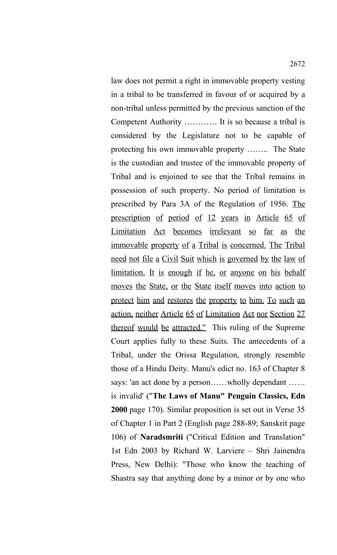law does not permit a right in immovable property vesting in a tribal to be transferred in favour of or acquired by a non-tribal unless permitted by the previous sanction of the Competent Authority ………… It is so because a tribal is considered by the Legislature not to be capable of protecting his own immovable property …….. The State is the custodian and trustee of the immovable property of Tribal and is enjoined to see that the Tribal remains in possession of such property. No period of limitation is prescribed by Para 3A of the Regulation of 1956. The prescription of period of 12 years in Article 65 of Limitation Act becomes irrelevant so far as the immovable property of a Tribal is concerned. The Tribal need not file a Civil Suit which is governed by the law of limitation. It is enough if he, or anyone on his behalf moves the State, or the State itself moves into action to protect him and restores the property to him. To such an action, neither Article 65 of Limitation Act nor Section 27 thereof would be attracted." This ruling of the Supreme Court applies fully to these Suits. The antecedents of a Tribal, under the Orissa Regulation, strongly resemble those of a Hindu Deity. Manu's edict no. 163 of Chapter 8 says: 'an act done by a person......wholly dependant ...... is invalid' ("**The Laws of Manu" Penguin Classics, Edn 2000** page 170). Similar proposition is set out in Verse 35 of Chapter 1 in Part 2 (English page 288-89; Sanskrit page 106) of **Naradsmriti** ("Critical Edition and Translation" 1st Edn 2003 by Richard W. Larviere – Shri Jainendra Press, New Delhi): "Those who know the teaching of Shastra say that anything done by a minor or by one who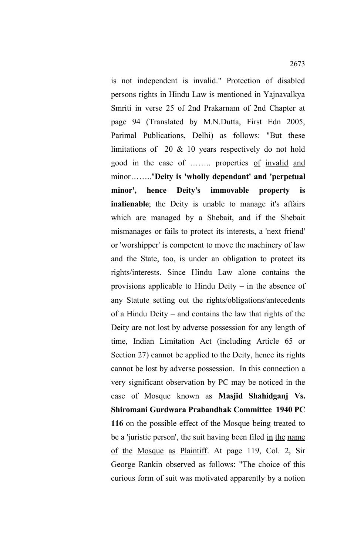is not independent is invalid." Protection of disabled persons rights in Hindu Law is mentioned in Yajnavalkya Smriti in verse 25 of 2nd Prakarnam of 2nd Chapter at page 94 (Translated by M.N.Dutta, First Edn 2005, Parimal Publications, Delhi) as follows: "But these limitations of 20 & 10 years respectively do not hold good in the case of …….. properties of invalid and minor…….."**Deity is 'wholly dependant' and 'perpetual minor', hence Deity's immovable property is inalienable**; the Deity is unable to manage it's affairs which are managed by a Shebait, and if the Shebait mismanages or fails to protect its interests, a 'next friend' or 'worshipper' is competent to move the machinery of law and the State, too, is under an obligation to protect its rights/interests. Since Hindu Law alone contains the provisions applicable to Hindu Deity – in the absence of any Statute setting out the rights/obligations/antecedents of a Hindu Deity – and contains the law that rights of the Deity are not lost by adverse possession for any length of time, Indian Limitation Act (including Article 65 or Section 27) cannot be applied to the Deity, hence its rights cannot be lost by adverse possession. In this connection a very significant observation by PC may be noticed in the case of Mosque known as **Masjid Shahidganj Vs. Shiromani Gurdwara Prabandhak Committee 1940 PC 116** on the possible effect of the Mosque being treated to be a 'juristic person', the suit having been filed in the name of the Mosque as Plaintiff. At page 119, Col. 2, Sir George Rankin observed as follows: "The choice of this curious form of suit was motivated apparently by a notion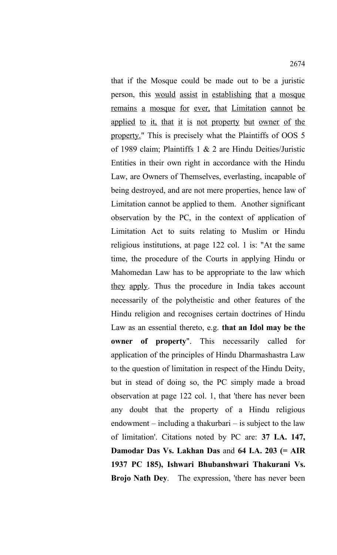that if the Mosque could be made out to be a juristic person, this would assist in establishing that a mosque remains a mosque for ever, that Limitation cannot be applied to it, that it is not property but owner of the property." This is precisely what the Plaintiffs of OOS 5 of 1989 claim; Plaintiffs 1 & 2 are Hindu Deities/Juristic Entities in their own right in accordance with the Hindu Law, are Owners of Themselves, everlasting, incapable of being destroyed, and are not mere properties, hence law of Limitation cannot be applied to them. Another significant observation by the PC, in the context of application of Limitation Act to suits relating to Muslim or Hindu religious institutions, at page 122 col. 1 is: "At the same time, the procedure of the Courts in applying Hindu or Mahomedan Law has to be appropriate to the law which they apply. Thus the procedure in India takes account necessarily of the polytheistic and other features of the Hindu religion and recognises certain doctrines of Hindu Law as an essential thereto, e.g. **that an Idol may be the owner of property**". This necessarily called for application of the principles of Hindu Dharmashastra Law to the question of limitation in respect of the Hindu Deity, but in stead of doing so, the PC simply made a broad observation at page 122 col. 1, that 'there has never been any doubt that the property of a Hindu religious endowment – including a thakurbari – is subject to the law of limitation'. Citations noted by PC are: **37 I.A. 147, Damodar Das Vs. Lakhan Das** and **64 I.A. 203 (= AIR 1937 PC 185), Ishwari Bhubanshwari Thakurani Vs. Brojo Nath Dey**. The expression, 'there has never been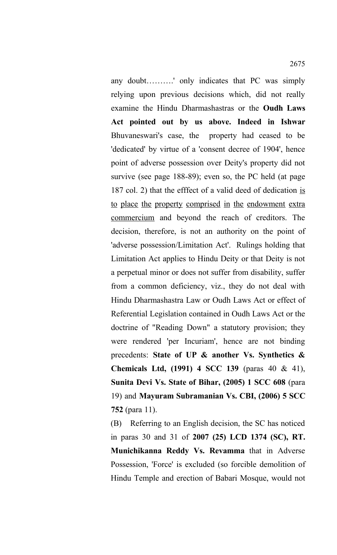any doubt……….' only indicates that PC was simply relying upon previous decisions which, did not really examine the Hindu Dharmashastras or the **Oudh Laws Act pointed out by us above. Indeed in Ishwar** Bhuvaneswari's case, the property had ceased to be 'dedicated' by virtue of a 'consent decree of 1904', hence point of adverse possession over Deity's property did not survive (see page 188-89); even so, the PC held (at page 187 col. 2) that the efffect of a valid deed of dedication is to place the property comprised in the endowment extra commercium and beyond the reach of creditors. The decision, therefore, is not an authority on the point of 'adverse possession/Limitation Act'. Rulings holding that Limitation Act applies to Hindu Deity or that Deity is not a perpetual minor or does not suffer from disability, suffer from a common deficiency, viz., they do not deal with Hindu Dharmashastra Law or Oudh Laws Act or effect of Referential Legislation contained in Oudh Laws Act or the doctrine of "Reading Down" a statutory provision; they were rendered 'per Incuriam', hence are not binding precedents: **State of UP & another Vs. Synthetics & Chemicals Ltd, (1991) 4 SCC 139** (paras 40 & 41), **Sunita Devi Vs. State of Bihar, (2005) 1 SCC 608** (para 19) and **Mayuram Subramanian Vs. CBI, (2006) 5 SCC 752** (para 11).

(B) Referring to an English decision, the SC has noticed in paras 30 and 31 of **2007 (25) LCD 1374 (SC), RT. Munichikanna Reddy Vs. Revamma** that in Adverse Possession, 'Force' is excluded (so forcible demolition of Hindu Temple and erection of Babari Mosque, would not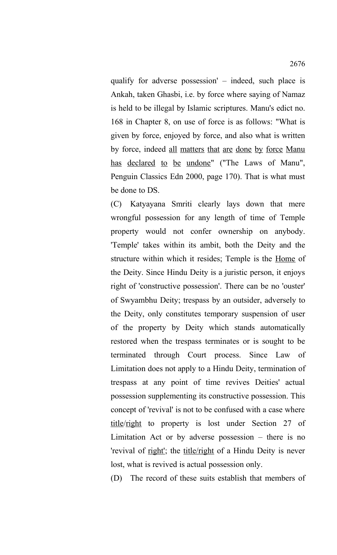qualify for adverse possession' – indeed, such place is Ankah, taken Ghasbi, i.e. by force where saying of Namaz is held to be illegal by Islamic scriptures. Manu's edict no. 168 in Chapter 8, on use of force is as follows: "What is given by force, enjoyed by force, and also what is written by force, indeed all matters that are done by force Manu has declared to be undone" ("The Laws of Manu", Penguin Classics Edn 2000, page 170). That is what must be done to DS.

(C) Katyayana Smriti clearly lays down that mere wrongful possession for any length of time of Temple property would not confer ownership on anybody. 'Temple' takes within its ambit, both the Deity and the structure within which it resides; Temple is the Home of the Deity. Since Hindu Deity is a juristic person, it enjoys right of 'constructive possession'. There can be no 'ouster' of Swyambhu Deity; trespass by an outsider, adversely to the Deity, only constitutes temporary suspension of user of the property by Deity which stands automatically restored when the trespass terminates or is sought to be terminated through Court process. Since Law of Limitation does not apply to a Hindu Deity, termination of trespass at any point of time revives Deities' actual possession supplementing its constructive possession. This concept of 'revival' is not to be confused with a case where title/right to property is lost under Section 27 of Limitation Act or by adverse possession – there is no 'revival of right'; the title/right of a Hindu Deity is never lost, what is revived is actual possession only.

(D) The record of these suits establish that members of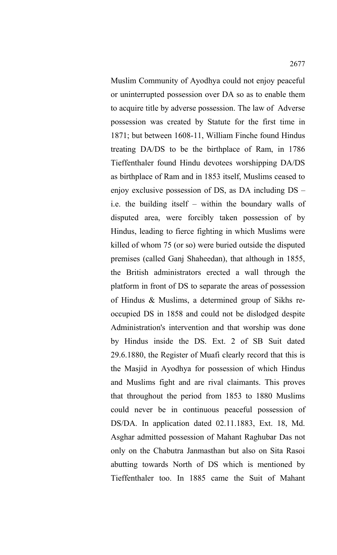Muslim Community of Ayodhya could not enjoy peaceful or uninterrupted possession over DA so as to enable them to acquire title by adverse possession. The law of Adverse possession was created by Statute for the first time in 1871; but between 1608-11, William Finche found Hindus treating DA/DS to be the birthplace of Ram, in 1786 Tieffenthaler found Hindu devotees worshipping DA/DS as birthplace of Ram and in 1853 itself, Muslims ceased to enjoy exclusive possession of DS, as DA including DS – i.e. the building itself – within the boundary walls of disputed area, were forcibly taken possession of by Hindus, leading to fierce fighting in which Muslims were killed of whom 75 (or so) were buried outside the disputed premises (called Ganj Shaheedan), that although in 1855, the British administrators erected a wall through the platform in front of DS to separate the areas of possession of Hindus & Muslims, a determined group of Sikhs reoccupied DS in 1858 and could not be dislodged despite Administration's intervention and that worship was done by Hindus inside the DS. Ext. 2 of SB Suit dated 29.6.1880, the Register of Muafi clearly record that this is the Masjid in Ayodhya for possession of which Hindus and Muslims fight and are rival claimants. This proves that throughout the period from 1853 to 1880 Muslims could never be in continuous peaceful possession of DS/DA. In application dated 02.11.1883, Ext. 18, Md. Asghar admitted possession of Mahant Raghubar Das not only on the Chabutra Janmasthan but also on Sita Rasoi abutting towards North of DS which is mentioned by Tieffenthaler too. In 1885 came the Suit of Mahant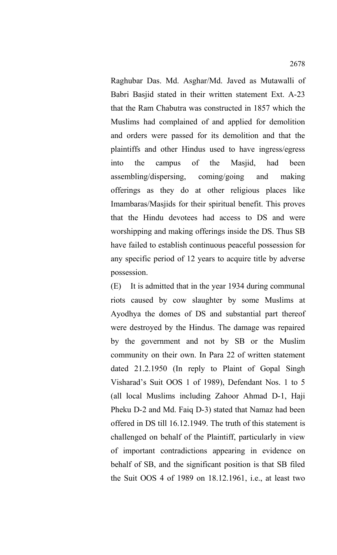Raghubar Das. Md. Asghar/Md. Javed as Mutawalli of Babri Basjid stated in their written statement Ext. A-23 that the Ram Chabutra was constructed in 1857 which the Muslims had complained of and applied for demolition and orders were passed for its demolition and that the plaintiffs and other Hindus used to have ingress/egress into the campus of the Masjid, had been assembling/dispersing, coming/going and making offerings as they do at other religious places like Imambaras/Masjids for their spiritual benefit. This proves that the Hindu devotees had access to DS and were worshipping and making offerings inside the DS. Thus SB have failed to establish continuous peaceful possession for any specific period of 12 years to acquire title by adverse possession.

(E) It is admitted that in the year 1934 during communal riots caused by cow slaughter by some Muslims at Ayodhya the domes of DS and substantial part thereof were destroyed by the Hindus. The damage was repaired by the government and not by SB or the Muslim community on their own. In Para 22 of written statement dated 21.2.1950 (In reply to Plaint of Gopal Singh Visharad's Suit OOS 1 of 1989), Defendant Nos. 1 to 5 (all local Muslims including Zahoor Ahmad D-1, Haji Pheku D-2 and Md. Faiq D-3) stated that Namaz had been offered in DS till 16.12.1949. The truth of this statement is challenged on behalf of the Plaintiff, particularly in view of important contradictions appearing in evidence on behalf of SB, and the significant position is that SB filed the Suit OOS 4 of 1989 on 18.12.1961, i.e., at least two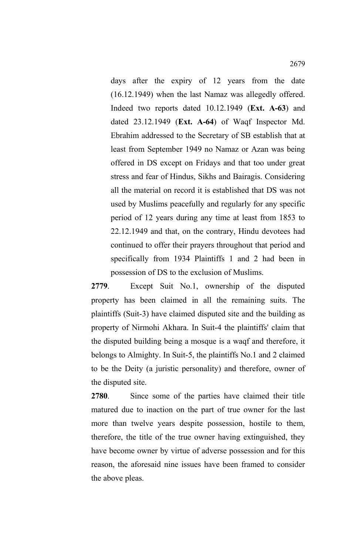days after the expiry of 12 years from the date (16.12.1949) when the last Namaz was allegedly offered. Indeed two reports dated 10.12.1949 (**Ext. A-63**) and dated 23.12.1949 (**Ext. A-64**) of Waqf Inspector Md. Ebrahim addressed to the Secretary of SB establish that at least from September 1949 no Namaz or Azan was being offered in DS except on Fridays and that too under great stress and fear of Hindus, Sikhs and Bairagis. Considering all the material on record it is established that DS was not used by Muslims peacefully and regularly for any specific period of 12 years during any time at least from 1853 to 22.12.1949 and that, on the contrary, Hindu devotees had continued to offer their prayers throughout that period and specifically from 1934 Plaintiffs 1 and 2 had been in possession of DS to the exclusion of Muslims.

**2779**. Except Suit No.1, ownership of the disputed property has been claimed in all the remaining suits. The plaintiffs (Suit-3) have claimed disputed site and the building as property of Nirmohi Akhara. In Suit-4 the plaintiffs' claim that the disputed building being a mosque is a waqf and therefore, it belongs to Almighty. In Suit-5, the plaintiffs No.1 and 2 claimed to be the Deity (a juristic personality) and therefore, owner of the disputed site.

**2780**. Since some of the parties have claimed their title matured due to inaction on the part of true owner for the last more than twelve years despite possession, hostile to them, therefore, the title of the true owner having extinguished, they have become owner by virtue of adverse possession and for this reason, the aforesaid nine issues have been framed to consider the above pleas.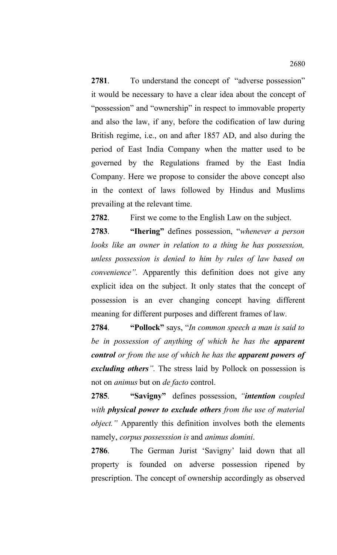**2781**. To understand the concept of "adverse possession" it would be necessary to have a clear idea about the concept of "possession" and "ownership" in respect to immovable property and also the law, if any, before the codification of law during British regime, i.e., on and after 1857 AD, and also during the period of East India Company when the matter used to be governed by the Regulations framed by the East India Company. Here we propose to consider the above concept also in the context of laws followed by Hindus and Muslims prevailing at the relevant time.

**2782**. First we come to the English Law on the subject.

**2783**. **"Ihering"** defines possession, "*whenever a person looks like an owner in relation to a thing he has possession, unless possession is denied to him by rules of law based on convenience".* Apparently this definition does not give any explicit idea on the subject. It only states that the concept of possession is an ever changing concept having different meaning for different purposes and different frames of law.

**2784**. **"Pollock"** says, "*In common speech a man is said to be in possession of anything of which he has the apparent control or from the use of which he has the apparent powers of excluding others".* The stress laid by Pollock on possession is not on *animus* but on *de facto* control.

**2785**. **"Savigny"** defines possession, *"intention coupled with physical power to exclude others from the use of material object."* Apparently this definition involves both the elements namely, *corpus possesssion is* and *animus domini*.

**2786**. The German Jurist 'Savigny' laid down that all property is founded on adverse possession ripened by prescription. The concept of ownership accordingly as observed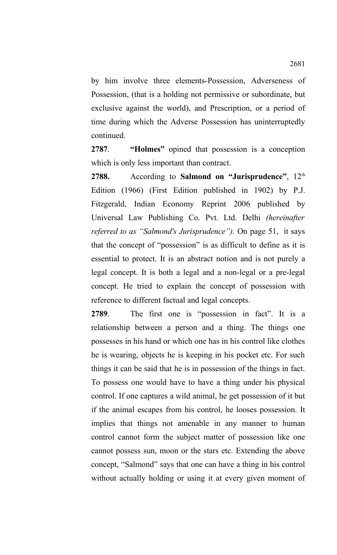by him involve three elements-Possession, Adverseness of Possession, (that is a holding not permissive or subordinate, but exclusive against the world), and Prescription, or a period of time during which the Adverse Possession has uninterruptedly continued.

**2787**. **"Holmes"** opined that possession is a conception which is only less important than contract.

2788. According to **Salmond on "Jurisprudence"**, 12<sup>th</sup> Edition (1966) (First Edition published in 1902) by P.J. Fitzgerald, Indian Economy Reprint 2006 published by Universal Law Publishing Co. Pvt. Ltd. Delhi *(hereinafter referred to as "Salmond's Jurisprudence").* On page 51, it says that the concept of "possession" is as difficult to define as it is essential to protect. It is an abstract notion and is not purely a legal concept. It is both a legal and a non-legal or a pre-legal concept. He tried to explain the concept of possession with reference to different factual and legal concepts.

**2789**. The first one is "possession in fact". It is a relationship between a person and a thing. The things one possesses in his hand or which one has in his control like clothes he is wearing, objects he is keeping in his pocket etc. For such things it can be said that he is in possession of the things in fact. To possess one would have to have a thing under his physical control. If one captures a wild animal, he get possession of it but if the animal escapes from his control, he looses possession. It implies that things not amenable in any manner to human control cannot form the subject matter of possession like one cannot possess sun, moon or the stars etc. Extending the above concept, "Salmond" says that one can have a thing in his control without actually holding or using it at every given moment of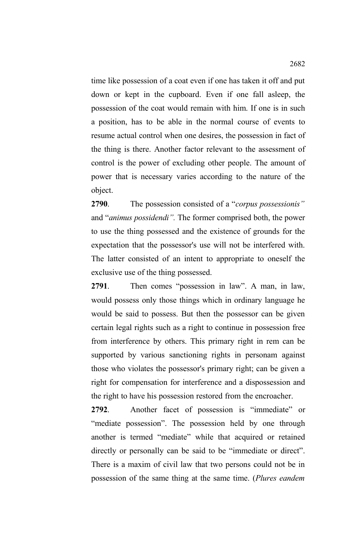time like possession of a coat even if one has taken it off and put down or kept in the cupboard. Even if one fall asleep, the possession of the coat would remain with him. If one is in such a position, has to be able in the normal course of events to resume actual control when one desires, the possession in fact of the thing is there. Another factor relevant to the assessment of control is the power of excluding other people. The amount of power that is necessary varies according to the nature of the object.

**2790**. The possession consisted of a "*corpus possessionis"* and "*animus possidendi".* The former comprised both, the power to use the thing possessed and the existence of grounds for the expectation that the possessor's use will not be interfered with. The latter consisted of an intent to appropriate to oneself the exclusive use of the thing possessed.

**2791**. Then comes "possession in law". A man, in law, would possess only those things which in ordinary language he would be said to possess. But then the possessor can be given certain legal rights such as a right to continue in possession free from interference by others. This primary right in rem can be supported by various sanctioning rights in personam against those who violates the possessor's primary right; can be given a right for compensation for interference and a dispossession and the right to have his possession restored from the encroacher.

**2792**. Another facet of possession is "immediate" or "mediate possession". The possession held by one through another is termed "mediate" while that acquired or retained directly or personally can be said to be "immediate or direct". There is a maxim of civil law that two persons could not be in possession of the same thing at the same time. (*Plures eandem*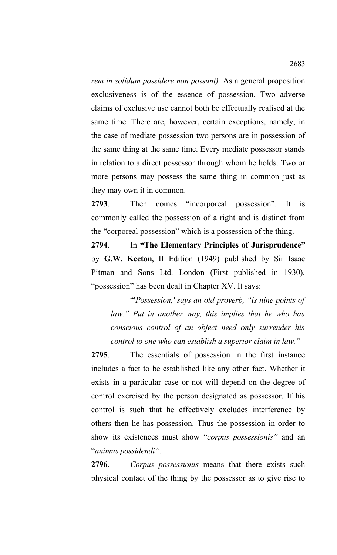*rem in solidum possidere non possunt).* As a general proposition exclusiveness is of the essence of possession. Two adverse claims of exclusive use cannot both be effectually realised at the same time. There are, however, certain exceptions, namely, in the case of mediate possession two persons are in possession of the same thing at the same time. Every mediate possessor stands in relation to a direct possessor through whom he holds. Two or more persons may possess the same thing in common just as they may own it in common.

**2793**. Then comes "incorporeal possession". It is commonly called the possession of a right and is distinct from the "corporeal possession" which is a possession of the thing.

**2794**. In **"The Elementary Principles of Jurisprudence"** by **G.W. Keeton**, II Edition (1949) published by Sir Isaac Pitman and Sons Ltd. London (First published in 1930), "possession" has been dealt in Chapter XV. It says:

"'*Possession,' says an old proverb, "is nine points of law." Put in another way, this implies that he who has conscious control of an object need only surrender his control to one who can establish a superior claim in law."*

**2795**. The essentials of possession in the first instance includes a fact to be established like any other fact. Whether it exists in a particular case or not will depend on the degree of control exercised by the person designated as possessor. If his control is such that he effectively excludes interference by others then he has possession. Thus the possession in order to show its existences must show "*corpus possessionis"* and an "*animus possidendi".*

**2796**. *Corpus possessionis* means that there exists such physical contact of the thing by the possessor as to give rise to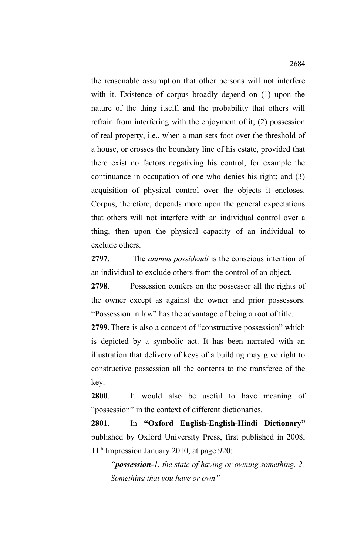the reasonable assumption that other persons will not interfere with it. Existence of corpus broadly depend on (1) upon the nature of the thing itself, and the probability that others will refrain from interfering with the enjoyment of it; (2) possession of real property, i.e., when a man sets foot over the threshold of a house, or crosses the boundary line of his estate, provided that there exist no factors negativing his control, for example the continuance in occupation of one who denies his right; and (3) acquisition of physical control over the objects it encloses. Corpus, therefore, depends more upon the general expectations that others will not interfere with an individual control over a thing, then upon the physical capacity of an individual to exclude others.

**2797**. The *animus possidendi* is the conscious intention of an individual to exclude others from the control of an object.

**2798**. Possession confers on the possessor all the rights of the owner except as against the owner and prior possessors. "Possession in law" has the advantage of being a root of title.

**2799**. There is also a concept of "constructive possession" which is depicted by a symbolic act. It has been narrated with an illustration that delivery of keys of a building may give right to constructive possession all the contents to the transferee of the key.

**2800**. It would also be useful to have meaning of "possession" in the context of different dictionaries.

**2801**. In **"Oxford English-English-Hindi Dictionary"** published by Oxford University Press, first published in 2008, 11th Impression January 2010, at page 920:

*"possession-1. the state of having or owning something. 2. Something that you have or own"*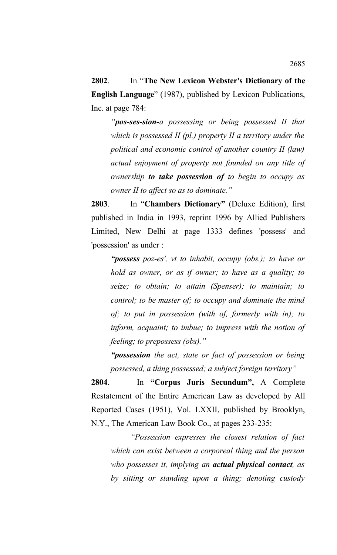**2802**. In "**The New Lexicon Webster's Dictionary of the English Language**" (1987), published by Lexicon Publications, Inc. at page 784:

*"pos-ses-sion-a possessing or being possessed II that which is possessed II (pl.) property II a territory under the political and economic control of another country II (law) actual enjoyment of property not founded on any title of ownership to take possession of to begin to occupy as owner II to affect so as to dominate."*

**2803**. In "**Chambers Dictionary"** (Deluxe Edition), first published in India in 1993, reprint 1996 by Allied Publishers Limited, New Delhi at page 1333 defines 'possess' and 'possession' as under :

*"possess poz-es', vt to inhabit, occupy (obs.); to have or hold as owner, or as if owner; to have as a quality; to seize; to obtain; to attain (Spenser); to maintain; to control; to be master of; to occupy and dominate the mind of; to put in possession (with of, formerly with in); to inform, acquaint; to imbue; to impress with the notion of feeling; to prepossess (obs)."*

*"possession the act, state or fact of possession or being possessed, a thing possessed; a subject foreign territory"*

**2804**. In **"Corpus Juris Secundum",** A Complete Restatement of the Entire American Law as developed by All Reported Cases (1951), Vol. LXXII, published by Brooklyn, N.Y., The American Law Book Co., at pages 233-235:

*"Possession expresses the closest relation of fact which can exist between a corporeal thing and the person who possesses it, implying an actual physical contact, as by sitting or standing upon a thing; denoting custody*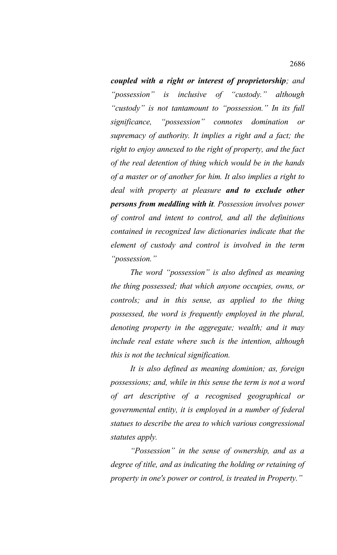*coupled with a right or interest of proprietorship; and "possession" is inclusive of "custody." although "custody" is not tantamount to "possession." In its full significance, "possession" connotes domination or supremacy of authority. It implies a right and a fact; the right to enjoy annexed to the right of property, and the fact of the real detention of thing which would be in the hands of a master or of another for him. It also implies a right to deal with property at pleasure and to exclude other persons from meddling with it. Possession involves power of control and intent to control, and all the definitions contained in recognized law dictionaries indicate that the element of custody and control is involved in the term "possession."* 

*The word "possession" is also defined as meaning the thing possessed; that which anyone occupies, owns, or controls; and in this sense, as applied to the thing possessed, the word is frequently employed in the plural, denoting property in the aggregate; wealth; and it may include real estate where such is the intention, although this is not the technical signification.* 

*It is also defined as meaning dominion; as, foreign possessions; and, while in this sense the term is not a word of art descriptive of a recognised geographical or governmental entity, it is employed in a number of federal statues to describe the area to which various congressional statutes apply.* 

*"Possession" in the sense of ownership, and as a degree of title, and as indicating the holding or retaining of property in one's power or control, is treated in Property."*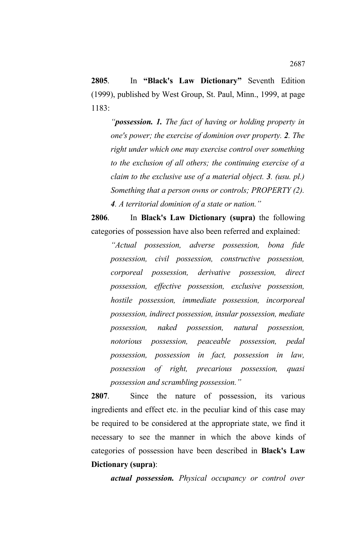**2805**. In **"Black's Law Dictionary"** Seventh Edition (1999), published by West Group, St. Paul, Minn., 1999, at page 1183:

*"possession. 1. The fact of having or holding property in one's power; the exercise of dominion over property. 2. The right under which one may exercise control over something to the exclusion of all others; the continuing exercise of a claim to the exclusive use of a material object. 3. (usu. pl.) Something that a person owns or controls; PROPERTY (2). 4. A territorial dominion of a state or nation."*

**2806**. In **Black's Law Dictionary (supra)** the following categories of possession have also been referred and explained:

*"Actual possession, adverse possession, bona fide possession, civil possession, constructive possession, corporeal possession, derivative possession, direct possession, effective possession, exclusive possession, hostile possession, immediate possession, incorporeal possession, indirect possession, insular possession, mediate possession, naked possession, natural possession, notorious possession, peaceable possession, pedal possession, possession in fact, possession in law, possession of right, precarious possession, quasi possession and scrambling possession."*

**2807**. Since the nature of possession, its various ingredients and effect etc. in the peculiar kind of this case may be required to be considered at the appropriate state, we find it necessary to see the manner in which the above kinds of categories of possession have been described in **Black's Law Dictionary (supra)**:

*actual possession. Physical occupancy or control over*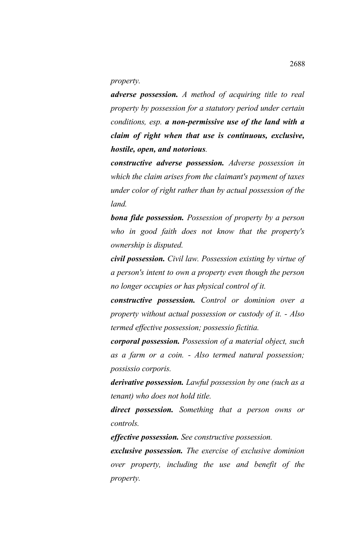*property.* 

*adverse possession. A method of acquiring title to real property by possession for a statutory period under certain conditions, esp. a non-permissive use of the land with a claim of right when that use is continuous, exclusive, hostile, open, and notorious.*

*constructive adverse possession. Adverse possession in which the claim arises from the claimant's payment of taxes under color of right rather than by actual possession of the land.*

*bona fide possession. Possession of property by a person who in good faith does not know that the property's ownership is disputed.*

*civil possession. Civil law. Possession existing by virtue of a person's intent to own a property even though the person no longer occupies or has physical control of it.*

*constructive possession. Control or dominion over a property without actual possession or custody of it. - Also termed effective possession; possessio fictitia.*

*corporal possession. Possession of a material object, such as a farm or a coin. - Also termed natural possession; possissio corporis.*

*derivative possession. Lawful possession by one (such as a tenant) who does not hold title.*

*direct possession. Something that a person owns or controls.*

*effective possession. See constructive possession.*

*exclusive possession. The exercise of exclusive dominion over property, including the use and benefit of the property.*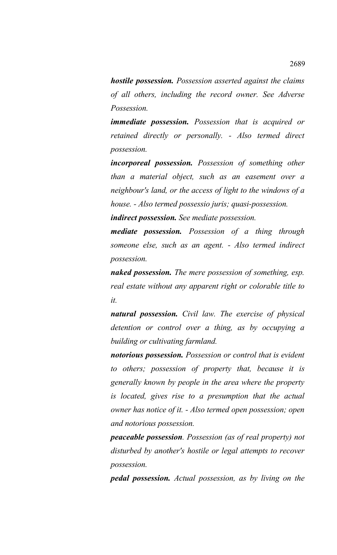*hostile possession. Possession asserted against the claims of all others, including the record owner. See Adverse Possession.*

*immediate possession. Possession that is acquired or retained directly or personally. - Also termed direct possession.*

*incorporeal possession. Possession of something other than a material object, such as an easement over a neighbour's land, or the access of light to the windows of a house. - Also termed possessio juris; quasi-possession.* 

*indirect possession. See mediate possession.*

*mediate possession. Possession of a thing through someone else, such as an agent. - Also termed indirect possession.*

*naked possession. The mere possession of something, esp. real estate without any apparent right or colorable title to it.*

*natural possession. Civil law. The exercise of physical detention or control over a thing, as by occupying a building or cultivating farmland.* 

*notorious possession. Possession or control that is evident to others; possession of property that, because it is generally known by people in the area where the property is located, gives rise to a presumption that the actual owner has notice of it. - Also termed open possession; open and notorious possession.*

*peaceable possession. Possession (as of real property) not disturbed by another's hostile or legal attempts to recover possession.*

*pedal possession. Actual possession, as by living on the*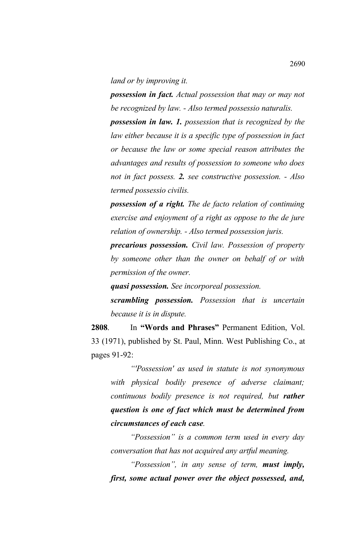*land or by improving it.*

*possession in fact. Actual possession that may or may not be recognized by law. - Also termed possessio naturalis.* 

*possession in law. 1. possession that is recognized by the law either because it is a specific type of possession in fact or because the law or some special reason attributes the advantages and results of possession to someone who does not in fact possess. 2. see constructive possession. - Also termed possessio civilis.*

*possession of a right. The de facto relation of continuing exercise and enjoyment of a right as oppose to the de jure relation of ownership. - Also termed possession juris.*

*precarious possession. Civil law. Possession of property by someone other than the owner on behalf of or with permission of the owner.*

*quasi possession. See incorporeal possession.*

*scrambling possession. Possession that is uncertain because it is in dispute.*

**2808**. In **"Words and Phrases"** Permanent Edition, Vol. 33 (1971), published by St. Paul, Minn. West Publishing Co., at pages 91-92:

*"'Possession' as used in statute is not synonymous with physical bodily presence of adverse claimant; continuous bodily presence is not required, but rather question is one of fact which must be determined from circumstances of each case.*

*"Possession" is a common term used in every day conversation that has not acquired any artful meaning.*

*"Possession", in any sense of term, must imply, first, some actual power over the object possessed, and,*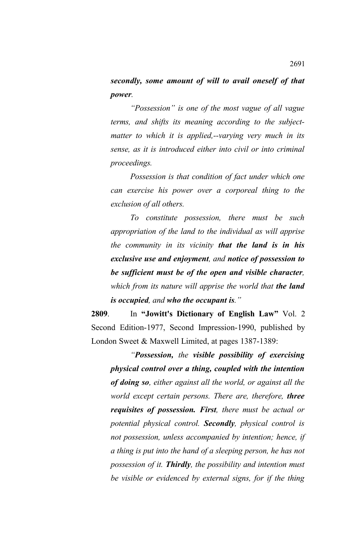*secondly, some amount of will to avail oneself of that power.*

*"Possession" is one of the most vague of all vague terms, and shifts its meaning according to the subjectmatter to which it is applied,--varying very much in its sense, as it is introduced either into civil or into criminal proceedings.*

*Possession is that condition of fact under which one can exercise his power over a corporeal thing to the exclusion of all others.*

*To constitute possession, there must be such appropriation of the land to the individual as will apprise the community in its vicinity that the land is in his exclusive use and enjoyment, and notice of possession to be sufficient must be of the open and visible character, which from its nature will apprise the world that <i>the land is occupied, and who the occupant is."*

**2809**. In **"Jowitt's Dictionary of English Law"** Vol. 2 Second Edition-1977, Second Impression-1990, published by London Sweet & Maxwell Limited, at pages 1387-1389:

*"Possession, the visible possibility of exercising physical control over a thing, coupled with the intention of doing so, either against all the world, or against all the world except certain persons. There are, therefore, three requisites of possession. First, there must be actual or potential physical control. Secondly, physical control is not possession, unless accompanied by intention; hence, if a thing is put into the hand of a sleeping person, he has not possession of it. Thirdly, the possibility and intention must be visible or evidenced by external signs, for if the thing*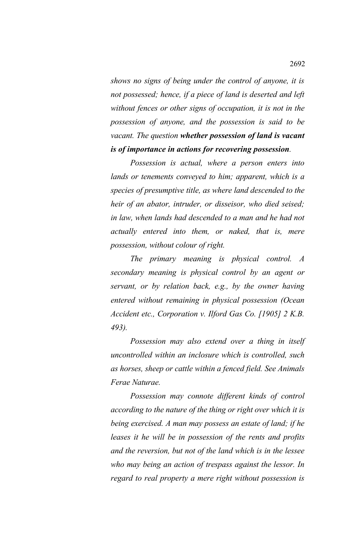*shows no signs of being under the control of anyone, it is not possessed; hence, if a piece of land is deserted and left without fences or other signs of occupation, it is not in the possession of anyone, and the possession is said to be vacant. The question whether possession of land is vacant is of importance in actions for recovering possession.*

*Possession is actual, where a person enters into lands or tenements conveyed to him; apparent, which is a species of presumptive title, as where land descended to the heir of an abator, intruder, or disseisor, who died seised; in law, when lands had descended to a man and he had not actually entered into them, or naked, that is, mere possession, without colour of right.*

*The primary meaning is physical control. A secondary meaning is physical control by an agent or servant, or by relation back, e.g., by the owner having entered without remaining in physical possession (Ocean Accident etc., Corporation v. Ilford Gas Co. [1905] 2 K.B. 493).*

*Possession may also extend over a thing in itself uncontrolled within an inclosure which is controlled, such as horses, sheep or cattle within a fenced field. See Animals Ferae Naturae.*

*Possession may connote different kinds of control according to the nature of the thing or right over which it is being exercised. A man may possess an estate of land; if he leases it he will be in possession of the rents and profits and the reversion, but not of the land which is in the lessee who may being an action of trespass against the lessor. In regard to real property a mere right without possession is*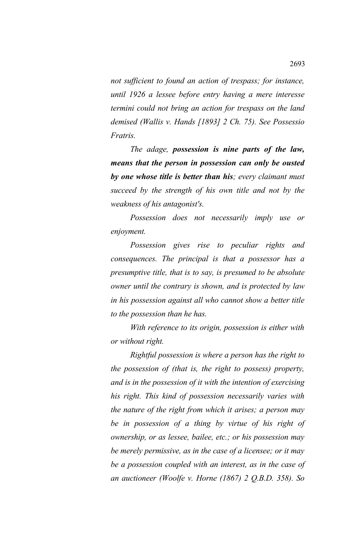*not sufficient to found an action of trespass; for instance, until 1926 a lessee before entry having a mere interesse termini could not bring an action for trespass on the land demised (Wallis v. Hands [1893] 2 Ch. 75). See Possessio Fratris.*

*The adage, possession is nine parts of the law, means that the person in possession can only be ousted by one whose title is better than his; every claimant must succeed by the strength of his own title and not by the weakness of his antagonist's.*

*Possession does not necessarily imply use or enjoyment.*

*Possession gives rise to peculiar rights and consequences. The principal is that a possessor has a presumptive title, that is to say, is presumed to be absolute owner until the contrary is shown, and is protected by law in his possession against all who cannot show a better title to the possession than he has.*

*With reference to its origin, possession is either with or without right.*

*Rightful possession is where a person has the right to the possession of (that is, the right to possess) property, and is in the possession of it with the intention of exercising his right. This kind of possession necessarily varies with the nature of the right from which it arises; a person may be in possession of a thing by virtue of his right of ownership, or as lessee, bailee, etc.; or his possession may be merely permissive, as in the case of a licensee; or it may be a possession coupled with an interest, as in the case of an auctioneer (Woolfe v. Horne (1867) 2 Q.B.D. 358). So*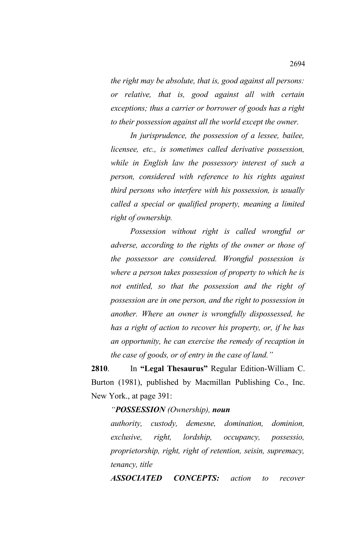*the right may be absolute, that is, good against all persons: or relative, that is, good against all with certain exceptions; thus a carrier or borrower of goods has a right to their possession against all the world except the owner.*

*In jurisprudence, the possession of a lessee, bailee, licensee, etc., is sometimes called derivative possession, while in English law the possessory interest of such a person, considered with reference to his rights against third persons who interfere with his possession, is usually called a special or qualified property, meaning a limited right of ownership.*

*Possession without right is called wrongful or adverse, according to the rights of the owner or those of the possessor are considered. Wrongful possession is where a person takes possession of property to which he is not entitled, so that the possession and the right of possession are in one person, and the right to possession in another. Where an owner is wrongfully dispossessed, he has a right of action to recover his property, or, if he has an opportunity, he can exercise the remedy of recaption in the case of goods, or of entry in the case of land."* 

**2810**. In **"Legal Thesaurus"** Regular Edition-William C. Burton (1981), published by Macmillan Publishing Co., Inc. New York., at page 391:

## *"POSSESSION (Ownership), noun*

*authority, custody, demesne, domination, dominion, exclusive, right, lordship, occupancy, possessio, proprietorship, right, right of retention, seisin, supremacy, tenancy, title*

*ASSOCIATED CONCEPTS: action to recover*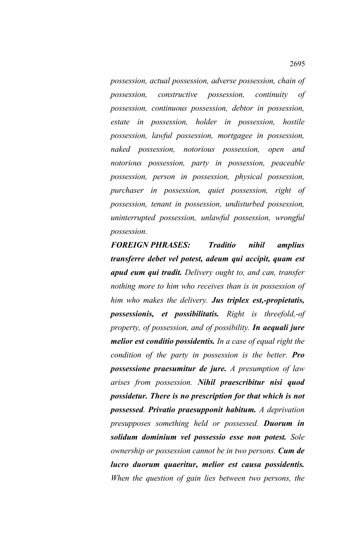*possession, actual possession, adverse possession, chain of possession, constructive possession, continuity of possession, continuous possession, debtor in possession, estate in possession, holder in possession, hostile possession, lawful possession, mortgagee in possession, naked possession, notorious possession, open and notorious possession, party in possession, peaceable possession, person in possession, physical possession, purchaser in possession, quiet possession, right of possession, tenant in possession, undisturbed possession, uninterrupted possession, unlawful possession, wrongful possession.* 

*FOREIGN PHRASES: Traditio nihil amplius transferre debet vel potest, adeum qui accipit, quam est apud eum qui tradit. Delivery ought to, and can, transfer nothing more to him who receives than is in possession of him who makes the delivery. Jus triplex est,-propietatis, possessionis, et possibilitatis. Right is threefold,-of property, of possession, and of possibility. In aequali jure melior est conditio possidentis. In a case of equal right the condition of the party in possession is the better. Pro possessione praesumitur de jure. A presumption of law arises from possession. Nihil praescribitur nisi quod possidetur. There is no prescription for that which is not possessed. Privatio praesupponit habitum. A deprivation presupposes something held or possessed. Duorum in solidum dominium vel possessio esse non potest. Sole ownership or possession cannot be in two persons. Cum de lucro duorum quaeritur, melior est causa possidentis. When the question of gain lies between two persons, the*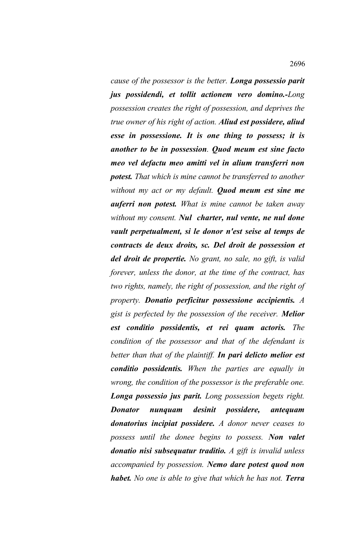*cause of the possessor is the better. Longa possessio parit jus possidendi, et tollit actionem vero domino.-Long possession creates the right of possession, and deprives the true owner of his right of action. Aliud est possidere, aliud esse in possessione. It is one thing to possess; it is another to be in possession. Quod meum est sine facto meo vel defactu meo amitti vel in alium transferri non potest. That which is mine cannot be transferred to another without my act or my default. Quod meum est sine me auferri non potest. What is mine cannot be taken away without my consent. Nul charter, nul vente, ne nul done vault perpetualment, si le donor n'est seise al temps de contracts de deux droits, sc. Del droit de possession et del droit de propertie. No grant, no sale, no gift, is valid forever, unless the donor, at the time of the contract, has two rights, namely, the right of possession, and the right of property. Donatio perficitur possessione accipientis. A gist is perfected by the possession of the receiver. Melior est conditio possidentis, et rei quam actoris. The condition of the possessor and that of the defendant is better than that of the plaintiff. In pari delicto melior est conditio possidentis. When the parties are equally in wrong, the condition of the possessor is the preferable one. Longa possessio jus parit. Long possession begets right. Donator nunquam desinit possidere, antequam donatorius incipiat possidere. A donor never ceases to possess until the donee begins to possess. Non valet donatio nisi subsequatur traditio. A gift is invalid unless accompanied by possession. Nemo dare potest quod non habet. No one is able to give that which he has not. Terra*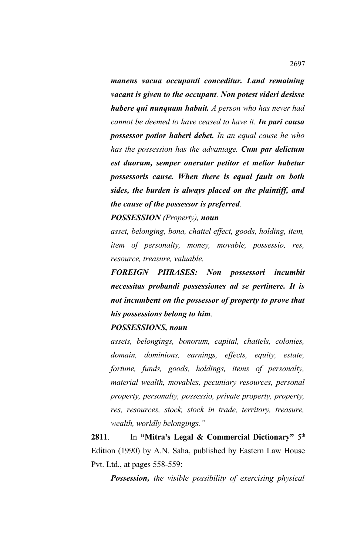*manens vacua occupanti conceditur. Land remaining vacant is given to the occupant. Non potest videri desisse habere qui nunquam habuit. A person who has never had cannot be deemed to have ceased to have it. In pari causa possessor potior haberi debet. In an equal cause he who has the possession has the advantage. Cum par delictum est duorum, semper oneratur petitor et melior habetur possessoris cause. When there is equal fault on both sides, the burden is always placed on the plaintiff, and the cause of the possessor is preferred.*

*POSSESSION (Property), noun*

*asset, belonging, bona, chattel effect, goods, holding, item, item of personalty, money, movable, possessio, res, resource, treasure, valuable.* 

*FOREIGN PHRASES: Non possessori incumbit necessitas probandi possessiones ad se pertinere. It is not incumbent on the possessor of property to prove that his possessions belong to him.*

## *POSSESSIONS, noun*

*assets, belongings, bonorum, capital, chattels, colonies, domain, dominions, earnings, effects, equity, estate, fortune, funds, goods, holdings, items of personalty, material wealth, movables, pecuniary resources, personal property, personalty, possessio, private property, property, res, resources, stock, stock in trade, territory, treasure, wealth, worldly belongings."*

**2811.** In "Mitra's Legal & Commercial Dictionary"  $5<sup>th</sup>$ Edition (1990) by A.N. Saha, published by Eastern Law House Pvt. Ltd., at pages 558-559:

*Possession, the visible possibility of exercising physical*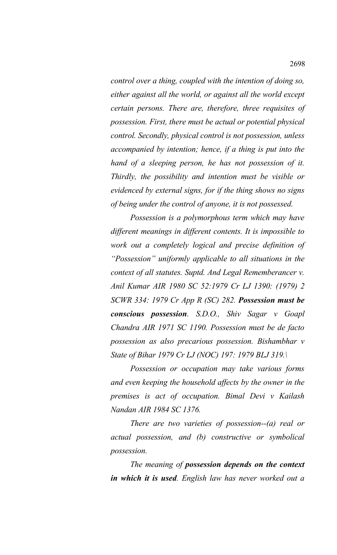*control over a thing, coupled with the intention of doing so, either against all the world, or against all the world except certain persons. There are, therefore, three requisites of possession. First, there must be actual or potential physical control. Secondly, physical control is not possession, unless accompanied by intention; hence, if a thing is put into the hand of a sleeping person, he has not possession of it. Thirdly, the possibility and intention must be visible or evidenced by external signs, for if the thing shows no signs of being under the control of anyone, it is not possessed.*

*Possession is a polymorphous term which may have different meanings in different contents. It is impossible to work out a completely logical and precise definition of "Possession" uniformly applicable to all situations in the context of all statutes. Suptd. And Legal Rememberancer v. Anil Kumar AIR 1980 SC 52:1979 Cr LJ 1390: (1979) 2 SCWR 334: 1979 Cr App R (SC) 282. Possession must be conscious possession. S.D.O., Shiv Sagar v Goapl Chandra AIR 1971 SC 1190. Possession must be de facto possession as also precarious possession. Bishambhar v State of Bihar 1979 Cr LJ (NOC) 197: 1979 BLJ 319.\*

*Possession or occupation may take various forms and even keeping the household affects by the owner in the premises is act of occupation. Bimal Devi v Kailash Nandan AIR 1984 SC 1376.*

*There are two varieties of possession--(a) real or actual possession, and (b) constructive or symbolical possession.*

*The meaning of possession depends on the context in which it is used. English law has never worked out a*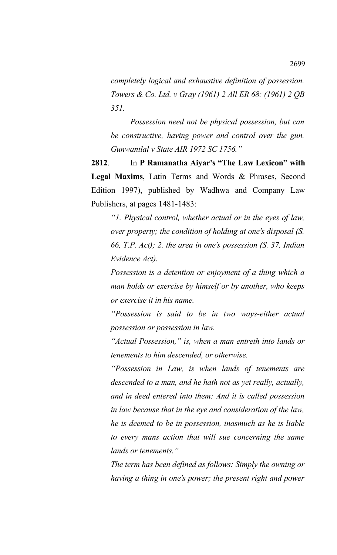*completely logical and exhaustive definition of possession. Towers & Co. Ltd. v Gray (1961) 2 All ER 68: (1961) 2 QB 351.* 

*Possession need not be physical possession, but can be constructive, having power and control over the gun. Gunwantlal v State AIR 1972 SC 1756."*

**2812**. In **P Ramanatha Aiyar's "The Law Lexicon" with Legal Maxims**, Latin Terms and Words & Phrases, Second Edition 1997), published by Wadhwa and Company Law Publishers, at pages 1481-1483:

*"1. Physical control, whether actual or in the eyes of law, over property; the condition of holding at one's disposal (S. 66, T.P. Act); 2. the area in one's possession (S. 37, Indian Evidence Act).*

*Possession is a detention or enjoyment of a thing which a man holds or exercise by himself or by another, who keeps or exercise it in his name.* 

*"Possession is said to be in two ways-either actual possession or possession in law.*

*"Actual Possession," is, when a man entreth into lands or tenements to him descended, or otherwise.* 

*"Possession in Law, is when lands of tenements are descended to a man, and he hath not as yet really, actually, and in deed entered into them: And it is called possession in law because that in the eye and consideration of the law, he is deemed to be in possession, inasmuch as he is liable to every mans action that will sue concerning the same lands or tenements."*

*The term has been defined as follows: Simply the owning or having a thing in one's power; the present right and power*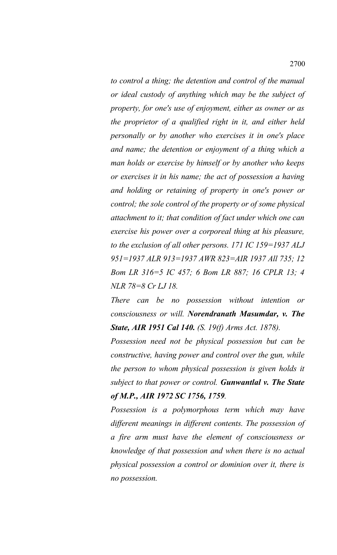*to control a thing; the detention and control of the manual or ideal custody of anything which may be the subject of property, for one's use of enjoyment, either as owner or as the proprietor of a qualified right in it, and either held personally or by another who exercises it in one's place and name; the detention or enjoyment of a thing which a man holds or exercise by himself or by another who keeps or exercises it in his name; the act of possession a having and holding or retaining of property in one's power or control; the sole control of the property or of some physical attachment to it; that condition of fact under which one can exercise his power over a corporeal thing at his pleasure, to the exclusion of all other persons. 171 IC 159=1937 ALJ 951=1937 ALR 913=1937 AWR 823=AIR 1937 All 735; 12 Bom LR 316=5 IC 457; 6 Bom LR 887; 16 CPLR 13; 4 NLR 78=8 Cr LJ 18.*

*There can be no possession without intention or consciousness or will. Norendranath Masumdar, v. The State, AIR 1951 Cal 140. (S. 19(f) Arms Act. 1878).*

*Possession need not be physical possession but can be constructive, having power and control over the gun, while the person to whom physical possession is given holds it subject to that power or control. Gunwantlal v. The State of M.P., AIR 1972 SC 1756, 1759.*

*Possession is a polymorphous term which may have different meanings in different contents. The possession of a fire arm must have the element of consciousness or knowledge of that possession and when there is no actual physical possession a control or dominion over it, there is no possession.*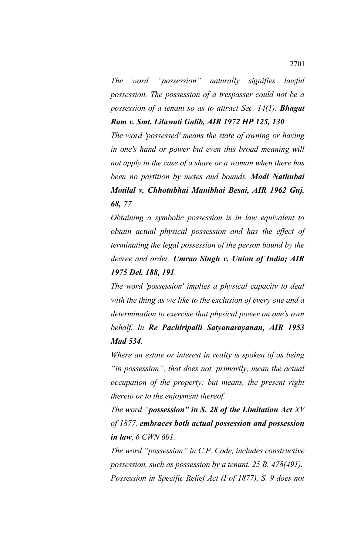*The word "possession" naturally signifies lawful possession. The possession of a trespasser could not be a possession of a tenant so as to attract Sec. 14(1). Bhagat Ram v. Smt. Lilawati Galib, AIR 1972 HP 125, 130.*

*The word 'possessed' means the state of owning or having in one's hand or power but even this broad meaning will not apply in the case of a share or a woman when there has been no partition by metes and bounds. Modi Nathubai Motilal v. Chhotubhai Manibhai Besai, AIR 1962 Guj. 68, 77.*

*Obtaining a symbolic possession is in law equivalent to obtain actual physical possession and has the effect of terminating the legal possession of the person bound by the decree and order. Umrao Singh v. Union of India; AIR 1975 Del. 188, 191.* 

*The word 'possession' implies a physical capacity to deal with the thing as we like to the exclusion of every one and a determination to exercise that physical power on one's own behalf. In Re Pachiripalli Satyanarayanan, AIR 1953 Mad 534.*

*Where an estate or interest in realty is spoken of as being "in possession", that does not, primarily, mean the actual occupation of the property; but means, the present right thereto or to the enjoyment thereof.*

*The word "possession" in S. 28 of the Limitation Act XV of 1877, embraces both actual possession and possession in law, 6 CWN 601.*

*The word "possession" in C.P. Code, includes constructive possession, such as possession by a tenant. 25 B. 478(491). Possession in Specific Relief Act (I of 1877), S. 9 does not*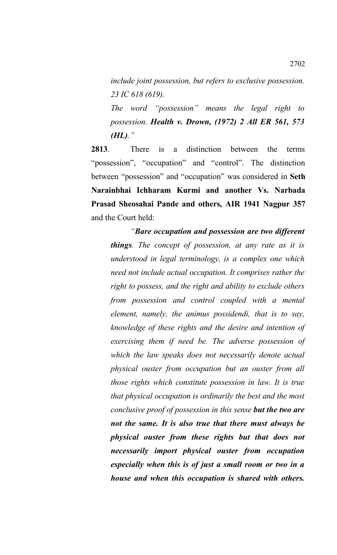*include joint possession, but refers to exclusive possession. 23 IC 618 (619).*

*The word "possession" means the legal right to possession. Health v. Drown, (1972) 2 All ER 561, 573 (HL)."*

**2813**. There is a distinction between the terms "possession", "occupation" and "control". The distinction between "possession" and "occupation" was considered in **Seth Narainbhai Ichharam Kurmi and another Vs. Narbada Prasad Sheosahai Pande and others, AIR 1941 Nagpur 357** and the Court held:

*"Bare occupation and possession are two different things. The concept of possession, at any rate as it is understood in legal terminology, is a complex one which need not include actual occupation. It comprises rather the right to possess, and the right and ability to exclude others from possession and control coupled with a mental element, namely, the animus possidendi, that is to say, knowledge of these rights and the desire and intention of exercising them if need be. The adverse possession of which the law speaks does not necessarily denote actual physical ouster from occupation but an ouster from all those rights which constitute possession in law. It is true that physical occupation is ordinarily the best and the most conclusive proof of possession in this sense but the two are not the same. It is also true that there must always be physical ouster from these rights but that does not necessarily import physical ouster from occupation especially when this is of just a small room or two in a house and when this occupation is shared with others.*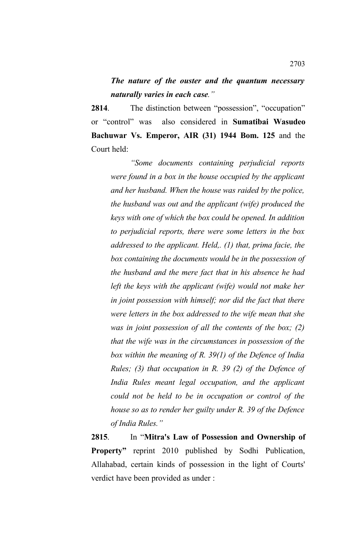*The nature of the ouster and the quantum necessary naturally varies in each case."*

**2814**. The distinction between "possession", "occupation" or "control" was also considered in **Sumatibai Wasudeo Bachuwar Vs. Emperor, AIR (31) 1944 Bom. 125** and the Court held:

*"Some documents containing perjudicial reports were found in a box in the house occupied by the applicant and her husband. When the house was raided by the police, the husband was out and the applicant (wife) produced the keys with one of which the box could be opened. In addition to perjudicial reports, there were some letters in the box addressed to the applicant. Held,. (1) that, prima facie, the box containing the documents would be in the possession of the husband and the mere fact that in his absence he had left the keys with the applicant (wife) would not make her in joint possession with himself; nor did the fact that there were letters in the box addressed to the wife mean that she was in joint possession of all the contents of the box; (2) that the wife was in the circumstances in possession of the box within the meaning of R. 39(1) of the Defence of India Rules; (3) that occupation in R. 39 (2) of the Defence of India Rules meant legal occupation, and the applicant could not be held to be in occupation or control of the house so as to render her guilty under R. 39 of the Defence of India Rules."*

**2815**. In "**Mitra's Law of Possession and Ownership of Property"** reprint 2010 published by Sodhi Publication, Allahabad, certain kinds of possession in the light of Courts' verdict have been provided as under :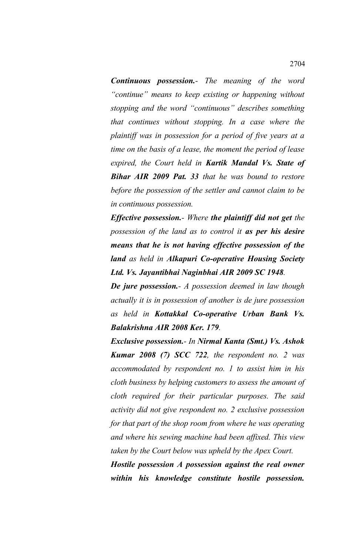*Continuous possession.- The meaning of the word "continue" means to keep existing or happening without stopping and the word "continuous" describes something that continues without stopping. In a case where the plaintiff was in possession for a period of five years at a time on the basis of a lease, the moment the period of lease expired, the Court held in Kartik Mandal Vs. State of Bihar AIR 2009 Pat. 33 that he was bound to restore before the possession of the settler and cannot claim to be in continuous possession.*

*Effective possession.- Where the plaintiff did not get the possession of the land as to control it as per his desire means that he is not having effective possession of the land as held in Alkapuri Co-operative Housing Society Ltd. Vs. Jayantibhai Naginbhai AIR 2009 SC 1948.*

*De jure possession.- A possession deemed in law though actually it is in possession of another is de jure possession as held in Kottakkal Co-operative Urban Bank Vs. Balakrishna AIR 2008 Ker. 179.*

*Exclusive possession.- In Nirmal Kanta (Smt.) Vs. Ashok Kumar 2008 (7) SCC 722, the respondent no. 2 was accommodated by respondent no. 1 to assist him in his cloth business by helping customers to assess the amount of cloth required for their particular purposes. The said activity did not give respondent no. 2 exclusive possession for that part of the shop room from where he was operating and where his sewing machine had been affixed. This view taken by the Court below was upheld by the Apex Court.* 

*Hostile possession A possession against the real owner within his knowledge constitute hostile possession.*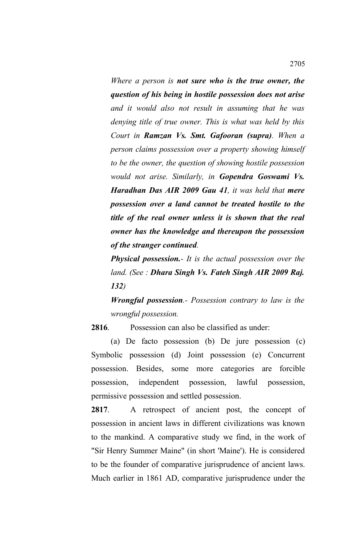*Where a person is not sure who is the true owner, the question of his being in hostile possession does not arise and it would also not result in assuming that he was denying title of true owner. This is what was held by this Court in Ramzan Vs. Smt. Gafooran (supra). When a person claims possession over a property showing himself to be the owner, the question of showing hostile possession would not arise. Similarly, in Gopendra Goswami Vs. Haradhan Das AIR 2009 Gau 41, it was held that mere possession over a land cannot be treated hostile to the title of the real owner unless it is shown that the real owner has the knowledge and thereupon the possession of the stranger continued.*

*Physical possession.- It is the actual possession over the land. (See : Dhara Singh Vs. Fateh Singh AIR 2009 Raj. 132)*

*Wrongful possession.- Possession contrary to law is the wrongful possession.* 

**2816**. Possession can also be classified as under:

(a) De facto possession (b) De jure possession (c) Symbolic possession (d) Joint possession (e) Concurrent possession. Besides, some more categories are forcible possession, independent possession, lawful possession, permissive possession and settled possession.

**2817**. A retrospect of ancient post, the concept of possession in ancient laws in different civilizations was known to the mankind. A comparative study we find, in the work of "Sir Henry Summer Maine" (in short 'Maine'). He is considered to be the founder of comparative jurisprudence of ancient laws. Much earlier in 1861 AD, comparative jurisprudence under the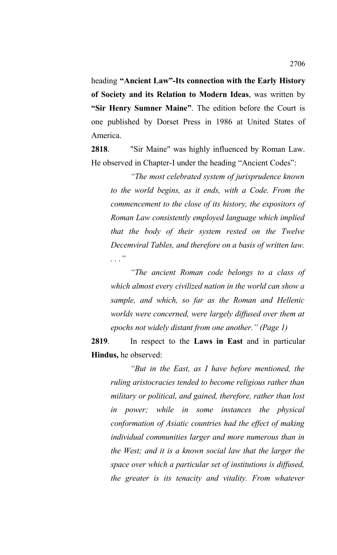heading **"Ancient Law"-Its connection with the Early History of Society and its Relation to Modern Ideas**, was written by **"Sir Henry Sumner Maine"**. The edition before the Court is one published by Dorset Press in 1986 at United States of America.

**2818**. "Sir Maine" was highly influenced by Roman Law. He observed in Chapter-I under the heading "Ancient Codes":

*"The most celebrated system of jurisprudence known to the world begins, as it ends, with a Code. From the commencement to the close of its history, the expositors of Roman Law consistently employed language which implied that the body of their system rested on the Twelve Decemviral Tables, and therefore on a basis of written law. . . ."*

*"The ancient Roman code belongs to a class of which almost every civilized nation in the world can show a sample, and which, so far as the Roman and Hellenic worlds were concerned, were largely diffused over them at epochs not widely distant from one another." (Page 1)*

**2819**. In respect to the **Laws in East** and in particular **Hindus,** he observed:

*"But in the East, as I have before mentioned, the ruling aristocracies tended to become religious rather than military or political, and gained, therefore, rather than lost in power; while in some instances the physical conformation of Asiatic countries had the effect of making individual communities larger and more numerous than in the West; and it is a known social law that the larger the space over which a particular set of institutions is diffused, the greater is its tenacity and vitality. From whatever*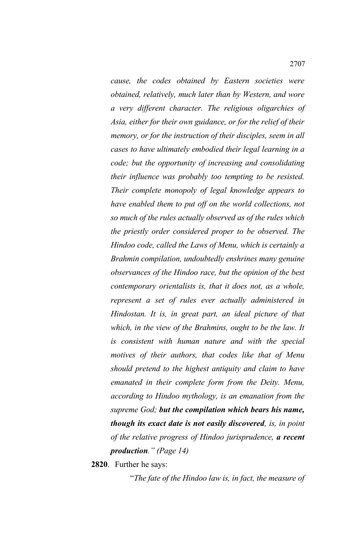*cause, the codes obtained by Eastern societies were obtained, relatively, much later than by Western, and wore a very different character. The religious oligarchies of Asia, either for their own guidance, or for the relief of their memory, or for the instruction of their disciples, seem in all cases to have ultimately embodied their legal learning in a code; but the opportunity of increasing and consolidating their influence was probably too tempting to be resisted. Their complete monopoly of legal knowledge appears to have enabled them to put off on the world collections, not so much of the rules actually observed as of the rules which the priestly order considered proper to be observed. The Hindoo code, called the Laws of Menu, which is certainly a Brahmin compilation, undoubtedly enshrines many genuine observances of the Hindoo race, but the opinion of the best contemporary orientalists is, that it does not, as a whole, represent a set of rules ever actually administered in Hindostan. It is, in great part, an ideal picture of that which, in the view of the Brahmins, ought to be the law. It is consistent with human nature and with the special motives of their authors, that codes like that of Menu should pretend to the highest antiquity and claim to have emanated in their complete form from the Deity. Menu, according to Hindoo mythology, is an emanation from the supreme God; but the compilation which bears his name, though its exact date is not easily discovered, is, in point of the relative progress of Hindoo jurisprudence, a recent production." (Page 14)*

**2820**. Further he says:

"*The fate of the Hindoo law is, in fact, the measure of*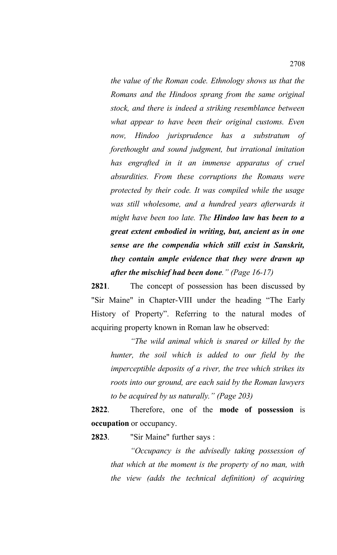*the value of the Roman code. Ethnology shows us that the Romans and the Hindoos sprang from the same original stock, and there is indeed a striking resemblance between what appear to have been their original customs. Even now, Hindoo jurisprudence has a substratum of forethought and sound judgment, but irrational imitation has engrafted in it an immense apparatus of cruel absurdities. From these corruptions the Romans were protected by their code. It was compiled while the usage was still wholesome, and a hundred years afterwards it might have been too late. The Hindoo law has been to a great extent embodied in writing, but, ancient as in one sense are the compendia which still exist in Sanskrit, they contain ample evidence that they were drawn up after the mischief had been done." (Page 16-17)*

**2821**. The concept of possession has been discussed by "Sir Maine" in Chapter-VIII under the heading "The Early History of Property". Referring to the natural modes of acquiring property known in Roman law he observed:

*"The wild animal which is snared or killed by the hunter, the soil which is added to our field by the imperceptible deposits of a river, the tree which strikes its roots into our ground, are each said by the Roman lawyers to be acquired by us naturally." (Page 203)*

**2822**. Therefore, one of the **mode of possession** is **occupation** or occupancy.

**2823**. "Sir Maine" further says :

*"Occupancy is the advisedly taking possession of that which at the moment is the property of no man, with the view (adds the technical definition) of acquiring*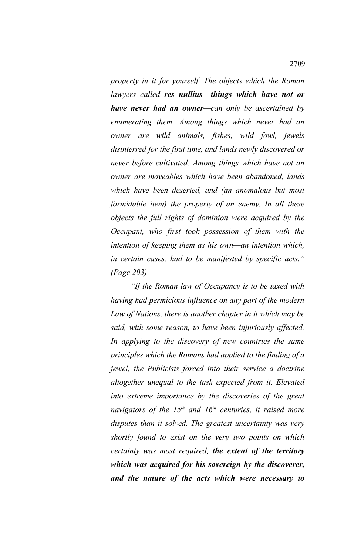*property in it for yourself. The objects which the Roman lawyers called res nullius—things which have not or have never had an owner—can only be ascertained by enumerating them. Among things which never had an owner are wild animals, fishes, wild fowl, jewels disinterred for the first time, and lands newly discovered or never before cultivated. Among things which have not an owner are moveables which have been abandoned, lands which have been deserted, and (an anomalous but most formidable item) the property of an enemy. In all these objects the full rights of dominion were acquired by the Occupant, who first took possession of them with the intention of keeping them as his own—an intention which, in certain cases, had to be manifested by specific acts." (Page 203)*

*"If the Roman law of Occupancy is to be taxed with having had permicious influence on any part of the modern Law of Nations, there is another chapter in it which may be said, with some reason, to have been injuriously affected. In applying to the discovery of new countries the same principles which the Romans had applied to the finding of a jewel, the Publicists forced into their service a doctrine altogether unequal to the task expected from it. Elevated into extreme importance by the discoveries of the great navigators of the 15th and 16th centuries, it raised more disputes than it solved. The greatest uncertainty was very shortly found to exist on the very two points on which certainty was most required, the extent of the territory which was acquired for his sovereign by the discoverer, and the nature of the acts which were necessary to*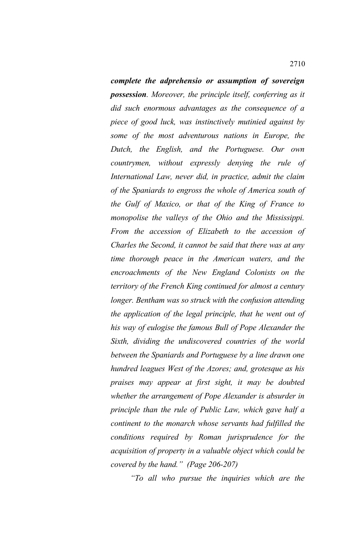*complete the adprehensio or assumption of sovereign possession. Moreover, the principle itself, conferring as it did such enormous advantages as the consequence of a piece of good luck, was instinctively mutinied against by some of the most adventurous nations in Europe, the Dutch, the English, and the Portuguese. Our own countrymen, without expressly denying the rule of International Law, never did, in practice, admit the claim of the Spaniards to engross the whole of America south of the Gulf of Maxico, or that of the King of France to monopolise the valleys of the Ohio and the Mississippi. From the accession of Elizabeth to the accession of Charles the Second, it cannot be said that there was at any time thorough peace in the American waters, and the encroachments of the New England Colonists on the territory of the French King continued for almost a century longer. Bentham was so struck with the confusion attending the application of the legal principle, that he went out of his way of eulogise the famous Bull of Pope Alexander the Sixth, dividing the undiscovered countries of the world between the Spaniards and Portuguese by a line drawn one hundred leagues West of the Azores; and, grotesque as his praises may appear at first sight, it may be doubted whether the arrangement of Pope Alexander is absurder in principle than the rule of Public Law, which gave half a continent to the monarch whose servants had fulfilled the conditions required by Roman jurisprudence for the acquisition of property in a valuable object which could be covered by the hand." (Page 206-207)*

*"To all who pursue the inquiries which are the*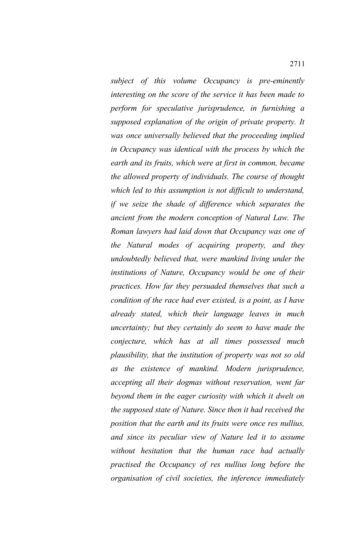*subject of this volume Occupancy is pre-eminently interesting on the score of the service it has been made to perform for speculative jurisprudence, in furnishing a supposed explanation of the origin of private property. It was once universally believed that the proceeding implied in Occupancy was identical with the process by which the earth and its fruits, which were at first in common, became the allowed property of individuals. The course of thought which led to this assumption is not difficult to understand, if we seize the shade of difference which separates the ancient from the modern conception of Natural Law. The Roman lawyers had laid down that Occupancy was one of the Natural modes of acquiring property, and they undoubtedly believed that, were mankind living under the institutions of Nature, Occupancy would be one of their practices. How far they persuaded themselves that such a condition of the race had ever existed, is a point, as I have already stated, which their language leaves in much uncertainty; but they certainly do seem to have made the conjecture, which has at all times possessed much plausibility, that the institution of property was not so old as the existence of mankind. Modern jurisprudence, accepting all their dogmas without reservation, went far beyond them in the eager curiosity with which it dwelt on the supposed state of Nature. Since then it had received the position that the earth and its fruits were once res nullius, and since its peculiar view of Nature led it to assume without hesitation that the human race had actually practised the Occupancy of res nullius long before the organisation of civil societies, the inference immediately*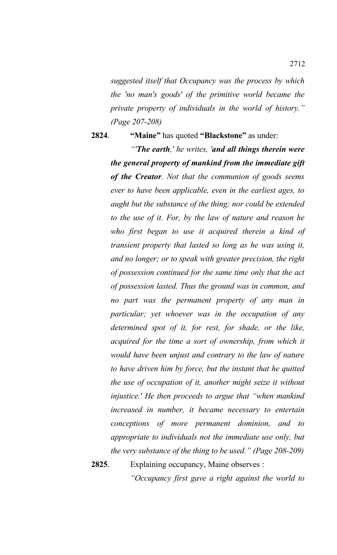*suggested itself that Occupancy was the process by which the 'no man's goods' of the primitive world became the private property of individuals in the world of history." (Page 207-208)*

**2824**. **"Maine"** has quoted **"Blackstone"** as under:

*"'The earth,' he writes, 'and all things therein were the general property of mankind from the immediate gift of the Creator. Not that the communion of goods seems ever to have been applicable, even in the earliest ages, to aught but the substance of the thing; nor could be extended to the use of it. For, by the law of nature and reason he who first began to use it acquired therein a kind of transient property that lasted so long as he was using it, and no longer; or to speak with greater precision, the right of possession continued for the same time only that the act of possession lasted. Thus the ground was in common, and no part was the permanent property of any man in particular; yet whoever was in the occupation of any determined spot of it, for rest, for shade, or the like, acquired for the time a sort of ownership, from which it would have been unjust and contrary to the law of nature to have driven him by force, but the instant that he quitted the use of occupation of it, another might seize it without injustice.' He then proceeds to argue that "when mankind increased in number, it became necessary to entertain conceptions of more permanent dominion, and to appropriate to individuals not the immediate use only, but the very substance of the thing to be used." (Page 208-209)*

**2825**. Explaining occupancy, Maine observes :

*"Occupancy first gave a right against the world to*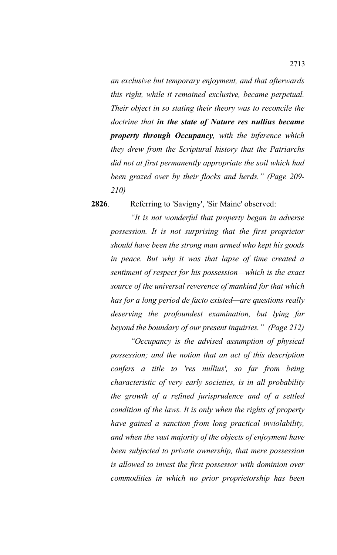*an exclusive but temporary enjoyment, and that afterwards this right, while it remained exclusive, became perpetual. Their object in so stating their theory was to reconcile the doctrine that in the state of Nature res nullius became property through Occupancy, with the inference which they drew from the Scriptural history that the Patriarchs did not at first permanently appropriate the soil which had been grazed over by their flocks and herds." (Page 209- 210)*

**2826**. Referring to 'Savigny', 'Sir Maine' observed:

*"It is not wonderful that property began in adverse possession. It is not surprising that the first proprietor should have been the strong man armed who kept his goods in peace. But why it was that lapse of time created a sentiment of respect for his possession—which is the exact source of the universal reverence of mankind for that which has for a long period de facto existed—are questions really deserving the profoundest examination, but lying far beyond the boundary of our present inquiries." (Page 212)*

*"Occupancy is the advised assumption of physical possession; and the notion that an act of this description confers a title to 'res nullius', so far from being characteristic of very early societies, is in all probability the growth of a refined jurisprudence and of a settled condition of the laws. It is only when the rights of property have gained a sanction from long practical inviolability, and when the vast majority of the objects of enjoyment have been subjected to private ownership, that mere possession is allowed to invest the first possessor with dominion over commodities in which no prior proprietorship has been*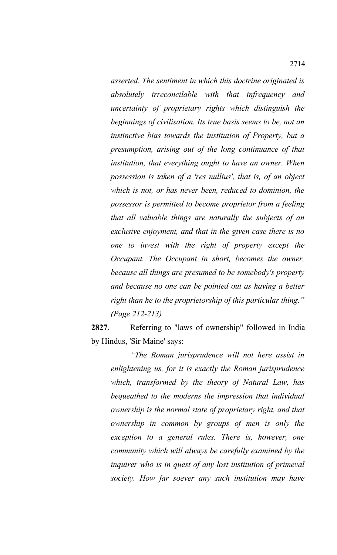*asserted. The sentiment in which this doctrine originated is absolutely irreconcilable with that infrequency and uncertainty of proprietary rights which distinguish the beginnings of civilisation. Its true basis seems to be, not an instinctive bias towards the institution of Property, but a presumption, arising out of the long continuance of that institution, that everything ought to have an owner. When possession is taken of a 'res nullius', that is, of an object which is not, or has never been, reduced to dominion, the possessor is permitted to become proprietor from a feeling that all valuable things are naturally the subjects of an exclusive enjoyment, and that in the given case there is no one to invest with the right of property except the Occupant. The Occupant in short, becomes the owner, because all things are presumed to be somebody's property and because no one can be pointed out as having a better right than he to the proprietorship of this particular thing." (Page 212-213)*

**2827**. Referring to "laws of ownership" followed in India by Hindus, 'Sir Maine' says:

*"The Roman jurisprudence will not here assist in enlightening us, for it is exactly the Roman jurisprudence which, transformed by the theory of Natural Law, has bequeathed to the moderns the impression that individual ownership is the normal state of proprietary right, and that ownership in common by groups of men is only the exception to a general rules. There is, however, one community which will always be carefully examined by the inquirer who is in quest of any lost institution of primeval society. How far soever any such institution may have*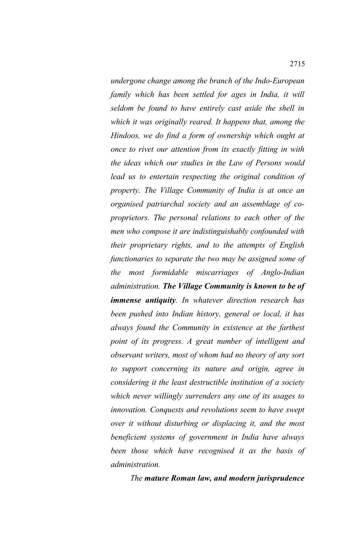*undergone change among the branch of the Indo-European family which has been settled for ages in India, it will seldom be found to have entirely cast aside the shell in which it was originally reared. It happens that, among the Hindoos, we do find a form of ownership which ought at once to rivet our attention from its exactly fitting in with the ideas which our studies in the Law of Persons would lead us to entertain respecting the original condition of property. The Village Community of India is at once an organised patriarchal society and an assemblage of coproprietors. The personal relations to each other of the men who compose it are indistinguishably confounded with their proprietary rights, and to the attempts of English functionaries to separate the two may be assigned some of the most formidable miscarriages of Anglo-Indian administration. The Village Community is known to be of immense antiquity. In whatever direction research has been pushed into Indian history, general or local, it has always found the Community in existence at the farthest point of its progress. A great number of intelligent and observant writers, most of whom had no theory of any sort to support concerning its nature and origin, agree in considering it the least destructible institution of a society which never willingly surrenders any one of its usages to innovation. Conquests and revolutions seem to have swept over it without disturbing or displacing it, and the most beneficient systems of government in India have always been those which have recognised it as the basis of administration.* 

## *The mature Roman law, and modern jurisprudence*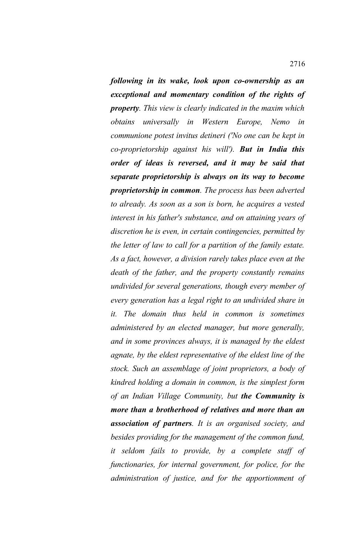*following in its wake, look upon co-ownership as an exceptional and momentary condition of the rights of property. This view is clearly indicated in the maxim which obtains universally in Western Europe, Nemo in communione potest invitus detineri ('No one can be kept in co-proprietorship against his will'). But in India this order of ideas is reversed, and it may be said that separate proprietorship is always on its way to become proprietorship in common. The process has been adverted to already. As soon as a son is born, he acquires a vested interest in his father's substance, and on attaining years of discretion he is even, in certain contingencies, permitted by the letter of law to call for a partition of the family estate. As a fact, however, a division rarely takes place even at the death of the father, and the property constantly remains undivided for several generations, though every member of every generation has a legal right to an undivided share in it. The domain thus held in common is sometimes administered by an elected manager, but more generally, and in some provinces always, it is managed by the eldest agnate, by the eldest representative of the eldest line of the stock. Such an assemblage of joint proprietors, a body of kindred holding a domain in common, is the simplest form of an Indian Village Community, but the Community is more than a brotherhood of relatives and more than an association of partners. It is an organised society, and besides providing for the management of the common fund, it seldom fails to provide, by a complete staff of functionaries, for internal government, for police, for the administration of justice, and for the apportionment of*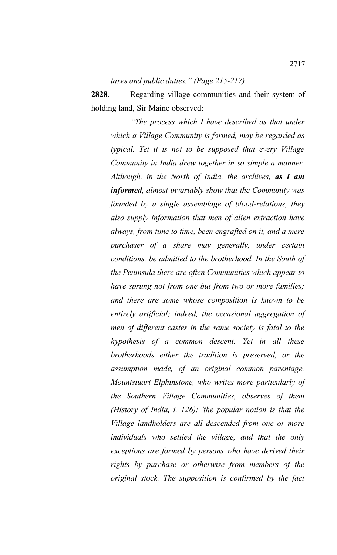*taxes and public duties." (Page 215-217)*

**2828**. Regarding village communities and their system of holding land, Sir Maine observed:

*"The process which I have described as that under which a Village Community is formed, may be regarded as typical. Yet it is not to be supposed that every Village Community in India drew together in so simple a manner. Although, in the North of India, the archives, as I am informed, almost invariably show that the Community was founded by a single assemblage of blood-relations, they also supply information that men of alien extraction have always, from time to time, been engrafted on it, and a mere purchaser of a share may generally, under certain conditions, be admitted to the brotherhood. In the South of the Peninsula there are often Communities which appear to have sprung not from one but from two or more families; and there are some whose composition is known to be entirely artificial; indeed, the occasional aggregation of men of different castes in the same society is fatal to the hypothesis of a common descent. Yet in all these brotherhoods either the tradition is preserved, or the assumption made, of an original common parentage. Mountstuart Elphinstone, who writes more particularly of the Southern Village Communities, observes of them (History of India, i. 126): 'the popular notion is that the Village landholders are all descended from one or more individuals who settled the village, and that the only exceptions are formed by persons who have derived their rights by purchase or otherwise from members of the original stock. The supposition is confirmed by the fact*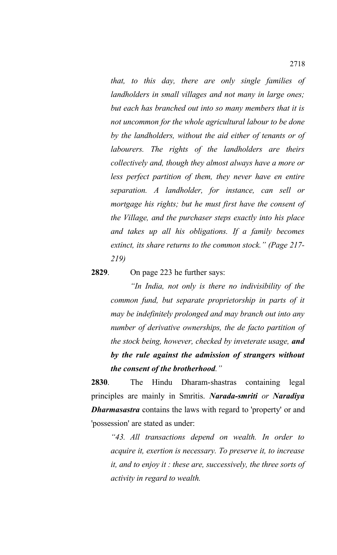*that, to this day, there are only single families of landholders in small villages and not many in large ones; but each has branched out into so many members that it is not uncommon for the whole agricultural labour to be done by the landholders, without the aid either of tenants or of labourers. The rights of the landholders are theirs collectively and, though they almost always have a more or less perfect partition of them, they never have en entire separation. A landholder, for instance, can sell or mortgage his rights; but he must first have the consent of the Village, and the purchaser steps exactly into his place and takes up all his obligations. If a family becomes extinct, its share returns to the common stock." (Page 217- 219)*

### **2829**. On page 223 he further says:

*"In India, not only is there no indivisibility of the common fund, but separate proprietorship in parts of it may be indefinitely prolonged and may branch out into any number of derivative ownerships, the de facto partition of the stock being, however, checked by inveterate usage, and by the rule against the admission of strangers without the consent of the brotherhood."*

**2830**. The Hindu Dharam-shastras containing legal principles are mainly in Smritis. *Narada-smriti or Naradiya Dharmasastra* contains the laws with regard to 'property' or and 'possession' are stated as under:

*"43. All transactions depend on wealth. In order to acquire it, exertion is necessary. To preserve it, to increase it, and to enjoy it : these are, successively, the three sorts of activity in regard to wealth.*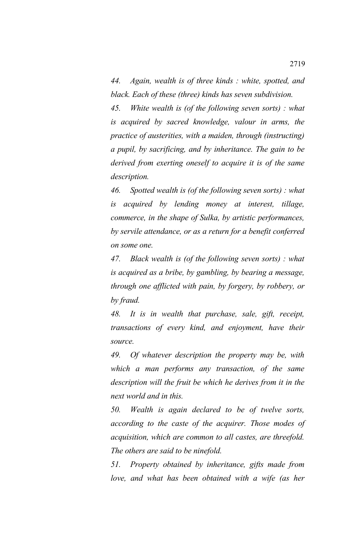*44. Again, wealth is of three kinds : white, spotted, and black. Each of these (three) kinds has seven subdivision.*

*45. White wealth is (of the following seven sorts) : what is acquired by sacred knowledge, valour in arms, the practice of austerities, with a maiden, through (instructing) a pupil, by sacrificing, and by inheritance. The gain to be derived from exerting oneself to acquire it is of the same description.*

*46. Spotted wealth is (of the following seven sorts) : what is acquired by lending money at interest, tillage, commerce, in the shape of Sulka, by artistic performances, by servile attendance, or as a return for a benefit conferred on some one.*

*47. Black wealth is (of the following seven sorts) : what is acquired as a bribe, by gambling, by bearing a message, through one afflicted with pain, by forgery, by robbery, or by fraud.*

*48. It is in wealth that purchase, sale, gift, receipt, transactions of every kind, and enjoyment, have their source.*

*49. Of whatever description the property may be, with which a man performs any transaction, of the same description will the fruit be which he derives from it in the next world and in this.*

*50. Wealth is again declared to be of twelve sorts, according to the caste of the acquirer. Those modes of acquisition, which are common to all castes, are threefold. The others are said to be ninefold.*

*51. Property obtained by inheritance, gifts made from love, and what has been obtained with a wife (as her*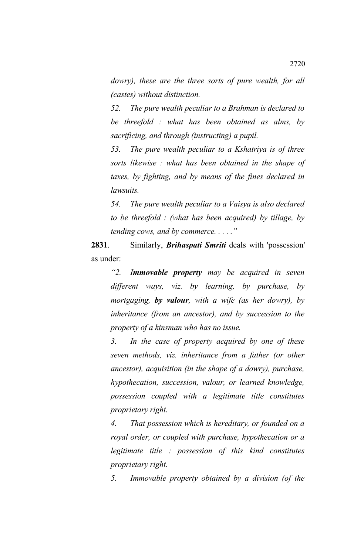*dowry), these are the three sorts of pure wealth, for all (castes) without distinction.*

*52. The pure wealth peculiar to a Brahman is declared to be threefold : what has been obtained as alms, by sacrificing, and through (instructing) a pupil.*

*53. The pure wealth peculiar to a Kshatriya is of three sorts likewise : what has been obtained in the shape of taxes, by fighting, and by means of the fines declared in lawsuits.*

*54. The pure wealth peculiar to a Vaisya is also declared to be threefold : (what has been acquired) by tillage, by tending cows, and by commerce. . . . ."*

**2831**. Similarly, *Brihaspati Smriti* deals with 'possession' as under:

*"2. Immovable property may be acquired in seven different ways, viz. by learning, by purchase, by mortgaging, by valour, with a wife (as her dowry), by inheritance (from an ancestor), and by succession to the property of a kinsman who has no issue.*

*3. In the case of property acquired by one of these seven methods, viz. inheritance from a father (or other ancestor), acquisition (in the shape of a dowry), purchase, hypothecation, succession, valour, or learned knowledge, possession coupled with a legitimate title constitutes proprietary right.*

*4. That possession which is hereditary, or founded on a royal order, or coupled with purchase, hypothecation or a legitimate title : possession of this kind constitutes proprietary right.*

*5. Immovable property obtained by a division (of the*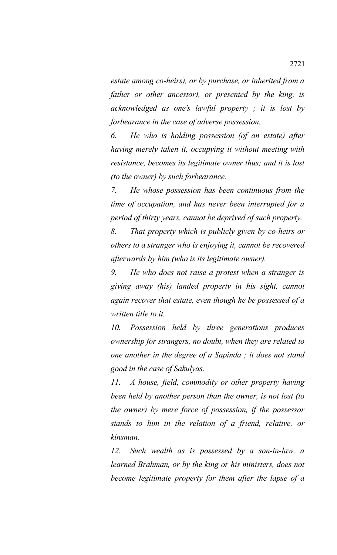*estate among co-heirs), or by purchase, or inherited from a father or other ancestor), or presented by the king, is acknowledged as one's lawful property ; it is lost by forbearance in the case of adverse possession.*

*6. He who is holding possession (of an estate) after having merely taken it, occupying it without meeting with resistance, becomes its legitimate owner thus; and it is lost (to the owner) by such forbearance.*

*7. He whose possession has been continuous from the time of occupation, and has never been interrupted for a period of thirty years, cannot be deprived of such property.*

*8. That property which is publicly given by co-heirs or others to a stranger who is enjoying it, cannot be recovered afterwards by him (who is its legitimate owner).*

*9. He who does not raise a protest when a stranger is giving away (his) landed property in his sight, cannot again recover that estate, even though he be possessed of a written title to it.*

*10. Possession held by three generations produces ownership for strangers, no doubt, when they are related to one another in the degree of a Sapinda ; it does not stand good in the case of Sakulyas.*

*11. A house, field, commodity or other property having been held by another person than the owner, is not lost (to the owner) by mere force of possession, if the possessor stands to him in the relation of a friend, relative, or kinsman.*

*12. Such wealth as is possessed by a son-in-law, a learned Brahman, or by the king or his ministers, does not become legitimate property for them after the lapse of a*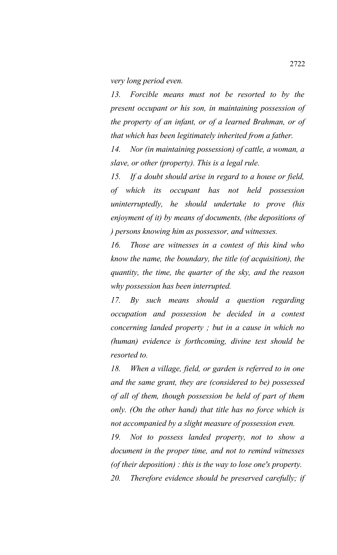*very long period even.*

*13. Forcible means must not be resorted to by the present occupant or his son, in maintaining possession of the property of an infant, or of a learned Brahman, or of that which has been legitimately inherited from a father.*

*14. Nor (in maintaining possession) of cattle, a woman, a slave, or other (property). This is a legal rule.*

*15. If a doubt should arise in regard to a house or field, of which its occupant has not held possession uninterruptedly, he should undertake to prove (his enjoyment of it) by means of documents, (the depositions of ) persons knowing him as possessor, and witnesses.*

*16. Those are witnesses in a contest of this kind who know the name, the boundary, the title (of acquisition), the quantity, the time, the quarter of the sky, and the reason why possession has been interrupted.*

*17. By such means should a question regarding occupation and possession be decided in a contest concerning landed property ; but in a cause in which no (human) evidence is forthcoming, divine test should be resorted to.*

*18. When a village, field, or garden is referred to in one and the same grant, they are (considered to be) possessed of all of them, though possession be held of part of them only. (On the other hand) that title has no force which is not accompanied by a slight measure of possession even.*

*19. Not to possess landed property, not to show a document in the proper time, and not to remind witnesses (of their deposition) : this is the way to lose one's property.*

*20. Therefore evidence should be preserved carefully; if*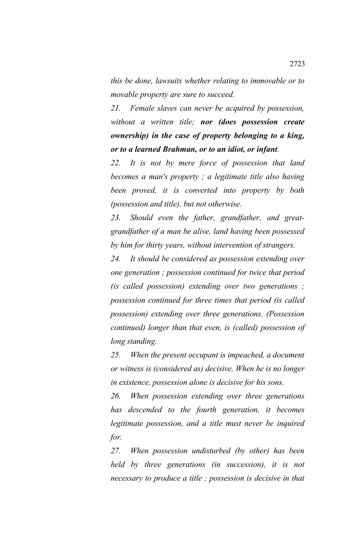*this be done, lawsuits whether relating to immovable or to movable property are sure to succeed.*

*21. Female slaves can never be acquired by possession, without a written title; nor (does possession create ownership) in the case of property belonging to a king, or to a learned Brahman, or to an idiot, or infant.*

*22. It is not by mere force of possession that land becomes a man's property ; a legitimate title also having been proved, it is converted into property by both (possession and title), but not otherwise.*

*23. Should even the father, grandfather, and greatgrandfather of a man be alive, land having been possessed by him for thirty years, without intervention of strangers.*

*24. It should be considered as possession extending over one generation ; possession continued for twice that period (is called possession) extending over two generations ; possession continued for three times that period (is called possession) extending over three generations. (Possession continued) longer than that even, is (called) possession of long standing.*

*25. When the present occupant is impeached, a document or witness is (considered as) decisive. When he is no longer in existence, possession alone is decisive for his sons.*

*26. When possession extending over three generations has descended to the fourth generation, it becomes legitimate possession, and a title must never be inquired for.*

*27. When possession undisturbed (by other) has been held by three generations (in succession), it is not necessary to produce a title ; possession is decisive in that*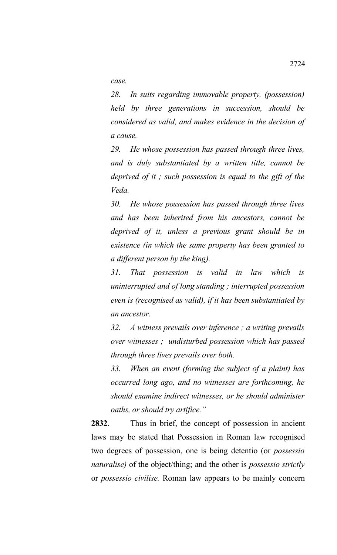*case.*

*28. In suits regarding immovable property, (possession) held by three generations in succession, should be considered as valid, and makes evidence in the decision of a cause.*

*29. He whose possession has passed through three lives, and is duly substantiated by a written title, cannot be deprived of it ; such possession is equal to the gift of the Veda.*

*30. He whose possession has passed through three lives and has been inherited from his ancestors, cannot be deprived of it, unless a previous grant should be in existence (in which the same property has been granted to a different person by the king).*

*31. That possession is valid in law which is uninterrupted and of long standing ; interrupted possession even is (recognised as valid), if it has been substantiated by an ancestor.*

*32. A witness prevails over inference ; a writing prevails over witnesses ; undisturbed possession which has passed through three lives prevails over both.*

*33. When an event (forming the subject of a plaint) has occurred long ago, and no witnesses are forthcoming, he should examine indirect witnesses, or he should administer oaths, or should try artifice."*

**2832**. Thus in brief, the concept of possession in ancient laws may be stated that Possession in Roman law recognised two degrees of possession, one is being detentio (or *possessio naturalise)* of the object/thing; and the other is *possessio strictly* or *possessio civilise.* Roman law appears to be mainly concern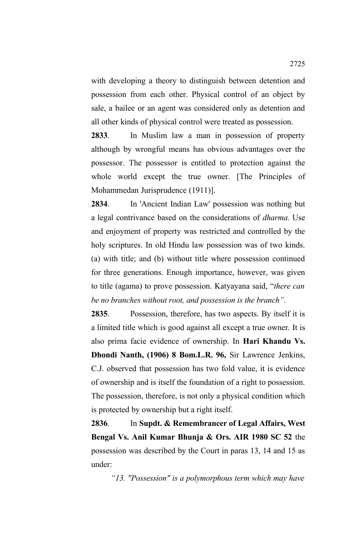with developing a theory to distinguish between detention and possession from each other. Physical control of an object by sale, a bailee or an agent was considered only as detention and all other kinds of physical control were treated as possession.

**2833**. In Muslim law a man in possession of property although by wrongful means has obvious advantages over the possessor. The possessor is entitled to protection against the whole world except the true owner. [The Principles of Mohammedan Jurisprudence (1911)].

**2834**. In 'Ancient Indian Law' possession was nothing but a legal contrivance based on the considerations of *dharma.* Use and enjoyment of property was restricted and controlled by the holy scriptures. In old Hindu law possession was of two kinds. (a) with title; and (b) without title where possession continued for three generations. Enough importance, however, was given to title (agama) to prove possession. Katyayana said, "*there can be no branches without root, and possession is the branch".* 

**2835**. Possession, therefore, has two aspects. By itself it is a limited title which is good against all except a true owner. It is also prima facie evidence of ownership. In **Hari Khandu Vs. Dhondi Nanth, (1906) 8 Bom.L.R. 96,** Sir Lawrence Jenkins, C.J. observed that possession has two fold value, it is evidence of ownership and is itself the foundation of a right to possession. The possession, therefore, is not only a physical condition which is protected by ownership but a right itself.

**2836**. In **Supdt. & Remembrancer of Legal Affairs, West Bengal Vs. Anil Kumar Bhunja & Ors. AIR 1980 SC 52** the possession was described by the Court in paras 13, 14 and 15 as under:

*"13. "Possession" is a polymorphous term which may have*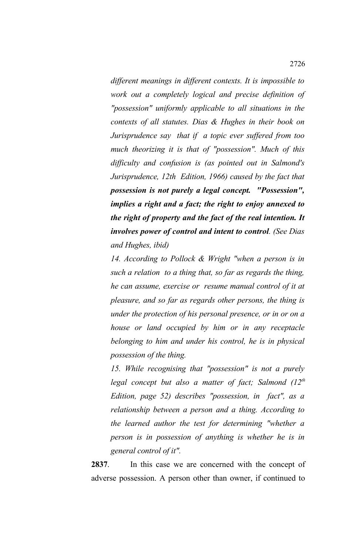*different meanings in different contexts. It is impossible to work out a completely logical and precise definition of "possession" uniformly applicable to all situations in the contexts of all statutes. Dias & Hughes in their book on Jurisprudence say that if a topic ever suffered from too much theorizing it is that of "possession". Much of this difficulty and confusion is (as pointed out in Salmond's Jurisprudence, 12th Edition, 1966) caused by the fact that possession is not purely a legal concept. "Possession", implies a right and a fact; the right to enjoy annexed to the right of property and the fact of the real intention. It involves power of control and intent to control. (See Dias and Hughes, ibid)*

*14. According to Pollock & Wright "when a person is in such a relation to a thing that, so far as regards the thing, he can assume, exercise or resume manual control of it at pleasure, and so far as regards other persons, the thing is under the protection of his personal presence, or in or on a house or land occupied by him or in any receptacle belonging to him and under his control, he is in physical possession of the thing.*

*15. While recognising that "possession" is not a purely legal concept but also a matter of fact; Salmond (12th Edition, page 52) describes "possession, in fact", as a relationship between a person and a thing. According to the learned author the test for determining "whether a person is in possession of anything is whether he is in general control of it".*

**2837**. In this case we are concerned with the concept of adverse possession. A person other than owner, if continued to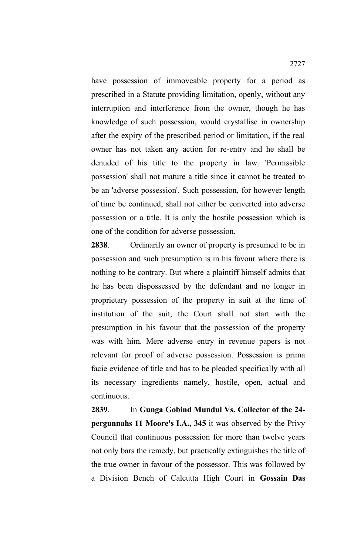have possession of immoveable property for a period as prescribed in a Statute providing limitation, openly, without any interruption and interference from the owner, though he has knowledge of such possession, would crystallise in ownership after the expiry of the prescribed period or limitation, if the real owner has not taken any action for re-entry and he shall be denuded of his title to the property in law. 'Permissible possession' shall not mature a title since it cannot be treated to be an 'adverse possession'. Such possession, for however length of time be continued, shall not either be converted into adverse possession or a title. It is only the hostile possession which is one of the condition for adverse possession.

**2838**. Ordinarily an owner of property is presumed to be in possession and such presumption is in his favour where there is nothing to be contrary. But where a plaintiff himself admits that he has been dispossessed by the defendant and no longer in proprietary possession of the property in suit at the time of institution of the suit, the Court shall not start with the presumption in his favour that the possession of the property was with him. Mere adverse entry in revenue papers is not relevant for proof of adverse possession. Possession is prima facie evidence of title and has to be pleaded specifically with all its necessary ingredients namely, hostile, open, actual and continuous.

**2839**. In **Gunga Gobind Mundul Vs. Collector of the 24 pergunnahs 11 Moore's I.A., 345** it was observed by the Privy Council that continuous possession for more than twelve years not only bars the remedy, but practically extinguishes the title of the true owner in favour of the possessor. This was followed by a Division Bench of Calcutta High Court in **Gossain Das**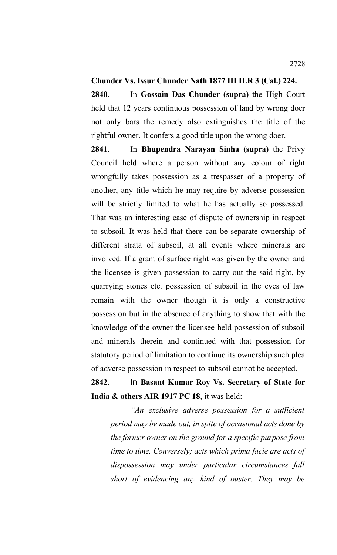### **Chunder Vs. Issur Chunder Nath 1877 III ILR 3 (Cal.) 224.**

**2840**. In **Gossain Das Chunder (supra)** the High Court held that 12 years continuous possession of land by wrong doer not only bars the remedy also extinguishes the title of the rightful owner. It confers a good title upon the wrong doer.

**2841**. In **Bhupendra Narayan Sinha (supra)** the Privy Council held where a person without any colour of right wrongfully takes possession as a trespasser of a property of another, any title which he may require by adverse possession will be strictly limited to what he has actually so possessed. That was an interesting case of dispute of ownership in respect to subsoil. It was held that there can be separate ownership of different strata of subsoil, at all events where minerals are involved. If a grant of surface right was given by the owner and the licensee is given possession to carry out the said right, by quarrying stones etc. possession of subsoil in the eyes of law remain with the owner though it is only a constructive possession but in the absence of anything to show that with the knowledge of the owner the licensee held possession of subsoil and minerals therein and continued with that possession for statutory period of limitation to continue its ownership such plea of adverse possession in respect to subsoil cannot be accepted.

# **2842**. In **Basant Kumar Roy Vs. Secretary of State for India & others AIR 1917 PC 18**, it was held:

*"An exclusive adverse possession for a sufficient period may be made out, in spite of occasional acts done by the former owner on the ground for a specific purpose from time to time. Conversely; acts which prima facie are acts of dispossession may under particular circumstances fall short of evidencing any kind of ouster. They may be*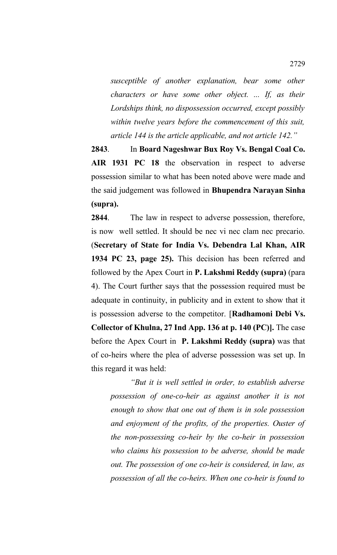*susceptible of another explanation, bear some other characters or have some other object. ... If, as their Lordships think, no dispossession occurred, except possibly within twelve years before the commencement of this suit, article 144 is the article applicable, and not article 142."* 

**2843**. In **Board Nageshwar Bux Roy Vs. Bengal Coal Co. AIR 1931 PC 18** the observation in respect to adverse possession similar to what has been noted above were made and the said judgement was followed in **Bhupendra Narayan Sinha (supra).**

**2844**. The law in respect to adverse possession, therefore, is now well settled. It should be nec vi nec clam nec precario. (**Secretary of State for India Vs. Debendra Lal Khan, AIR 1934 PC 23, page 25).** This decision has been referred and followed by the Apex Court in **P. Lakshmi Reddy (supra)** (para 4). The Court further says that the possession required must be adequate in continuity, in publicity and in extent to show that it is possession adverse to the competitor. [**Radhamoni Debi Vs. Collector of Khulna, 27 Ind App. 136 at p. 140 (PC)].** The case before the Apex Court in **P. Lakshmi Reddy (supra)** was that of co-heirs where the plea of adverse possession was set up. In this regard it was held:

*"But it is well settled in order, to establish adverse possession of one-co-heir as against another it is not enough to show that one out of them is in sole possession and enjoyment of the profits, of the properties. Ouster of the non-possessing co-heir by the co-heir in possession who claims his possession to be adverse, should be made out. The possession of one co-heir is considered, in law, as possession of all the co-heirs. When one co-heir is found to*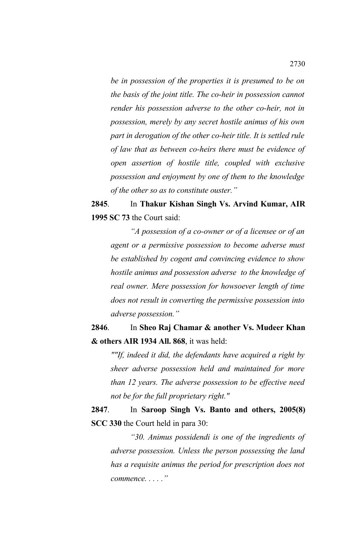*be in possession of the properties it is presumed to be on the basis of the joint title. The co-heir in possession cannot render his possession adverse to the other co-heir, not in possession, merely by any secret hostile animus of his own part in derogation of the other co-heir title. It is settled rule of law that as between co-heirs there must be evidence of open assertion of hostile title, coupled with exclusive possession and enjoyment by one of them to the knowledge of the other so as to constitute ouster."*

**2845**. In **Thakur Kishan Singh Vs. Arvind Kumar, AIR 1995 SC 73** the Court said:

*"A possession of a co-owner or of a licensee or of an agent or a permissive possession to become adverse must be established by cogent and convincing evidence to show hostile animus and possession adverse to the knowledge of real owner. Mere possession for howsoever length of time does not result in converting the permissive possession into adverse possession."*

**2846**. In **Sheo Raj Chamar & another Vs. Mudeer Khan & others AIR 1934 All. 868**, it was held:

*""If, indeed it did, the defendants have acquired a right by sheer adverse possession held and maintained for more than 12 years. The adverse possession to be effective need not be for the full proprietary right."*

**2847**. In **Saroop Singh Vs. Banto and others, 2005(8) SCC 330** the Court held in para 30:

*"30. Animus possidendi is one of the ingredients of adverse possession. Unless the person possessing the land has a requisite animus the period for prescription does not commence. . . . ."*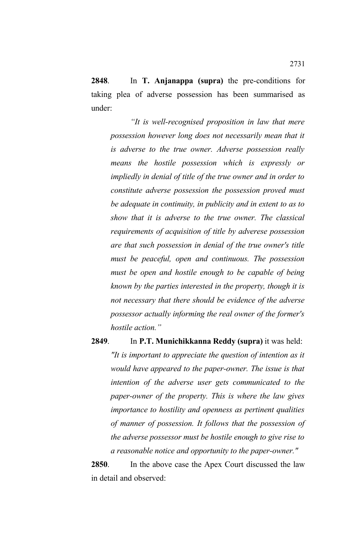**2848**. In **T. Anjanappa (supra)** the pre-conditions for taking plea of adverse possession has been summarised as under:

*"It is well-recognised proposition in law that mere possession however long does not necessarily mean that it is adverse to the true owner. Adverse possession really means the hostile possession which is expressly or impliedly in denial of title of the true owner and in order to constitute adverse possession the possession proved must be adequate in continuity, in publicity and in extent to as to show that it is adverse to the true owner. The classical requirements of acquisition of title by adverese possession are that such possession in denial of the true owner's title must be peaceful, open and continuous. The possession must be open and hostile enough to be capable of being known by the parties interested in the property, though it is not necessary that there should be evidence of the adverse possessor actually informing the real owner of the former's hostile action."*

### **2849**. In **P.T. Munichikkanna Reddy (supra)** it was held:

*"It is important to appreciate the question of intention as it would have appeared to the paper-owner. The issue is that intention of the adverse user gets communicated to the paper-owner of the property. This is where the law gives importance to hostility and openness as pertinent qualities of manner of possession. It follows that the possession of the adverse possessor must be hostile enough to give rise to a reasonable notice and opportunity to the paper-owner."*

**2850**. In the above case the Apex Court discussed the law in detail and observed: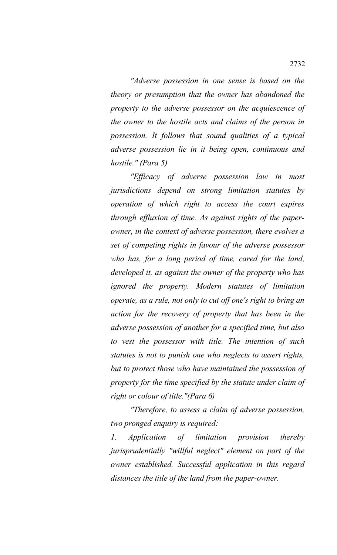*"Adverse possession in one sense is based on the theory or presumption that the owner has abandoned the property to the adverse possessor on the acquiescence of the owner to the hostile acts and claims of the person in possession. It follows that sound qualities of a typical adverse possession lie in it being open, continuous and hostile." (Para 5)*

*"Efficacy of adverse possession law in most jurisdictions depend on strong limitation statutes by operation of which right to access the court expires through effluxion of time. As against rights of the paperowner, in the context of adverse possession, there evolves a set of competing rights in favour of the adverse possessor who has, for a long period of time, cared for the land, developed it, as against the owner of the property who has ignored the property. Modern statutes of limitation operate, as a rule, not only to cut off one's right to bring an action for the recovery of property that has been in the adverse possession of another for a specified time, but also to vest the possessor with title. The intention of such statutes is not to punish one who neglects to assert rights, but to protect those who have maintained the possession of property for the time specified by the statute under claim of right or colour of title."(Para 6)*

*"Therefore, to assess a claim of adverse possession, two pronged enquiry is required:*

*1. Application of limitation provision thereby jurisprudentially "willful neglect" element on part of the owner established. Successful application in this regard distances the title of the land from the paper-owner.*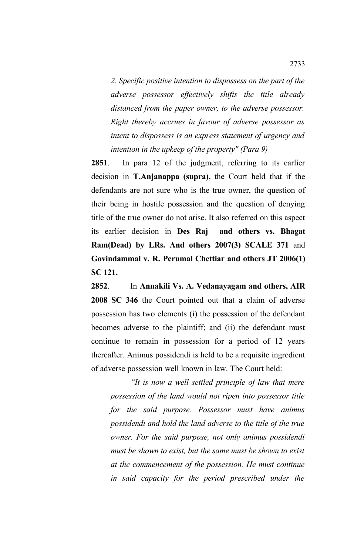*2. Specific positive intention to dispossess on the part of the adverse possessor effectively shifts the title already distanced from the paper owner, to the adverse possessor. Right thereby accrues in favour of adverse possessor as intent to dispossess is an express statement of urgency and intention in the upkeep of the property" (Para 9)*

**2851**. In para 12 of the judgment, referring to its earlier decision in **T.Anjanappa (supra),** the Court held that if the defendants are not sure who is the true owner, the question of their being in hostile possession and the question of denying title of the true owner do not arise. It also referred on this aspect its earlier decision in **Des Raj and others vs. Bhagat Ram(Dead) by LRs. And others 2007(3) SCALE 371** and **Govindammal v. R. Perumal Chettiar and others JT 2006(1) SC 121.**

**2852**. In **Annakili Vs. A. Vedanayagam and others, AIR 2008 SC 346** the Court pointed out that a claim of adverse possession has two elements (i) the possession of the defendant becomes adverse to the plaintiff; and (ii) the defendant must continue to remain in possession for a period of 12 years thereafter. Animus possidendi is held to be a requisite ingredient of adverse possession well known in law. The Court held:

*"It is now a well settled principle of law that mere possession of the land would not ripen into possessor title for the said purpose. Possessor must have animus possidendi and hold the land adverse to the title of the true owner. For the said purpose, not only animus possidendi must be shown to exist, but the same must be shown to exist at the commencement of the possession. He must continue in said capacity for the period prescribed under the*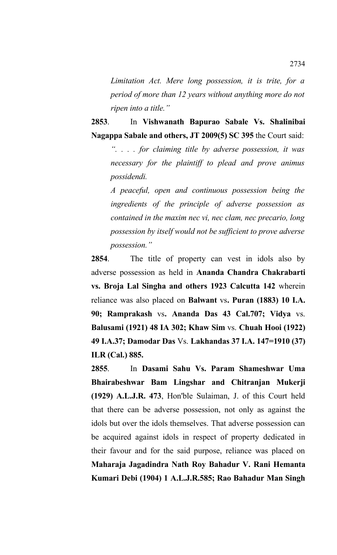*Limitation Act. Mere long possession, it is trite, for a period of more than 12 years without anything more do not ripen into a title."*

**2853**. In **Vishwanath Bapurao Sabale Vs. Shalinibai Nagappa Sabale and others, JT 2009(5) SC 395** the Court said:

*". . . . for claiming title by adverse possession, it was necessary for the plaintiff to plead and prove animus possidendi.*

*A peaceful, open and continuous possession being the ingredients of the principle of adverse possession as contained in the maxim nec vi, nec clam, nec precario, long possession by itself would not be sufficient to prove adverse possession."*

**2854**. The title of property can vest in idols also by adverse possession as held in **Ananda Chandra Chakrabarti vs. Broja Lal Singha and others 1923 Calcutta 142** wherein reliance was also placed on **Balwant** vs**. Puran (1883) 10 I.A. 90; Ramprakash** vs**. Ananda Das 43 Cal.707; Vidya** vs. **Balusami (1921) 48 IA 302; Khaw Sim** vs. **Chuah Hooi (1922) 49 I.A.37; Damodar Das** Vs. **Lakhandas 37 I.A. 147=1910 (37) ILR (Cal.) 885.**

**2855**. In **Dasami Sahu Vs. Param Shameshwar Uma Bhairabeshwar Bam Lingshar and Chitranjan Mukerji (1929) A.L.J.R. 473**, Hon'ble Sulaiman, J. of this Court held that there can be adverse possession, not only as against the idols but over the idols themselves. That adverse possession can be acquired against idols in respect of property dedicated in their favour and for the said purpose, reliance was placed on **Maharaja Jagadindra Nath Roy Bahadur V. Rani Hemanta Kumari Debi (1904) 1 A.L.J.R.585; Rao Bahadur Man Singh**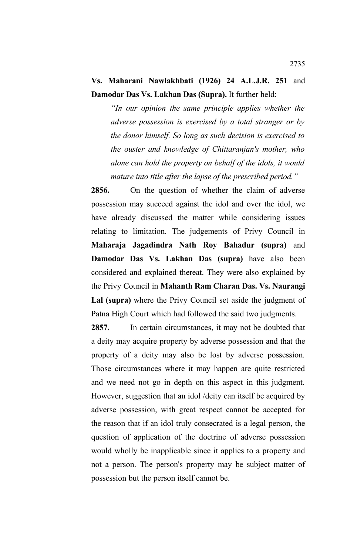## **Vs. Maharani Nawlakhbati (1926) 24 A.L.J.R. 251** and **Damodar Das Vs. Lakhan Das (Supra).** It further held:

*"In our opinion the same principle applies whether the adverse possession is exercised by a total stranger or by the donor himself. So long as such decision is exercised to the ouster and knowledge of Chittaranjan's mother, who alone can hold the property on behalf of the idols, it would mature into title after the lapse of the prescribed period."*

**2856.** On the question of whether the claim of adverse possession may succeed against the idol and over the idol, we have already discussed the matter while considering issues relating to limitation. The judgements of Privy Council in **Maharaja Jagadindra Nath Roy Bahadur (supra)** and **Damodar Das Vs. Lakhan Das (supra)** have also been considered and explained thereat. They were also explained by the Privy Council in **Mahanth Ram Charan Das. Vs. Naurangi Lal (supra)** where the Privy Council set aside the judgment of Patna High Court which had followed the said two judgments.

**2857.** In certain circumstances, it may not be doubted that a deity may acquire property by adverse possession and that the property of a deity may also be lost by adverse possession. Those circumstances where it may happen are quite restricted and we need not go in depth on this aspect in this judgment. However, suggestion that an idol /deity can itself be acquired by adverse possession, with great respect cannot be accepted for the reason that if an idol truly consecrated is a legal person, the question of application of the doctrine of adverse possession would wholly be inapplicable since it applies to a property and not a person. The person's property may be subject matter of possession but the person itself cannot be.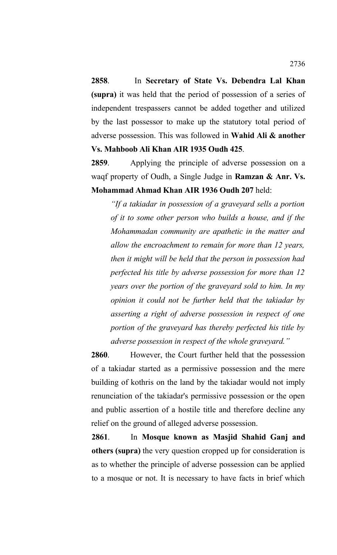**2858**. In **Secretary of State Vs. Debendra Lal Khan (supra)** it was held that the period of possession of a series of independent trespassers cannot be added together and utilized by the last possessor to make up the statutory total period of adverse possession. This was followed in **Wahid Ali & another Vs. Mahboob Ali Khan AIR 1935 Oudh 425**.

**2859**. Applying the principle of adverse possession on a waqf property of Oudh, a Single Judge in **Ramzan & Anr. Vs. Mohammad Ahmad Khan AIR 1936 Oudh 207** held:

*"If a takiadar in possession of a graveyard sells a portion of it to some other person who builds a house, and if the Mohammadan community are apathetic in the matter and allow the encroachment to remain for more than 12 years, then it might will be held that the person in possession had perfected his title by adverse possession for more than 12 years over the portion of the graveyard sold to him. In my opinion it could not be further held that the takiadar by asserting a right of adverse possession in respect of one portion of the graveyard has thereby perfected his title by adverse possession in respect of the whole graveyard."*

**2860**. However, the Court further held that the possession of a takiadar started as a permissive possession and the mere building of kothris on the land by the takiadar would not imply renunciation of the takiadar's permissive possession or the open and public assertion of a hostile title and therefore decline any relief on the ground of alleged adverse possession.

**2861**. In **Mosque known as Masjid Shahid Ganj and others (supra)** the very question cropped up for consideration is as to whether the principle of adverse possession can be applied to a mosque or not. It is necessary to have facts in brief which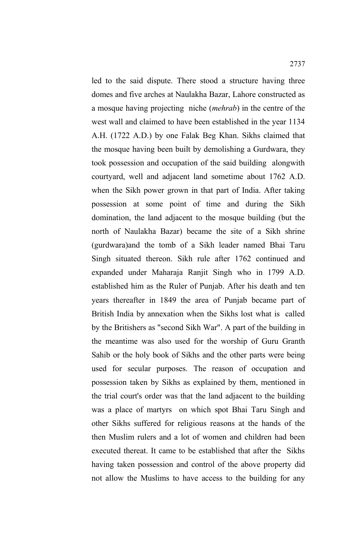led to the said dispute. There stood a structure having three domes and five arches at Naulakha Bazar, Lahore constructed as a mosque having projecting niche (*mehrab*) in the centre of the west wall and claimed to have been established in the year 1134 A.H. (1722 A.D.) by one Falak Beg Khan. Sikhs claimed that the mosque having been built by demolishing a Gurdwara, they took possession and occupation of the said building alongwith courtyard, well and adjacent land sometime about 1762 A.D. when the Sikh power grown in that part of India. After taking possession at some point of time and during the Sikh domination, the land adjacent to the mosque building (but the north of Naulakha Bazar) became the site of a Sikh shrine (gurdwara)and the tomb of a Sikh leader named Bhai Taru Singh situated thereon. Sikh rule after 1762 continued and expanded under Maharaja Ranjit Singh who in 1799 A.D. established him as the Ruler of Punjab. After his death and ten years thereafter in 1849 the area of Punjab became part of British India by annexation when the Sikhs lost what is called by the Britishers as "second Sikh War". A part of the building in the meantime was also used for the worship of Guru Granth Sahib or the holy book of Sikhs and the other parts were being used for secular purposes. The reason of occupation and possession taken by Sikhs as explained by them, mentioned in the trial court's order was that the land adjacent to the building was a place of martyrs on which spot Bhai Taru Singh and other Sikhs suffered for religious reasons at the hands of the then Muslim rulers and a lot of women and children had been executed thereat. It came to be established that after the Sikhs having taken possession and control of the above property did not allow the Muslims to have access to the building for any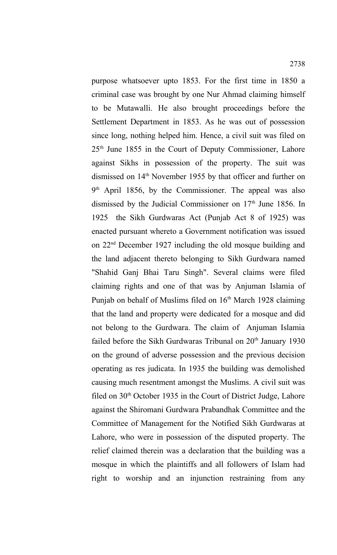criminal case was brought by one Nur Ahmad claiming himself to be Mutawalli. He also brought proceedings before the Settlement Department in 1853. As he was out of possession since long, nothing helped him. Hence, a civil suit was filed on  $25<sup>th</sup>$  June 1855 in the Court of Deputy Commissioner, Lahore against Sikhs in possession of the property. The suit was dismissed on 14<sup>th</sup> November 1955 by that officer and further on 9<sup>th</sup> April 1856, by the Commissioner. The appeal was also dismissed by the Judicial Commissioner on  $17<sup>th</sup>$  June 1856. In 1925 the Sikh Gurdwaras Act (Punjab Act 8 of 1925) was enacted pursuant whereto a Government notification was issued on 22nd December 1927 including the old mosque building and the land adjacent thereto belonging to Sikh Gurdwara named "Shahid Ganj Bhai Taru Singh". Several claims were filed claiming rights and one of that was by Anjuman Islamia of Punjab on behalf of Muslims filed on 16<sup>th</sup> March 1928 claiming that the land and property were dedicated for a mosque and did not belong to the Gurdwara. The claim of Anjuman Islamia failed before the Sikh Gurdwaras Tribunal on 20<sup>th</sup> January 1930 on the ground of adverse possession and the previous decision operating as res judicata. In 1935 the building was demolished causing much resentment amongst the Muslims. A civil suit was filed on  $30<sup>th</sup>$  October 1935 in the Court of District Judge, Lahore against the Shiromani Gurdwara Prabandhak Committee and the Committee of Management for the Notified Sikh Gurdwaras at Lahore, who were in possession of the disputed property. The relief claimed therein was a declaration that the building was a mosque in which the plaintiffs and all followers of Islam had right to worship and an injunction restraining from any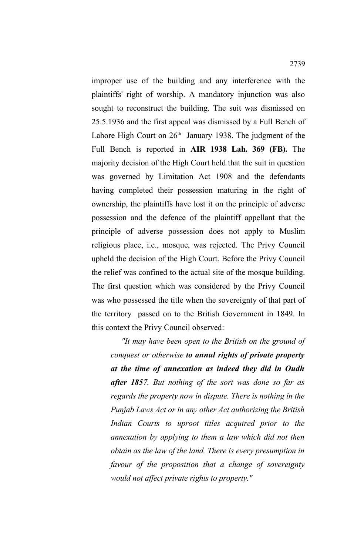improper use of the building and any interference with the plaintiffs' right of worship. A mandatory injunction was also sought to reconstruct the building. The suit was dismissed on 25.5.1936 and the first appeal was dismissed by a Full Bench of Lahore High Court on  $26<sup>th</sup>$  January 1938. The judgment of the Full Bench is reported in **AIR 1938 Lah. 369 (FB).** The majority decision of the High Court held that the suit in question was governed by Limitation Act 1908 and the defendants having completed their possession maturing in the right of ownership, the plaintiffs have lost it on the principle of adverse possession and the defence of the plaintiff appellant that the principle of adverse possession does not apply to Muslim religious place, i.e., mosque, was rejected. The Privy Council upheld the decision of the High Court. Before the Privy Council the relief was confined to the actual site of the mosque building. The first question which was considered by the Privy Council was who possessed the title when the sovereignty of that part of the territory passed on to the British Government in 1849. In this context the Privy Council observed:

 *"It may have been open to the British on the ground of conquest or otherwise to annul rights of private property at the time of annexation as indeed they did in Oudh after 1857. But nothing of the sort was done so far as regards the property now in dispute. There is nothing in the Punjab Laws Act or in any other Act authorizing the British Indian Courts to uproot titles acquired prior to the annexation by applying to them a law which did not then obtain as the law of the land. There is every presumption in favour of the proposition that a change of sovereignty would not affect private rights to property."*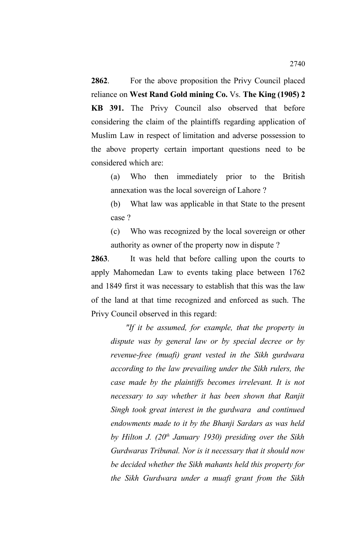**2862**. For the above proposition the Privy Council placed reliance on **West Rand Gold mining Co.** Vs. **The King (1905) 2 KB 391.** The Privy Council also observed that before considering the claim of the plaintiffs regarding application of Muslim Law in respect of limitation and adverse possession to the above property certain important questions need to be considered which are:

(a) Who then immediately prior to the British annexation was the local sovereign of Lahore ?

(b) What law was applicable in that State to the present case ?

(c) Who was recognized by the local sovereign or other authority as owner of the property now in dispute ?

**2863**. It was held that before calling upon the courts to apply Mahomedan Law to events taking place between 1762 and 1849 first it was necessary to establish that this was the law of the land at that time recognized and enforced as such. The Privy Council observed in this regard:

 *"If it be assumed, for example, that the property in dispute was by general law or by special decree or by revenue-free (muafi) grant vested in the Sikh gurdwara according to the law prevailing under the Sikh rulers, the case made by the plaintiffs becomes irrelevant. It is not necessary to say whether it has been shown that Ranjit Singh took great interest in the gurdwara and continued endowments made to it by the Bhanji Sardars as was held by Hilton J. (20th January 1930) presiding over the Sikh Gurdwaras Tribunal. Nor is it necessary that it should now be decided whether the Sikh mahants held this property for the Sikh Gurdwara under a muafi grant from the Sikh*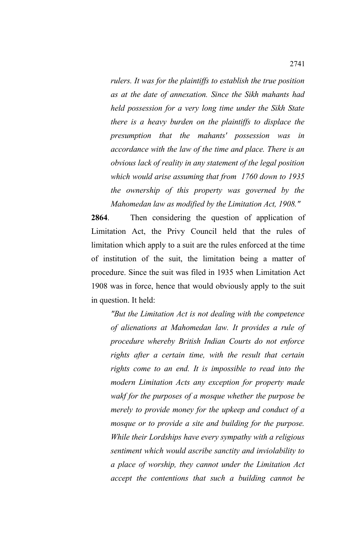*rulers. It was for the plaintiffs to establish the true position as at the date of annexation. Since the Sikh mahants had held possession for a very long time under the Sikh State there is a heavy burden on the plaintiffs to displace the presumption that the mahants' possession was in accordance with the law of the time and place. There is an obvious lack of reality in any statement of the legal position which would arise assuming that from 1760 down to 1935 the ownership of this property was governed by the Mahomedan law as modified by the Limitation Act, 1908."*

**2864**. Then considering the question of application of Limitation Act, the Privy Council held that the rules of limitation which apply to a suit are the rules enforced at the time of institution of the suit, the limitation being a matter of procedure. Since the suit was filed in 1935 when Limitation Act 1908 was in force, hence that would obviously apply to the suit in question. It held:

*"But the Limitation Act is not dealing with the competence of alienations at Mahomedan law. It provides a rule of procedure whereby British Indian Courts do not enforce rights after a certain time, with the result that certain rights come to an end. It is impossible to read into the modern Limitation Acts any exception for property made wakf for the purposes of a mosque whether the purpose be merely to provide money for the upkeep and conduct of a mosque or to provide a site and building for the purpose. While their Lordships have every sympathy with a religious sentiment which would ascribe sanctity and inviolability to a place of worship, they cannot under the Limitation Act accept the contentions that such a building cannot be*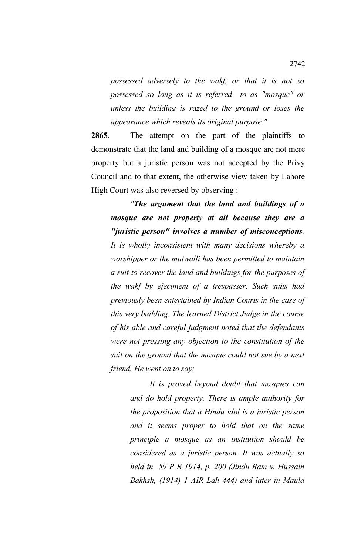*possessed adversely to the wakf, or that it is not so possessed so long as it is referred to as "mosque" or unless the building is razed to the ground or loses the appearance which reveals its original purpose."* 

**2865**. The attempt on the part of the plaintiffs to demonstrate that the land and building of a mosque are not mere property but a juristic person was not accepted by the Privy Council and to that extent, the otherwise view taken by Lahore High Court was also reversed by observing :

*"The argument that the land and buildings of a mosque are not property at all because they are a "juristic person" involves a number of misconceptions. It is wholly inconsistent with many decisions whereby a worshipper or the mutwalli has been permitted to maintain a suit to recover the land and buildings for the purposes of the wakf by ejectment of a trespasser. Such suits had previously been entertained by Indian Courts in the case of this very building. The learned District Judge in the course of his able and careful judgment noted that the defendants were not pressing any objection to the constitution of the suit on the ground that the mosque could not sue by a next friend. He went on to say:*

> *It is proved beyond doubt that mosques can and do hold property. There is ample authority for the proposition that a Hindu idol is a juristic person and it seems proper to hold that on the same principle a mosque as an institution should be considered as a juristic person. It was actually so held in 59 P R 1914, p. 200 (Jindu Ram v. Hussain Bakhsh, (1914) 1 AIR Lah 444) and later in Maula*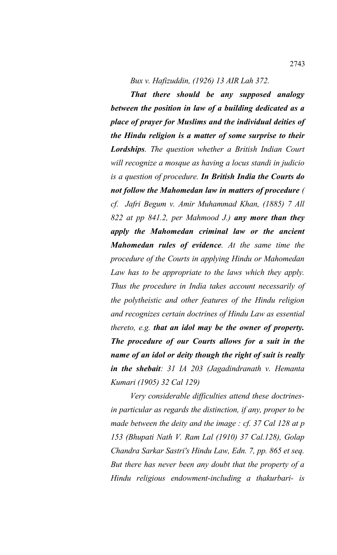*Bux v. Hafizuddin, (1926) 13 AIR Lah 372.*

*That there should be any supposed analogy between the position in law of a building dedicated as a place of prayer for Muslims and the individual deities of the Hindu religion is a matter of some surprise to their Lordships. The question whether a British Indian Court will recognize a mosque as having a locus standi in judicio is a question of procedure. In British India the Courts do not follow the Mahomedan law in matters of procedure ( cf. Jafri Begum v. Amir Muhammad Khan, (1885) 7 All 822 at pp 841.2, per Mahmood J.) any more than they apply the Mahomedan criminal law or the ancient Mahomedan rules of evidence. At the same time the procedure of the Courts in applying Hindu or Mahomedan Law has to be appropriate to the laws which they apply. Thus the procedure in India takes account necessarily of the polytheistic and other features of the Hindu religion and recognizes certain doctrines of Hindu Law as essential thereto, e.g. that an idol may be the owner of property. The procedure of our Courts allows for a suit in the name of an idol or deity though the right of suit is really in the shebait: 31 IA 203 (Jagadindranath v. Hemanta Kumari (1905) 32 Cal 129)*

*Very considerable difficulties attend these doctrinesin particular as regards the distinction, if any, proper to be made between the deity and the image : cf. 37 Cal 128 at p 153 (Bhupati Nath V. Ram Lal (1910) 37 Cal.128), Golap Chandra Sarkar Sastri's Hindu Law, Edn. 7, pp. 865 et seq. But there has never been any doubt that the property of a Hindu religious endowment-including a thakurbari- is*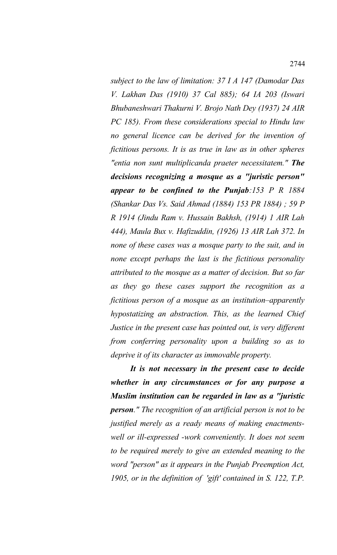*subject to the law of limitation: 37 I A 147 (Damodar Das V. Lakhan Das (1910) 37 Cal 885); 64 IA 203 (Iswari Bhubaneshwari Thakurni V. Brojo Nath Dey (1937) 24 AIR PC 185). From these considerations special to Hindu law no general licence can be derived for the invention of fictitious persons. It is as true in law as in other spheres "entia non sunt multiplicanda praeter necessitatem." The decisions recognizing a mosque as a "juristic person" appear to be confined to the Punjab:153 P R 1884 (Shankar Das Vs. Said Ahmad (1884) 153 PR 1884) ; 59 P R 1914 (Jindu Ram v. Hussain Bakhsh, (1914) 1 AIR Lah 444), Maula Bux v. Hafizuddin, (1926) 13 AIR Lah 372. In none of these cases was a mosque party to the suit, and in none except perhaps the last is the fictitious personality attributed to the mosque as a matter of decision. But so far as they go these cases support the recognition as a fictitious person of a mosque as an institution–apparently hypostatizing an abstraction. This, as the learned Chief Justice in the present case has pointed out, is very different from conferring personality upon a building so as to deprive it of its character as immovable property.*

*It is not necessary in the present case to decide whether in any circumstances or for any purpose a Muslim institution can be regarded in law as a "juristic person." The recognition of an artificial person is not to be justified merely as a ready means of making enactmentswell or ill-expressed -work conveniently. It does not seem to be required merely to give an extended meaning to the word "person" as it appears in the Punjab Preemption Act, 1905, or in the definition of 'gift' contained in S. 122, T.P.*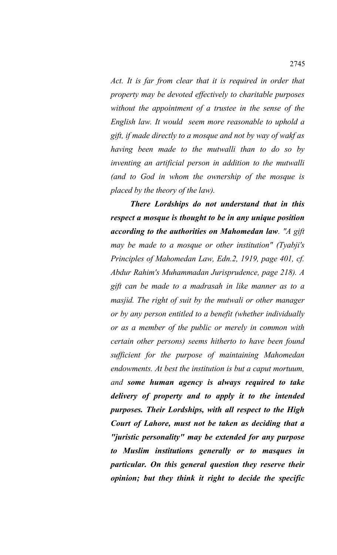*Act. It is far from clear that it is required in order that property may be devoted effectively to charitable purposes without the appointment of a trustee in the sense of the English law. It would seem more reasonable to uphold a gift, if made directly to a mosque and not by way of wakf as having been made to the mutwalli than to do so by inventing an artificial person in addition to the mutwalli (and to God in whom the ownership of the mosque is placed by the theory of the law).* 

*There Lordships do not understand that in this respect a mosque is thought to be in any unique position according to the authorities on Mahomedan law. "A gift may be made to a mosque or other institution" (Tyabji's Principles of Mahomedan Law, Edn.2, 1919, page 401, cf. Abdur Rahim's Muhammadan Jurisprudence, page 218). A gift can be made to a madrasah in like manner as to a masjid. The right of suit by the mutwali or other manager or by any person entitled to a benefit (whether individually or as a member of the public or merely in common with certain other persons) seems hitherto to have been found sufficient for the purpose of maintaining Mahomedan endowments. At best the institution is but a caput mortuum, and some human agency is always required to take delivery of property and to apply it to the intended purposes. Their Lordships, with all respect to the High Court of Lahore, must not be taken as deciding that a "juristic personality" may be extended for any purpose to Muslim institutions generally or to masques in particular. On this general question they reserve their opinion; but they think it right to decide the specific*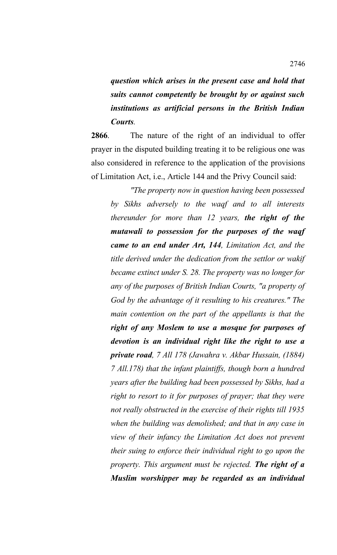*question which arises in the present case and hold that suits cannot competently be brought by or against such institutions as artificial persons in the British Indian Courts.*

**2866**. The nature of the right of an individual to offer prayer in the disputed building treating it to be religious one was also considered in reference to the application of the provisions of Limitation Act, i.e., Article 144 and the Privy Council said:

*"The property now in question having been possessed by Sikhs adversely to the waqf and to all interests thereunder for more than 12 years, the right of the mutawali to possession for the purposes of the waqf came to an end under Art, 144, Limitation Act, and the title derived under the dedication from the settlor or wakif became extinct under S. 28. The property was no longer for any of the purposes of British Indian Courts, "a property of God by the advantage of it resulting to his creatures." The main contention on the part of the appellants is that the right of any Moslem to use a mosque for purposes of devotion is an individual right like the right to use a private road, 7 All 178 (Jawahra v. Akbar Hussain, (1884) 7 All.178) that the infant plaintiffs, though born a hundred years after the building had been possessed by Sikhs, had a right to resort to it for purposes of prayer; that they were not really obstructed in the exercise of their rights till 1935 when the building was demolished; and that in any case in view of their infancy the Limitation Act does not prevent their suing to enforce their individual right to go upon the property. This argument must be rejected. The right of a Muslim worshipper may be regarded as an individual*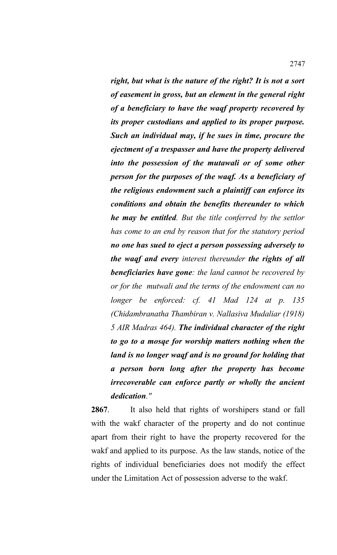*right, but what is the nature of the right? It is not a sort of easement in gross, but an element in the general right of a beneficiary to have the waqf property recovered by its proper custodians and applied to its proper purpose. Such an individual may, if he sues in time, procure the ejectment of a trespasser and have the property delivered into the possession of the mutawali or of some other person for the purposes of the waqf. As a beneficiary of the religious endowment such a plaintiff can enforce its conditions and obtain the benefits thereunder to which he may be entitled. But the title conferred by the settlor has come to an end by reason that for the statutory period no one has sued to eject a person possessing adversely to the waqf and every interest thereunder the rights of all beneficiaries have gone: the land cannot be recovered by or for the mutwali and the terms of the endowment can no longer be enforced: cf. 41 Mad 124 at p. 135 (Chidambranatha Thambiran v. Nallasiva Mudaliar (1918) 5 AIR Madras 464). The individual character of the right to go to a mosqe for worship matters nothing when the land is no longer waqf and is no ground for holding that a person born long after the property has become irrecoverable can enforce partly or wholly the ancient dedication."*

**2867**. It also held that rights of worshipers stand or fall with the wakf character of the property and do not continue apart from their right to have the property recovered for the wakf and applied to its purpose. As the law stands, notice of the rights of individual beneficiaries does not modify the effect under the Limitation Act of possession adverse to the wakf.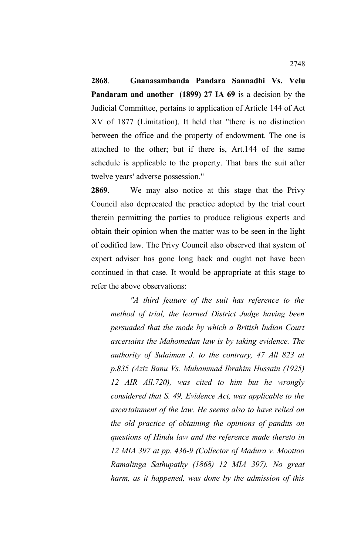**2868**. **Gnanasambanda Pandara Sannadhi Vs. Velu Pandaram and another (1899) 27 IA 69** is a decision by the Judicial Committee, pertains to application of Article 144 of Act XV of 1877 (Limitation). It held that "there is no distinction between the office and the property of endowment. The one is attached to the other; but if there is, Art.144 of the same schedule is applicable to the property. That bars the suit after twelve years' adverse possession."

**2869**. We may also notice at this stage that the Privy Council also deprecated the practice adopted by the trial court therein permitting the parties to produce religious experts and obtain their opinion when the matter was to be seen in the light of codified law. The Privy Council also observed that system of expert adviser has gone long back and ought not have been continued in that case. It would be appropriate at this stage to refer the above observations:

*"A third feature of the suit has reference to the method of trial, the learned District Judge having been persuaded that the mode by which a British Indian Court ascertains the Mahomedan law is by taking evidence. The authority of Sulaiman J. to the contrary, 47 All 823 at p.835 (Aziz Banu Vs. Muhammad Ibrahim Hussain (1925) 12 AIR All.720), was cited to him but he wrongly considered that S. 49, Evidence Act, was applicable to the ascertainment of the law. He seems also to have relied on the old practice of obtaining the opinions of pandits on questions of Hindu law and the reference made thereto in 12 MIA 397 at pp. 436-9 (Collector of Madura v. Moottoo Ramalinga Sathupathy (1868) 12 MIA 397). No great harm, as it happened, was done by the admission of this*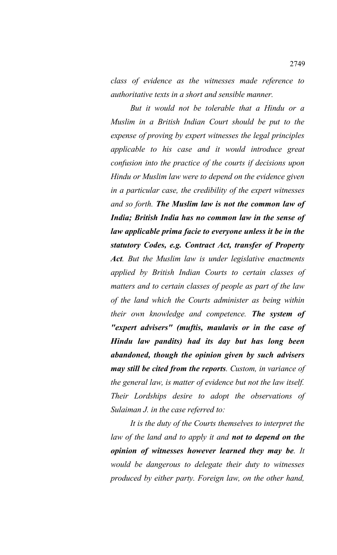*class of evidence as the witnesses made reference to authoritative texts in a short and sensible manner.* 

*But it would not be tolerable that a Hindu or a Muslim in a British Indian Court should be put to the expense of proving by expert witnesses the legal principles applicable to his case and it would introduce great confusion into the practice of the courts if decisions upon Hindu or Muslim law were to depend on the evidence given in a particular case, the credibility of the expert witnesses and so forth. The Muslim law is not the common law of India; British India has no common law in the sense of law applicable prima facie to everyone unless it be in the statutory Codes, e.g. Contract Act, transfer of Property Act. But the Muslim law is under legislative enactments applied by British Indian Courts to certain classes of matters and to certain classes of people as part of the law of the land which the Courts administer as being within their own knowledge and competence. The system of "expert advisers" (muftis, maulavis or in the case of Hindu law pandits) had its day but has long been abandoned, though the opinion given by such advisers may still be cited from the reports. Custom, in variance of the general law, is matter of evidence but not the law itself. Their Lordships desire to adopt the observations of Sulaiman J. in the case referred to:*

*It is the duty of the Courts themselves to interpret the law of the land and to apply it and not to depend on the opinion of witnesses however learned they may be. It would be dangerous to delegate their duty to witnesses produced by either party. Foreign law, on the other hand,*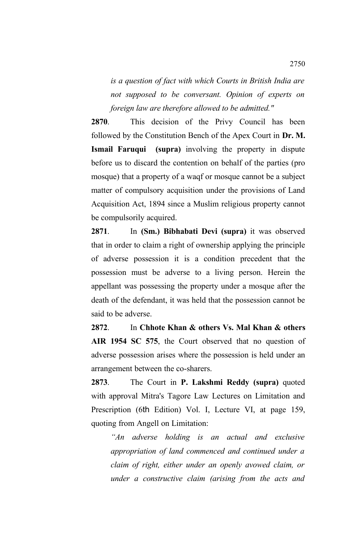*is a question of fact with which Courts in British India are not supposed to be conversant. Opinion of experts on foreign law are therefore allowed to be admitted."* 

**2870**. This decision of the Privy Council has been followed by the Constitution Bench of the Apex Court in **Dr. M. Ismail Faruqui (supra)** involving the property in dispute before us to discard the contention on behalf of the parties (pro mosque) that a property of a waqf or mosque cannot be a subject matter of compulsory acquisition under the provisions of Land Acquisition Act, 1894 since a Muslim religious property cannot be compulsorily acquired.

**2871**. In **(Sm.) Bibhabati Devi (supra)** it was observed that in order to claim a right of ownership applying the principle of adverse possession it is a condition precedent that the possession must be adverse to a living person. Herein the appellant was possessing the property under a mosque after the death of the defendant, it was held that the possession cannot be said to be adverse.

**2872**. In **Chhote Khan & others Vs. Mal Khan & others AIR 1954 SC 575**, the Court observed that no question of adverse possession arises where the possession is held under an arrangement between the co-sharers.

**2873**. The Court in **P. Lakshmi Reddy (supra)** quoted with approval Mitra's Tagore Law Lectures on Limitation and Prescription (6th Edition) Vol. I, Lecture VI, at page 159, quoting from Angell on Limitation:

*"An adverse holding is an actual and exclusive appropriation of land commenced and continued under a claim of right, either under an openly avowed claim, or under a constructive claim (arising from the acts and*